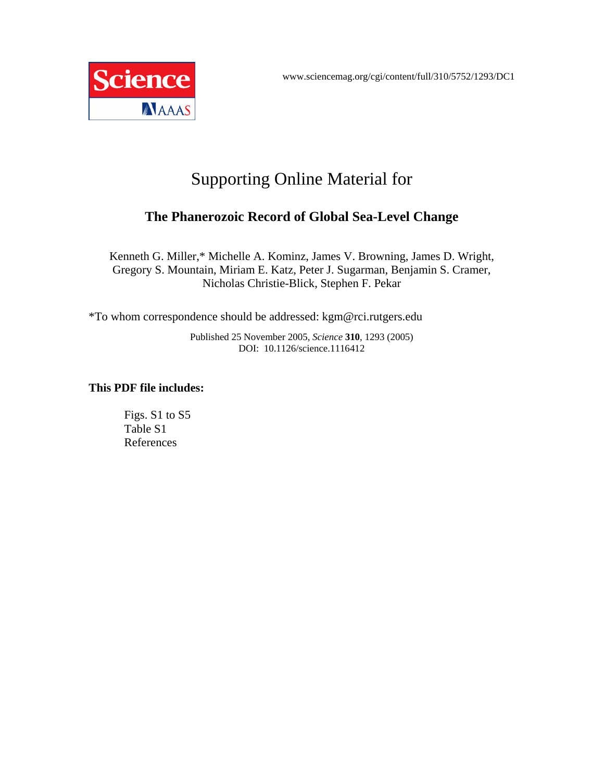

## Supporting Online Material for

## **The Phanerozoic Record of Global Sea-Level Change**

Kenneth G. Miller,\* Michelle A. Kominz, James V. Browning, James D. Wright, Gregory S. Mountain, Miriam E. Katz, Peter J. Sugarman, Benjamin S. Cramer, Nicholas Christie-Blick, Stephen F. Pekar

\*To whom correspondence should be addressed: kgm@rci.rutgers.edu

Published 25 November 2005, *Science* **310**, 1293 (2005) DOI: 10.1126/science.1116412

## **This PDF file includes:**

Figs. S1 to S5 Table S1 References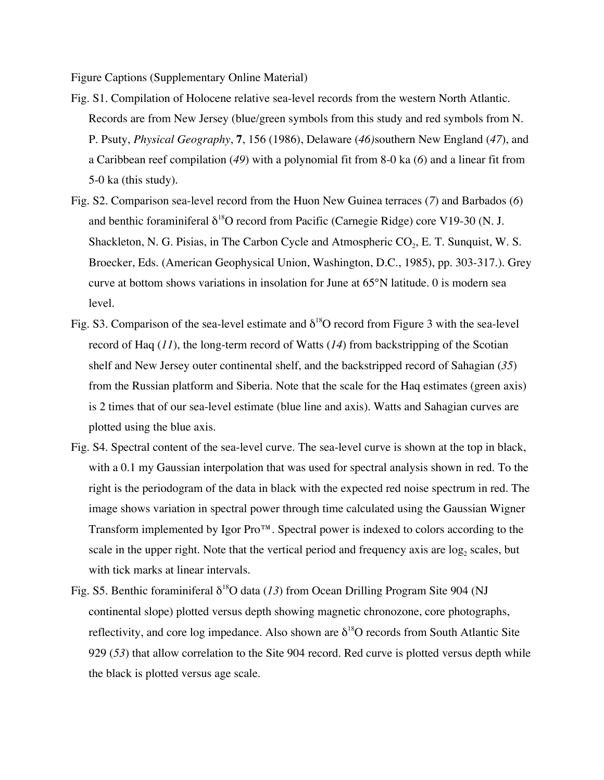Figure Captions (Supplementary Online Material)

- Fig. S1. Compilation of Holocene relative sea-level records from the western North Atlantic. Records are from New Jersey (blue/green symbols from this study and red symbols from N. P. Psuty, *Physical Geography*, **7**, 156 (1986), Delaware (*46)*southern New England (*47*), and a Caribbean reef compilation (*49*) with a polynomial fit from 8-0 ka (*6*) and a linear fit from 5-0 ka (this study).
- Fig. S2. Comparison sea-level record from the Huon New Guinea terraces (*7*) and Barbados (*6*) and benthic foraminiferal  $\delta^{18}O$  record from Pacific (Carnegie Ridge) core V19-30 (N. J. Shackleton, N. G. Pisias, in The Carbon Cycle and Atmospheric  $CO<sub>2</sub>$ , E. T. Sunquist, W. S. Broecker, Eds. (American Geophysical Union, Washington, D.C., 1985), pp. 303-317.). Grey curve at bottom shows variations in insolation for June at 65°N latitude. 0 is modern sea level.
- Fig. S3. Comparison of the sea-level estimate and  $\delta^{18}O$  record from Figure 3 with the sea-level record of Haq (*11*), the long-term record of Watts (*14*) from backstripping of the Scotian shelf and New Jersey outer continental shelf, and the backstripped record of Sahagian (*35*) from the Russian platform and Siberia. Note that the scale for the Haq estimates (green axis) is 2 times that of our sea-level estimate (blue line and axis). Watts and Sahagian curves are plotted using the blue axis.
- Fig. S4. Spectral content of the sea-level curve. The sea-level curve is shown at the top in black, with a 0.1 my Gaussian interpolation that was used for spectral analysis shown in red. To the right is the periodogram of the data in black with the expected red noise spectrum in red. The image shows variation in spectral power through time calculated using the Gaussian Wigner Transform implemented by Igor Pro™. Spectral power is indexed to colors according to the scale in the upper right. Note that the vertical period and frequency axis are  $log<sub>2</sub>$  scales, but with tick marks at linear intervals.
- Fig. S5. Benthic foraminiferal  $\delta^{18}O$  data (13) from Ocean Drilling Program Site 904 (NJ continental slope) plotted versus depth showing magnetic chronozone, core photographs, reflectivity, and core log impedance. Also shown are  $\delta^{18}O$  records from South Atlantic Site 929 (*53*) that allow correlation to the Site 904 record. Red curve is plotted versus depth while the black is plotted versus age scale.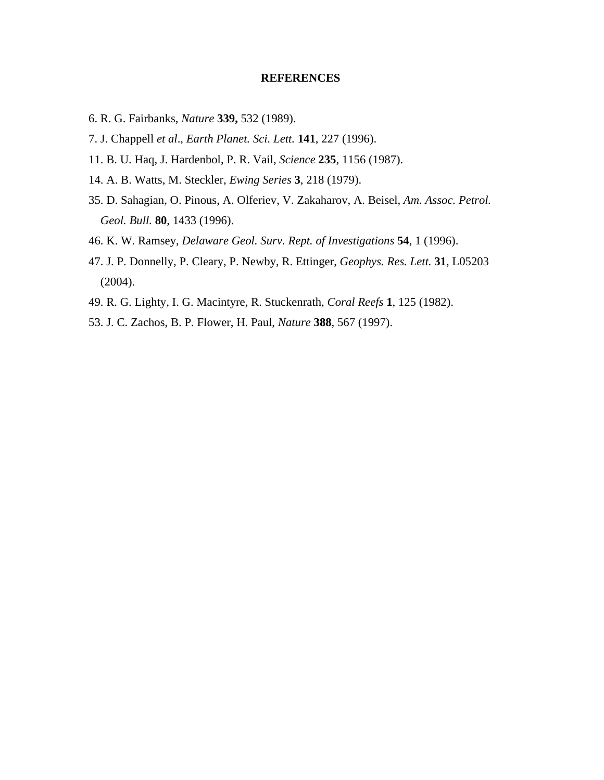## **REFERENCES**

- 6. R. G. Fairbanks, *Nature* **339,** 532 (1989).
- 7. J. Chappell *et al*., *Earth Planet. Sci. Lett.* **141**, 227 (1996).
- 11. B. U. Haq, J. Hardenbol, P. R. Vail, *Science* **235**, 1156 (1987).
- 14. A. B. Watts, M. Steckler, *Ewing Series* **3**, 218 (1979).
- 35. D. Sahagian, O. Pinous, A. Olferiev, V. Zakaharov, A. Beisel, *Am. Assoc. Petrol. Geol. Bull.* **80**, 1433 (1996).
- 46. K. W. Ramsey, *Delaware Geol. Surv. Rept. of Investigations* **54**, 1 (1996).
- 47. J. P. Donnelly, P. Cleary, P. Newby, R. Ettinger, *Geophys. Res. Lett.* **31**, L05203 (2004).
- 49. R. G. Lighty, I. G. Macintyre, R. Stuckenrath, *Coral Reefs* **1**, 125 (1982).
- 53. J. C. Zachos, B. P. Flower, H. Paul, *Nature* **388**, 567 (1997).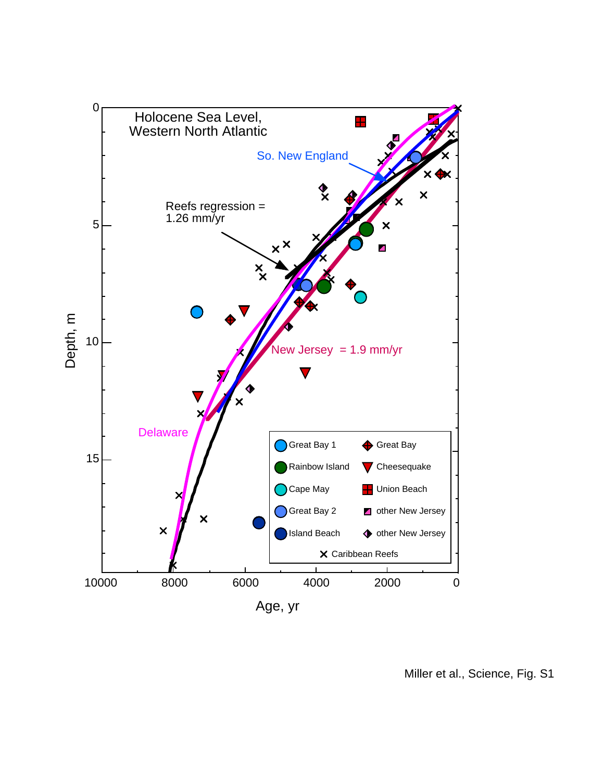

Miller et al., Science, Fig. S1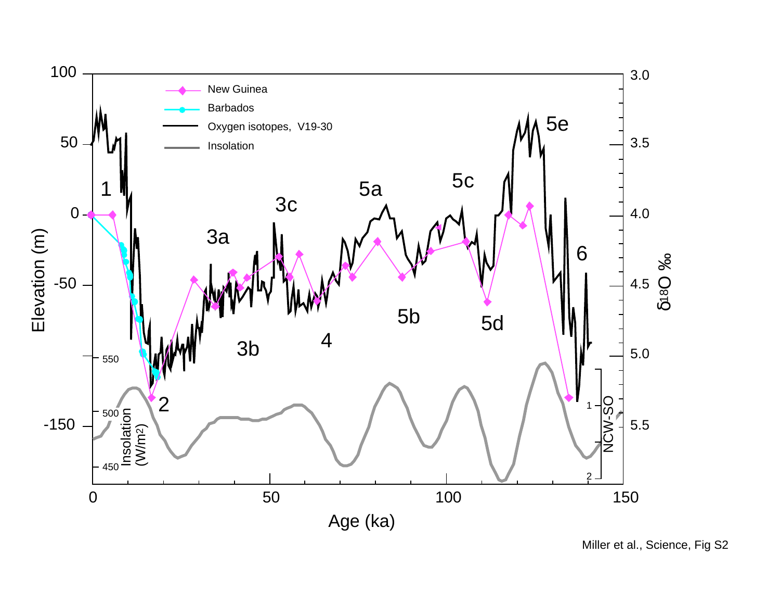

Miller et al., Science, Fig S2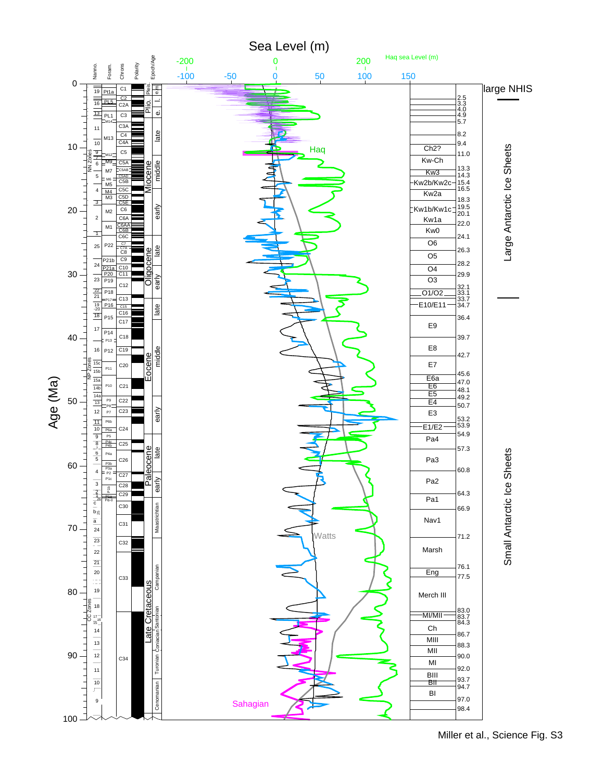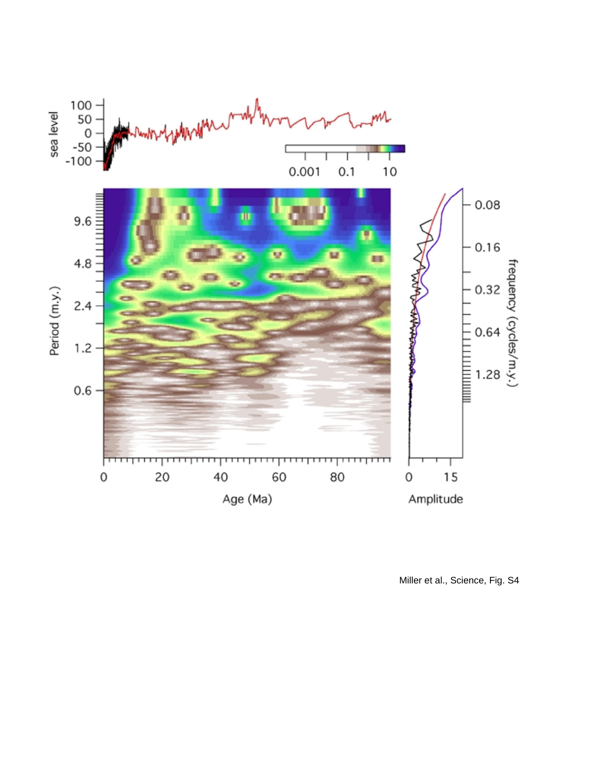

Miller et al., Science, Fig. S4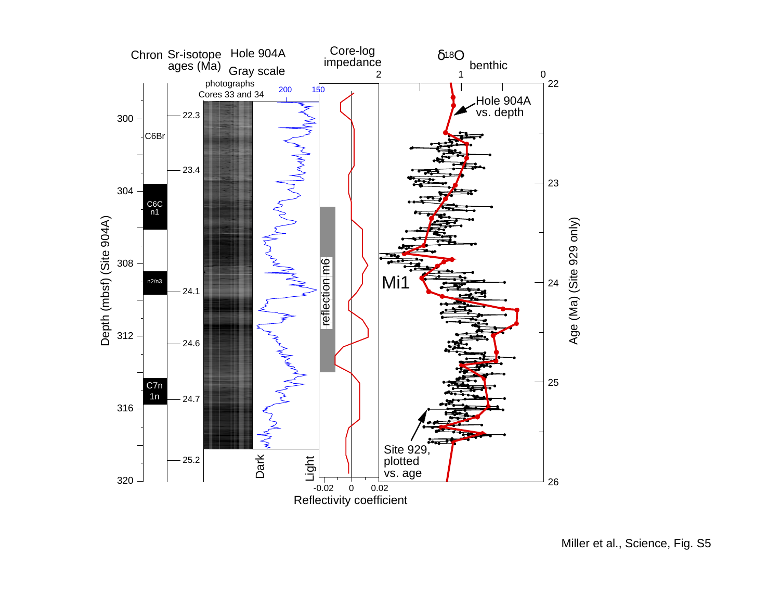

Miller et al., Science, Fig. S5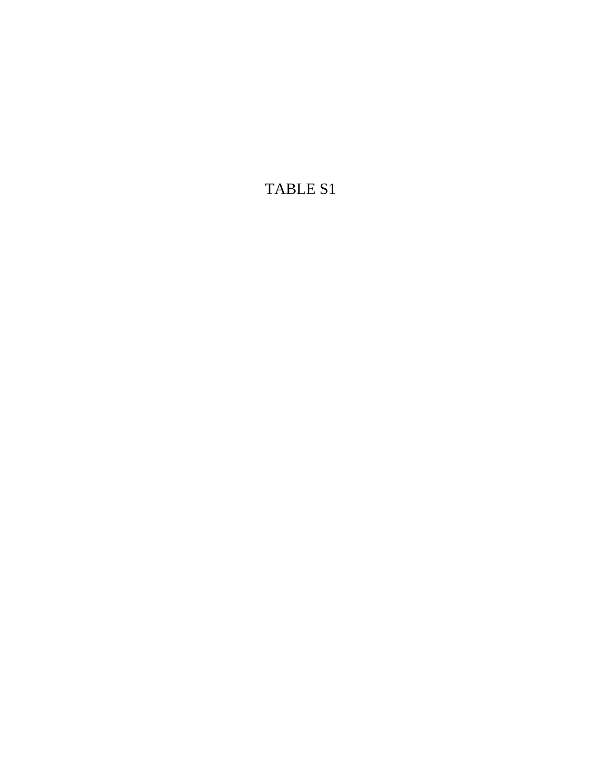TABLE S1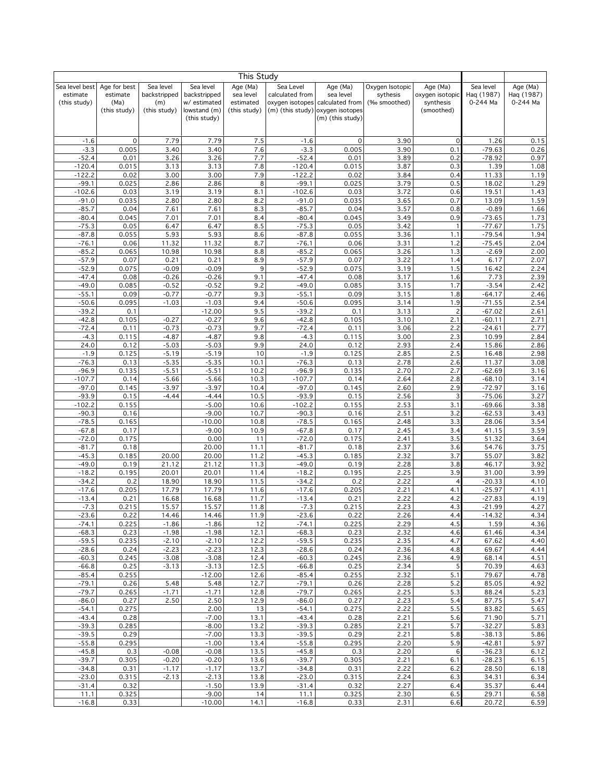|                          |                  |                     |                              | This Study             |                                    |                              |                          |                              |                        |                        |
|--------------------------|------------------|---------------------|------------------------------|------------------------|------------------------------------|------------------------------|--------------------------|------------------------------|------------------------|------------------------|
| Sea level best           | Age for best     | Sea level           | Sea level                    | Age (Ma)               | Sea Level                          | Age (Ma)                     | Oxygen Isotopic          | Age (Ma)                     | Sea level              | Age (Ma)               |
| estimate<br>(this study) | estimate<br>(Ma) | backstripped<br>(m) | backstripped<br>w/ estimated | sea level<br>estimated | calculated from<br>oxygen isotopes | sea level<br>calculated from | sythesis<br>(‰ smoothed) | oxygen isotopic<br>synthesis | Haq (1987)<br>0-244 Ma | Haq (1987)<br>0-244 Ma |
|                          | (this study)     | (this study)        | lowstand (m)                 | (this study)           | (m) (this study)                   | oxygen isotopes              |                          | (smoothed)                   |                        |                        |
|                          |                  |                     | (this study)                 |                        |                                    | (m) (this study)             |                          |                              |                        |                        |
|                          |                  |                     |                              |                        |                                    |                              |                          |                              |                        |                        |
| $-1.6$                   | 0                | 7.79                | 7.79                         | 7.5                    | $-1.6$                             | $\mathsf{O}\xspace$          | 3.90                     | $\mathbf 0$                  | 1.26                   | 0.15                   |
| $-3.3$                   | 0.005            | 3.40                | 3.40                         | 7.6                    | $-3.3$                             | 0.005                        | 3.90                     | 0.1                          | $-79.63$               | 0.26                   |
| $-52.4$                  | 0.01             | 3.26                | 3.26                         | 7.7                    | $-52.4$                            | 0.01                         | 3.89                     | 0.2                          | $-78.92$               | 0.97                   |
| $-120.4$                 | 0.015            | 3.13                | 3.13                         | 7.8                    | $-120.4$                           | 0.015                        | 3.87                     | 0.3                          | 1.39                   | 1.08                   |
| $-122.2$<br>$-99.1$      | 0.02<br>0.025    | 3.00<br>2.86        | 3.00<br>2.86                 | 7.9<br>8               | $-122.2$<br>$-99.1$                | 0.02<br>0.025                | 3.84<br>3.79             | 0.4<br>0.5                   | 11.33<br>18.02         | 1.19<br>1.29           |
| $-102.6$                 | 0.03             | 3.19                | 3.19                         | 8.1                    | $-102.6$                           | 0.03                         | 3.72                     | 0.6                          | 19.51                  | 1.43                   |
| $-91.0$                  | 0.035            | 2.80                | 2.80                         | 8.2                    | $-91.0$                            | 0.035                        | 3.65                     | 0.7                          | 13.09                  | 1.59                   |
| $-85.7$                  | 0.04             | 7.61                | 7.61                         | 8.3                    | $-85.7$                            | 0.04                         | 3.57                     | 0.8                          | $-0.89$                | 1.66                   |
| $-80.4$                  | 0.045            | 7.01                | 7.01                         | 8.4                    | $-80.4$                            | 0.045                        | 3.49                     | 0.9                          | $-73.65$               | 1.73                   |
| $-75.3$<br>$-87.8$       | 0.05<br>0.055    | 6.47<br>5.93        | 6.47<br>5.93                 | 8.5<br>8.6             | $-75.3$<br>$-87.8$                 | 0.05<br>0.055                | 3.42<br>3.36             | $\mathbf{1}$<br>1.1          | $-77.67$<br>$-79.54$   | 1.75<br>1.94           |
| $-76.1$                  | 0.06             | 11.32               | 11.32                        | 8.7                    | $-76.1$                            | 0.06                         | 3.31                     | 1.2                          | $-75.45$               | 2.04                   |
| $-85.2$                  | 0.065            | 10.98               | 10.98                        | 8.8                    | $-85.2$                            | 0.065                        | 3.26                     | 1.3                          | $-2.69$                | 2.00                   |
| $-57.9$                  | 0.07             | 0.21                | 0.21                         | 8.9                    | $-57.9$                            | 0.07                         | 3.22                     | 1.4                          | 6.17                   | 2.07                   |
| $-52.9$                  | 0.075            | $-0.09$             | $-0.09$                      | 9<br>9.1               | $-52.9$                            | 0.075                        | 3.19                     | 1.5                          | 16.42                  | 2.24                   |
| $-47.4$<br>$-49.0$       | 0.08<br>0.085    | $-0.26$<br>$-0.52$  | $-0.26$<br>$-0.52$           | 9.2                    | $-47.4$<br>$-49.0$                 | 0.08<br>0.085                | 3.17<br>3.15             | 1.6<br>1.7                   | 7.73<br>$-3.54$        | 2.39<br>2.42           |
| $-55.1$                  | 0.09             | $-0.77$             | $-0.77$                      | 9.3                    | $-55.1$                            | 0.09                         | 3.15                     | 1.8                          | $-64.17$               | 2.46                   |
| $-50.6$                  | 0.095            | $-1.03$             | $-1.03$                      | 9.4                    | $-50.6$                            | 0.095                        | 3.14                     | 1.9                          | $-71.55$               | 2.54                   |
| $-39.2$                  | 0.1              |                     | $-12.00$                     | 9.5                    | $-39.2$                            | 0.1                          | 3.13                     | $\overline{c}$               | $-67.02$               | 2.61                   |
| $-42.8$<br>$-72.4$       | 0.105<br>0.11    | $-0.27$<br>$-0.73$  | $-0.27$<br>$-0.73$           | 9.6<br>9.7             | $-42.8$<br>$-72.4$                 | 0.105<br>0.11                | 3.10<br>3.06             | 2.1<br>2.2                   | $-60.11$<br>$-24.61$   | 2.71<br>2.77           |
| $-4.3$                   | 0.115            | $-4.87$             | $-4.87$                      | 9.8                    | $-4.3$                             | 0.115                        | 3.00                     | 2.3                          | 10.99                  | 2.84                   |
| 24.0                     | 0.12             | $-5.03$             | $-5.03$                      | 9.9                    | 24.0                               | 0.12                         | 2.93                     | 2.4                          | 15.86                  | 2.86                   |
| $-1.9$                   | 0.125            | $-5.19$             | $-5.19$                      | 10                     | $-1.9$                             | 0.125                        | 2.85                     | 2.5                          | 16.48                  | 2.98                   |
| $-76.3$                  | 0.13             | $-5.35$             | $-5.35$                      | 10.1                   | $-76.3$                            | 0.13                         | 2.78                     | 2.6                          | 11.37                  | 3.08                   |
| $-96.9$<br>$-107.7$      | 0.135<br>0.14    | $-5.51$<br>$-5.66$  | $-5.51$<br>$-5.66$           | 10.2<br>10.3           | $-96.9$<br>$-107.7$                | 0.135<br>0.14                | 2.70<br>2.64             | 2.7<br>2.8                   | $-62.69$<br>$-68.10$   | 3.16<br>3.14           |
| $-97.0$                  | 0.145            | $-3.97$             | $-3.97$                      | 10.4                   | $-97.0$                            | 0.145                        | 2.60                     | 2.9                          | $-72.97$               | 3.16                   |
| $-93.9$                  | 0.15             | $-4.44$             | $-4.44$                      | 10.5                   | $-93.9$                            | 0.15                         | 2.56                     | 3                            | $-75.06$               | 3.27                   |
| $-102.2$                 | 0.155            |                     | $-5.00$                      | 10.6                   | $-102.2$                           | 0.155                        | 2.53                     | 3.1                          | $-69.66$               | 3.38                   |
| $-90.3$                  | 0.16             |                     | $-9.00$                      | 10.7                   | $-90.3$                            | 0.16                         | 2.51                     | 3.2                          | $-62.53$               | 3.43                   |
| $-78.5$<br>$-67.8$       | 0.165<br>0.17    |                     | $-10.00$<br>$-9.00$          | 10.8<br>10.9           | $-78.5$<br>$-67.8$                 | 0.165<br>0.17                | 2.48<br>2.45             | 3.3<br>3.4                   | 28.06<br>41.15         | 3.54<br>3.59           |
| $-72.0$                  | 0.175            |                     | 0.00                         | 11                     | $-72.0$                            | 0.175                        | 2.41                     | 3.5                          | 51.32                  | 3.64                   |
| $-81.7$                  | 0.18             |                     | 20.00                        | 11.1                   | $-81.7$                            | 0.18                         | 2.37                     | 3.6                          | 54.76                  | 3.75                   |
| $-45.3$                  | 0.185            | 20.00               | 20.00                        | 11.2                   | $-45.3$                            | 0.185                        | 2.32                     | 3.7                          | 55.07                  | 3.82                   |
| $-49.0$<br>$-18.2$       | 0.19<br>0.195    | 21.12<br>20.01      | 21.12<br>20.01               | 11.3<br>11.4           | $-49.0$<br>$-18.2$                 | 0.19<br>0.195                | 2.28<br>2.25             | 3.8<br>3.9                   | 46.17<br>31.00         | 3.92<br>3.99           |
| $-34.2$                  | 0.2              | 18.90               | 18.90                        | 11.5                   | $-34.2$                            | 0.2                          | 2.22                     | $\overline{4}$               | $-20.33$               | 4.10                   |
| $-17.6$                  | 0.205            | 17.79               | 17.79                        | 11.6                   | $-17.6$                            | 0.205                        | 2.21                     | 4.1                          | $-25.97$               | 4.11                   |
| $-13.4$                  | 0.21             | 16.68               | 16.68                        | 11.7                   | $-13.4$                            | 0.21                         | 2.22                     | 4.2                          | $-27.83$               | 4.19                   |
| $-7.3$<br>$-23.6$        | 0.215<br>0.22    | 15.57<br>14.46      | 15.57<br>14.46               | 11.8<br>11.9           | $-7.3$<br>$-23.6$                  | 0.215<br>0.22                | 2.23<br>2.26             | 4.3<br>4.4                   | $-21.99$<br>$-14.32$   | 4.27<br>4.34           |
| $-74.1$                  | 0.225            | $-1.86$             | $-1.86$                      | 12                     | $-74.1$                            | 0.225                        | 2.29                     | 4.5                          | 1.59                   | 4.36                   |
| $-68.3$                  | 0.23             | $-1.98$             | $-1.98$                      | 12.1                   | $-68.3$                            | 0.23                         | 2.32                     | 4.6                          | 61.46                  | 4.34                   |
| $-59.5$                  | 0.235            | $-2.10$             | $-2.10$                      | 12.2                   | $-59.5$                            | 0.235                        | 2.35                     | 4.7                          | 67.62                  | 4.40                   |
| $-28.6$                  | 0.24             | $-2.23$             | $-2.23$                      | 12.3                   | $-28.6$                            | 0.24                         | 2.36                     | 4.8                          | 69.67                  | 4.44                   |
| $-60.3$<br>$-66.8$       | 0.245<br>0.25    | $-3.08$<br>$-3.13$  | $-3.08$<br>$-3.13$           | 12.4<br>12.5           | $-60.3$<br>$-66.8$                 | 0.245<br>0.25                | 2.36<br>2.34             | 4.9<br>5                     | 68.14<br>70.39         | 4.51<br>4.63           |
| $-85.4$                  | 0.255            |                     | $-12.00$                     | 12.6                   | $-85.4$                            | 0.255                        | 2.32                     | 5.1                          | 79.67                  | 4.78                   |
| $-79.1$                  | 0.26             | 5.48                | 5.48                         | 12.7                   | $-79.1$                            | 0.26                         | 2.28                     | 5.2                          | 85.05                  | 4.92                   |
| $-79.7$                  | 0.265            | $-1.71$             | $-1.71$                      | 12.8                   | $-79.7$                            | 0.265                        | 2.25                     | 5.3                          | 88.24                  | 5.23                   |
| $-86.0$                  | 0.27             | 2.50                | 2.50                         | 12.9                   | $-86.0$                            | 0.27                         | 2.23                     | 5.4                          | 87.75                  | 5.47                   |
| $-54.1$<br>$-43.4$       | 0.275<br>0.28    |                     | 2.00<br>$-7.00$              | 13<br>13.1             | $-54.1$<br>$-43.4$                 | 0.275<br>0.28                | 2.22<br>2.21             | 5.5<br>5.6                   | 83.82<br>71.90         | 5.65<br>5.71           |
| $-39.3$                  | 0.285            |                     | $-8.00$                      | 13.2                   | $-39.3$                            | 0.285                        | 2.21                     | 5.7                          | $-32.27$               | 5.83                   |
| $-39.5$                  | 0.29             |                     | $-7.00$                      | 13.3                   | $-39.5$                            | 0.29                         | 2.21                     | 5.8                          | $-38.13$               | 5.86                   |
| $-55.8$                  | 0.295            |                     | $-1.00$                      | 13.4                   | $-55.8$                            | 0.295                        | 2.20                     | 5.9                          | $-42.81$               | 5.97                   |
| $-45.8$<br>$-39.7$       | 0.3<br>0.305     | $-0.08$<br>$-0.20$  | $-0.08$<br>$-0.20$           | 13.5<br>13.6           | $-45.8$<br>$-39.7$                 | 0.3<br>0.305                 | 2.20<br>2.21             | 6<br>6.1                     | $-36.23$<br>$-28.23$   | 6.12<br>6.15           |
| $-34.8$                  | 0.31             | $-1.17$             | $-1.17$                      | 13.7                   | $-34.8$                            | 0.31                         | 2.22                     | 6.2                          | 28.50                  | 6.18                   |
| $-23.0$                  | 0.315            | $-2.13$             | $-2.13$                      | 13.8                   | $-23.0$                            | 0.315                        | 2.24                     | 6.3                          | 34.31                  | 6.34                   |
| $-31.4$                  | 0.32             |                     | $-1.50$                      | 13.9                   | $-31.4$                            | 0.32                         | 2.27                     | 6.4                          | 35.37                  | 6.44                   |
| 11.1<br>$-16.8$          | 0.325<br>0.33    |                     | $-9.00$<br>$-10.00$          | 14<br>14.1             | 11.1<br>$-16.8$                    | 0.325<br>0.33                | 2.30<br>2.31             | 6.5<br>6.6                   | 29.71<br>20.72         | 6.58<br>6.59           |
|                          |                  |                     |                              |                        |                                    |                              |                          |                              |                        |                        |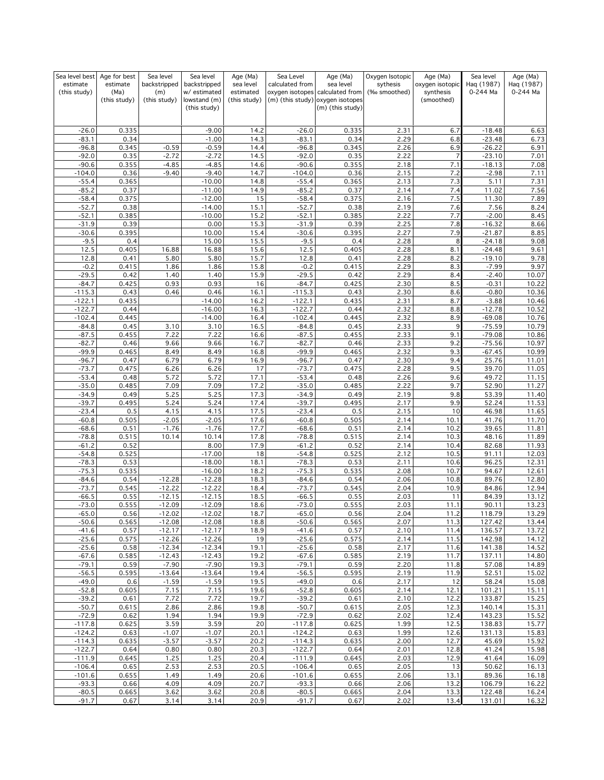| Sea level best       | Age for best         | Sea level            | Sea level                    | Age (Ma)                  | Sea Level            | Age (Ma)                                                            | Oxygen Isotopic          | Age (Ma)                     | Sea level              | Age (Ma)               |
|----------------------|----------------------|----------------------|------------------------------|---------------------------|----------------------|---------------------------------------------------------------------|--------------------------|------------------------------|------------------------|------------------------|
| estimate             | estimate             | backstripped         | backstripped<br>w/ estimated | sea level<br>estimated    | calculated from      | sea level                                                           | sythesis<br>(‰ smoothed) | oxygen isotopic<br>synthesis | Haq (1987)<br>0-244 Ma | Haq (1987)<br>0-244 Ma |
| (this study)         | (Ma)<br>(this study) | (m)<br>(this study)  | lowstand (m)                 | (this study)              |                      | oxygen isotopes calculated from<br>(m) (this study) oxygen isotopes |                          | (smoothed)                   |                        |                        |
|                      |                      |                      | (this study)                 |                           |                      | (m) (this study)                                                    |                          |                              |                        |                        |
|                      |                      |                      |                              |                           |                      |                                                                     |                          |                              |                        |                        |
| $-26.0$              | 0.335                |                      | $-9.00$                      | 14.2                      | $-26.0$              | 0.335                                                               | 2.31                     | 6.7                          | $-18.48$               | 6.63                   |
| $-83.1$              | 0.34                 |                      | $-1.00$                      | 14.3                      | $-83.1$              | 0.34                                                                | 2.29                     | 6.8                          | $-23.48$               | 6.73                   |
| $-96.8$              | 0.345                | $-0.59$              | $-0.59$                      | 14.4                      | $-96.8$              | 0.345                                                               | 2.26                     | 6.9                          | $-26.22$               | 6.91                   |
| $-92.0$              | 0.35                 | $-2.72$              | $-2.72$                      | 14.5                      | $-92.0$              | 0.35                                                                | 2.22                     | $\overline{7}$               | $-23.10$               | 7.01                   |
| $-90.6$<br>$-104.0$  | 0.355<br>0.36        | $-4.85$<br>$-9.40$   | $-4.85$<br>$-9.40$           | 14.6<br>14.7              | $-90.6$<br>$-104.0$  | 0.355<br>0.36                                                       | 2.18<br>2.15             | 7.1<br>7.2                   | $-18.13$<br>$-2.98$    | 7.08<br>7.11           |
| $-55.4$              | 0.365                |                      | $-10.00$                     | 14.8                      | $-55.4$              | 0.365                                                               | 2.13                     | 7.3                          | 5.11                   | 7.31                   |
| $-85.2$              | 0.37                 |                      | $-11.00$                     | 14.9                      | $-85.2$              | 0.37                                                                | 2.14                     | 7.4                          | 11.02                  | 7.56                   |
| $-58.4$              | 0.375                |                      | $-12.00$                     | 15                        | $-58.4$              | 0.375                                                               | 2.16                     | 7.5                          | 11.30                  | 7.89                   |
| $-52.7$              | 0.38                 |                      | $-14.00$                     | 15.1                      | $-52.7$              | 0.38                                                                | 2.19                     | 7.6                          | 7.56                   | 8.24                   |
| $-52.1$              | 0.385                |                      | $-10.00$                     | 15.2                      | $-52.1$              | 0.385                                                               | 2.22                     | 7.7                          | $-2.00$                | 8.45                   |
| $-31.9$              | 0.39                 |                      | 0.00                         | 15.3                      | $-31.9$              | 0.39                                                                | 2.25                     | 7.8                          | $-16.32$               | 8.66                   |
| $-30.6$<br>$-9.5$    | 0.395<br>0.4         |                      | 10.00<br>15.00               | 15.4<br>$15.\overline{5}$ | $-30.6$<br>$-9.5$    | 0.395<br>0.4                                                        | 2.27<br>2.28             | 7.9<br>8                     | $-21.87$<br>$-24.18$   | 8.85<br>9.08           |
| 12.5                 | 0.405                | 16.88                | 16.88                        | 15.6                      | 12.5                 | 0.405                                                               | 2.28                     | 8.1                          | $-24.48$               | 9.61                   |
| 12.8                 | 0.41                 | 5.80                 | 5.80                         | 15.7                      | 12.8                 | 0.41                                                                | 2.28                     | 8.2                          | $-19.10$               | 9.78                   |
| $-0.2$               | 0.415                | 1.86                 | 1.86                         | 15.8                      | $-0.2$               | 0.415                                                               | 2.29                     | 8.3                          | $-7.99$                | 9.97                   |
| $-29.5$              | 0.42                 | 1.40                 | 1.40                         | 15.9                      | $-29.5$              | 0.42                                                                | 2.29                     | 8.4                          | $-2.40$                | 10.07                  |
| $-84.7$              | 0.425                | 0.93                 | 0.93                         | 16                        | $-84.7$              | 0.425                                                               | 2.30                     | 8.5                          | $-0.31$                | 10.22                  |
| $-115.3$             | 0.43                 | 0.46                 | 0.46                         | 16.1                      | $-115.3$             | 0.43                                                                | 2.30                     | 8.6                          | $-0.80$                | 10.36                  |
| $-122.1$<br>$-122.7$ | 0.435<br>0.44        |                      | $-14.00$<br>$-16.00$         | 16.2<br>16.3              | $-122.1$<br>$-122.7$ | 0.435<br>0.44                                                       | 2.31<br>2.32             | 8.7<br>8.8                   | $-3.88$<br>$-12.78$    | 10.46<br>10.52         |
| $-102.4$             | 0.445                |                      | $-14.00$                     | 16.4                      | $-102.4$             | 0.445                                                               | 2.32                     | 8.9                          | $-69.08$               | 10.76                  |
| $-84.8$              | 0.45                 | 3.10                 | 3.10                         | 16.5                      | $-84.8$              | 0.45                                                                | 2.33                     | 9                            | $-75.59$               | 10.79                  |
| $-87.5$              | 0.455                | 7.22                 | 7.22                         | 16.6                      | $-87.5$              | 0.455                                                               | 2.33                     | 9.1                          | $-79.08$               | 10.86                  |
| $-82.7$              | 0.46                 | 9.66                 | 9.66                         | 16.7                      | $-82.7$              | 0.46                                                                | 2.33                     | 9.2                          | $-75.56$               | 10.97                  |
| $-99.9$              | 0.465                | 8.49                 | 8.49                         | 16.8                      | $-99.9$              | 0.465                                                               | 2.32                     | 9.3                          | $-67.45$               | 10.99                  |
| $-96.7$              | 0.47                 | 6.79                 | 6.79                         | 16.9                      | $-96.7$              | 0.47                                                                | 2.30                     | 9.4                          | 25.76                  | 11.01                  |
| $-73.7$<br>$-53.4$   | 0.475<br>0.48        | 6.26<br>5.72         | 6.26<br>5.72                 | 17<br>17.1                | $-73.7$<br>$-53.4$   | 0.475<br>0.48                                                       | 2.28<br>2.26             | 9.5<br>9.6                   | 39.70<br>49.72         | 11.05<br>11.15         |
| $-35.0$              | 0.485                | 7.09                 | 7.09                         | 17.2                      | $-35.0$              | 0.485                                                               | 2.22                     | 9.7                          | 52.90                  | 11.27                  |
| $-34.9$              | 0.49                 | 5.25                 | 5.25                         | 17.3                      | $-34.9$              | 0.49                                                                | 2.19                     | 9.8                          | 53.39                  | 11.40                  |
| $-39.7$              | 0.495                | 5.24                 | 5.24                         | 17.4                      | $-39.7$              | 0.495                                                               | 2.17                     | 9.9                          | 52.24                  | 11.53                  |
| $-23.4$              | 0.5                  | 4.15                 | 4.15                         | 17.5                      | $-23.4$              | 0.5                                                                 | 2.15                     | 10                           | 46.98                  | 11.65                  |
| $-60.8$              | 0.505                | $-2.05$              | $-2.05$                      | 17.6                      | $-60.8$              | 0.505                                                               | 2.14                     | 10.1                         | 41.76                  | 11.70                  |
| $-68.6$              | 0.51                 | $-1.76$              | $-1.76$                      | 17.7                      | $-68.6$              | 0.51                                                                | 2.14                     | 10.2                         | 39.65                  | 11.81                  |
| $-78.8$<br>$-61.2$   | 0.515<br>0.52        | 10.14                | 10.14<br>8.00                | 17.8<br>17.9              | $-78.8$<br>$-61.2$   | 0.515<br>0.52                                                       | 2.14<br>2.14             | 10.3<br>10.4                 | 48.16<br>82.68         | 11.89<br>11.93         |
| $-54.8$              | 0.525                |                      | $-17.00$                     | 18                        | $-54.8$              | 0.525                                                               | 2.12                     | 10.5                         | 91.11                  | 12.03                  |
| $-78.3$              | 0.53                 |                      | $-18.00$                     | 18.1                      | $-78.3$              | 0.53                                                                | 2.11                     | 10.6                         | 96.25                  | 12.31                  |
| $-75.3$              | 0.535                |                      | $-16.00$                     | 18.2                      | $-75.3$              | 0.535                                                               | 2.08                     | 10.7                         | 94.67                  | 12.61                  |
| $-84.6$              | 0.54                 | $-12.28$             | $-12.28$                     | 18.3                      | $-84.6$              | 0.54                                                                | 2.06                     | 10.8                         | 89.76                  | 12.80                  |
| $-73.7$              | 0.545                | $-12.22$             | $-12.22$                     | 18.4                      | $-73.7$              | 0.545                                                               | 2.04                     | 10.9                         | 84.86                  | 12.94                  |
| $-66.5$<br>$-73.0$   | 0.55<br>0.555        | $-12.15$<br>$-12.09$ | $-12.15$<br>$-12.09$         | 18.5<br>18.6              | $-66.5$              | 0.55<br>0.555                                                       | 2.03<br>2.03             | 11<br>11.1                   | 84.39<br>90.11         | 13.12<br>13.23         |
| -65.0                | 0.56                 | $-12.02$             | $-12.02$                     | 18.7                      | $-73.0$<br>-65.0     | 0.56                                                                | 2.04                     | 11.2                         | 118.79                 | 13.29                  |
| $-50.6$              | 0.565                | $-12.08$             | $-12.08$                     | 18.8                      | $-50.6$              | 0.565                                                               | 2.07                     | 11.3                         | 127.42                 | 13.44                  |
| $-41.6$              | 0.57                 | $-12.17$             | $-12.17$                     | 18.9                      | $-41.6$              | 0.57                                                                | 2.10                     | 11.4                         | 136.57                 | 13.72                  |
| $-25.6$              | 0.575                | $-12.26$             | $-12.26$                     | 19                        | $-25.6$              | 0.575                                                               | 2.14                     | 11.5                         | 142.98                 | 14.12                  |
| $-25.6$              | 0.58                 | $-12.34$             | $-12.34$                     | 19.1                      | $-25.6$              | 0.58                                                                | 2.17                     | 11.6                         | 141.38                 | 14.52                  |
| $-67.6$<br>$-79.1$   | 0.585<br>0.59        | $-12.43$<br>$-7.90$  | $-12.43$<br>$-7.90$          | 19.2<br>19.3              | $-67.6$<br>$-79.1$   | 0.585<br>0.59                                                       | 2.19<br>2.20             | 11.7<br>11.8                 | 137.11<br>57.08        | 14.80<br>14.89         |
| $-56.5$              | 0.595                | $-13.64$             | $-13.64$                     | 19.4                      | $-56.5$              | 0.595                                                               | 2.19                     | 11.9                         | 52.51                  | 15.02                  |
| $-49.0$              | 0.6                  | $-1.59$              | $-1.59$                      | 19.5                      | $-49.0$              | 0.6                                                                 | 2.17                     | 12                           | 58.24                  | 15.08                  |
| $-52.8$              | 0.605                | 7.15                 | 7.15                         | 19.6                      | $-52.8$              | 0.605                                                               | 2.14                     | 12.1                         | 101.21                 | 15.11                  |
| $-39.2$              | 0.61                 | 7.72                 | 7.72                         | 19.7                      | $-39.2$              | 0.61                                                                | 2.10                     | 12.2                         | 133.87                 | 15.25                  |
| $-50.7$              | 0.615                | 2.86                 | 2.86                         | 19.8                      | $-50.7$              | 0.615                                                               | 2.05                     | 12.3                         | 140.14                 | 15.31                  |
| $-72.9$              | 0.62                 | 1.94                 | 1.94                         | 19.9                      | $-72.9$              | 0.62                                                                | 2.02                     | 12.4                         | 143.23                 | 15.52                  |
| $-117.8$<br>$-124.2$ | 0.625<br>0.63        | 3.59<br>$-1.07$      | 3.59<br>$-1.07$              | 20<br>20.1                | $-117.8$<br>$-124.2$ | 0.625<br>0.63                                                       | 1.99<br>1.99             | 12.5<br>12.6                 | 138.83<br>131.13       | 15.77<br>15.83         |
| $-114.3$             | 0.635                | $-3.57$              | $-3.57$                      | 20.2                      | $-114.3$             | 0.635                                                               | 2.00                     | 12.7                         | 45.69                  | 15.92                  |
| $-122.7$             | 0.64                 | 0.80                 | 0.80                         | 20.3                      | $-122.7$             | 0.64                                                                | 2.01                     | 12.8                         | 41.24                  | 15.98                  |
| $-111.9$             | 0.645                | 1.25                 | 1.25                         | 20.4                      | $-111.9$             | 0.645                                                               | 2.03                     | 12.9                         | 41.64                  | 16.09                  |
| $-106.4$             | 0.65                 | 2.53                 | 2.53                         | 20.5                      | $-106.4$             | 0.65                                                                | 2.05                     | 13                           | 50.62                  | 16.13                  |
| $-101.6$             | 0.655                | 1.49                 | 1.49                         | 20.6                      | $-101.6$             | 0.655                                                               | 2.06                     | 13.1                         | 89.36                  | 16.18                  |
| $-93.3$<br>$-80.5$   | 0.66<br>0.665        | 4.09<br>3.62         | 4.09<br>3.62                 | 20.7<br>20.8              | $-93.3$<br>$-80.5$   | 0.66<br>0.665                                                       | 2.06<br>2.04             | 13.2                         | 106.79<br>122.48       | 16.22                  |
| $-91.7$              | 0.67                 | 3.14                 | 3.14                         | 20.9                      | $-91.7$              | 0.67                                                                | 2.02                     | 13.3<br>13.4                 | 131.01                 | 16.24<br>16.32         |
|                      |                      |                      |                              |                           |                      |                                                                     |                          |                              |                        |                        |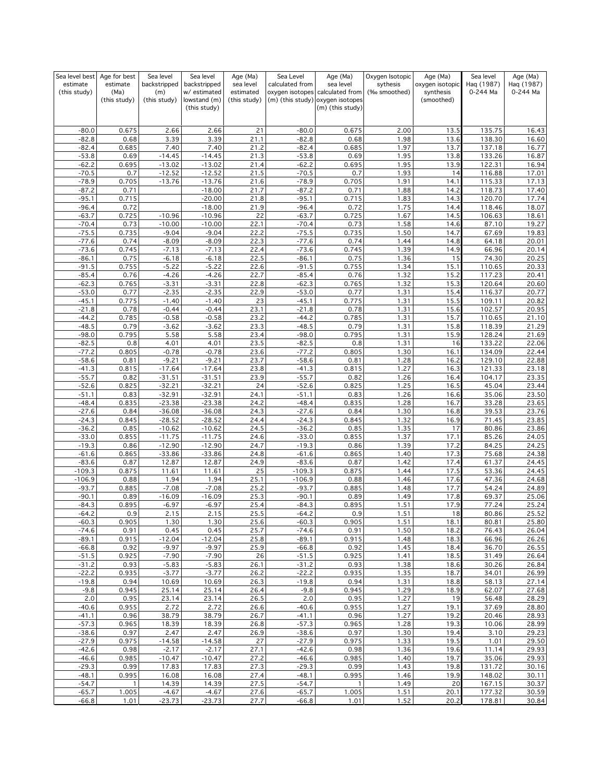| Sea level best     | Age for best         | Sea level            | Sea level                    | Age (Ma)                  | Sea Level          | Age (Ma)                                                            | Oxygen Isotopic | Age (Ma)                | Sea level        | Age (Ma)       |
|--------------------|----------------------|----------------------|------------------------------|---------------------------|--------------------|---------------------------------------------------------------------|-----------------|-------------------------|------------------|----------------|
| estimate           | estimate             | backstripped         | backstripped                 | sea level                 | calculated from    | sea level                                                           | sythesis        | oxygen isotopic         | Haq (1987)       | Haq (1987)     |
| (this study)       | (Ma)<br>(this study) | (m)<br>(this study)  | w/ estimated<br>lowstand (m) | estimated<br>(this study) |                    | oxygen isotopes calculated from<br>(m) (this study) oxygen isotopes | (‰ smoothed)    | synthesis<br>(smoothed) | 0-244 Ma         | 0-244 Ma       |
|                    |                      |                      | (this study)                 |                           |                    | (m) (this study)                                                    |                 |                         |                  |                |
|                    |                      |                      |                              |                           |                    |                                                                     |                 |                         |                  |                |
|                    |                      |                      |                              |                           |                    |                                                                     |                 |                         |                  |                |
| $-80.0$<br>$-82.8$ | 0.675<br>0.68        | 2.66<br>3.39         | 2.66<br>3.39                 | 21<br>21.1                | $-80.0$<br>$-82.8$ | 0.675<br>0.68                                                       | 2.00<br>1.98    | 13.5<br>13.6            | 135.75<br>138.30 | 16.43<br>16.60 |
| $-82.4$            | 0.685                | 7.40                 | 7.40                         | 21.2                      | $-82.4$            | 0.685                                                               | 1.97            | 13.7                    | 137.18           | 16.77          |
| $-53.8$            | 0.69                 | $-14.45$             | $-14.45$                     | 21.3                      | $-53.8$            | 0.69                                                                | 1.95            | 13.8                    | 133.26           | 16.87          |
| $-62.2$            | 0.695                | $-13.02$             | $-13.02$                     | 21.4                      | $-62.2$            | 0.695                                                               | 1.95            | 13.9                    | 122.31           | 16.94          |
| $-70.5$            | 0.7                  | $-12.52$             | $-12.52$                     | 21.5                      | $-70.5$            | 0.7                                                                 | 1.93            | 14                      | 116.88           | 17.01          |
| $-78.9$            | 0.705                | $-13.76$             | $-13.76$                     | 21.6                      | $-78.9$            | 0.705                                                               | 1.91            | 14.1                    | 115.33           | 17.13          |
| $-87.2$            | 0.71                 |                      | $-18.00$                     | 21.7                      | $-87.2$            | 0.71                                                                | 1.88            | 14.2                    | 118.73           | 17.40          |
| $-95.1$            | 0.715                |                      | $-20.00$                     | 21.8                      | $-95.1$            | 0.715                                                               | 1.83            | 14.3                    | 120.70           | 17.74          |
| $-96.4$            | 0.72                 |                      | $-18.00$                     | 21.9                      | $-96.4$            | 0.72                                                                | 1.75            | 14.4                    | 118.46           | 18.07          |
| $-63.7$            | 0.725                | $-10.96$             | $-10.96$                     | 22                        | $-63.7$            | 0.725                                                               | 1.67            | 14.5                    | 106.63           | 18.61          |
| $-70.4$            | 0.73                 | $-10.00$             | $-10.00$                     | 22.1                      | $-70.4$<br>$-75.5$ | 0.73                                                                | 1.58            | 14.6                    | 87.10            | 19.27          |
| $-75.5$<br>$-77.6$ | 0.735<br>0.74        | $-9.04$<br>$-8.09$   | $-9.04$<br>$-8.09$           | 22.2<br>22.3              | $-77.6$            | 0.735<br>0.74                                                       | 1.50<br>1.44    | 14.7<br>14.8            | 67.69<br>64.18   | 19.83<br>20.01 |
| $-73.6$            | 0.745                | $-7.13$              | $-7.13$                      | 22.4                      | $-73.6$            | 0.745                                                               | 1.39            | 14.9                    | 66.96            | 20.14          |
| $-86.1$            | 0.75                 | $-6.18$              | $-6.18$                      | 22.5                      | $-86.1$            | 0.75                                                                | 1.36            | 15                      | 74.30            | 20.25          |
| $-91.5$            | 0.755                | $-5.22$              | $-5.22$                      | 22.6                      | $-91.5$            | 0.755                                                               | 1.34            | 15.1                    | 110.65           | 20.33          |
| $-85.4$            | 0.76                 | $-4.26$              | $-4.26$                      | 22.7                      | $-85.4$            | 0.76                                                                | 1.32            | 15.2                    | 117.23           | 20.41          |
| $-62.3$            | 0.765                | $-3.31$              | $-3.31$                      | 22.8                      | $-62.3$            | 0.765                                                               | 1.32            | 15.3                    | 120.64           | 20.60          |
| $-53.0$            | 0.77                 | $-2.35$              | $-2.35$                      | 22.9                      | $-53.0$            | 0.77                                                                | 1.31            | 15.4                    | 116.37           | 20.77          |
| $-45.1$            | 0.775                | $-1.40$              | $-1.40$                      | 23                        | $-45.1$            | 0.775                                                               | 1.31            | 15.5                    | 109.11           | 20.82          |
| $-21.8$            | 0.78                 | $-0.44$              | $-0.44$                      | 23.1                      | $-21.8$            | 0.78                                                                | 1.31            | 15.6                    | 102.57           | 20.95          |
| $-44.2$            | 0.785                | $-0.58$              | $-0.58$                      | 23.2                      | $-44.2$            | 0.785                                                               | 1.31            | 15.7                    | 110.65           | 21.10          |
| $-48.5$<br>$-98.0$ | 0.79<br>0.795        | $-3.62$<br>5.58      | $-3.62$<br>5.58              | 23.3<br>23.4              | $-48.5$<br>$-98.0$ | 0.79<br>0.795                                                       | 1.31<br>1.31    | 15.8                    | 118.39<br>128.24 | 21.29<br>21.69 |
| $-82.5$            | 0.8                  | 4.01                 | 4.01                         | 23.5                      | $-82.5$            | 0.8                                                                 | 1.31            | 15.9<br>16              | 133.22           | 22.06          |
| $-77.2$            | 0.805                | $-0.78$              | $-0.78$                      | 23.6                      | $-77.2$            | 0.805                                                               | 1.30            | 16.1                    | 134.09           | 22.44          |
| $-58.6$            | 0.81                 | $-9.21$              | $-9.21$                      | 23.7                      | $-58.6$            | 0.81                                                                | 1.28            | 16.2                    | 129.10           | 22.88          |
| $-41.3$            | 0.815                | $-17.64$             | $-17.64$                     | 23.8                      | $-41.3$            | 0.815                                                               | 1.27            | 16.3                    | 121.33           | 23.18          |
| $-55.7$            | 0.82                 | $-31.51$             | $-31.51$                     | 23.9                      | $-55.7$            | 0.82                                                                | 1.26            | 16.4                    | 104.17           | 23.35          |
| $-52.6$            | 0.825                | $-32.21$             | $-32.21$                     | 24                        | $-52.6$            | 0.825                                                               | 1.25            | 16.5                    | 45.04            | 23.44          |
| $-51.1$            | 0.83                 | $-32.91$             | $-32.91$                     | 24.1                      | $-51.1$            | 0.83                                                                | 1.26            | 16.6                    | 35.06            | 23.50          |
| $-48.4$            | 0.835                | $-23.38$             | $-23.38$                     | 24.2                      | $-48.4$            | 0.835                                                               | 1.28            | 16.7                    | 33.28            | 23.65          |
| $-27.6$            | 0.84                 | $-36.08$             | $-36.08$                     | 24.3                      | $-27.6$            | 0.84                                                                | 1.30            | 16.8                    | 39.53            | 23.76          |
| $-24.3$            | 0.845                | $-28.52$             | $-28.52$                     | 24.4                      | $-24.3$            | 0.845                                                               | 1.32            | 16.9                    | 71.45            | 23.85          |
| $-36.2$<br>$-33.0$ | 0.85<br>0.855        | $-10.62$<br>$-11.75$ | $-10.62$<br>$-11.75$         | 24.5<br>24.6              | $-36.2$<br>$-33.0$ | 0.85<br>0.855                                                       | 1.35<br>1.37    | 17<br>17.1              | 80.86<br>85.26   | 23.86<br>24.05 |
| $-19.3$            | 0.86                 | $-12.90$             | $-12.90$                     | 24.7                      | $-19.3$            | 0.86                                                                | 1.39            | 17.2                    | 84.25            | 24.25          |
| $-61.6$            | 0.865                | $-33.86$             | $-33.86$                     | 24.8                      | $-61.6$            | 0.865                                                               | 1.40            | 17.3                    | 75.68            | 24.38          |
| $-83.6$            | 0.87                 | 12.87                | 12.87                        | 24.9                      | $-83.6$            | 0.87                                                                | 1.42            | 17.4                    | 61.37            | 24.45          |
| $-109.3$           | 0.875                | 11.61                | 11.61                        | 25                        | $-109.3$           | 0.875                                                               | 1.44            | 17.5                    | 53.36            | 24.45          |
| $-106.9$           | 0.88                 | 1.94                 | 1.94                         | 25.1                      | $-106.9$           | 0.88                                                                | 1.46            | 17.6                    | 47.36            | 24.68          |
| $-93.7$            | 0.885                | $-7.08$              | $-7.08$                      | 25.2                      | $-93.7$            | 0.885                                                               | 1.48            | 17.7                    | 54.24            | 24.89          |
| $-90.1$            | 0.89                 | $-16.09$             | $-16.09$                     | 25.3                      | $-90.1$            | 0.89                                                                | 1.49            | 17.8                    | 69.37            | 25.06          |
| $-84.3$            | 0.895                | $-6.97$              | $-6.97$                      | 25.4                      | $-84.3$            | 0.895                                                               | 1.51            | 17.9                    | 77.24            | 25.24          |
| $-64.2$            | 0.9                  | 2.15                 | 2.15                         | 25.5                      | $-64.2$            | 0.9                                                                 | 1.51            | 18                      | 80.86            | 25.52          |
| $-60.3$<br>$-74.6$ | 0.905<br>0.91        | 1.30<br>0.45         | 1.30<br>0.45                 | 25.6<br>25.7              | $-60.3$<br>$-74.6$ | 0.905<br>0.91                                                       | 1.51<br>1.50    | 18.1<br>18.2            | 80.81<br>76.43   | 25.80<br>26.04 |
| $-89.1$            | 0.915                | $-12.04$             | $-12.04$                     | 25.8                      | $-89.1$            | 0.915                                                               | 1.48            | 18.3                    | 66.96            | 26.26          |
| $-66.8$            | 0.92                 | $-9.97$              | $-9.97$                      | 25.9                      | $-66.8$            | 0.92                                                                | 1.45            | 18.4                    | 36.70            | 26.55          |
| $-51.5$            | 0.925                | $-7.90$              | $-7.90$                      | 26                        | $-51.5$            | 0.925                                                               | 1.41            | 18.5                    | 31.49            | 26.64          |
| $-31.2$            | 0.93                 | $-5.83$              | $-5.83$                      | 26.1                      | $-31.2$            | 0.93                                                                | 1.38            | 18.6                    | 30.26            | 26.84          |
| $-22.2$            | 0.935                | $-3.77$              | $-3.77$                      | 26.2                      | $-22.2$            | 0.935                                                               | 1.35            | 18.7                    | 34.01            | 26.99          |
| $-19.8$            | 0.94                 | 10.69                | 10.69                        | 26.3                      | $-19.8$            | 0.94                                                                | 1.31            | 18.8                    | 58.13            | 27.14          |
| $-9.8$             | 0.945                | 25.14                | 25.14                        | 26.4                      | $-9.8$             | 0.945                                                               | 1.29            | 18.9                    | 62.07            | 27.68          |
| 2.0                | 0.95                 | 23.14                | 23.14                        | 26.5                      | 2.0                | 0.95                                                                | 1.27            | 19                      | 56.48            | 28.29          |
| $-40.6$            | 0.955                | 2.72                 | 2.72                         | 26.6                      | $-40.6$            | 0.955                                                               | 1.27            | 19.1                    | 37.69            | 28.80          |
| $-41.1$            | 0.96                 | 38.79                | 38.79                        | 26.7                      | $-41.1$            | 0.96                                                                | 1.27            | 19.2                    | 20.46            | 28.93          |
| $-57.3$<br>$-38.6$ | 0.965<br>0.97        | 18.39<br>2.47        | 18.39<br>2.47                | 26.8<br>26.9              | $-57.3$<br>$-38.6$ | 0.965<br>0.97                                                       | 1.28<br>1.30    | 19.3<br>19.4            | 10.06<br>3.10    | 28.99<br>29.23 |
| $-27.9$            | 0.975                | $-14.58$             | $-14.58$                     | 27                        | $-27.9$            | 0.975                                                               | 1.33            | 19.5                    | 1.01             | 29.50          |
| $-42.6$            | 0.98                 | $-2.17$              | $-2.17$                      | 27.1                      | $-42.6$            | 0.98                                                                | 1.36            | 19.6                    | 11.14            | 29.93          |
| $-46.6$            | 0.985                | $-10.47$             | $-10.47$                     | 27.2                      | $-46.6$            | 0.985                                                               | 1.40            | 19.7                    | 35.06            | 29.93          |
| $-29.3$            | 0.99                 | 17.83                | 17.83                        | 27.3                      | $-29.3$            | 0.99                                                                | 1.43            | 19.8                    | 131.72           | 30.16          |
| $-48.1$            | 0.995                | 16.08                | 16.08                        | 27.4                      | $-48.1$            | 0.995                                                               | 1.46            | 19.9                    | 148.02           | 30.11          |
| $-54.7$            | $\mathbf{1}$         | 14.39                | 14.39                        | 27.5                      | $-54.7$            | $\mathbf{1}$                                                        | 1.49            | 20                      | 167.15           | 30.37          |
| $-65.7$            | 1.005                | $-4.67$              | $-4.67$                      | 27.6                      | $-65.7$            | 1.005                                                               | 1.51            | 20.1                    | 177.32           | 30.59          |
| $-66.8$            | 1.01                 | $-23.73$             | $-23.73$                     | 27.7                      | $-66.8$            | 1.01                                                                | 1.52            | 20.2                    | 178.81           | 30.84          |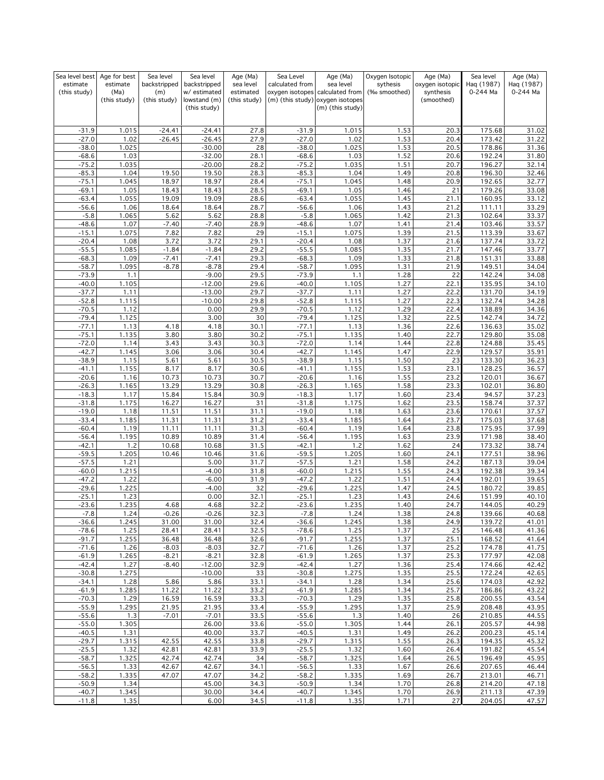| Sea level best     | Age for best  | Sea level          | Sea level                    | Age (Ma)     | Sea Level          | Age (Ma)                                             | Oxygen Isotopic | Age (Ma)        | Sea level        | Age (Ma)       |
|--------------------|---------------|--------------------|------------------------------|--------------|--------------------|------------------------------------------------------|-----------------|-----------------|------------------|----------------|
| estimate           | estimate      | backstripped       | backstripped                 | sea level    | calculated from    | sea level                                            | sythesis        | oxygen isotopic | Haq (1987)       | Haq (1987)     |
| (this study)       | (Ma)          | (m)                | w/ estimated                 | estimated    |                    | oxygen isotopes calculated from                      | (‰ smoothed)    | synthesis       | 0-244 Ma         | 0-244 Ma       |
|                    | (this study)  | (this study)       | lowstand (m)<br>(this study) | (this study) |                    | (m) (this study) oxygen isotopes<br>(m) (this study) |                 | (smoothed)      |                  |                |
|                    |               |                    |                              |              |                    |                                                      |                 |                 |                  |                |
|                    |               |                    |                              |              |                    |                                                      |                 |                 |                  |                |
| $-31.9$            | 1.015         | $-24.41$           | $-24.41$                     | 27.8         | $-31.9$            | 1.015                                                | 1.53            | 20.3            | 175.68           | 31.02          |
| $-27.0$            | 1.02          | $-26.45$           | $-26.45$                     | 27.9         | $-27.0$            | 1.02                                                 | 1.53            | 20.4            | 173.42           | 31.22          |
| $-38.0$            | 1.025         |                    | $-30.00$                     | 28           | $-38.0$            | 1.025                                                | 1.53            | 20.5            | 178.86           | 31.36          |
| $-68.6$<br>$-75.2$ | 1.03<br>1.035 |                    | $-32.00$<br>$-20.00$         | 28.1<br>28.2 | $-68.6$<br>$-75.2$ | 1.03<br>1.035                                        | 1.52<br>1.51    | 20.6<br>20.7    | 192.24<br>196.27 | 31.80          |
| $-85.3$            | 1.04          | 19.50              | 19.50                        | 28.3         | $-85.3$            | 1.04                                                 | 1.49            | 20.8            | 196.30           | 32.14<br>32.46 |
| $-75.1$            | 1.045         | 18.97              | 18.97                        | 28.4         | $-75.1$            | 1.045                                                | 1.48            | 20.9            | 192.65           | 32.77          |
| $-69.1$            | 1.05          | 18.43              | 18.43                        | 28.5         | $-69.1$            | 1.05                                                 | 1.46            | 21              | 179.26           | 33.08          |
| $-63.4$            | 1.055         | 19.09              | 19.09                        | 28.6         | $-63.4$            | 1.055                                                | 1.45            | 21.1            | 160.95           | 33.12          |
| $-56.6$            | 1.06          | 18.64              | 18.64                        | 28.7         | $-56.6$            | 1.06                                                 | 1.43            | 21.2            | 111.11           | 33.29          |
| $-5.8$             | 1.065         | 5.62               | 5.62                         | 28.8         | $-5.8$             | 1.065                                                | 1.42            | 21.3            | 102.64           | 33.37          |
| $-48.6$            | 1.07          | $-7.40$            | $-7.40$                      | 28.9         | $-48.6$            | 1.07                                                 | 1.41            | 21.4            | 103.46           | 33.57          |
| $-15.1$            | 1.075         | 7.82               | 7.82                         | 29           | $-15.1$            | 1.075                                                | 1.39            | 21.5            | 113.39           | 33.67          |
| $-20.4$            | 1.08          | 3.72               | 3.72                         | 29.1         | $-20.4$            | 1.08                                                 | 1.37            | 21.6            | 137.74           | 33.72          |
| $-55.5$            | 1.085         | $-1.84$            | $-1.84$                      | 29.2         | $-55.5$            | 1.085                                                | 1.35            | 21.7            | 147.46           | 33.77          |
| $-68.3$            | 1.09          | $-7.41$            | $-7.41$                      | 29.3         | $-68.3$            | 1.09                                                 | 1.33            | 21.8            | 151.31           | 33.88          |
| $-58.7$            | 1.095         | $-8.78$            | $-8.78$                      | 29.4         | $-58.7$            | 1.095                                                | 1.31            | 21.9            | 149.51           | 34.04          |
| $-73.9$            | 1.1           |                    | $-9.00$                      | 29.5         | $-73.9$            | 1.1                                                  | 1.28            | 22              | 142.24<br>135.95 | 34.08          |
| $-40.0$<br>$-37.7$ | 1.105<br>1.11 |                    | $-12.00$<br>$-13.00$         | 29.6<br>29.7 | $-40.0$<br>$-37.7$ | 1.105<br>1.11                                        | 1.27<br>1.27    | 22.1<br>22.2    | 131.70           | 34.10<br>34.19 |
| $-52.8$            | 1.115         |                    | $-10.00$                     | 29.8         | $-52.8$            | 1.115                                                | 1.27            | 22.3            | 132.74           | 34.28          |
| $-70.5$            | 1.12          |                    | 0.00                         | 29.9         | $-70.5$            | 1.12                                                 | 1.29            | 22.4            | 138.89           | 34.36          |
| $-79.4$            | 1.125         |                    | 3.00                         | 30           | $-79.4$            | 1.125                                                | 1.32            | 22.5            | 142.74           | 34.72          |
| $-77.1$            | 1.13          | 4.18               | 4.18                         | 30.1         | $-77.1$            | 1.13                                                 | 1.36            | 22.6            | 136.63           | 35.02          |
| $-75.1$            | 1.135         | 3.80               | 3.80                         | 30.2         | $-75.1$            | 1.135                                                | 1.40            | 22.7            | 129.80           | 35.08          |
| $-72.0$            | 1.14          | 3.43               | 3.43                         | 30.3         | $-72.0$            | 1.14                                                 | 1.44            | 22.8            | 124.88           | 35.45          |
| $-42.7$            | 1.145         | 3.06               | 3.06                         | 30.4         | $-42.7$            | 1.145                                                | 1.47            | 22.9            | 129.57           | 35.91          |
| $-38.9$            | 1.15          | 5.61               | 5.61                         | 30.5         | $-38.9$            | 1.15                                                 | 1.50            | 23              | 133.30           | 36.23          |
| $-41.1$            | 1.155         | 8.17               | 8.17                         | 30.6         | $-41.1$            | 1.155                                                | 1.53            | 23.1            | 128.25           | 36.57          |
| $-20.6$            | 1.16          | 10.73              | 10.73                        | 30.7         | $-20.6$            | 1.16                                                 | 1.55            | 23.2            | 120.01           | 36.67          |
| $-26.3$            | 1.165         | 13.29              | 13.29                        | 30.8         | $-26.3$            | 1.165                                                | 1.58            | 23.3            | 102.01           | 36.80          |
| $-18.3$            | 1.17          | 15.84              | 15.84                        | 30.9         | $-18.3$            | 1.17                                                 | 1.60            | 23.4            | 94.57            | 37.23          |
| $-31.8$            | 1.175         | 16.27              | 16.27                        | 31           | $-31.8$            | 1.175                                                | 1.62            | 23.5            | 158.74           | 37.37          |
| $-19.0$            | 1.18          | 11.51              | 11.51                        | 31.1         | $-19.0$            | 1.18                                                 | 1.63            | 23.6            | 170.61           | 37.57          |
| $-33.4$            | 1.185         | 11.31              | 11.31                        | 31.2         | $-33.4$            | 1.185<br>1.19                                        | 1.64            | 23.7            | 175.03           | 37.68          |
| $-60.4$<br>$-56.4$ | 1.19<br>1.195 | 11.11<br>10.89     | 11.11<br>10.89               | 31.3<br>31.4 | $-60.4$<br>$-56.4$ | 1.195                                                | 1.64<br>1.63    | 23.8<br>23.9    | 175.95<br>171.98 | 37.99<br>38.40 |
| $-42.1$            | 1.2           | 10.68              | 10.68                        | 31.5         | $-42.1$            | 1.2                                                  | 1.62            | 24              | 173.32           | 38.74          |
| $-59.5$            | 1.205         | 10.46              | 10.46                        | 31.6         | $-59.5$            | 1.205                                                | 1.60            | 24.1            | 177.51           | 38.96          |
| $-57.5$            | 1.21          |                    | 5.00                         | 31.7         | $-57.5$            | 1.21                                                 | 1.58            | 24.2            | 187.13           | 39.04          |
| $-60.0$            | 1.215         |                    | $-4.00$                      | 31.8         | $-60.0$            | 1.215                                                | 1.55            | 24.3            | 192.38           | 39.34          |
| $-47.2$            | 1.22          |                    | $-6.00$                      | 31.9         | $-47.2$            | 1.22                                                 | 1.51            | 24.4            | 192.01           | 39.65          |
| $-29.6$            | 1.225         |                    | $-4.00$                      | 32           | $-29.6$            | 1.225                                                | 1.47            | 24.5            | 180.72           | 39.85          |
| $-25.1$            | 1.23          |                    | 0.00                         | 32.1         | $-25.1$            | 1.23                                                 | 1.43            | 24.6            | 151.99           | 40.10          |
| $-23.6$            | 1.235         | 4.68               | 4.68                         | 32.2         | $-23.6$            | 1.235                                                | 1.40            | 24.7            | 144.05           | 40.29          |
| $-7.8$             | 1.24          | $-0.26$            | $-0.26$                      | 32.3         | $-7.8$             | <u>1.24</u>                                          | <u>1.38</u>     | 24.8            | 139.66           | 40.68          |
| $-36.6$            | 1.245         | 31.00              | 31.00                        | 32.4         | $-36.6$            | 1.245                                                | 1.38            | 24.9            | 139.72           | 41.01          |
| $-78.6$            | 1.25          | 28.41              | 28.41                        | 32.5         | $-78.6$            | 1.25                                                 | 1.37            | 25              | 146.48           | 41.36          |
| $-91.7$            | 1.255         | 36.48              | 36.48                        | 32.6         | $-91.7$            | 1.255                                                | 1.37            | 25.1            | 168.52           | 41.64          |
| $-71.6$<br>$-61.9$ | 1.26<br>1.265 | $-8.03$<br>$-8.21$ | $-8.03$<br>$-8.21$           | 32.7<br>32.8 | $-71.6$<br>$-61.9$ | 1.26<br>1.265                                        | 1.37<br>1.37    | 25.2<br>25.3    | 174.78<br>177.97 | 41.75          |
| $-42.4$            | 1.27          | $-8.40$            | $-12.00$                     | 32.9         | $-42.4$            | 1.27                                                 | 1.36            | 25.4            | 174.66           | 42.08<br>42.42 |
| $-30.8$            | 1.275         |                    | $-10.00$                     | 33           | $-30.8$            | 1.275                                                | 1.35            | 25.5            | 172.24           | 42.65          |
| $-34.1$            | 1.28          | 5.86               | 5.86                         | 33.1         | $-34.1$            | 1.28                                                 | 1.34            | 25.6            | 174.03           | 42.92          |
| $-61.9$            | 1.285         | 11.22              | 11.22                        | 33.2         | $-61.9$            | 1.285                                                | 1.34            | 25.7            | 186.86           | 43.22          |
| $-70.3$            | 1.29          | 16.59              | 16.59                        | 33.3         | $-70.3$            | 1.29                                                 | 1.35            | 25.8            | 200.55           | 43.54          |
| $-55.9$            | 1.295         | 21.95              | 21.95                        | 33.4         | $-55.9$            | 1.295                                                | 1.37            | 25.9            | 208.48           | 43.95          |
| $-55.6$            | 1.3           | $-7.01$            | $-7.01$                      | 33.5         | $-55.6$            | 1.3                                                  | 1.40            | 26              | 210.85           | 44.55          |
| $-55.0$            | 1.305         |                    | 26.00                        | 33.6         | $-55.0$            | 1.305                                                | 1.44            | 26.1            | 205.57           | 44.98          |
| $-40.5$            | 1.31          |                    | 40.00                        | 33.7         | $-40.5$            | 1.31                                                 | 1.49            | 26.2            | 200.23           | 45.14          |
| $-29.7$            | 1.315         | 42.55              | 42.55                        | 33.8         | $-29.7$            | 1.315                                                | 1.55            | 26.3            | 194.35           | 45.32          |
| $-25.5$            | 1.32          | 42.81              | 42.81                        | 33.9         | $-25.5$            | 1.32                                                 | 1.60            | 26.4            | 191.82           | 45.54          |
| $-58.7$            | 1.325         | 42.74              | 42.74                        | 34           | $-58.7$            | 1.325                                                | 1.64            | 26.5            | 196.49           | 45.95          |
| $-56.5$            | 1.33          | 42.67              | 42.67                        | 34.1         | $-56.5$            | 1.33                                                 | 1.67            | 26.6            | 207.65           | 46.44          |
| $-58.2$            | 1.335         | 47.07              | 47.07                        | 34.2         | $-58.2$            | 1.335                                                | 1.69            | 26.7            | 213.01           | 46.71          |
| $-50.9$<br>$-40.7$ | 1.34          |                    | 45.00                        | 34.3         | $-50.9$            | 1.34                                                 | 1.70            | 26.8            | 214.20           | 47.18<br>47.39 |
| $-11.8$            | 1.345<br>1.35 |                    | 30.00<br>6.00                | 34.4<br>34.5 | $-40.7$<br>$-11.8$ | 1.345<br>1.35                                        | 1.70<br>1.71    | 26.9<br>27      | 211.13<br>204.05 | 47.57          |
|                    |               |                    |                              |              |                    |                                                      |                 |                 |                  |                |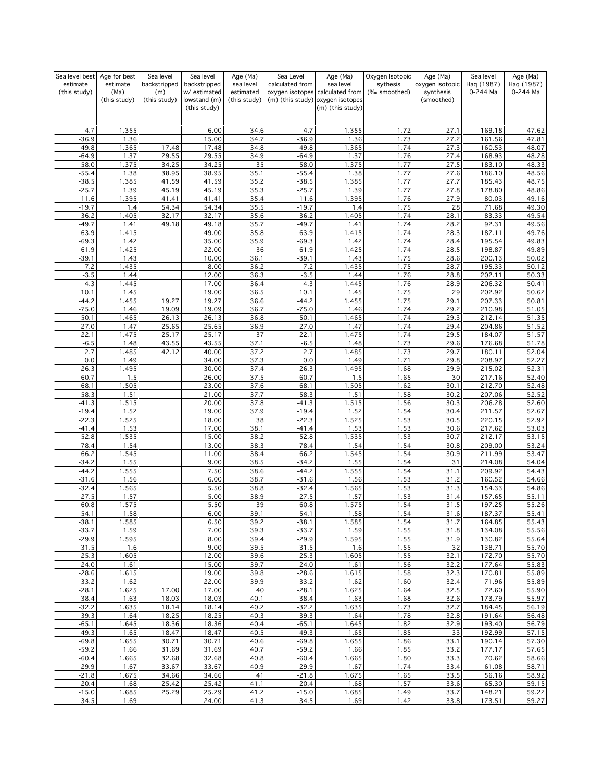| Sea level best     | Age for best  | Sea level      | Sea level                    | Age (Ma)     | Sea Level          | Age (Ma)                                             | Oxygen Isotopic | Age (Ma)        | Sea level        | Age (Ma)       |
|--------------------|---------------|----------------|------------------------------|--------------|--------------------|------------------------------------------------------|-----------------|-----------------|------------------|----------------|
| estimate           | estimate      | backstripped   | backstripped                 | sea level    | calculated from    | sea level                                            | sythesis        | oxygen isotopic | Haq (1987)       | Haq (1987)     |
| (this study)       | (Ma)          | (m)            | w/ estimated                 | estimated    |                    | oxygen isotopes calculated from                      | (‰ smoothed)    | synthesis       | 0-244 Ma         | 0-244 Ma       |
|                    | (this study)  | (this study)   | lowstand (m)<br>(this study) | (this study) |                    | (m) (this study) oxygen isotopes<br>(m) (this study) |                 | (smoothed)      |                  |                |
|                    |               |                |                              |              |                    |                                                      |                 |                 |                  |                |
|                    |               |                |                              |              |                    |                                                      |                 |                 |                  |                |
| $-4.7$             | 1.355         |                | 6.00                         | 34.6         | $-4.7$             | 1.355                                                | 1.72            | 27.1            | 169.18           | 47.62          |
| $-36.9$            | 1.36          |                | 15.00                        | 34.7         | $-36.9$            | 1.36                                                 | 1.73            | 27.2            | 161.56           | 47.81          |
| $-49.8$            | 1.365         | 17.48          | 17.48                        | 34.8         | $-49.8$            | 1.365                                                | 1.74            | 27.3            | 160.53           | 48.07          |
| $-64.9$            | 1.37          | 29.55          | 29.55                        | 34.9         | $-64.9$            | 1.37                                                 | 1.76            | 27.4            | 168.93           | 48.28          |
| $-58.0$            | 1.375         | 34.25          | 34.25                        | 35           | $-58.0$            | 1.375                                                | 1.77            | 27.5            | 183.10           | 48.33          |
| $-55.4$            | 1.38          | 38.95          | 38.95                        | 35.1         | $-55.4$            | 1.38                                                 | 1.77            | 27.6            | 186.10           | 48.56          |
| $-38.5$            | 1.385         | 41.59          | 41.59                        | 35.2         | $-38.5$            | 1.385                                                | 1.77<br>1.77    | 27.7            | 185.43           | 48.75          |
| $-25.7$<br>$-11.6$ | 1.39<br>1.395 | 45.19<br>41.41 | 45.19<br>41.41               | 35.3<br>35.4 | $-25.7$<br>$-11.6$ | 1.39<br>1.395                                        | 1.76            | 27.8<br>27.9    | 178.80<br>80.03  | 48.86<br>49.16 |
| $-19.7$            | 1.4           | 54.34          | 54.34                        | 35.5         | $-19.7$            | 1.4                                                  | 1.75            | 28              | 71.68            | 49.30          |
| $-36.2$            | 1.405         | 32.17          | 32.17                        | 35.6         | $-36.2$            | 1.405                                                | 1.74            | 28.1            | 83.33            | 49.54          |
| $-49.7$            | 1.41          | 49.18          | 49.18                        | 35.7         | $-49.7$            | 1.41                                                 | 1.74            | 28.2            | 92.31            | 49.56          |
| $-63.9$            | 1.415         |                | 49.00                        | 35.8         | $-63.9$            | 1.415                                                | 1.74            | 28.3            | 187.11           | 49.76          |
| $-69.3$            | 1.42          |                | 35.00                        | 35.9         | $-69.3$            | 1.42                                                 | 1.74            | 28.4            | 195.54           | 49.83          |
| $-61.9$            | 1.425         |                | 22.00                        | 36           | $-61.9$            | 1.425                                                | 1.74            | 28.5            | 198.87           | 49.89          |
| $-39.1$            | 1.43          |                | 10.00                        | 36.1         | $-39.1$            | 1.43                                                 | 1.75            | 28.6            | 200.13           | 50.02          |
| $-7.2$             | 1.435         |                | 8.00                         | 36.2         | $-7.2$             | 1.435                                                | 1.75            | 28.7            | 195.33           | 50.12          |
| $-3.5$             | 1.44          |                | 12.00                        | 36.3         | $-3.5$             | 1.44                                                 | 1.76            | 28.8            | 202.11           | 50.33          |
| 4.3                | 1.445         |                | 17.00                        | 36.4         | 4.3                | 1.445                                                | 1.76            | 28.9            | 206.32           | 50.41          |
| 10.1               | 1.45          |                | 19.00                        | 36.5         | 10.1               | 1.45                                                 | 1.75            | 29              | 202.92           | 50.62          |
| $-44.2$            | 1.455         | 19.27          | 19.27                        | 36.6         | $-44.2$            | 1.455                                                | 1.75            | 29.1            | 207.33           | 50.81          |
| $-75.0$            | 1.46          | 19.09          | 19.09                        | 36.7         | $-75.0$            | 1.46                                                 | 1.74            | 29.2            | 210.98           | 51.05          |
| $-50.1$            | 1.465         | 26.13          | 26.13                        | 36.8         | $-50.1$            | 1.465                                                | 1.74            | 29.3            | 212.14           | 51.35          |
| $-27.0$            | 1.47          | 25.65          | 25.65                        | 36.9         | $-27.0$            | 1.47                                                 | 1.74            | 29.4            | 204.86           | 51.52          |
| $-22.1$            | 1.475         | 25.17          | 25.17                        | 37           | $-22.1$            | 1.475                                                | 1.74            | 29.5            | 184.07           | 51.57          |
| $-6.5$             | 1.48          | 43.55          | 43.55                        | 37.1         | $-6.5$             | 1.48                                                 | 1.73            | 29.6            | 176.68           | 51.78          |
| 2.7<br>0.0         | 1.485<br>1.49 | 42.12          | 40.00<br>34.00               | 37.2<br>37.3 | 2.7<br>0.0         | 1.485<br>1.49                                        | 1.73<br>1.71    | 29.7<br>29.8    | 180.11<br>208.97 | 52.04<br>52.27 |
| $-26.3$            | 1.495         |                | 30.00                        | 37.4         | $-26.3$            | 1.495                                                | 1.68            | 29.9            | 215.02           | 52.31          |
| $-60.7$            | 1.5           |                | 26.00                        | 37.5         | $-60.7$            | 1.5                                                  | 1.65            | 30              | 217.16           | 52.40          |
| $-68.1$            | 1.505         |                | 23.00                        | 37.6         | $-68.1$            | 1.505                                                | 1.62            | 30.1            | 212.70           | 52.48          |
| $-58.3$            | 1.51          |                | 21.00                        | 37.7         | $-58.3$            | 1.51                                                 | 1.58            | 30.2            | 207.06           | 52.52          |
| $-41.3$            | 1.515         |                | 20.00                        | 37.8         | $-41.3$            | 1.515                                                | 1.56            | 30.3            | 206.28           | 52.60          |
| $-19.4$            | 1.52          |                | 19.00                        | 37.9         | $-19.4$            | 1.52                                                 | 1.54            | 30.4            | 211.57           | 52.67          |
| $-22.3$            | 1.525         |                | 18.00                        | 38           | $-22.3$            | 1.525                                                | 1.53            | 30.5            | 220.15           | 52.92          |
| $-41.4$            | 1.53          |                | 17.00                        | 38.1         | $-41.4$            | 1.53                                                 | 1.53            | 30.6            | 217.62           | 53.03          |
| $-52.8$            | 1.535         |                | 15.00                        | 38.2         | $-52.8$            | 1.535                                                | 1.53            | 30.7            | 212.17           | 53.15          |
| $-78.4$            | 1.54          |                | 13.00                        | 38.3         | $-78.4$            | 1.54                                                 | 1.54            | 30.8            | 209.00           | 53.24          |
| $-66.2$            | 1.545         |                | 11.00                        | 38.4         | $-66.2$            | 1.545                                                | 1.54            | 30.9            | 211.99           | 53.47          |
| $-34.2$            | 1.55          |                | 9.00                         | 38.5         | $-34.2$            | 1.55                                                 | 1.54            | 31              | 214.08           | 54.04          |
| $-44.2$            | 1.555         |                | 7.50                         | 38.6         | $-44.2$            | 1.555                                                | 1.54            | 31.1            | 209.92           | 54.43          |
| $-31.6$            | 1.56          |                | 6.00                         | 38.7         | $-31.6$            | 1.56                                                 | 1.53            | 31.2            | 160.52           | 54.66          |
| $-32.4$            | 1.565         |                | 5.50                         | 38.8         | $-32.4$            | 1.565                                                | 1.53            | 31.3            | 154.33           | 54.86          |
| $-27.5$<br>$-60.8$ | 1.57<br>1.575 |                | 5.00<br>5.50                 | 38.9<br>39   | $-27.5$<br>$-60.8$ | 1.57<br>1.575                                        | 1.53<br>1.54    | 31.4<br>31.5    | 157.65<br>197.25 | 55.11          |
| -54.1              | 1.58          |                | 6.00                         | 39.1         | $-54.1$            | 1.58                                                 | 1.54            | 31.6            | 187.37           | 55.26<br>55.41 |
| $-38.1$            | 1.585         |                | 6.50                         | 39.2         | $-38.1$            | 1.585                                                | 1.54            | 31.7            | 164.85           | 55.43          |
| $-33.7$            | 1.59          |                | 7.00                         | 39.3         | $-33.7$            | 1.59                                                 | 1.55            | 31.8            | 134.08           | 55.56          |
| $-29.9$            | 1.595         |                | 8.00                         | 39.4         | $-29.9$            | 1.595                                                | 1.55            | 31.9            | 130.82           | 55.64          |
| $-31.5$            | 1.6           |                | 9.00                         | 39.5         | $-31.5$            | 1.6                                                  | 1.55            | 32              | 138.71           | 55.70          |
| $-25.3$            | 1.605         |                | 12.00                        | 39.6         | $-25.3$            | 1.605                                                | 1.55            | 32.1            | 172.70           | 55.70          |
| $-24.0$            | 1.61          |                | 15.00                        | 39.7         | $-24.0$            | 1.61                                                 | 1.56            | 32.2            | 177.64           | 55.83          |
| $-28.6$            | 1.615         |                | 19.00                        | 39.8         | $-28.6$            | 1.615                                                | 1.58            | 32.3            | 170.81           | 55.89          |
| $-33.2$            | 1.62          |                | 22.00                        | 39.9         | $-33.2$            | 1.62                                                 | 1.60            | 32.4            | 71.96            | 55.89          |
| $-28.1$            | 1.625         | 17.00          | 17.00                        | 40           | $-28.1$            | 1.625                                                | 1.64            | 32.5            | 72.60            | 55.90          |
| $-38.4$            | 1.63          | 18.03          | 18.03                        | 40.1         | $-38.4$            | 1.63                                                 | 1.68            | 32.6            | 173.79           | 55.97          |
| $-32.2$            | 1.635         | 18.14          | 18.14                        | 40.2         | $-32.2$            | 1.635                                                | 1.73            | 32.7            | 184.45           | 56.19          |
| $-39.3$            | 1.64          | 18.25          | 18.25                        | 40.3         | $-39.3$            | 1.64                                                 | 1.78            | 32.8            | 191.64           | 56.48          |
| $-65.1$            | 1.645         | 18.36          | 18.36                        | 40.4         | $-65.1$            | 1.645                                                | 1.82            | 32.9            | 193.40           | 56.79          |
| $-49.3$            | 1.65          | 18.47          | 18.47                        | 40.5         | $-49.3$            | 1.65                                                 | 1.85            | 33              | 192.99           | 57.15          |
| $-69.8$<br>$-59.2$ | 1.655<br>1.66 | 30.71<br>31.69 | 30.71<br>31.69               | 40.6<br>40.7 | $-69.8$<br>$-59.2$ | 1.655<br>1.66                                        | 1.86<br>1.85    | 33.1<br>33.2    | 190.14<br>177.17 | 57.30<br>57.65 |
| $-60.4$            | 1.665         | 32.68          | 32.68                        | 40.8         | $-60.4$            | 1.665                                                | 1.80            | 33.3            | 70.62            | 58.66          |
| $-29.9$            | 1.67          | 33.67          | 33.67                        | 40.9         | $-29.9$            | 1.67                                                 | 1.74            | 33.4            | 61.08            | 58.71          |
| $-21.8$            | 1.675         | 34.66          | 34.66                        | 41           | $-21.8$            | 1.675                                                | 1.65            | 33.5            | 56.16            | 58.92          |
| $-20.4$            | 1.68          | 25.42          | 25.42                        | 41.1         | $-20.4$            | 1.68                                                 | 1.57            | 33.6            | 65.30            | 59.15          |
| $-15.0$            | 1.685         | 25.29          | 25.29                        | 41.2         | $-15.0$            | 1.685                                                | 1.49            | 33.7            | 148.21           | 59.22          |
| $-34.5$            | 1.69          |                | 24.00                        | 41.3         | $-34.5$            | 1.69                                                 | 1.42            | 33.8            | 173.51           | 59.27          |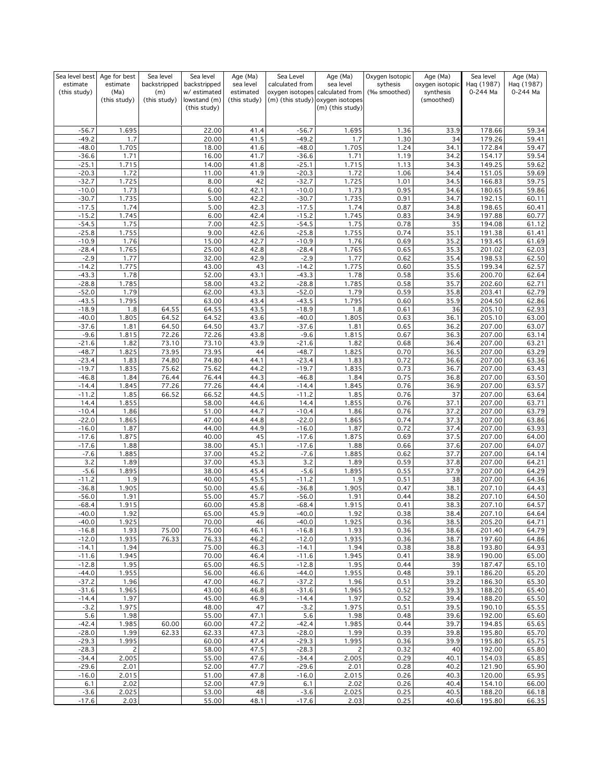| Sea level best     | Age for best   | Sea level    | Sea level                    | Age (Ma)     | Sea Level          | Age (Ma)                                             | Oxygen Isotopic | Age (Ma)        | Sea level        | Age (Ma)       |
|--------------------|----------------|--------------|------------------------------|--------------|--------------------|------------------------------------------------------|-----------------|-----------------|------------------|----------------|
| estimate           | estimate       | backstripped | backstripped                 | sea level    | calculated from    | sea level                                            | sythesis        | oxygen isotopic | Haq (1987)       | Haq (1987)     |
| (this study)       | (Ma)           | (m)          | w/ estimated                 | estimated    |                    | oxygen isotopes calculated from                      | (‰ smoothed)    | synthesis       | 0-244 Ma         | 0-244 Ma       |
|                    | (this study)   | (this study) | lowstand (m)<br>(this study) | (this study) |                    | (m) (this study) oxygen isotopes<br>(m) (this study) |                 | (smoothed)      |                  |                |
|                    |                |              |                              |              |                    |                                                      |                 |                 |                  |                |
|                    |                |              |                              |              |                    |                                                      |                 |                 |                  |                |
| $-56.7$            | 1.695          |              | 22.00                        | 41.4         | $-56.7$            | 1.695                                                | 1.36            | 33.9            | 178.66           | 59.34          |
| $-49.2$            | 1.7            |              | 20.00                        | 41.5         | $-49.2$            | 1.7                                                  | 1.30            | 34              | 179.26           | 59.41          |
| $-48.0$            | 1.705          |              | 18.00                        | 41.6         | $-48.0$            | 1.705                                                | 1.24            | 34.1            | 172.84           | 59.47          |
| $-36.6$<br>$-25.1$ | 1.71<br>1.715  |              | 16.00<br>14.00               | 41.7<br>41.8 | $-36.6$<br>$-25.1$ | 1.71<br>1.715                                        | 1.19<br>1.13    | 34.2            | 154.17<br>149.25 | 59.54<br>59.62 |
| $-20.3$            | 1.72           |              | 11.00                        | 41.9         | $-20.3$            | 1.72                                                 | 1.06            | 34.3<br>34.4    | 151.05           | 59.69          |
| $-32.7$            | 1.725          |              | 8.00                         | 42           | $-32.7$            | 1.725                                                | 1.01            | 34.5            | 166.83           | 59.75          |
| $-10.0$            | 1.73           |              | 6.00                         | 42.1         | $-10.0$            | 1.73                                                 | 0.95            | 34.6            | 180.65           | 59.86          |
| $-30.7$            | 1.735          |              | 5.00                         | 42.2         | $-30.7$            | 1.735                                                | 0.91            | 34.7            | 192.15           | 60.11          |
| $-17.5$            | 1.74           |              | 5.00                         | 42.3         | $-17.5$            | 1.74                                                 | 0.87            | 34.8            | 198.65           | 60.41          |
| $-15.2$            | 1.745          |              | 6.00                         | 42.4         | $-15.2$            | 1.745                                                | 0.83            | 34.9            | 197.88           | 60.77          |
| $-54.5$            | 1.75           |              | 7.00                         | 42.5         | $-54.5$            | 1.75                                                 | 0.78            | 35              | 194.08           | 61.12          |
| $-25.8$            | 1.755          |              | 9.00                         | 42.6         | $-25.8$            | 1.755                                                | 0.74            | 35.1            | 191.38           | 61.41          |
| $-10.9$            | 1.76           |              | 15.00                        | 42.7         | $-10.9$            | 1.76                                                 | 0.69            | 35.2            | 193.45           | 61.69          |
| $-28.4$            | 1.765          |              | 25.00                        | 42.8         | $-28.4$            | 1.765                                                | 0.65            | 35.3            | 201.02           | 62.03          |
| $-2.9$<br>$-14.2$  | 1.77<br>1.775  |              | 32.00<br>43.00               | 42.9         | $-2.9$<br>$-14.2$  | 1.77<br>1.775                                        | 0.62            | 35.4            | 198.53<br>199.34 | 62.50<br>62.57 |
| $-43.3$            | 1.78           |              | 52.00                        | 43<br>43.1   | $-43.3$            | 1.78                                                 | 0.60<br>0.58    | 35.5<br>35.6    | 200.70           | 62.64          |
| $-28.8$            | 1.785          |              | 58.00                        | 43.2         | $-28.8$            | 1.785                                                | 0.58            | 35.7            | 202.60           | 62.71          |
| $-52.0$            | 1.79           |              | 62.00                        | 43.3         | $-52.0$            | 1.79                                                 | 0.59            | 35.8            | 203.41           | 62.79          |
| $-43.5$            | 1.795          |              | 63.00                        | 43.4         | $-43.5$            | 1.795                                                | 0.60            | 35.9            | 204.50           | 62.86          |
| $-18.9$            | 1.8            | 64.55        | 64.55                        | 43.5         | $-18.9$            | 1.8                                                  | 0.61            | 36              | 205.10           | 62.93          |
| $-40.0$            | 1.805          | 64.52        | 64.52                        | 43.6         | $-40.0$            | 1.805                                                | 0.63            | 36.1            | 205.10           | 63.00          |
| $-37.6$            | 1.81           | 64.50        | 64.50                        | 43.7         | $-37.6$            | 1.81                                                 | 0.65            | 36.2            | 207.00           | 63.07          |
| $-9.6$             | 1.815          | 72.26        | 72.26                        | 43.8         | $-9.6$             | 1.815                                                | 0.67            | 36.3            | 207.00           | 63.14          |
| $-21.6$            | 1.82           | 73.10        | 73.10                        | 43.9         | $-21.6$            | 1.82                                                 | 0.68            | 36.4            | 207.00           | 63.21          |
| $-48.7$            | 1.825          | 73.95        | 73.95                        | 44           | $-48.7$            | 1.825                                                | 0.70            | 36.5            | 207.00           | 63.29          |
| $-23.4$            | 1.83           | 74.80        | 74.80                        | 44.1         | $-23.4$            | 1.83                                                 | 0.72            | 36.6            | 207.00           | 63.36          |
| $-19.7$            | 1.835          | 75.62        | 75.62                        | 44.2         | $-19.7$            | 1.835                                                | 0.73            | 36.7            | 207.00           | 63.43          |
| $-46.8$            | 1.84           | 76.44        | 76.44                        | 44.3         | $-46.8$            | 1.84                                                 | 0.75            | 36.8            | 207.00           | 63.50          |
| $-14.4$            | 1.845          | 77.26        | 77.26                        | 44.4         | $-14.4$            | 1.845                                                | 0.76            | 36.9            | 207.00           | 63.57          |
| $-11.2$            | 1.85           | 66.52        | 66.52                        | 44.5         | $-11.2$            | 1.85                                                 | 0.76            | 37              | 207.00           | 63.64          |
| 14.4               | 1.855          |              | 58.00                        | 44.6         | 14.4               | 1.855                                                | 0.76            | 37.1            | 207.00           | 63.71          |
| $-10.4$            | 1.86           |              | 51.00                        | 44.7         | $-10.4$            | 1.86                                                 | 0.76            | 37.2            | 207.00           | 63.79          |
| $-22.0$<br>$-16.0$ | 1.865<br>1.87  |              | 47.00<br>44.00               | 44.8<br>44.9 | $-22.0$<br>$-16.0$ | 1.865<br>1.87                                        | 0.74<br>0.72    | 37.3<br>37.4    | 207.00<br>207.00 | 63.86<br>63.93 |
| $-17.6$            | 1.875          |              | 40.00                        | 45           | $-17.6$            | 1.875                                                | 0.69            | 37.5            | 207.00           | 64.00          |
| $-17.6$            | 1.88           |              | 38.00                        | 45.1         | $-17.6$            | 1.88                                                 | 0.66            | 37.6            | 207.00           | 64.07          |
| $-7.6$             | 1.885          |              | 37.00                        | 45.2         | $-7.6$             | 1.885                                                | 0.62            | 37.7            | 207.00           | 64.14          |
| 3.2                | 1.89           |              | 37.00                        | 45.3         | 3.2                | 1.89                                                 | 0.59            | 37.8            | 207.00           | 64.21          |
| $-5.6$             | 1.895          |              | 38.00                        | 45.4         | $-5.6$             | 1.895                                                | 0.55            | 37.9            | 207.00           | 64.29          |
| $-11.2$            | 1.9            |              | 40.00                        | 45.5         | $-11.2$            | 1.9                                                  | 0.51            | 38              | 207.00           | 64.36          |
| $-36.8$            | 1.905          |              | 50.00                        | 45.6         | $-36.8$            | 1.905                                                | 0.47            | 38.1            | 207.10           | 64.43          |
| $-56.0$            | 1.91           |              | 55.00                        | 45.7         | $-56.0$            | 1.91                                                 | 0.44            | 38.2            | 207.10           | 64.50          |
| $-68.4$            | 1.915          |              | 60.00                        | 45.8         | $-68.4$            | 1.915                                                | 0.41            | 38.3            | 207.10           | 64.57          |
| -40.0              | 1.92           |              | 65.00                        | 45.9         | $-40.0$            | 1.92                                                 | <u>0.38</u>     | 38.4            | 20/10            | 64.64          |
| $-40.0$            | 1.925          |              | 70.00                        | 46           | $-40.0$            | 1.925                                                | 0.36            | 38.5            | 205.20           | 64.71          |
| $-16.8$            | 1.93           | 75.00        | 75.00                        | 46.1         | $-16.8$            | 1.93                                                 | 0.36            | 38.6            | 201.40           | 64.79          |
| $-12.0$            | 1.935          | 76.33        | 76.33                        | 46.2         | $-12.0$            | 1.935                                                | 0.36            | 38.7            | 197.60           | 64.86          |
| $-14.1$<br>$-11.6$ | 1.94<br>1.945  |              | 75.00<br>70.00               | 46.3<br>46.4 | $-14.1$<br>$-11.6$ | 1.94<br>1.945                                        | 0.38<br>0.41    | 38.8<br>38.9    | 193.80<br>190.00 | 64.93<br>65.00 |
| $-12.8$            | 1.95           |              | 65.00                        | 46.5         | $-12.8$            | 1.95                                                 | 0.44            | 39              | 187.47           | 65.10          |
| $-44.0$            | 1.955          |              | 56.00                        | 46.6         | $-44.0$            | 1.955                                                | 0.48            | 39.1            | 186.20           | 65.20          |
| $-37.2$            | 1.96           |              | 47.00                        | 46.7         | $-37.2$            | 1.96                                                 | 0.51            | 39.2            | 186.30           | 65.30          |
| $-31.6$            | 1.965          |              | 43.00                        | 46.8         | $-31.6$            | 1.965                                                | 0.52            | 39.3            | 188.20           | 65.40          |
| $-14.4$            | 1.97           |              | 45.00                        | 46.9         | $-14.4$            | 1.97                                                 | 0.52            | 39.4            | 188.20           | 65.50          |
| $-3.2$             | 1.975          |              | 48.00                        | 47           | $-3.2$             | 1.975                                                | 0.51            | 39.5            | 190.10           | 65.55          |
| 5.6                | 1.98           |              | 55.00                        | 47.1         | 5.6                | 1.98                                                 | 0.48            | 39.6            | 192.00           | 65.60          |
| $-42.4$            | 1.985          | 60.00        | 60.00                        | 47.2         | $-42.4$            | 1.985                                                | 0.44            | 39.7            | 194.85           | 65.65          |
| $-28.0$            | 1.99           | 62.33        | 62.33                        | 47.3         | $-28.0$            | 1.99                                                 | 0.39            | 39.8            | 195.80           | 65.70          |
| $-29.3$            | 1.995          |              | 60.00                        | 47.4         | $-29.3$            | 1.995                                                | 0.36            | 39.9            | 195.80           | 65.75          |
| $-28.3$            | $\overline{c}$ |              | 58.00                        | 47.5         | $-28.3$            | $\overline{c}$                                       | 0.32            | 40              | 192.00           | 65.80          |
| $-34.4$            | 2.005          |              | 55.00                        | 47.6         | $-34.4$            | 2.005                                                | 0.29            | 40.1            | 154.03           | 65.85          |
| $-29.6$            | 2.01           |              | 52.00                        | 47.7         | $-29.6$            | 2.01                                                 | 0.28            | 40.2            | 121.90           | 65.90          |
| $-16.0$            | 2.015          |              | 51.00                        | 47.8         | $-16.0$            | 2.015                                                | 0.26            | 40.3            | 120.00           | 65.95          |
| 6.1                | 2.02           |              | 52.00                        | 47.9         | 6.1                | 2.02                                                 | 0.26            | 40.4            | 154.10           | 66.00          |
| $-3.6$<br>$-17.6$  | 2.025<br>2.03  |              | 53.00<br>55.00               | 48<br>48.1   | $-3.6$<br>$-17.6$  | 2.025<br>2.03                                        | 0.25<br>0.25    | 40.5<br>40.6    | 188.20<br>195.80 | 66.18<br>66.35 |
|                    |                |              |                              |              |                    |                                                      |                 |                 |                  |                |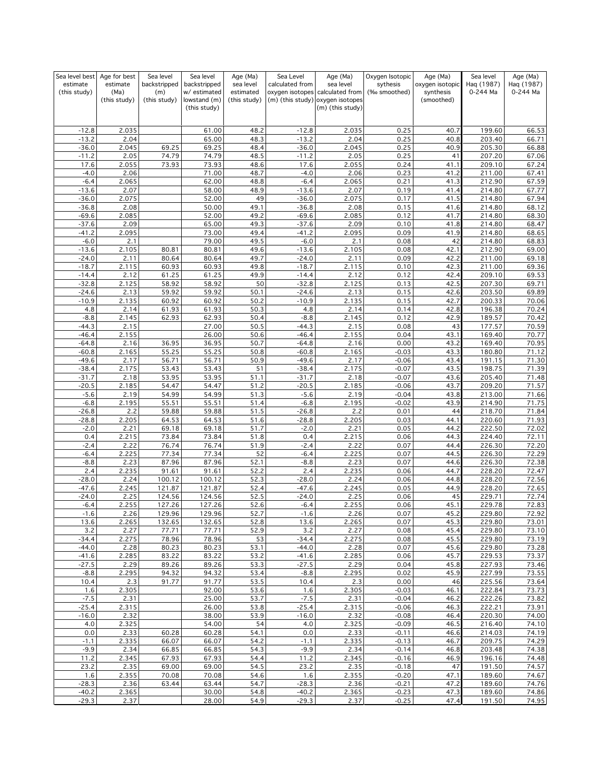| Sea level best   | Age for best  | Sea level      | Sea level                    | Age (Ma)     | Sea Level        | Age (Ma)                                             | Oxygen Isotopic    | Age (Ma)        | Sea level        | Age (Ma)       |
|------------------|---------------|----------------|------------------------------|--------------|------------------|------------------------------------------------------|--------------------|-----------------|------------------|----------------|
| estimate         | estimate      | backstripped   | backstripped                 | sea level    | calculated from  | sea level                                            | sythesis           | oxygen isotopic | Hag (1987)       | Haq (1987)     |
| (this study)     | (Ma)          | (m)            | w/estimated                  | estimated    |                  | oxygen isotopes calculated from                      | (‰ smoothed)       | synthesis       | 0-244 Ma         | 0-244 Ma       |
|                  | (this study)  | (this study)   | lowstand (m)<br>(this study) | (this study) |                  | (m) (this study) oxygen isotopes<br>(m) (this study) |                    | (smoothed)      |                  |                |
|                  |               |                |                              |              |                  |                                                      |                    |                 |                  |                |
|                  |               |                |                              |              |                  |                                                      |                    |                 |                  |                |
| $-12.8$          | 2.035         |                | 61.00                        | 48.2         | $-12.8$          | 2.035                                                | 0.25               | 40.7            | 199.60           | 66.53          |
| $-13.2$          | 2.04          |                | 65.00                        | 48.3         | $-13.2$          | 2.04                                                 | 0.25               | 40.8            | 203.40           | 66.71          |
| $-36.0$          | 2.045         | 69.25          | 69.25                        | 48.4         | $-36.0$          | 2.045                                                | 0.25               | 40.9            | 205.30           | 66.88          |
| $-11.2$          | 2.05          | 74.79          | 74.79                        | 48.5         | $-11.2$          | 2.05                                                 | 0.25               | 41              | 207.20           | 67.06          |
| 17.6<br>$-4.0$   | 2.055<br>2.06 | 73.93          | 73.93<br>71.00               | 48.6<br>48.7 | 17.6<br>$-4.0$   | 2.055<br>2.06                                        | 0.24<br>0.23       | 41.1<br>41.2    | 209.10<br>211.00 | 67.24<br>67.41 |
| $-6.4$           | 2.065         |                | 62.00                        | 48.8         | $-6.4$           | 2.065                                                | 0.21               | 41.3            | 212.90           | 67.59          |
| $-13.6$          | 2.07          |                | 58.00                        | 48.9         | $-13.6$          | 2.07                                                 | 0.19               | 41.4            | 214.80           | 67.77          |
| $-36.0$          | 2.075         |                | 52.00                        | 49           | $-36.0$          | 2.075                                                | 0.17               | 41.5            | 214.80           | 67.94          |
| $-36.8$          | 2.08          |                | 50.00                        | 49.1         | $-36.8$          | 2.08                                                 | 0.15               | 41.6            | 214.80           | 68.12          |
| $-69.6$          | 2.085         |                | 52.00                        | 49.2         | $-69.6$          | 2.085                                                | 0.12               | 41.7            | 214.80           | 68.30          |
| $-37.6$          | 2.09          |                | 65.00                        | 49.3         | $-37.6$          | 2.09                                                 | 0.10               | 41.8            | 214.80           | 68.47          |
| $-41.2$          | 2.095         |                | 73.00                        | 49.4         | $-41.2$          | 2.095                                                | 0.09               | 41.9            | 214.80           | 68.65          |
| $-6.0$           | 2.1           |                | 79.00                        | 49.5         | $-6.0$           | 2.1                                                  | 0.08               | 42              | 214.80           | 68.83          |
| $-13.6$          | 2.105         | 80.81          | 80.81                        | 49.6         | $-13.6$          | 2.105                                                | 0.08               | 42.1            | 212.90           | 69.00          |
| $-24.0$          | 2.11          | 80.64          | 80.64                        | 49.7         | $-24.0$          | 2.11                                                 | 0.09               | 42.2            | 211.00           | 69.18          |
| $-18.7$          | 2.115         | 60.93          | 60.93                        | 49.8         | $-18.7$          | 2.115                                                | 0.10               | 42.3            | 211.00           | 69.36          |
| $-14.4$          | 2.12          | 61.25          | 61.25                        | 49.9         | $-14.4$          | 2.12                                                 | 0.12               | 42.4            | 209.10           | 69.53          |
| $-32.8$          | 2.125         | 58.92          | 58.92                        | 50           | $-32.8$          | 2.125                                                | 0.13               | 42.5            | 207.30           | 69.71          |
| $-24.6$          | 2.13          | 59.92          | 59.92                        | 50.1         | $-24.6$          | 2.13                                                 | 0.15               | 42.6            | 203.50           | 69.89          |
| $-10.9$          | 2.135         | 60.92          | 60.92                        | 50.2         | $-10.9$          | 2.135                                                | 0.15               | 42.7            | 200.33           | 70.06          |
| 4.8              | 2.14          | 61.93          | 61.93                        | 50.3         | 4.8              | 2.14                                                 | 0.14               | 42.8            | 196.38           | 70.24          |
| $-8.8$           | 2.145         | 62.93          | 62.93                        | 50.4         | $-8.8$           | 2.145                                                | 0.12               | 42.9            | 189.57           | 70.42          |
| $-44.3$          | 2.15          |                | 27.00                        | 50.5         | $-44.3$          | 2.15                                                 | 0.08               | 43              | 177.57           | 70.59          |
| $-46.4$          | 2.155         |                | 26.00                        | 50.6         | $-46.4$          | 2.155                                                | 0.04               | 43.1            | 169.40           | 70.77          |
| $-64.8$          | 2.16          | 36.95          | 36.95                        | 50.7         | $-64.8$          | 2.16                                                 | 0.00               | 43.2            | 169.40           | 70.95          |
| $-60.8$          | 2.165         | 55.25          | 55.25                        | 50.8         | $-60.8$          | 2.165                                                | $-0.03$            | 43.3            | 180.80           | 71.12          |
| $-49.6$          | 2.17          | 56.71          | 56.71                        | 50.9         | $-49.6$          | 2.17                                                 | $-0.06$            | 43.4            | 191.15           | 71.30          |
| $-38.4$          | 2.175         | 53.43          | 53.43                        | 51           | $-38.4$          | 2.175                                                | $-0.07$            | 43.5            | 198.75           | 71.39          |
| $-31.7$          | 2.18          | 53.95          | 53.95                        | 51.1         | $-31.7$          | 2.18                                                 | $-0.07$            | 43.6            | 205.40           | 71.48          |
| $-20.5$          | 2.185         | 54.47          | 54.47                        | 51.2         | $-20.5$          | 2.185                                                | $-0.06$            | 43.7            | 209.20           | 71.57          |
| $-5.6$           | 2.19          | 54.99          | 54.99                        | 51.3         | $-5.6$           | 2.19                                                 | $-0.04$            | 43.8            | 213.00           | 71.66          |
| $-6.8$           | 2.195         | 55.51          | 55.51                        | 51.4         | $-6.8$           | 2.195                                                | $-0.02$            | 43.9            | 214.90           | 71.75          |
| $-26.8$          | 2.2           | 59.88          | 59.88                        | 51.5         | $-26.8$          | 2.2                                                  | 0.01               | 44              | 218.70           | 71.84          |
| $-28.8$          | 2.205         | 64.53          | 64.53                        | 51.6         | $-28.8$          | 2.205                                                | 0.03               | 44.1            | 220.60           | 71.93          |
| $-2.0$           | 2.21          | 69.18          | 69.18                        | 51.7         | $-2.0$           | 2.21                                                 | 0.05               | 44.2            | 222.50           | 72.02          |
| 0.4<br>$-2.4$    | 2.215<br>2.22 | 73.84<br>76.74 | 73.84<br>76.74               | 51.8<br>51.9 | 0.4<br>$-2.4$    | 2.215<br>2.22                                        | 0.06<br>0.07       | 44.3            | 224.40<br>226.30 | 72.11<br>72.20 |
| $-6.4$           | 2.225         | 77.34          | 77.34                        | 52           | $-6.4$           | 2.225                                                | 0.07               | 44.4<br>44.5    | 226.30           | 72.29          |
| $-8.8$           | 2.23          | 87.96          | 87.96                        | 52.1         | $-8.8$           | 2.23                                                 | 0.07               | 44.6            | 226.30           | 72.38          |
| 2.4              | 2.235         | 91.61          | 91.61                        | 52.2         | 2.4              | 2.235                                                | 0.06               | 44.7            | 228.20           | 72.47          |
| $-28.0$          | 2.24          | 100.12         | 100.12                       | 52.3         | $-28.0$          | 2.24                                                 | 0.06               | 44.8            | 228.20           | 72.56          |
| $-47.6$          | 2.245         | 121.87         | 121.87                       | 52.4         | $-47.6$          | 2.245                                                | 0.05               | 44.9            | 228.20           | 72.65          |
| $-24.0$          | 2.25          | 124.56         | 124.56                       | 52.5         | $-24.0$          | 2.25                                                 | 0.06               | 45              | 229.71           | 72.74          |
| $-6.4$           | 2.255         | 127.26         | 127.26                       | 52.6         | $-6.4$           | 2.255                                                | 0.06               | 45.1            | 229.78           | 72.83          |
| $-1.6$           | 2.26          | 129.96         | 129.96                       | 52.7         | $-1.6$           | 2.26                                                 | 0.07               | 45.2            | 229.80           | 72.92          |
| 13.6             | 2.265         | 132.65         | 132.65                       | 52.8         | 13.6             | 2.265                                                | 0.07               | 45.3            | 229.80           | 73.01          |
| 3.2              | 2.27          | 77.71          | 77.71                        | 52.9         | 3.2              | 2.27                                                 | 0.08               | 45.4            | 229.80           | 73.10          |
| $-34.4$          | 2.275         | 78.96          | 78.96                        | 53           | $-34.4$          | 2.275                                                | 0.08               | 45.5            | 229.80           | 73.19          |
| $-44.0$          | 2.28          | 80.23          | 80.23                        | 53.1         | $-44.0$          | 2.28                                                 | 0.07               | 45.6            | 229.80           | 73.28          |
| $-41.6$          | 2.285         | 83.22          | 83.22                        | 53.2         | $-41.6$          | 2.285                                                | 0.06               | 45.7            | 229.53           | 73.37          |
| $-27.5$          | 2.29          | 89.26          | 89.26                        | 53.3         | $-27.5$          | 2.29                                                 | 0.04               | 45.8            | 227.93           | 73.46          |
| $-8.8$           | 2.295         | 94.32          | 94.32                        | 53.4         | $-8.8$           | 2.295                                                | 0.02               | 45.9            | 227.99           | 73.55          |
| 10.4             | 2.3           | 91.77          | 91.77                        | 53.5         | 10.4             | 2.3                                                  | 0.00               | 46              | 225.56           | 73.64          |
| 1.6              | 2.305         |                | 92.00                        | 53.6         | 1.6              | 2.305                                                | $-0.03$            | 46.1            | 222.84           | 73.73          |
| $-7.5$           | 2.31          |                | 25.00                        | 53.7         | $-7.5$           | 2.31                                                 | $-0.04$            | 46.2            | 222.26           | 73.82          |
| $-25.4$          | 2.315         |                | 26.00                        | 53.8         | $-25.4$          | 2.315                                                | $-0.06$            | 46.3            | 222.21           | 73.91          |
| $-16.0$          | 2.32          |                | 38.00                        | 53.9         | $-16.0$          | 2.32                                                 | $-0.08$            | 46.4            | 220.30           | 74.00          |
| 4.0              | 2.325         |                | 54.00                        | 54           | 4.0              | 2.325                                                | $-0.09$            | 46.5            | 216.40           | 74.10          |
| 0.0              | 2.33          | 60.28          | 60.28                        | 54.1         | 0.0              | 2.33                                                 | $-0.11$            | 46.6            | 214.03           | 74.19          |
| $-1.1$<br>$-9.9$ | 2.335<br>2.34 | 66.07<br>66.85 | 66.07                        | 54.2         | $-1.1$<br>$-9.9$ | 2.335<br>2.34                                        | $-0.13$<br>$-0.14$ | 46.7<br>46.8    | 209.75<br>203.48 | 74.29          |
| 11.2             | 2.345         | 67.93          | 66.85<br>67.93               | 54.3<br>54.4 | 11.2             | 2.345                                                | $-0.16$            | 46.9            | 196.16           | 74.38<br>74.48 |
| 23.2             | 2.35          | 69.00          | 69.00                        | 54.5         | 23.2             | 2.35                                                 | $-0.18$            | 47              | 191.50           | 74.57          |
| 1.6              | 2.355         | 70.08          | 70.08                        | 54.6         | 1.6              | 2.355                                                | $-0.20$            | 47.1            | 189.60           | 74.67          |
| $-28.3$          | 2.36          | 63.44          | 63.44                        | 54.7         | $-28.3$          | 2.36                                                 | $-0.21$            | 47.2            | 189.60           | 74.76          |
| $-40.2$          | 2.365         |                | 30.00                        | 54.8         | $-40.2$          | 2.365                                                | $-0.23$            | 47.3            | 189.60           | 74.86          |
| $-29.3$          | 2.37          |                | 28.00                        | 54.9         | $-29.3$          | 2.37                                                 | $-0.25$            | 47.4            | 191.50           | 74.95          |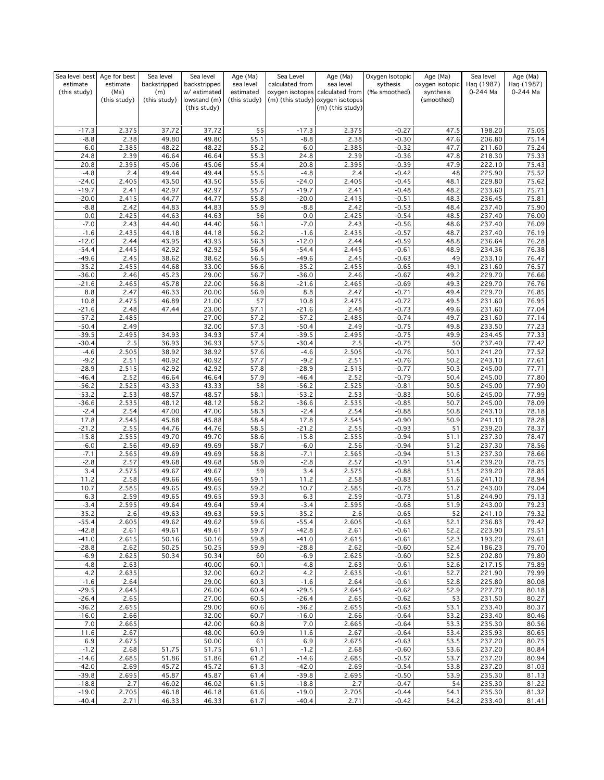| Sea level best     | Age for best  | Sea level      | Sea level                    | Age (Ma)     | Sea Level          | Age (Ma)                                             | Oxygen Isotopic    | Age (Ma)        | Sea level        | Age (Ma)       |
|--------------------|---------------|----------------|------------------------------|--------------|--------------------|------------------------------------------------------|--------------------|-----------------|------------------|----------------|
| estimate           | estimate      | backstripped   | backstripped                 | sea level    | calculated from    | sea level                                            | sythesis           | oxygen isotopic | Haq (1987)       | Haq (1987)     |
| (this study)       | (Ma)          | (m)            | w/ estimated                 | estimated    |                    | oxygen isotopes calculated from                      | (‰ smoothed)       | synthesis       | 0-244 Ma         | 0-244 Ma       |
|                    | (this study)  | (this study)   | lowstand (m)<br>(this study) | (this study) |                    | (m) (this study) oxygen isotopes<br>(m) (this study) |                    | (smoothed)      |                  |                |
|                    |               |                |                              |              |                    |                                                      |                    |                 |                  |                |
|                    |               |                |                              |              |                    |                                                      |                    |                 |                  |                |
| $-17.3$            | 2.375         | 37.72          | 37.72                        | 55           | $-17.3$            | 2.375                                                | $-0.27$            | 47.5            | 198.20           | 75.05          |
| $-8.8$             | 2.38          | 49.80          | 49.80                        | 55.1         | $-8.8$             | 2.38                                                 | $-0.30$            | 47.6            | 206.80           | 75.14          |
| 6.0                | 2.385         | 48.22          | 48.22                        | 55.2         | 6.0<br>24.8        | 2.385<br>2.39                                        | $-0.32$            | 47.7            | 211.60           | 75.24          |
| 24.8<br>20.8       | 2.39<br>2.395 | 46.64<br>45.06 | 46.64<br>45.06               | 55.3<br>55.4 | 20.8               | 2.395                                                | $-0.36$<br>$-0.39$ | 47.8<br>47.9    | 218.30<br>222.10 | 75.33<br>75.43 |
| $-4.8$             | 2.4           | 49.44          | 49.44                        | 55.5         | $-4.8$             | 2.4                                                  | $-0.42$            | 48              | 225.90           | 75.52          |
| $-24.0$            | 2.405         | 43.50          | 43.50                        | 55.6         | $-24.0$            | 2.405                                                | $-0.45$            | 48.1            | 229.80           | 75.62          |
| $-19.7$            | 2.41          | 42.97          | 42.97                        | 55.7         | $-19.7$            | 2.41                                                 | $-0.48$            | 48.2            | 233.60           | 75.71          |
| $-20.0$            | 2.415         | 44.77          | 44.77                        | 55.8         | $-20.0$            | 2.415                                                | $-0.51$            | 48.3            | 236.45           | 75.81          |
| $-8.8$             | 2.42          | 44.83          | 44.83                        | 55.9         | $-8.8$             | 2.42                                                 | $-0.53$            | 48.4            | 237.40           | 75.90          |
| 0.0                | 2.425         | 44.63          | 44.63                        | 56           | 0.0                | 2.425                                                | $-0.54$            | 48.5            | 237.40           | 76.00          |
| $-7.0$             | 2.43          | 44.40          | 44.40                        | 56.1         | $-7.0$             | 2.43                                                 | $-0.56$            | 48.6            | 237.40           | 76.09          |
| $-1.6$             | 2.435         | 44.18          | 44.18                        | 56.2         | $-1.6$             | 2.435                                                | $-0.57$            | 48.7            | 237.40           | 76.19          |
| $-12.0$            | 2.44          | 43.95          | 43.95                        | 56.3         | $-12.0$            | 2.44<br>2.445                                        | $-0.59$            | 48.8            | 236.64           | 76.28          |
| $-54.4$<br>$-49.6$ | 2.445<br>2.45 | 42.92<br>38.62 | 42.92<br>38.62               | 56.4<br>56.5 | $-54.4$<br>$-49.6$ | 2.45                                                 | $-0.61$<br>$-0.63$ | 48.9<br>49      | 234.36<br>233.10 | 76.38<br>76.47 |
| $-35.2$            | 2.455         | 44.68          | 33.00                        | 56.6         | $-35.2$            | 2.455                                                | $-0.65$            | 49.1            | 231.60           | 76.57          |
| $-36.0$            | 2.46          | 45.23          | 29.00                        | 56.7         | $-36.0$            | 2.46                                                 | $-0.67$            | 49.2            | 229.70           | 76.66          |
| $-21.6$            | 2.465         | 45.78          | 22.00                        | 56.8         | $-21.6$            | 2.465                                                | $-0.69$            | 49.3            | 229.70           | 76.76          |
| 8.8                | 2.47          | 46.33          | 20.00                        | 56.9         | 8.8                | 2.47                                                 | $-0.71$            | 49.4            | 229.70           | 76.85          |
| 10.8               | 2.475         | 46.89          | 21.00                        | 57           | 10.8               | 2.475                                                | $-0.72$            | 49.5            | 231.60           | 76.95          |
| $-21.6$            | 2.48          | 47.44          | 23.00                        | 57.1         | $-21.6$            | 2.48                                                 | $-0.73$            | 49.6            | 231.60           | 77.04          |
| $-57.2$            | 2.485         |                | 27.00                        | 57.2         | $-57.2$            | 2.485                                                | $-0.74$            | 49.7            | 231.60           | 77.14          |
| $-50.4$            | 2.49          |                | 32.00                        | 57.3         | $-50.4$            | 2.49                                                 | $-0.75$            | 49.8            | 233.50           | 77.23          |
| $-39.5$            | 2.495         | 34.93          | 34.93                        | 57.4         | $-39.5$            | 2.495                                                | $-0.75$            | 49.9            | 234.45           | 77.33          |
| $-30.4$<br>$-4.6$  | 2.5<br>2.505  | 36.93<br>38.92 | 36.93<br>38.92               | 57.5<br>57.6 | $-30.4$<br>$-4.6$  | 2.5<br>2.505                                         | $-0.75$<br>$-0.76$ | 50              | 237.40<br>241.20 | 77.42<br>77.52 |
| $-9.2$             | 2.51          | 40.92          | 40.92                        | 57.7         | $-9.2$             | 2.51                                                 | $-0.76$            | 50.1<br>50.2    | 243.10           | 77.61          |
| $-28.9$            | 2.515         | 42.92          | 42.92                        | 57.8         | $-28.9$            | 2.515                                                | $-0.77$            | 50.3            | 245.00           | 77.71          |
| $-46.4$            | 2.52          | 46.64          | 46.64                        | 57.9         | $-46.4$            | 2.52                                                 | $-0.79$            | 50.4            | 245.00           | 77.80          |
| $-56.2$            | 2.525         | 43.33          | 43.33                        | 58           | $-56.2$            | 2.525                                                | $-0.81$            | 50.5            | 245.00           | 77.90          |
| $-53.2$            | 2.53          | 48.57          | 48.57                        | 58.1         | $-53.2$            | 2.53                                                 | $-0.83$            | 50.6            | 245.00           | 77.99          |
| $-36.6$            | 2.535         | 48.12          | 48.12                        | 58.2         | $-36.6$            | 2.535                                                | $-0.85$            | 50.7            | 245.00           | 78.09          |
| $-2.4$             | 2.54          | 47.00          | 47.00                        | 58.3         | $-2.4$             | 2.54                                                 | $-0.88$            | 50.8            | 243.10           | 78.18          |
| 17.8               | 2.545         | 45.88          | 45.88                        | 58.4         | 17.8               | 2.545                                                | $-0.90$            | 50.9            | 241.10           | 78.28          |
| $-21.2$            | 2.55          | 44.76          | 44.76                        | 58.5         | $-21.2$            | 2.55                                                 | $-0.93$            | 51              | 239.20           | 78.37          |
| $-15.8$            | 2.555         | 49.70          | 49.70                        | 58.6         | $-15.8$            | 2.555                                                | $-0.94$            | 51.1            | 237.30           | 78.47          |
| $-6.0$<br>$-7.1$   | 2.56<br>2.565 | 49.69<br>49.69 | 49.69<br>49.69               | 58.7<br>58.8 | $-6.0$<br>$-7.1$   | 2.56<br>2.565                                        | $-0.94$<br>$-0.94$ | 51.2<br>51.3    | 237.30<br>237.30 | 78.56<br>78.66 |
| $-2.8$             | 2.57          | 49.68          | 49.68                        | 58.9         | $-2.8$             | 2.57                                                 | $-0.91$            | 51.4            | 239.20           | 78.75          |
| 3.4                | 2.575         | 49.67          | 49.67                        | 59           | 3.4                | 2.575                                                | $-0.88$            | 51.5            | 239.20           | 78.85          |
| 11.2               | 2.58          | 49.66          | 49.66                        | 59.1         | 11.2               | 2.58                                                 | $-0.83$            | 51.6            | 241.10           | 78.94          |
| 10.7               | 2.585         | 49.65          | 49.65                        | 59.2         | 10.7               | 2.585                                                | $-0.78$            | 51.7            | 243.00           | 79.04          |
| 6.3                | 2.59          | 49.65          | 49.65                        | 59.3         | 6.3                | 2.59                                                 | $-0.73$            | 51.8            | 244.90           | 79.13          |
| $-3.4$             | 2.595         | 49.64          | 49.64                        | 59.4         | $-3.4$             | 2.595                                                | $-0.68$            | 51.9            | 243.00           | 79.23          |
| $-35.2$            | 2.6           | 49.63          | 49.63                        | 59.5         | $-35.2$            | 2.6                                                  | $-0.65$            | 52              | 241.10           | 79.32          |
| $-55.4$            | 2.605         | 49.62          | 49.62                        | 59.6         | $-55.4$            | 2.605                                                | $-0.63$            | 52.1            | 236.83           | 79.42          |
| $-42.8$            | 2.61          | 49.61          | 49.61                        | 59.7         | $-42.8$            | 2.61                                                 | $-0.61$            | 52.2            | 223.90           | 79.51          |
| $-41.0$<br>$-28.8$ | 2.615<br>2.62 | 50.16<br>50.25 | 50.16<br>50.25               | 59.8<br>59.9 | $-41.0$<br>$-28.8$ | 2.615<br>2.62                                        | $-0.61$<br>$-0.60$ | 52.3<br>52.4    | 193.20<br>186.23 | 79.61<br>79.70 |
| $-6.9$             | 2.625         | 50.34          | 50.34                        | 60           | $-6.9$             | 2.625                                                | $-0.60$            | 52.5            | 202.80           | 79.80          |
| $-4.8$             | 2.63          |                | 40.00                        | 60.1         | $-4.8$             | 2.63                                                 | $-0.61$            | 52.6            | 217.15           | 79.89          |
| 4.2                | 2.635         |                | 32.00                        | 60.2         | 4.2                | 2.635                                                | $-0.61$            | 52.7            | 221.90           | 79.99          |
| $-1.6$             | 2.64          |                | 29.00                        | 60.3         | $-1.6$             | 2.64                                                 | $-0.61$            | 52.8            | 225.80           | 80.08          |
| $-29.5$            | 2.645         |                | 26.00                        | 60.4         | $-29.5$            | 2.645                                                | $-0.62$            | 52.9            | 227.70           | 80.18          |
| $-26.4$            | 2.65          |                | 27.00                        | 60.5         | $-26.4$            | 2.65                                                 | $-0.62$            | 53              | 231.50           | 80.27          |
| $-36.2$            | 2.655         |                | 29.00                        | 60.6         | $-36.2$            | 2.655                                                | $-0.63$            | 53.1            | 233.40           | 80.37          |
| $-16.0$            | 2.66          |                | 32.00                        | 60.7         | $-16.0$            | 2.66                                                 | $-0.64$            | 53.2            | 233.40           | 80.46          |
| 7.0                | 2.665         |                | 42.00                        | 60.8         | 7.0                | 2.665                                                | $-0.64$            | 53.3            | 235.30           | 80.56          |
| 11.6               | 2.67          |                | 48.00                        | 60.9         | 11.6               | 2.67                                                 | $-0.64$            | 53.4            | 235.93           | 80.65          |
| 6.9                | 2.675         |                | 50.00                        | 61           | 6.9                | 2.675                                                | $-0.63$            | 53.5            | 237.20           | 80.75          |
| $-1.2$<br>$-14.6$  | 2.68<br>2.685 | 51.75<br>51.86 | 51.75                        | 61.1<br>61.2 | $-1.2$<br>$-14.6$  | 2.68<br>2.685                                        | $-0.60$<br>$-0.57$ | 53.6<br>53.7    | 237.20<br>237.20 | 80.84<br>80.94 |
| $-42.0$            | 2.69          | 45.72          | 51.86<br>45.72               | 61.3         | $-42.0$            | 2.69                                                 | $-0.54$            | 53.8            | 237.20           | 81.03          |
| $-39.8$            | 2.695         | 45.87          | 45.87                        | 61.4         | $-39.8$            | 2.695                                                | $-0.50$            | 53.9            | 235.30           | 81.13          |
| $-18.8$            | 2.7           | 46.02          | 46.02                        | 61.5         | $-18.8$            | 2.7                                                  | $-0.47$            | 54              | 235.30           | 81.22          |
| $-19.0$            | 2.705         | 46.18          | 46.18                        | 61.6         | $-19.0$            | 2.705                                                | $-0.44$            | 54.1            | 235.30           | 81.32          |
| $-40.4$            | 2.71          | 46.33          | 46.33                        | 61.7         | $-40.4$            | 2.71                                                 | $-0.42$            | 54.2            | 233.40           | 81.41          |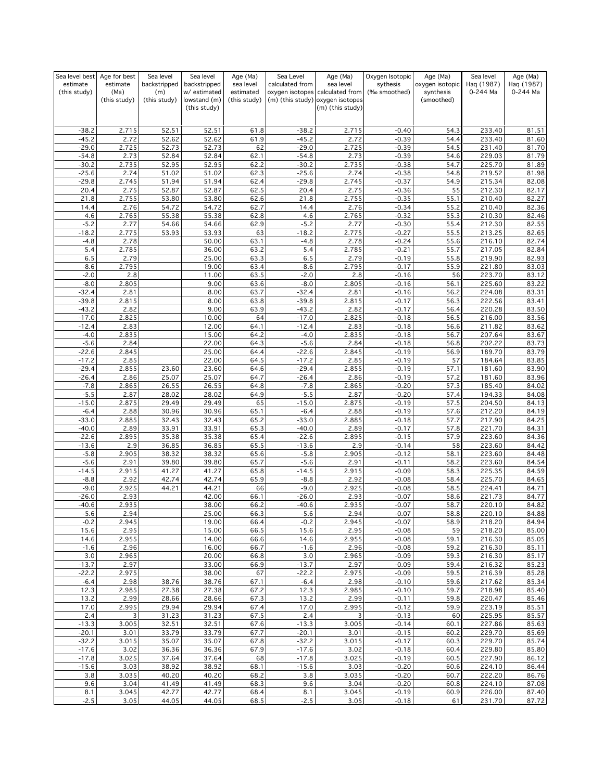| Sea level best           | Age for best     | Sea level           | Sea level                   | Age (Ma)               | Sea Level          | Age (Ma)                                     | Oxygen Isotopic          | Age (Ma)                     | Sea level              | Age (Ma)               |
|--------------------------|------------------|---------------------|-----------------------------|------------------------|--------------------|----------------------------------------------|--------------------------|------------------------------|------------------------|------------------------|
| estimate<br>(this study) | estimate<br>(Ma) | backstripped<br>(m) | backstripped<br>w/estimated | sea level<br>estimated | calculated from    | sea level<br>oxygen isotopes calculated from | sythesis<br>(‰ smoothed) | oxygen isotopic<br>synthesis | Hag (1987)<br>0-244 Ma | Haq (1987)<br>0-244 Ma |
|                          | (this study)     | (this study)        | lowstand (m)                | (this study)           |                    | (m) (this study) oxygen isotopes             |                          | (smoothed)                   |                        |                        |
|                          |                  |                     | (this study)                |                        |                    | (m) (this study)                             |                          |                              |                        |                        |
|                          |                  |                     |                             |                        |                    |                                              |                          |                              |                        |                        |
| $-38.2$                  | 2.715            | 52.51               | 52.51                       | 61.8                   | $-38.2$            | 2.715                                        | $-0.40$                  | 54.3                         | 233.40                 | 81.51                  |
| $-45.2$                  | 2.72             | 52.62               | 52.62                       | 61.9                   | $-45.2$            | 2.72                                         | $-0.39$                  | 54.4                         | 233.40                 | 81.60                  |
| $-29.0$                  | 2.725            | 52.73               | 52.73                       | 62                     | $-29.0$            | 2.725                                        | $-0.39$                  | 54.5                         | 231.40                 | 81.70                  |
| $-54.8$                  | 2.73             | 52.84               | 52.84                       | 62.1                   | $-54.8$            | 2.73                                         | $-0.39$                  | 54.6                         | 229.03                 | 81.79                  |
| $-30.2$                  | 2.735            | 52.95               | 52.95                       | 62.2                   | $-30.2$            | 2.735                                        | $-0.38$                  | 54.7                         | 225.70                 | 81.89                  |
| $-25.6$<br>$-29.8$       | 2.74<br>2.745    | 51.02<br>51.94      | 51.02<br>51.94              | 62.3<br>62.4           | $-25.6$<br>$-29.8$ | 2.74<br>2.745                                | $-0.38$<br>$-0.37$       | 54.8<br>54.9                 | 219.52<br>215.34       | 81.98<br>82.08         |
| 20.4                     | 2.75             | 52.87               | 52.87                       | 62.5                   | 20.4               | 2.75                                         | $-0.36$                  | 55                           | 212.30                 | 82.17                  |
| 21.8                     | 2.755            | 53.80               | 53.80                       | 62.6                   | 21.8               | 2.755                                        | $-0.35$                  | 55.1                         | 210.40                 | 82.27                  |
| 14.4                     | 2.76             | 54.72               | 54.72                       | 62.7                   | 14.4               | 2.76                                         | $-0.34$                  | 55.2                         | 210.40                 | 82.36                  |
| 4.6                      | 2.765            | 55.38               | 55.38                       | 62.8                   | 4.6                | 2.765                                        | $-0.32$                  | 55.3                         | 210.30                 | 82.46                  |
| $-5.2$                   | 2.77             | 54.66               | 54.66                       | 62.9                   | $-5.2$             | 2.77                                         | $-0.30$                  | 55.4                         | 212.30                 | 82.55                  |
| $-18.2$                  | 2.775            | 53.93               | 53.93                       | 63                     | $-18.2$            | 2.775                                        | $-0.27$                  | 55.5                         | 213.25                 | 82.65                  |
| $-4.8$                   | 2.78             |                     | 50.00                       | 63.1                   | $-4.8$             | 2.78                                         | $-0.24$                  | 55.6                         | 216.10                 | 82.74                  |
| 5.4<br>6.5               | 2.785<br>2.79    |                     | 36.00<br>25.00              | 63.2<br>63.3           | 5.4<br>6.5         | 2.785<br>2.79                                | $-0.21$<br>$-0.19$       | 55.7                         | 217.05<br>219.90       | 82.84<br>82.93         |
| $-8.6$                   | 2.795            |                     | 19.00                       | 63.4                   | $-8.6$             | 2.795                                        | $-0.17$                  | 55.8<br>55.9                 | 221.80                 | 83.03                  |
| $-2.0$                   | 2.8              |                     | 11.00                       | 63.5                   | $-2.0$             | 2.8                                          | $-0.16$                  | 56                           | 223.70                 | 83.12                  |
| $-8.0$                   | 2.805            |                     | 9.00                        | 63.6                   | $-8.0$             | 2.805                                        | $-0.16$                  | 56.1                         | 225.60                 | 83.22                  |
| $-32.4$                  | 2.81             |                     | 8.00                        | 63.7                   | $-32.4$            | 2.81                                         | $-0.16$                  | 56.2                         | 224.08                 | 83.31                  |
| $-39.8$                  | 2.815            |                     | 8.00                        | 63.8                   | $-39.8$            | 2.815                                        | $-0.17$                  | 56.3                         | 222.56                 | 83.41                  |
| $-43.2$                  | 2.82             |                     | 9.00                        | 63.9                   | $-43.2$            | 2.82                                         | $-0.17$                  | 56.4                         | 220.28                 | 83.50                  |
| $-17.0$                  | 2.825            |                     | 10.00                       | 64                     | $-17.0$            | 2.825                                        | $-0.18$                  | 56.5                         | 216.00                 | 83.56                  |
| $-12.4$<br>$-4.0$        | 2.83<br>2.835    |                     | 12.00<br>15.00              | 64.1<br>64.2           | $-12.4$<br>$-4.0$  | 2.83<br>2.835                                | $-0.18$<br>$-0.18$       | 56.6<br>56.7                 | 211.82<br>207.64       | 83.62<br>83.67         |
| $-5.6$                   | 2.84             |                     | 22.00                       | 64.3                   | $-5.6$             | 2.84                                         | $-0.18$                  | 56.8                         | 202.22                 | 83.73                  |
| $-22.6$                  | 2.845            |                     | 25.00                       | 64.4                   | $-22.6$            | 2.845                                        | $-0.19$                  | 56.9                         | 189.70                 | 83.79                  |
| $-17.2$                  | 2.85             |                     | 22.00                       | 64.5                   | $-17.2$            | 2.85                                         | $-0.19$                  | 57                           | 184.64                 | 83.85                  |
| $-29.4$                  | 2.855            | 23.60               | 23.60                       | 64.6                   | $-29.4$            | 2.855                                        | $-0.19$                  | 57.1                         | 181.60                 | 83.90                  |
| $-26.4$                  | 2.86             | 25.07               | 25.07                       | 64.7                   | $-26.4$            | 2.86                                         | $-0.19$                  | 57.2                         | 181.60                 | 83.96                  |
| $-7.8$                   | 2.865            | 26.55               | 26.55                       | 64.8                   | $-7.8$             | 2.865                                        | $-0.20$                  | 57.3                         | 185.40                 | 84.02                  |
| $-5.5$                   | 2.87             | 28.02               | 28.02                       | 64.9                   | $-5.5$             | 2.87                                         | $-0.20$                  | 57.4                         | 194.33                 | 84.08                  |
| $-15.0$<br>$-6.4$        | 2.875<br>2.88    | 29.49<br>30.96      | 29.49<br>30.96              | 65<br>65.1             | $-15.0$<br>$-6.4$  | 2.875<br>2.88                                | $-0.19$<br>$-0.19$       | 57.5<br>57.6                 | 204.50<br>212.20       | 84.13<br>84.19         |
| $-33.0$                  | 2.885            | 32.43               | 32.43                       | 65.2                   | $-33.0$            | 2.885                                        | $-0.18$                  | 57.7                         | 217.90                 | 84.25                  |
| $-40.0$                  | 2.89             | 33.91               | 33.91                       | 65.3                   | $-40.0$            | 2.89                                         | $-0.17$                  | 57.8                         | 221.70                 | 84.31                  |
| $-22.6$                  | 2.895            | 35.38               | 35.38                       | 65.4                   | $-22.6$            | 2.895                                        | $-0.15$                  | 57.9                         | 223.60                 | 84.36                  |
| $-13.6$                  | 2.9              | 36.85               | 36.85                       | 65.5                   | $-13.6$            | 2.9                                          | $-0.14$                  | 58                           | 223.60                 | 84.42                  |
| $-5.8$                   | 2.905            | 38.32               | 38.32                       | 65.6                   | $-5.8$             | 2.905                                        | $-0.12$                  | 58.1                         | 223.60                 | 84.48                  |
| $-5.6$                   | 2.91             | 39.80               | 39.80                       | 65.7                   | $-5.6$             | 2.91                                         | $-0.11$                  | 58.2                         | 223.60                 | 84.54                  |
| $-14.5$                  | 2.915            | 41.27               | 41.27                       | 65.8                   | $-14.5$            | 2.915                                        | $-0.09$                  | 58.3                         | 225.35                 | 84.59                  |
| $-8.8$<br>$-9.0$         | 2.92<br>2.925    | 42.74<br>44.21      | 42.74<br>44.21              | 65.9<br>66             | $-8.8$<br>$-9.0$   | 2.92<br>2.925                                | $-0.08$<br>$-0.08$       | 58.4<br>58.5                 | 225.70<br>224.41       | 84.65<br>84.71         |
| $-26.0$                  | 2.93             |                     | 42.00                       | 66.1                   | $-26.0$            | 2.93                                         | $-0.07$                  | 58.6                         | 221.73                 | 84.77                  |
| $-40.6$                  | 2.935            |                     | 38.00                       | 66.2                   | $-40.6$            | 2.935                                        | $-0.07$                  | 58.7                         | 220.10                 | 84.82                  |
| $-5.6$                   | 2.94             |                     | 25.00                       | 66.3                   | $-5.6$             | 2.94                                         | $-0.07$                  | 58.8                         | 220.10                 | 84.88                  |
| $-0.2$                   | 2.945            |                     | 19.00                       | 66.4                   | $-0.2$             | 2.945                                        | $-0.07$                  | 58.9                         | 218.20                 | 84.94                  |
| 15.6                     | 2.95             |                     | 15.00                       | 66.5                   | 15.6               | 2.95                                         | $-0.08$                  | 59                           | 218.20                 | 85.00                  |
| 14.6<br>$-1.6$           | 2.955            |                     | 14.00<br>16.00              | 66.6<br>66.7           | 14.6<br>$-1.6$     | 2.955<br>2.96                                | $-0.08$<br>$-0.08$       | 59.1<br>59.2                 | 216.30<br>216.30       | 85.05                  |
| 3.0                      | 2.96<br>2.965    |                     | 20.00                       | 66.8                   | 3.0                | 2.965                                        | $-0.09$                  | 59.3                         | 216.30                 | 85.11<br>85.17         |
| $-13.7$                  | 2.97             |                     | 33.00                       | 66.9                   | $-13.7$            | 2.97                                         | $-0.09$                  | 59.4                         | 216.32                 | 85.23                  |
| $-22.2$                  | 2.975            |                     | 38.00                       | 67                     | $-22.2$            | 2.975                                        | $-0.09$                  | 59.5                         | 216.39                 | 85.28                  |
| $-6.4$                   | 2.98             | 38.76               | 38.76                       | 67.1                   | $-6.4$             | 2.98                                         | $-0.10$                  | 59.6                         | 217.62                 | 85.34                  |
| 12.3                     | 2.985            | 27.38               | 27.38                       | 67.2                   | 12.3               | 2.985                                        | $-0.10$                  | 59.7                         | 218.98                 | 85.40                  |
| 13.2                     | 2.99             | 28.66               | 28.66                       | 67.3                   | $13.\overline{2}$  | 2.99                                         | $-0.11$                  | 59.8                         | 220.47                 | 85.46                  |
| 17.0                     | 2.995            | 29.94               | 29.94                       | 67.4                   | 17.0               | 2.995                                        | $-0.12$                  | 59.9                         | 223.19                 | 85.51                  |
| 2.4<br>$-13.3$           | 3<br>3.005       | 31.23<br>32.51      | 31.23<br>32.51              | 67.5<br>67.6           | 2.4<br>$-13.3$     | 3<br>3.005                                   | $-0.13$<br>$-0.14$       | 60<br>60.1                   | 225.95<br>227.86       | 85.57<br>85.63         |
| $-20.1$                  | 3.01             | 33.79               | 33.79                       | 67.7                   | $-20.1$            | 3.01                                         | $-0.15$                  | 60.2                         | 229.70                 | 85.69                  |
| $-32.2$                  | 3.015            | 35.07               | 35.07                       | 67.8                   | $-32.2$            | 3.015                                        | $-0.17$                  | 60.3                         | 229.70                 | 85.74                  |
| $-17.6$                  | 3.02             | 36.36               | 36.36                       | 67.9                   | $-17.6$            | 3.02                                         | $-0.18$                  | 60.4                         | 229.80                 | 85.80                  |
| $-17.8$                  | 3.025            | 37.64               | 37.64                       | 68                     | $-17.8$            | 3.025                                        | $-0.19$                  | 60.5                         | 227.90                 | 86.12                  |
| $-15.6$                  | 3.03             | 38.92               | 38.92                       | 68.1                   | $-15.6$            | 3.03                                         | $-0.20$                  | 60.6                         | 224.10                 | 86.44                  |
| 3.8                      | 3.035            | 40.20               | 40.20                       | 68.2                   | 3.8                | 3.035                                        | $-0.20$                  | 60.7                         | 222.20                 | 86.76                  |
| 9.6                      | 3.04             | 41.49               | 41.49                       | 68.3                   | 9.6                | 3.04                                         | $-0.20$                  | 60.8                         | 224.10                 | 87.08                  |
| 8.1<br>$-2.5$            | 3.045<br>3.05    | 42.77<br>44.05      | 42.77<br>44.05              | 68.4<br>68.5           | 8.1<br>$-2.5$      | 3.045<br>3.05                                | $-0.19$<br>$-0.18$       | 60.9<br>61                   | 226.00<br>231.70       | 87.40<br>87.72         |
|                          |                  |                     |                             |                        |                    |                                              |                          |                              |                        |                        |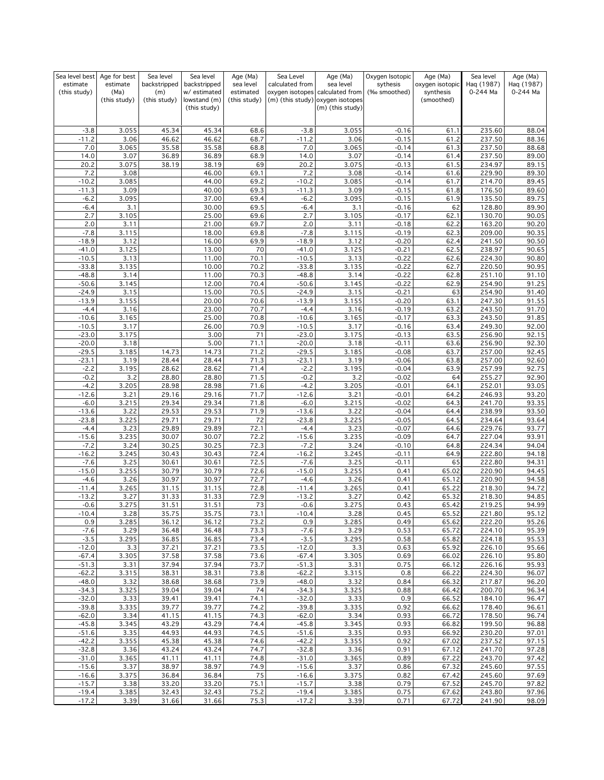| Sea level best     | Age for best         | Sea level           | Sea level                    | Age (Ma)                  | Sea Level          | Age (Ma)                                                            | Oxygen Isotopic    | Age (Ma)                | Sea level        | Age (Ma)       |
|--------------------|----------------------|---------------------|------------------------------|---------------------------|--------------------|---------------------------------------------------------------------|--------------------|-------------------------|------------------|----------------|
| estimate           | estimate             | backstripped        | backstripped                 | sea level                 | calculated from    | sea level                                                           | sythesis           | oxygen isotopic         | Haq (1987)       | Haq (1987)     |
| (this study)       | (Ma)<br>(this study) | (m)<br>(this study) | w/ estimated<br>lowstand (m) | estimated<br>(this study) |                    | oxygen isotopes calculated from<br>(m) (this study) oxygen isotopes | (‰ smoothed)       | synthesis<br>(smoothed) | 0-244 Ma         | 0-244 Ma       |
|                    |                      |                     | (this study)                 |                           |                    | (m) (this study)                                                    |                    |                         |                  |                |
|                    |                      |                     |                              |                           |                    |                                                                     |                    |                         |                  |                |
|                    |                      |                     |                              |                           |                    |                                                                     |                    |                         |                  |                |
| $-3.8$<br>$-11.2$  | 3.055<br>3.06        | 45.34<br>46.62      | 45.34<br>46.62               | 68.6<br>68.7              | $-3.8$<br>$-11.2$  | 3.055<br>3.06                                                       | $-0.16$<br>$-0.15$ | 61.1<br>61.2            | 235.60<br>237.50 | 88.04<br>88.36 |
| 7.0                | 3.065                | 35.58               | 35.58                        | 68.8                      | 7.0                | 3.065                                                               | $-0.14$            | 61.3                    | 237.50           | 88.68          |
| 14.0               | 3.07                 | 36.89               | 36.89                        | 68.9                      | 14.0               | 3.07                                                                | $-0.14$            | 61.4                    | 237.50           | 89.00          |
| 20.2               | 3.075                | 38.19               | 38.19                        | 69                        | 20.2               | 3.075                                                               | $-0.13$            | 61.5                    | 234.97           | 89.15          |
| 7.2                | 3.08                 |                     | 46.00                        | 69.1                      | 7.2                | 3.08                                                                | $-0.14$            | 61.6                    | 229.90           | 89.30          |
| $-10.2$            | 3.085                |                     | 44.00                        | 69.2                      | $-10.2$            | 3.085                                                               | $-0.14$            | 61.7                    | 214.70           | 89.45          |
| $-11.3$            | 3.09                 |                     | 40.00                        | 69.3                      | $-11.3$            | 3.09                                                                | $-0.15$            | 61.8                    | 176.50           | 89.60          |
| $-6.2$<br>$-6.4$   | 3.095                |                     | 37.00<br>30.00               | 69.4<br>69.5              | $-6.2$<br>$-6.4$   | 3.095<br>3.1                                                        | $-0.15$            | 61.9                    | 135.50<br>128.80 | 89.75<br>89.90 |
| 2.7                | 3.1<br>3.105         |                     | 25.00                        | 69.6                      | 2.7                | 3.105                                                               | $-0.16$<br>$-0.17$ | 62<br>62.1              | 130.70           | 90.05          |
| 2.0                | 3.11                 |                     | 21.00                        | 69.7                      | 2.0                | 3.11                                                                | $-0.18$            | 62.2                    | 163.20           | 90.20          |
| $-7.8$             | 3.115                |                     | 18.00                        | 69.8                      | $-7.8$             | 3.115                                                               | $-0.19$            | 62.3                    | 209.00           | 90.35          |
| $-18.9$            | 3.12                 |                     | 16.00                        | 69.9                      | $-18.9$            | 3.12                                                                | $-0.20$            | 62.4                    | 241.50           | 90.50          |
| $-41.0$            | 3.125                |                     | 13.00                        | 70                        | $-41.0$            | 3.125                                                               | $-0.21$            | 62.5                    | 238.97           | 90.65          |
| $-10.5$            | 3.13                 |                     | 11.00                        | 70.1                      | $-10.5$            | 3.13                                                                | $-0.22$            | 62.6                    | 224.30           | 90.80          |
| $-33.8$            | 3.135                |                     | 10.00                        | 70.2                      | $-33.8$            | 3.135                                                               | $-0.22$            | 62.7                    | 220.50<br>251.10 | 90.95          |
| $-48.8$<br>$-50.6$ | 3.14<br>3.145        |                     | 11.00<br>12.00               | 70.3<br>70.4              | $-48.8$<br>$-50.6$ | 3.14<br>3.145                                                       | $-0.22$<br>$-0.22$ | 62.8<br>62.9            | 254.90           | 91.10<br>91.25 |
| $-24.9$            | 3.15                 |                     | 15.00                        | 70.5                      | $-24.9$            | 3.15                                                                | $-0.21$            | 63                      | 254.90           | 91.40          |
| $-13.9$            | 3.155                |                     | 20.00                        | 70.6                      | $-13.9$            | 3.155                                                               | $-0.20$            | 63.1                    | 247.30           | 91.55          |
| $-4.4$             | 3.16                 |                     | 23.00                        | 70.7                      | $-4.4$             | 3.16                                                                | $-0.19$            | 63.2                    | 243.50           | 91.70          |
| $-10.6$            | 3.165                |                     | 25.00                        | 70.8                      | $-10.6$            | 3.165                                                               | $-0.17$            | 63.3                    | 243.50           | 91.85          |
| $-10.5$            | 3.17                 |                     | 26.00                        | 70.9                      | $-10.5$            | 3.17                                                                | $-0.16$            | 63.4                    | 249.30           | 92.00          |
| $-23.0$            | 3.175                |                     | 3.00                         | 71                        | $-23.0$            | 3.175                                                               | $-0.13$            | 63.5                    | 256.90           | 92.15          |
| $-20.0$            | 3.18                 |                     | 5.00                         | 71.1                      | $-20.0$            | 3.18                                                                | $-0.11$            | 63.6                    | 256.90<br>257.00 | 92.30          |
| $-29.5$<br>$-23.1$ | 3.185<br>3.19        | 14.73<br>28.44      | 14.73<br>28.44               | 71.2<br>71.3              | $-29.5$<br>$-23.1$ | 3.185<br>3.19                                                       | $-0.08$<br>$-0.06$ | 63.7<br>63.8            | 257.00           | 92.45<br>92.60 |
| $-2.2$             | 3.195                | 28.62               | 28.62                        | 71.4                      | $-2.2$             | 3.195                                                               | $-0.04$            | 63.9                    | 257.99           | 92.75          |
| $-0.2$             | 3.2                  | 28.80               | 28.80                        | 71.5                      | $-0.2$             | 3.2                                                                 | $-0.02$            | 64                      | 255.27           | 92.90          |
| $-4.2$             | 3.205                | 28.98               | 28.98                        | 71.6                      | $-4.2$             | 3.205                                                               | $-0.01$            | 64.1                    | 252.01           | 93.05          |
| $-12.6$            | 3.21                 | 29.16               | 29.16                        | 71.7                      | $-12.6$            | 3.21                                                                | $-0.01$            | 64.2                    | 246.93           | 93.20          |
| $-6.0$             | 3.215                | 29.34               | 29.34                        | 71.8                      | $-6.0$             | 3.215                                                               | $-0.02$            | 64.3                    | 241.70           | 93.35          |
| $-13.6$            | 3.22                 | 29.53               | 29.53                        | 71.9                      | $-13.6$            | 3.22                                                                | $-0.04$            | 64.4                    | 238.99           | 93.50          |
| $-23.8$<br>$-4.4$  | 3.225<br>3.23        | 29.71<br>29.89      | 29.71<br>29.89               | 72<br>72.1                | $-23.8$<br>$-4.4$  | 3.225<br>3.23                                                       | $-0.05$<br>$-0.07$ | 64.5                    | 234.64<br>229.76 | 93.64<br>93.77 |
| $-15.6$            | 3.235                | 30.07               | 30.07                        | 72.2                      | $-15.6$            | 3.235                                                               | $-0.09$            | 64.6<br>64.7            | 227.04           | 93.91          |
| $-7.2$             | 3.24                 | 30.25               | 30.25                        | 72.3                      | $-7.2$             | 3.24                                                                | $-0.10$            | 64.8                    | 224.34           | 94.04          |
| $-16.2$            | 3.245                | 30.43               | 30.43                        | 72.4                      | $-16.2$            | 3.245                                                               | $-0.11$            | 64.9                    | 222.80           | 94.18          |
| $-7.6$             | 3.25                 | 30.61               | 30.61                        | 72.5                      | $-7.6$             | 3.25                                                                | $-0.11$            | 65                      | 222.80           | 94.31          |
| $-15.0$            | 3.255                | 30.79               | 30.79                        | 72.6                      | $-15.0$            | 3.255                                                               | 0.41               | 65.02                   | 220.90           | 94.45          |
| $-4.6$             | 3.26                 | 30.97               | 30.97                        | 72.7                      | $-4.6$             | 3.26                                                                | 0.41               | 65.12                   | 220.90           | 94.58          |
| $-11.4$<br>$-13.2$ | 3.265<br>3.27        | 31.15<br>31.33      | 31.15<br>31.33               | 72.8<br>72.9              | $-11.4$<br>$-13.2$ | 3.265<br>3.27                                                       | 0.41<br>0.42       | 65.22<br>65.32          | 218.30<br>218.30 | 94.72<br>94.85 |
| $-0.6$             | 3.275                | 31.51               | 31.51                        | 73                        | $-0.6$             | 3.275                                                               | 0.43               | 65.42                   | 219.25           | 94.99          |
| -10.4              | 3.28                 | 35.75               | 35.75                        | 73.1                      | $-10.4$            | <u>3.28</u>                                                         | 0.45               | 65.52                   | 221.80           | 95.12          |
| 0.9                | 3.285                | 36.12               | 36.12                        | 73.2                      | 0.9                | 3.285                                                               | 0.49               | 65.62                   | 222.20           | 95.26          |
| $-7.6$             | 3.29                 | 36.48               | 36.48                        | 73.3                      | $-7.6$             | 3.29                                                                | 0.53               | 65.72                   | 224.10           | 95.39          |
| $-3.5$             | 3.295                | 36.85               | 36.85                        | 73.4                      | $-3.5$             | 3.295                                                               | 0.58               | 65.82                   | 224.18           | 95.53          |
| $-12.0$            | 3.3                  | 37.21               | 37.21                        | 73.5                      | $-12.0$            | 3.3                                                                 | 0.63               | 65.92                   | 226.10           | 95.66          |
| $-67.4$<br>$-51.3$ | 3.305<br>3.31        | 37.58<br>37.94      | 37.58<br>37.94               | 73.6<br>73.7              | $-67.4$<br>$-51.3$ | 3.305<br>3.31                                                       | 0.69<br>0.75       | 66.02<br>66.12          | 226.10<br>226.16 | 95.80<br>95.93 |
| $-62.2$            | 3.315                | 38.31               | 38.31                        | 73.8                      | $-62.2$            | 3.315                                                               | 0.8                | 66.22                   | 224.30           | 96.07          |
| $-48.0$            | 3.32                 | 38.68               | 38.68                        | 73.9                      | $-48.0$            | 3.32                                                                | 0.84               | 66.32                   | 217.87           | 96.20          |
| $-34.3$            | 3.325                | 39.04               | 39.04                        | 74                        | $-34.3$            | 3.325                                                               | 0.88               | 66.42                   | 200.70           | 96.34          |
| $-32.0$            | 3.33                 | 39.41               | 39.41                        | 74.1                      | $-32.0$            | 3.33                                                                | 0.9                | 66.52                   | 184.10           | 96.47          |
| $-39.8$            | 3.335                | 39.77               | 39.77                        | 74.2                      | $-39.8$            | 3.335                                                               | 0.92               | 66.62                   | 178.40           | 96.61          |
| $-62.0$            | 3.34                 | 41.15               | 41.15                        | 74.3                      | $-62.0$            | 3.34                                                                | 0.93               | 66.72                   | 178.50           | 96.74          |
| $-45.8$            | 3.345                | 43.29<br>44.93      | 43.29<br>44.93               | 74.4<br>74.5              | $-45.8$<br>$-51.6$ | 3.345<br>3.35                                                       | 0.93<br>0.93       | 66.82<br>66.92          | 199.50<br>230.20 | 96.88          |
| $-51.6$<br>$-42.2$ | 3.35<br>3.355        | 45.38               | 45.38                        | 74.6                      | $-42.2$            | 3.355                                                               | 0.92               | 67.02                   | 237.52           | 97.01<br>97.15 |
| $-32.8$            | 3.36                 | 43.24               | 43.24                        | 74.7                      | $-32.8$            | 3.36                                                                | 0.91               | 67.12                   | 241.70           | 97.28          |
| $-31.0$            | 3.365                | 41.11               | 41.11                        | 74.8                      | $-31.0$            | 3.365                                                               | 0.89               | 67.22                   | 243.70           | 97.42          |
| $-15.6$            | 3.37                 | 38.97               | 38.97                        | 74.9                      | $-15.6$            | 3.37                                                                | 0.86               | 67.32                   | 245.60           | 97.55          |
| $-16.6$            | 3.375                | 36.84               | 36.84                        | 75                        | $-16.6$            | 3.375                                                               | 0.82               | 67.42                   | 245.60           | 97.69          |
| $-15.7$            | 3.38                 | 33.20               | 33.20                        | 75.1                      | $-15.7$            | 3.38                                                                | 0.79               | 67.52                   | 245.70           | 97.82          |
| $-19.4$<br>$-17.2$ | 3.385<br>3.39        | 32.43<br>31.66      | 32.43<br>31.66               | 75.2<br>75.3              | $-19.4$<br>$-17.2$ | 3.385<br>3.39                                                       | 0.75<br>0.71       | 67.62<br>67.72          | 243.80<br>241.90 | 97.96<br>98.09 |
|                    |                      |                     |                              |                           |                    |                                                                     |                    |                         |                  |                |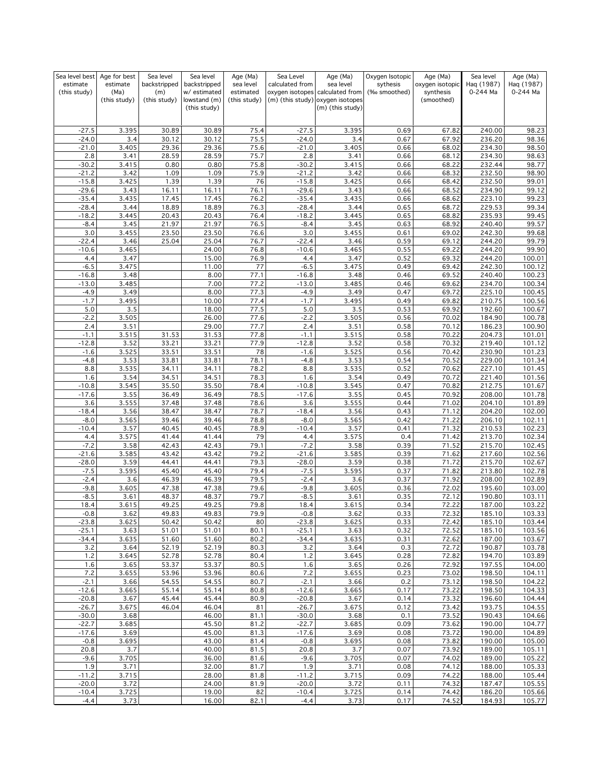| Sea level best     | Age for best  | Sea level      | Sea level                    | Age (Ma)     | Sea Level          | Age (Ma)                                             | Oxygen Isotopic | Age (Ma)        | Sea level        | Age (Ma)         |
|--------------------|---------------|----------------|------------------------------|--------------|--------------------|------------------------------------------------------|-----------------|-----------------|------------------|------------------|
| estimate           | estimate      | backstripped   | backstripped                 | sea level    | calculated from    | sea level                                            | sythesis        | oxygen isotopic | Haq (1987)       | Haq (1987)       |
| (this study)       | (Ma)          | (m)            | w/ estimated                 | estimated    |                    | oxygen isotopes calculated from                      | (‰ smoothed)    | synthesis       | 0-244 Ma         | 0-244 Ma         |
|                    | (this study)  | (this study)   | lowstand (m)<br>(this study) | (this study) |                    | (m) (this study) oxygen isotopes<br>(m) (this study) |                 | (smoothed)      |                  |                  |
|                    |               |                |                              |              |                    |                                                      |                 |                 |                  |                  |
|                    |               |                |                              |              |                    |                                                      |                 |                 |                  |                  |
| $-27.5$            | 3.395         | 30.89          | 30.89                        | 75.4         | $-27.5$            | 3.395                                                | 0.69            | 67.82           | 240.00           | 98.23            |
| $-24.0$            | 3.4           | 30.12          | 30.12                        | 75.5         | $-24.0$            | 3.4                                                  | 0.67            | 67.92           | 236.20           | 98.36            |
| $-21.0$<br>2.8     | 3.405<br>3.41 | 29.36<br>28.59 | 29.36<br>28.59               | 75.6<br>75.7 | $-21.0$<br>2.8     | 3.405<br>3.41                                        | 0.66<br>0.66    | 68.02<br>68.12  | 234.30<br>234.30 | 98.50<br>98.63   |
| $-30.2$            | 3.415         | 0.80           | 0.80                         | 75.8         | $-30.2$            | 3.415                                                | 0.66            | 68.22           | 232.44           | 98.77            |
| $-21.2$            | 3.42          | 1.09           | 1.09                         | 75.9         | $-21.2$            | 3.42                                                 | 0.66            | 68.32           | 232.50           | 98.90            |
| $-15.8$            | 3.425         | 1.39           | 1.39                         | 76           | $-15.8$            | 3.425                                                | 0.66            | 68.42           | 232.50           | 99.01            |
| $-29.6$            | 3.43          | 16.11          | 16.11                        | 76.1         | $-29.6$            | 3.43                                                 | 0.66            | 68.52           | 234.90           | 99.12            |
| $-35.4$            | 3.435         | 17.45          | 17.45                        | 76.2         | $-35.4$            | 3.435                                                | 0.66            | 68.62           | 223.10           | 99.23            |
| $-28.4$            | 3.44          | 18.89          | 18.89                        | 76.3         | $-28.4$            | 3.44                                                 | 0.65            | 68.72           | 229.53           | 99.34            |
| $-18.2$            | 3.445         | 20.43          | 20.43                        | 76.4         | $-18.2$            | 3.445                                                | 0.65            | 68.82           | 235.93           | 99.45            |
| $-8.4$             | 3.45          | 21.97          | 21.97                        | 76.5         | $-8.4$             | 3.45                                                 | 0.63            | 68.92           | 240.40           | 99.57            |
| 3.0                | 3.455         | 23.50          | 23.50                        | 76.6         | 3.0                | 3.455                                                | 0.61            | 69.02           | 242.30           | 99.68            |
| $-22.4$            | 3.46          | 25.04          | 25.04                        | 76.7         | $-22.4$            | 3.46                                                 | 0.59            | 69.12           | 244.20           | 99.79            |
| $-10.6$            | 3.465         |                | 24.00                        | 76.8         | $-10.6$            | 3.465                                                | 0.55            | 69.22           | 244.20           | 99.90            |
| 4.4                | 3.47          |                | 15.00                        | 76.9         | 4.4                | 3.47                                                 | 0.52            | 69.32           | 244.20           | 100.01           |
| $-6.5$<br>$-16.8$  | 3.475<br>3.48 |                | 11.00<br>8.00                | 77<br>77.1   | $-6.5$<br>$-16.8$  | 3.475<br>3.48                                        | 0.49<br>0.46    | 69.42<br>69.52  | 242.30<br>240.40 | 100.12<br>100.23 |
| $-13.0$            | 3.485         |                | 7.00                         | 77.2         | $-13.0$            | 3.485                                                | 0.46            | 69.62           | 234.70           | 100.34           |
| $-4.9$             | 3.49          |                | 8.00                         | 77.3         | $-4.9$             | 3.49                                                 | 0.47            | 69.72           | 225.10           | 100.45           |
| $-1.7$             | 3.495         |                | 10.00                        | 77.4         | $-1.7$             | 3.495                                                | 0.49            | 69.82           | 210.75           | 100.56           |
| 5.0                | 3.5           |                | 18.00                        | 77.5         | 5.0                | 3.5                                                  | 0.53            | 69.92           | 192.60           | 100.67           |
| $-2.2$             | 3.505         |                | 26.00                        | 77.6         | $-2.2$             | 3.505                                                | 0.56            | 70.02           | 184.90           | 100.78           |
| 2.4                | 3.51          |                | 29.00                        | 77.7         | 2.4                | 3.51                                                 | 0.58            | 70.12           | 186.23           | 100.90           |
| $-1.1$             | 3.515         | 31.53          | 31.53                        | 77.8         | $-1.1$             | 3.515                                                | 0.58            | 70.22           | 204.73           | 101.01           |
| $-12.8$            | 3.52          | 33.21          | 33.21                        | 77.9         | $-12.8$            | 3.52                                                 | 0.58            | 70.32           | 219.40           | 101.12           |
| $-1.6$             | 3.525         | 33.51          | 33.51                        | 78           | $-1.6$             | 3.525                                                | 0.56            | 70.42           | 230.90           | 101.23           |
| $-4.8$             | 3.53          | 33.81          | 33.81                        | 78.1         | $-4.8$             | 3.53                                                 | 0.54            | 70.52           | 229.00           | 101.34           |
| 8.8                | 3.535         | 34.11          | 34.11                        | 78.2         | 8.8                | 3.535                                                | 0.52            | 70.62           | 227.10           | 101.45           |
| 1.6                | 3.54          | 34.51          | 34.51                        | 78.3         | 1.6                | 3.54                                                 | 0.49            | 70.72           | 221.40           | 101.56           |
| $-10.8$            | 3.545         | 35.50          | 35.50                        | 78.4         | $-10.8$            | 3.545                                                | 0.47            | 70.82           | 212.75           | 101.67           |
| $-17.6$            | 3.55          | 36.49          | 36.49                        | 78.5         | $-17.6$            | 3.55                                                 | 0.45            | 70.92           | 208.00           | 101.78           |
| 3.6                | 3.555         | 37.48          | 37.48                        | 78.6         | 3.6                | 3.555                                                | 0.44            | 71.02           | 204.10           | 101.89           |
| $-18.4$            | 3.56          | 38.47<br>39.46 | 38.47                        | 78.7         | $-18.4$            | 3.56                                                 | 0.43            | 71.12           | 204.20           | 102.00           |
| $-8.0$<br>$-10.4$  | 3.565<br>3.57 | 40.45          | 39.46<br>40.45               | 78.8<br>78.9 | $-8.0$<br>$-10.4$  | 3.565<br>3.57                                        | 0.42<br>0.41    | 71.22<br>71.32  | 206.10<br>210.53 | 102.11<br>102.23 |
| 4.4                | 3.575         | 41.44          | 41.44                        | 79           | 4.4                | 3.575                                                | 0.4             | 71.42           | 213.70           | 102.34           |
| $-7.2$             | 3.58          | 42.43          | 42.43                        | 79.1         | $-7.2$             | 3.58                                                 | 0.39            | 71.52           | 215.70           | 102.45           |
| $-21.6$            | 3.585         | 43.42          | 43.42                        | 79.2         | $-21.6$            | 3.585                                                | 0.39            | 71.62           | 217.60           | 102.56           |
| $-28.0$            | 3.59          | 44.41          | 44.41                        | 79.3         | $-28.0$            | 3.59                                                 | 0.38            | 71.72           | 215.70           | 102.67           |
| $-7.5$             | 3.595         | 45.40          | 45.40                        | 79.4         | $-7.5$             | 3.595                                                | 0.37            | 71.82           | 213.80           | 102.78           |
| $-2.4$             | 3.6           | 46.39          | 46.39                        | 79.5         | $-2.4$             | 3.6                                                  | 0.37            | 71.92           | 208.00           | 102.89           |
| $-9.8$             | 3.605         | 47.38          | 47.38                        | 79.6         | $-9.8$             | 3.605                                                | 0.36            | 72.02           | 195.60           | 103.00           |
| $-8.5$             | 3.61          | 48.37          | 48.37                        | 79.7         | $-8.5$             | 3.61                                                 | 0.35            | 72.12           | 190.80           | 103.11           |
| 18.4               | 3.615         | 49.25          | 49.25                        | 79.8         | 18.4               | 3.615                                                | 0.34            | 72.22           | 187.00           | 103.22           |
| -0.8               | 3.62          | 49.83          | 49.83                        | 79.9         | $-0.8$             | 3.62                                                 | 0.33            | 72.32           | 185.10           | 103.33           |
| $-23.8$            | 3.625         | 50.42          | 50.42                        | 80           | $-23.8$            | 3.625                                                | 0.33            | 72.42           | 185.10           | 103.44           |
| $-25.1$<br>$-34.4$ | 3.63<br>3.635 | 51.01<br>51.60 | 51.01<br>51.60               | 80.1<br>80.2 | $-25.1$<br>$-34.4$ | 3.63<br>3.635                                        | 0.32<br>0.31    | 72.52<br>72.62  | 185.10<br>187.00 | 103.56<br>103.67 |
| 3.2                | 3.64          | 52.19          | 52.19                        | 80.3         | 3.2                | 3.64                                                 | 0.3             | 72.72           | 190.87           | 103.78           |
| 1.2                | 3.645         | 52.78          | 52.78                        | 80.4         | 1.2                | 3.645                                                | 0.28            | 72.82           | 194.70           | 103.89           |
| 1.6                | 3.65          | 53.37          | 53.37                        | 80.5         | 1.6                | 3.65                                                 | 0.26            | 72.92           | 197.55           | 104.00           |
| 7.2                | 3.655         | 53.96          | 53.96                        | 80.6         | 7.2                | 3.655                                                | 0.23            | 73.02           | 198.50           | 104.11           |
| $-2.1$             | 3.66          | 54.55          | 54.55                        | 80.7         | $-2.1$             | 3.66                                                 | 0.2             | 73.12           | 198.50           | 104.22           |
| $-12.6$            | 3.665         | 55.14          | 55.14                        | 80.8         | $-12.6$            | 3.665                                                | 0.17            | 73.22           | 198.50           | 104.33           |
| $-20.8$            | 3.67          | 45.44          | 45.44                        | 80.9         | $-20.8$            | 3.67                                                 | 0.14            | 73.32           | 196.60           | 104.44           |
| $-26.7$            | 3.675         | 46.04          | 46.04                        | 81           | $-26.7$            | 3.675                                                | 0.12            | 73.42           | 193.75           | 104.55           |
| $-30.0$            | 3.68          |                | 46.00                        | 81.1         | $-30.0$            | 3.68                                                 | 0.1             | 73.52           | 190.43           | 104.66           |
| $-22.7$            | 3.685         |                | 45.50                        | 81.2         | $-22.7$            | 3.685                                                | 0.09            | 73.62           | 190.00           | 104.77           |
| $-17.6$            | 3.69          |                | 45.00                        | 81.3         | $-17.6$            | 3.69                                                 | 0.08            | 73.72           | 190.00           | 104.89           |
| $-0.8$             | 3.695         |                | 43.00                        | 81.4         | $-0.8$             | 3.695                                                | 0.08            | 73.82           | 190.00           | 105.00           |
| 20.8               | 3.7           |                | 40.00                        | 81.5         | 20.8               | 3.7                                                  | 0.07            | 73.92           | 189.00           | 105.11           |
| $-9.6$<br>1.9      | 3.705<br>3.71 |                | 36.00<br>32.00               | 81.6<br>81.7 | $-9.6$<br>1.9      | 3.705<br>3.71                                        | 0.07<br>0.08    | 74.02<br>74.12  | 189.00<br>188.00 | 105.22<br>105.33 |
| $-11.2$            | 3.715         |                | 28.00                        | 81.8         | $-11.2$            | 3.715                                                | 0.09            | 74.22           | 188.00           | 105.44           |
| $-20.0$            | 3.72          |                | 24.00                        | 81.9         | $-20.0$            | 3.72                                                 | 0.11            | 74.32           | 187.47           | 105.55           |
| $-10.4$            | 3.725         |                | 19.00                        | 82           | $-10.4$            | 3.725                                                | 0.14            | 74.42           | 186.20           | 105.66           |
| $-4.4$             | 3.73          |                | 16.00                        | 82.1         | $-4.4$             | 3.73                                                 | 0.17            | 74.52           | 184.93           | 105.77           |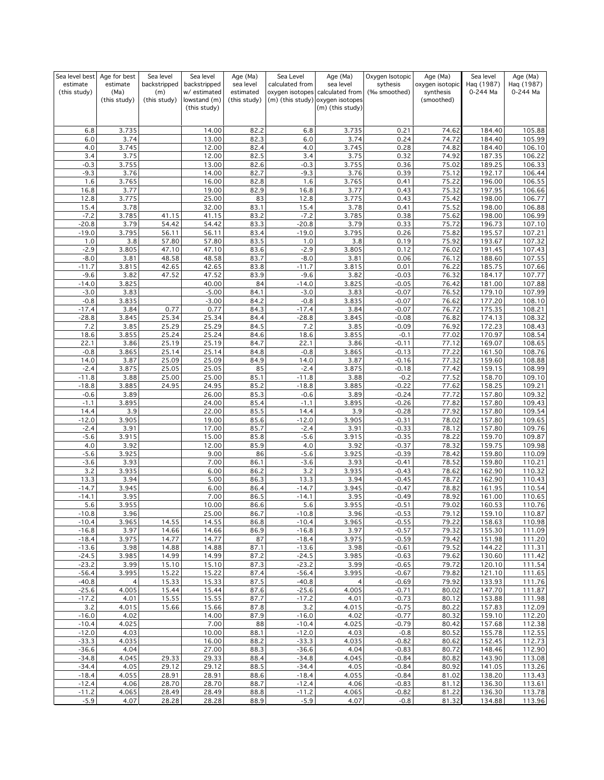| Sea level best     | Age for best  | Sea level      | Sea level                    | Age (Ma)     | Sea Level          | Age (Ma)                                             | Oxygen Isotopic    | Age (Ma)        | Sea level        | Age (Ma)         |
|--------------------|---------------|----------------|------------------------------|--------------|--------------------|------------------------------------------------------|--------------------|-----------------|------------------|------------------|
| estimate           | estimate      | backstripped   | backstripped                 | sea level    | calculated from    | sea level                                            | sythesis           | oxygen isotopic | Haq (1987)       | Haq (1987)       |
| (this study)       | (Ma)          | (m)            | w/estimated                  | estimated    |                    | oxygen isotopes calculated from                      | (‰ smoothed)       | synthesis       | 0-244 Ma         | 0-244 Ma         |
|                    | (this study)  | (this study)   | lowstand (m)<br>(this study) | (this study) |                    | (m) (this study) oxygen isotopes<br>(m) (this study) |                    | (smoothed)      |                  |                  |
|                    |               |                |                              |              |                    |                                                      |                    |                 |                  |                  |
|                    |               |                |                              |              |                    |                                                      |                    |                 |                  |                  |
| 6.8                | 3.735         |                | 14.00                        | 82.2         | 6.8                | 3.735                                                | 0.21               | 74.62           | 184.40           | 105.88           |
| 6.0                | 3.74          |                | 13.00                        | 82.3         | 6.0                | 3.74                                                 | 0.24               | 74.72           | 184.40           | 105.99           |
| 4.0                | 3.745         |                | 12.00                        | 82.4         | 4.0                | 3.745                                                | 0.28               | 74.82           | 184.40           | 106.10           |
| 3.4                | 3.75          |                | 12.00                        | 82.5         | 3.4                | 3.75                                                 | 0.32               | 74.92           | 187.35           | 106.22           |
| $-0.3$<br>$-9.3$   | 3.755<br>3.76 |                | 13.00<br>14.00               | 82.6<br>82.7 | $-0.3$<br>$-9.3$   | 3.755<br>3.76                                        | 0.36<br>0.39       | 75.02<br>75.12  | 189.25<br>192.17 | 106.33<br>106.44 |
| 1.6                | 3.765         |                | 16.00                        | 82.8         | 1.6                | 3.765                                                | 0.41               | 75.22           | 196.00           | 106.55           |
| 16.8               | 3.77          |                | 19.00                        | 82.9         | 16.8               | 3.77                                                 | 0.43               | 75.32           | 197.95           | 106.66           |
| 12.8               | 3.775         |                | 25.00                        | 83           | 12.8               | 3.775                                                | 0.43               | 75.42           | 198.00           | 106.77           |
| 15.4               | 3.78          |                | 32.00                        | 83.1         | 15.4               | 3.78                                                 | 0.41               | 75.52           | 198.00           | 106.88           |
| $-7.2$             | 3.785         | 41.15          | 41.15                        | 83.2         | $-7.2$             | 3.785                                                | 0.38               | 75.62           | 198.00           | 106.99           |
| $-20.8$            | 3.79          | 54.42          | 54.42                        | 83.3         | $-20.8$            | 3.79                                                 | 0.33               | 75.72           | 196.73           | 107.10           |
| $-19.0$            | 3.795         | 56.11          | 56.11                        | 83.4         | $-19.0$            | 3.795                                                | 0.26               | 75.82           | 195.57           | 107.21           |
| 1.0                | 3.8           | 57.80          | 57.80                        | 83.5         | 1.0                | 3.8                                                  | 0.19               | 75.92           | 193.67           | 107.32           |
| $-2.9$             | 3.805         | 47.10          | 47.10                        | 83.6         | $-2.9$             | 3.805                                                | 0.12               | 76.02           | 191.45           | 107.43           |
| $-8.0$             | 3.81          | 48.58          | 48.58                        | 83.7         | $-8.0$             | 3.81                                                 | 0.06               | 76.12           | 188.60           | 107.55           |
| $-11.7$            | 3.815         | 42.65          | 42.65                        | 83.8         | $-11.7$            | 3.815                                                | 0.01               | 76.22           | 185.75           | 107.66           |
| $-9.6$             | 3.82          | 47.52          | 47.52                        | 83.9         | $-9.6$             | 3.82                                                 | $-0.03$            | 76.32           | 184.17           | 107.77           |
| $-14.0$            | 3.825         |                | 40.00                        | 84           | $-14.0$            | 3.825                                                | $-0.05$            | 76.42           | 181.00           | 107.88           |
| $-3.0$             | 3.83          |                | $-5.00$                      | 84.1         | $-3.0$             | 3.83                                                 | $-0.07$            | 76.52           | 179.10           | 107.99           |
| $-0.8$             | 3.835         |                | $-3.00$                      | 84.2         | $-0.8$             | 3.835                                                | $-0.07$            | 76.62           | 177.20           | 108.10           |
| $-17.4$            | 3.84          | 0.77           | 0.77                         | 84.3         | $-17.4$            | 3.84                                                 | $-0.07$            | 76.72           | 175.35           | 108.21           |
| $-28.8$            | 3.845         | 25.34          | 25.34                        | 84.4         | $-28.8$            | 3.845                                                | $-0.08$            | 76.82           | 174.13           | 108.32           |
| 7.2                | 3.85          | 25.29          | 25.29                        | 84.5         | 7.2                | 3.85                                                 | $-0.09$            | 76.92           | 172.23           | 108.43           |
| 18.6               | 3.855         | 25.24          | 25.24                        | 84.6         | 18.6               | 3.855                                                | $-0.1$             | 77.02           | 170.97           | 108.54           |
| 22.1               | 3.86          | 25.19          | 25.19                        | 84.7         | 22.1               | 3.86                                                 | $-0.11$            | 77.12           | 169.07           | 108.65<br>108.76 |
| $-0.8$<br>14.0     | 3.865<br>3.87 | 25.14<br>25.09 | 25.14<br>25.09               | 84.8         | $-0.8$<br>14.0     | 3.865<br>3.87                                        | $-0.13$<br>$-0.16$ | 77.22<br>77.32  | 161.50<br>159.60 | 108.88           |
| $-2.4$             | 3.875         | 25.05          | 25.05                        | 84.9<br>85   | $-2.4$             | 3.875                                                | $-0.18$            | 77.42           | 159.15           | 108.99           |
| $-11.8$            | 3.88          | 25.00          | 25.00                        | 85.1         | $-11.8$            | 3.88                                                 | $-0.2$             | 77.52           | 158.70           | 109.10           |
| $-18.8$            | 3.885         | 24.95          | 24.95                        | 85.2         | $-18.8$            | 3.885                                                | $-0.22$            | 77.62           | 158.25           | 109.21           |
| $-0.6$             | 3.89          |                | 26.00                        | 85.3         | $-0.6$             | 3.89                                                 | $-0.24$            | 77.72           | 157.80           | 109.32           |
| $-1.1$             | 3.895         |                | 24.00                        | 85.4         | $-1.1$             | 3.895                                                | $-0.26$            | 77.82           | 157.80           | 109.43           |
| 14.4               | 3.9           |                | 22.00                        | 85.5         | 14.4               | 3.9                                                  | $-0.28$            | 77.92           | 157.80           | 109.54           |
| $-12.0$            | 3.905         |                | 19.00                        | 85.6         | $-12.0$            | 3.905                                                | $-0.31$            | 78.02           | 157.80           | 109.65           |
| $-2.4$             | 3.91          |                | 17.00                        | 85.7         | $-2.4$             | 3.91                                                 | $-0.33$            | 78.12           | 157.80           | 109.76           |
| $-5.6$             | 3.915         |                | 15.00                        | 85.8         | $-5.6$             | 3.915                                                | $-0.35$            | 78.22           | 159.70           | 109.87           |
| 4.0                | 3.92          |                | 12.00                        | 85.9         | 4.0                | 3.92                                                 | $-0.37$            | 78.32           | 159.75           | 109.98           |
| $-5.6$             | 3.925         |                | 9.00                         | 86           | $-5.6$             | 3.925                                                | $-0.39$            | 78.42           | 159.80           | 110.09           |
| $-3.6$             | 3.93          |                | 7.00                         | 86.1         | $-3.6$             | 3.93                                                 | $-0.41$            | 78.52           | 159.80           | 110.21           |
| 3.2                | 3.935         |                | 6.00                         | 86.2         | 3.2                | 3.935                                                | $-0.43$            | 78.62           | 162.90           | 110.32           |
| 13.3               | 3.94          |                | 5.00                         | 86.3         | 13.3               | 3.94                                                 | $-0.45$            | 78.72           | 162.90           | 110.43           |
| $-14.7$            | 3.945         |                | 6.00                         | 86.4         | $-14.7$            | 3.945                                                | $-0.47$            | 78.82           | 161.95           | 110.54           |
| $-14.1$            | 3.95          |                | 7.00                         | 86.5         | $-14.1$            | 3.95                                                 | $-0.49$            | 78.92           | 161.00           | 110.65           |
| 5.6<br>$-10.8$     | 3.955         |                | 10.00<br>25.00               | 86.6         | 5.6<br>$-10.8$     | 3.955                                                | $-0.51$<br>$-0.53$ | 79.02<br>79.12  | 160.53           | 110.76<br>110.87 |
| $-10.4$            | 3.96<br>3.965 | 14.55          | 14.55                        | 86.7<br>86.8 | $-10.4$            | 3.96<br>3.965                                        | $-0.55$            | 79.22           | 159.10<br>158.63 | 110.98           |
| $-16.8$            | 3.97          | 14.66          | 14.66                        | 86.9         | $-16.8$            | 3.97                                                 | $-0.57$            | 79.32           | 155.30           | 111.09           |
| $-18.4$            | 3.975         | 14.77          | 14.77                        | 87           | $-18.4$            | 3.975                                                | $-0.59$            | 79.42           | 151.98           | 111.20           |
| $-13.6$            | 3.98          | 14.88          | 14.88                        | 87.1         | $-13.6$            | 3.98                                                 | $-0.61$            | 79.52           | 144.22           | 111.31           |
| $-24.5$            | 3.985         | 14.99          | 14.99                        | 87.2         | $-24.5$            | 3.985                                                | $-0.63$            | 79.62           | 130.60           | 111.42           |
| $-23.2$            | 3.99          | 15.10          | 15.10                        | 87.3         | $-23.2$            | 3.99                                                 | $-0.65$            | 79.72           | 120.10           | 111.54           |
| $-56.4$            | 3.995         | 15.22          | 15.22                        | 87.4         | $-56.4$            | 3.995                                                | $-0.67$            | 79.82           | 121.10           | 111.65           |
| $-40.8$            | 4             | 15.33          | 15.33                        | 87.5         | $-40.8$            | $\overline{4}$                                       | $-0.69$            | 79.92           | 133.93           | 111.76           |
| $-25.6$            | 4.005         | 15.44          | 15.44                        | 87.6         | $-25.6$            | 4.005                                                | $-0.71$            | 80.02           | 147.70           | 111.87           |
| $-17.2$            | 4.01          | 15.55          | 15.55                        | 87.7         | $-17.2$            | 4.01                                                 | $-0.73$            | 80.12           | 153.88           | 111.98           |
| 3.2                | 4.015         | 15.66          | 15.66                        | 87.8         | 3.2                | 4.015                                                | $-0.75$            | 80.22           | 157.83           | 112.09           |
| $-16.0$            | 4.02          |                | 14.00                        | 87.9         | $-16.0$            | 4.02                                                 | $-0.77$            | 80.32           | 159.10           | 112.20           |
| $-10.4$            | 4.025         |                | 7.00                         | 88           | $-10.4$            | 4.025                                                | $-0.79$            | 80.42           | 157.68           | 112.38           |
| $-12.0$            | 4.03          |                | 10.00                        | 88.1         | $-12.0$            | 4.03                                                 | $-0.8$             | 80.52           | 155.78           | 112.55           |
| $-33.3$            | 4.035         |                | 16.00                        | 88.2         | $-33.3$            | 4.035                                                | $-0.82$            | 80.62           | 152.45           | 112.73           |
| $-36.6$            | 4.04          |                | 27.00                        | 88.3         | $-36.6$            | 4.04                                                 | $-0.83$            | 80.72           | 148.46           | 112.90           |
| $-34.8$            | 4.045         | 29.33          | 29.33                        | 88.4         | $-34.8$            | 4.045                                                | $-0.84$            | 80.82           | 143.90           | 113.08           |
| $-34.4$            | 4.05          | 29.12          | 29.12                        | 88.5         | $-34.4$            | 4.05                                                 | $-0.84$            | 80.92           | 141.05           | 113.26           |
| $-18.4$<br>$-12.4$ | 4.055<br>4.06 | 28.91          | 28.91                        | 88.6         | $-18.4$<br>$-12.4$ | 4.055<br>4.06                                        | $-0.84$<br>$-0.83$ | 81.02           | 138.20           | 113.43           |
| $-11.2$            | 4.065         | 28.70<br>28.49 | 28.70<br>28.49               | 88.7<br>88.8 | $-11.2$            | 4.065                                                | $-0.82$            | 81.12<br>81.22  | 136.30<br>136.30 | 113.61<br>113.78 |
| $-5.9$             | 4.07          | 28.28          | 28.28                        | 88.9         | $-5.9$             | 4.07                                                 | $-0.8$             | 81.32           | 134.88           | 113.96           |
|                    |               |                |                              |              |                    |                                                      |                    |                 |                  |                  |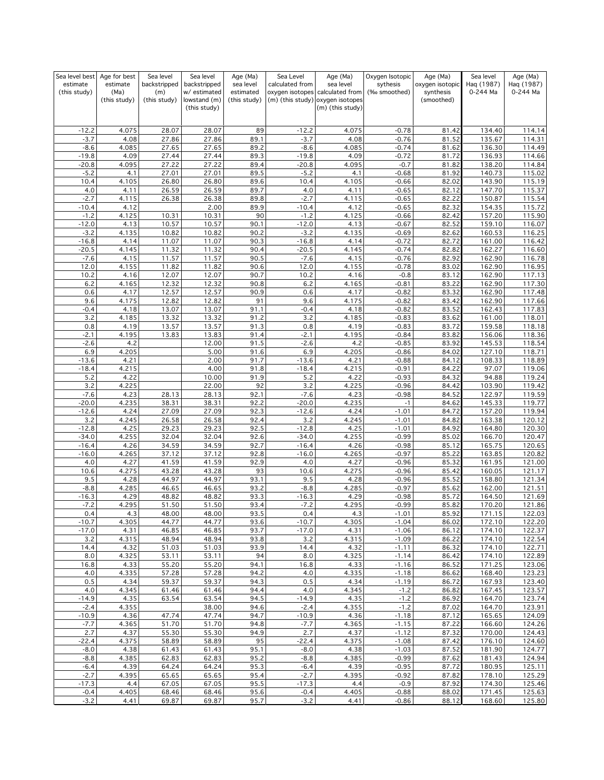| Sea level best           | Age for best     | Sea level           | Sea level                   | Age (Ma)               | Sea Level          | Age (Ma)                                     | Oxygen Isotopic          | Age (Ma)                     | Sea level              | Age (Ma)               |
|--------------------------|------------------|---------------------|-----------------------------|------------------------|--------------------|----------------------------------------------|--------------------------|------------------------------|------------------------|------------------------|
| estimate<br>(this study) | estimate<br>(Ma) | backstripped<br>(m) | backstripped<br>w/estimated | sea level<br>estimated | calculated from    | sea level<br>oxygen isotopes calculated from | sythesis<br>(‰ smoothed) | oxygen isotopic<br>synthesis | Haq (1987)<br>0-244 Ma | Haq (1987)<br>0-244 Ma |
|                          | (this study)     | (this study)        | lowstand (m)                | (this study)           |                    | (m) (this study) oxygen isotopes             |                          | (smoothed)                   |                        |                        |
|                          |                  |                     | (this study)                |                        |                    | (m) (this study)                             |                          |                              |                        |                        |
|                          |                  |                     |                             |                        |                    |                                              |                          |                              |                        |                        |
| $-12.2$                  | 4.075            | 28.07               | 28.07                       | 89                     | $-12.2$            | 4.075                                        | $-0.78$                  | 81.42                        | 134.40                 | 114.14                 |
| $-3.7$                   | 4.08             | 27.86               | 27.86                       | 89.1                   | $-3.7$             | 4.08                                         | $-0.76$                  | 81.52                        | 135.67                 | 114.31                 |
| $-8.6$                   | 4.085            | 27.65               | 27.65                       | 89.2                   | $-8.6$             | 4.085                                        | $-0.74$                  | 81.62                        | 136.30                 | 114.49                 |
| $-19.8$                  | 4.09             | 27.44               | 27.44                       | 89.3                   | $-19.8$            | 4.09                                         | $-0.72$                  | 81.72                        | 136.93                 | 114.66                 |
| $-20.8$                  | 4.095            | 27.22               | 27.22                       | 89.4                   | $-20.8$            | 4.095                                        | $-0.7$                   | 81.82                        | 138.20                 | 114.84                 |
| $-5.2$<br>10.4           | 4.1<br>4.105     | 27.01<br>26.80      | 27.01<br>26.80              | 89.5<br>89.6           | $-5.2$<br>10.4     | 4.1<br>4.105                                 | $-0.68$<br>$-0.66$       | 81.92<br>82.02               | 140.73<br>143.90       | 115.02<br>115.19       |
| 4.0                      | 4.11             | 26.59               | 26.59                       | 89.7                   | 4.0                | 4.11                                         | $-0.65$                  | 82.12                        | 147.70                 | 115.37                 |
| $-2.7$                   | 4.115            | 26.38               | 26.38                       | 89.8                   | $-2.7$             | 4.115                                        | $-0.65$                  | 82.22                        | 150.87                 | 115.54                 |
| $-10.4$                  | 4.12             |                     | 2.00                        | 89.9                   | $-10.4$            | 4.12                                         | $-0.65$                  | 82.32                        | 154.35                 | 115.72                 |
| $-1.2$                   | 4.125            | 10.31               | 10.31                       | 90                     | $-1.2$             | 4.125                                        | $-0.66$                  | 82.42                        | 157.20                 | 115.90                 |
| $-12.0$                  | 4.13             | 10.57               | 10.57                       | 90.1                   | $-12.0$            | 4.13                                         | $-0.67$                  | 82.52                        | 159.10                 | 116.07                 |
| $-3.2$                   | 4.135            | 10.82               | 10.82                       | 90.2                   | $-3.2$             | 4.135                                        | $-0.69$                  | 82.62                        | 160.53                 | 116.25                 |
| $-16.8$                  | 4.14             | 11.07               | 11.07                       | 90.3                   | $-16.8$            | 4.14                                         | $-0.72$                  | 82.72                        | 161.00                 | 116.42                 |
| $-20.5$<br>$-7.6$        | 4.145<br>4.15    | 11.32<br>11.57      | 11.32<br>11.57              | 90.4<br>90.5           | $-20.5$<br>$-7.6$  | 4.145<br>4.15                                | $-0.74$<br>$-0.76$       | 82.82<br>82.92               | 162.27<br>162.90       | 116.60<br>116.78       |
| 12.0                     | 4.155            | 11.82               | 11.82                       | 90.6                   | 12.0               | 4.155                                        | $-0.78$                  | 83.02                        | 162.90                 | 116.95                 |
| 10.2                     | 4.16             | 12.07               | 12.07                       | 90.7                   | 10.2               | 4.16                                         | $-0.8$                   | 83.12                        | 162.90                 | 117.13                 |
| 6.2                      | 4.165            | 12.32               | 12.32                       | 90.8                   | 6.2                | 4.165                                        | $-0.81$                  | 83.22                        | 162.90                 | 117.30                 |
| 0.6                      | 4.17             | 12.57               | 12.57                       | 90.9                   | 0.6                | 4.17                                         | $-0.82$                  | 83.32                        | 162.90                 | 117.48                 |
| 9.6                      | 4.175            | 12.82               | 12.82                       | 91                     | 9.6                | 4.175                                        | $-0.82$                  | 83.42                        | 162.90                 | 117.66                 |
| $-0.4$                   | 4.18             | 13.07               | 13.07                       | 91.1                   | $-0.4$             | 4.18                                         | $-0.82$                  | 83.52                        | 162.43                 | 117.83                 |
| 3.2                      | 4.185            | 13.32               | 13.32                       | 91.2                   | 3.2                | 4.185                                        | $-0.83$                  | 83.62                        | 161.00                 | 118.01                 |
| 0.8<br>$-2.1$            | 4.19<br>4.195    | 13.57               | 13.57<br>13.83              | 91.3                   | 0.8                | 4.19<br>4.195                                | $-0.83$<br>$-0.84$       | 83.72<br>83.82               | 159.58<br>156.06       | 118.18<br>118.36       |
| $-2.6$                   | 4.2              | 13.83               | 12.00                       | 91.4<br>91.5           | $-2.1$<br>$-2.6$   | 4.2                                          | $-0.85$                  | 83.92                        | 145.53                 | 118.54                 |
| 6.9                      | 4.205            |                     | 5.00                        | 91.6                   | 6.9                | 4.205                                        | $-0.86$                  | 84.02                        | 127.10                 | 118.71                 |
| $-13.6$                  | 4.21             |                     | 2.00                        | 91.7                   | $-13.6$            | 4.21                                         | $-0.88$                  | 84.12                        | 108.33                 | 118.89                 |
| $-18.4$                  | 4.215            |                     | 4.00                        | 91.8                   | $-18.4$            | 4.215                                        | $-0.91$                  | 84.22                        | 97.07                  | 119.06                 |
| 5.2                      | 4.22             |                     | 10.00                       | 91.9                   | 5.2                | 4.22                                         | $-0.93$                  | 84.32                        | 94.88                  | 119.24                 |
| 3.2                      | 4.225            |                     | 22.00                       | 92                     | 3.2                | 4.225                                        | $-0.96$                  | 84.42                        | 103.90                 | 119.42                 |
| $-7.6$                   | 4.23             | 28.13               | 28.13                       | 92.1                   | $-7.6$             | 4.23                                         | $-0.98$                  | 84.52                        | 122.97                 | 119.59                 |
| $-20.0$<br>$-12.6$       | 4.235<br>4.24    | 38.31<br>27.09      | 38.31<br>27.09              | 92.2<br>92.3           | $-20.0$<br>$-12.6$ | 4.235<br>4.24                                | $-1$<br>$-1.01$          | 84.62<br>84.72               | 145.33<br>157.20       | 119.77<br>119.94       |
| 3.2                      | 4.245            | 26.58               | 26.58                       | 92.4                   | 3.2                | 4.245                                        | $-1.01$                  | 84.82                        | 163.38                 | 120.12                 |
| $-12.8$                  | 4.25             | 29.23               | 29.23                       | 92.5                   | $-12.8$            | 4.25                                         | $-1.01$                  | 84.92                        | 164.80                 | 120.30                 |
| $-34.0$                  | 4.255            | 32.04               | 32.04                       | 92.6                   | $-34.0$            | 4.255                                        | $-0.99$                  | 85.02                        | 166.70                 | 120.47                 |
| $-16.4$                  | 4.26             | 34.59               | 34.59                       | 92.7                   | $-16.4$            | 4.26                                         | $-0.98$                  | 85.12                        | 165.75                 | 120.65                 |
| $-16.0$                  | 4.265            | 37.12               | 37.12                       | 92.8                   | $-16.0$            | 4.265                                        | $-0.97$                  | 85.22                        | 163.85                 | 120.82                 |
| 4.0                      | 4.27             | 41.59               | 41.59                       | 92.9                   | 4.0                | 4.27                                         | $-0.96$                  | 85.32                        | 161.95                 | 121.00                 |
| 10.6<br>9.5              | 4.275            | 43.28<br>44.97      | 43.28<br>44.97              | 93<br>93.1             | 10.6<br>9.5        | 4.275<br>4.28                                | $-0.96$<br>$-0.96$       | 85.42                        | 160.05                 | 121.17<br>121.34       |
| $-8.8$                   | 4.28<br>4.285    | 46.65               | 46.65                       | 93.2                   | $-8.8$             | 4.285                                        | $-0.97$                  | 85.52<br>85.62               | 158.80<br>162.00       | 121.51                 |
| $-16.3$                  | 4.29             | 48.82               | 48.82                       | 93.3                   | $-16.3$            | 4.29                                         | $-0.98$                  | 85.72                        | 164.50                 | 121.69                 |
| $-7.2$                   | 4.295            | 51.50               | 51.50                       | 93.4                   | $-7.2$             | 4.295                                        | $-0.99$                  | 85.82                        | 170.20                 | 121.86                 |
| 0.4                      | 4.3              | 48.00               | 48.00                       | 93.5                   | 0.4                | 4.3                                          | $-1.01$                  | 85.92                        | 171.15                 | 122.03                 |
| $-10.7$                  | 4.305            | 44.77               | 44.77                       | 93.6                   | $-10.7$            | 4.305                                        | $-1.04$                  | 86.02                        | 172.10                 | 122.20                 |
| $-17.0$                  | 4.31             | 46.85               | 46.85                       | 93.7                   | $-17.0$            | 4.31                                         | $-1.06$                  | 86.12                        | 174.10                 | 122.37                 |
| 3.2<br>14.4              | 4.315<br>4.32    | 48.94<br>51.03      | 48.94<br>51.03              | 93.8<br>93.9           | 3.2<br>14.4        | 4.315<br>4.32                                | $-1.09$<br>$-1.11$       | 86.22<br>86.32               | 174.10<br>174.10       | 122.54<br>122.71       |
| 8.0                      | 4.325            | 53.11               | 53.11                       | 94                     | 8.0                | 4.325                                        | $-1.14$                  | 86.42                        | 174.10                 | 122.89                 |
| 16.8                     | 4.33             | 55.20               | 55.20                       | 94.1                   | 16.8               | 4.33                                         | $-1.16$                  | 86.52                        | 171.25                 | 123.06                 |
| 4.0                      | 4.335            | 57.28               | 57.28                       | 94.2                   | 4.0                | 4.335                                        | $-1.18$                  | 86.62                        | 168.40                 | 123.23                 |
| 0.5                      | 4.34             | 59.37               | 59.37                       | 94.3                   | 0.5                | 4.34                                         | $-1.19$                  | 86.72                        | 167.93                 | 123.40                 |
| 4.0                      | 4.345            | 61.46               | 61.46                       | 94.4                   | 4.0                | 4.345                                        | $-1.2$                   | 86.82                        | 167.45                 | 123.57                 |
| $-14.9$                  | 4.35             | 63.54               | 63.54                       | 94.5                   | $-14.9$            | 4.35                                         | $-1.2$                   | 86.92                        | 164.70                 | 123.74                 |
| $-2.4$<br>$-10.9$        | 4.355<br>4.36    | 47.74               | 38.00<br>47.74              | 94.6<br>94.7           | $-2.4$<br>$-10.9$  | 4.355<br>4.36                                | $-1.2$<br>$-1.18$        | 87.02<br>87.12               | 164.70<br>165.65       | 123.91                 |
| $-7.7$                   | 4.365            | 51.70               | 51.70                       | 94.8                   | $-7.7$             | 4.365                                        | $-1.15$                  | 87.22                        | 166.60                 | 124.09<br>124.26       |
| 2.7                      | 4.37             | 55.30               | 55.30                       | 94.9                   | 2.7                | 4.37                                         | $-1.12$                  | 87.32                        | 170.00                 | 124.43                 |
| $-22.4$                  | 4.375            | 58.89               | 58.89                       | 95                     | $-22.4$            | 4.375                                        | $-1.08$                  | 87.42                        | 176.10                 | 124.60                 |
| $-8.0$                   | 4.38             | 61.43               | 61.43                       | 95.1                   | $-8.0$             | 4.38                                         | $-1.03$                  | 87.52                        | 181.90                 | 124.77                 |
| $-8.8$                   | 4.385            | 62.83               | 62.83                       | 95.2                   | $-8.8$             | 4.385                                        | $-0.99$                  | 87.62                        | 181.43                 | 124.94                 |
| $-6.4$                   | 4.39             | 64.24               | 64.24                       | 95.3                   | $-6.4$             | 4.39                                         | $-0.95$                  | 87.72                        | 180.95                 | 125.11                 |
| $-2.7$                   | 4.395            | 65.65               | 65.65                       | 95.4                   | $-2.7$             | 4.395                                        | $-0.92$                  | 87.82                        | 178.10                 | 125.29                 |
| $-17.3$<br>$-0.4$        | 4.4<br>4.405     | 67.05<br>68.46      | 67.05<br>68.46              | 95.5                   | $-17.3$<br>$-0.4$  | 4.4<br>4.405                                 | $-0.9$<br>$-0.88$        | 87.92<br>88.02               | 174.30<br>171.45       | 125.46                 |
| $-3.2$                   | 4.41             | 69.87               | 69.87                       | 95.6<br>95.7           | $-3.2$             | 4.41                                         | $-0.86$                  | 88.12                        | 168.60                 | 125.63<br>125.80       |
|                          |                  |                     |                             |                        |                    |                                              |                          |                              |                        |                        |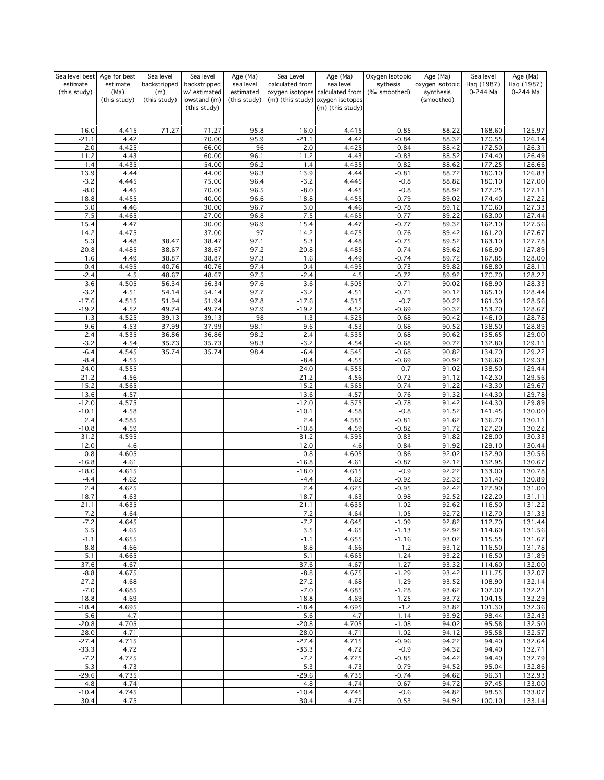| Sea level best           | Age for best     | Sea level           | Sea level                    | Age (Ma)               | Sea Level          | Age (Ma)                                     | Oxygen Isotopic          | Age (Ma)                     | Sea level              | Age (Ma)               |
|--------------------------|------------------|---------------------|------------------------------|------------------------|--------------------|----------------------------------------------|--------------------------|------------------------------|------------------------|------------------------|
| estimate<br>(this study) | estimate<br>(Ma) | backstripped<br>(m) | backstripped<br>w/ estimated | sea level<br>estimated | calculated from    | sea level<br>oxygen isotopes calculated from | sythesis<br>(‰ smoothed) | oxygen isotopic<br>synthesis | Haq (1987)<br>0-244 Ma | Haq (1987)<br>0-244 Ma |
|                          | (this study)     | (this study)        | lowstand (m)                 | (this study)           |                    | (m) (this study) oxygen isotopes             |                          | (smoothed)                   |                        |                        |
|                          |                  |                     | (this study)                 |                        |                    | (m) (this study)                             |                          |                              |                        |                        |
|                          |                  |                     |                              |                        |                    |                                              |                          |                              |                        |                        |
| 16.0                     | 4.415            | 71.27               | 71.27                        | 95.8                   | 16.0               | 4.415                                        | $-0.85$                  | 88.22                        | 168.60                 | 125.97                 |
| $-21.1$                  | 4.42             |                     | 70.00                        | 95.9                   | $-21.1$            | 4.42                                         | $-0.84$                  | 88.32                        | 170.55                 | 126.14                 |
| $-2.0$                   | 4.425            |                     | 66.00                        | 96                     | $-2.0$             | 4.425                                        | $-0.84$                  | 88.42                        | 172.50                 | 126.31                 |
| 11.2                     | 4.43             |                     | 60.00                        | 96.1                   | 11.2               | 4.43                                         | $-0.83$                  | 88.52                        | 174.40                 | 126.49                 |
| $-1.4$<br>13.9           | 4.435<br>4.44    |                     | 54.00<br>44.00               | 96.2<br>96.3           | $-1.4$<br>13.9     | 4.435<br>4.44                                | $-0.82$<br>$-0.81$       | 88.62<br>88.72               | 177.25<br>180.10       | 126.66<br>126.83       |
| $-3.2$                   | 4.445            |                     | 75.00                        | 96.4                   | $-3.2$             | 4.445                                        | $-0.8$                   | 88.82                        | 180.10                 | 127.00                 |
| $-8.0$                   | 4.45             |                     | 70.00                        | 96.5                   | $-8.0$             | 4.45                                         | $-0.8$                   | 88.92                        | 177.25                 | 127.11                 |
| 18.8                     | 4.455            |                     | 40.00                        | 96.6                   | 18.8               | 4.455                                        | $-0.79$                  | 89.02                        | 174.40                 | 127.22                 |
| 3.0                      | 4.46             |                     | 30.00                        | 96.7                   | 3.0                | 4.46                                         | $-0.78$                  | 89.12                        | 170.60                 | 127.33                 |
| 7.5<br>15.4              | 4.465<br>4.47    |                     | 27.00<br>30.00               | 96.8<br>96.9           | 7.5<br>15.4        | 4.465<br>4.47                                | $-0.77$<br>$-0.77$       | 89.22<br>89.32               | 163.00<br>162.10       | 127.44<br>127.56       |
| 14.2                     | 4.475            |                     | 37.00                        | 97                     | 14.2               | 4.475                                        | $-0.76$                  | 89.42                        | 161.20                 | 127.67                 |
| 5.3                      | 4.48             | 38.47               | 38.47                        | 97.1                   | 5.3                | 4.48                                         | $-0.75$                  | 89.52                        | 163.10                 | 127.78                 |
| 20.8                     | 4.485            | 38.67               | 38.67                        | 97.2                   | 20.8               | 4.485                                        | $-0.74$                  | 89.62                        | 166.90                 | 127.89                 |
| 1.6                      | 4.49             | 38.87               | 38.87                        | 97.3                   | 1.6                | 4.49                                         | $-0.74$                  | 89.72                        | 167.85                 | 128.00                 |
| 0.4<br>$-2.4$            | 4.495<br>4.5     | 40.76<br>48.67      | 40.76<br>48.67               | 97.4<br>97.5           | 0.4<br>$-2.4$      | 4.495<br>4.5                                 | $-0.73$<br>$-0.72$       | 89.82<br>89.92               | 168.80<br>170.70       | 128.11<br>128.22       |
| $-3.6$                   | 4.505            | 56.34               | 56.34                        | 97.6                   | $-3.6$             | 4.505                                        | $-0.71$                  | 90.02                        | 168.90                 | 128.33                 |
| $-3.2$                   | 4.51             | 54.14               | 54.14                        | 97.7                   | $-3.2$             | 4.51                                         | $-0.71$                  | 90.12                        | 165.10                 | 128.44                 |
| $-17.6$                  | 4.515            | 51.94               | 51.94                        | 97.8                   | $-17.6$            | 4.515                                        | $-0.7$                   | 90.22                        | 161.30                 | 128.56                 |
| $-19.2$                  | 4.52             | 49.74               | 49.74                        | 97.9                   | $-19.2$            | 4.52                                         | $-0.69$                  | 90.32                        | 153.70                 | 128.67                 |
| 1.3<br>9.6               | 4.525<br>4.53    | 39.13<br>37.99      | 39.13<br>37.99               | 98<br>98.1             | 1.3<br>9.6         | 4.525<br>4.53                                | $-0.68$<br>$-0.68$       | 90.42<br>90.52               | 146.10<br>138.50       | 128.78<br>128.89       |
| $-2.4$                   | 4.535            | 36.86               | 36.86                        | 98.2                   | $-2.4$             | 4.535                                        | $-0.68$                  | 90.62                        | 135.65                 | 129.00                 |
| $-3.2$                   | 4.54             | 35.73               | 35.73                        | 98.3                   | $-3.2$             | 4.54                                         | $-0.68$                  | 90.72                        | 132.80                 | 129.11                 |
| $-6.4$                   | 4.545            | 35.74               | 35.74                        | 98.4                   | $-6.4$             | 4.545                                        | $-0.68$                  | 90.82                        | 134.70                 | 129.22                 |
| $-8.4$                   | 4.55             |                     |                              |                        | $-8.4$             | 4.55                                         | $-0.69$                  | 90.92                        | 136.60                 | 129.33<br>129.44       |
| $-24.0$<br>$-21.2$       | 4.555<br>4.56    |                     |                              |                        | $-24.0$<br>$-21.2$ | 4.555<br>4.56                                | $-0.7$<br>$-0.72$        | 91.02<br>91.12               | 138.50<br>142.30       | 129.56                 |
| $-15.2$                  | 4.565            |                     |                              |                        | $-15.2$            | 4.565                                        | $-0.74$                  | 91.22                        | 143.30                 | 129.67                 |
| $-13.6$                  | 4.57             |                     |                              |                        | $-13.6$            | 4.57                                         | $-0.76$                  | 91.32                        | 144.30                 | 129.78                 |
| $-12.0$                  | 4.575            |                     |                              |                        | $-12.0$            | 4.575                                        | $-0.78$                  | 91.42                        | 144.30                 | 129.89                 |
| $-10.1$                  | 4.58             |                     |                              |                        | $-10.1$            | 4.58                                         | $-0.8$                   | 91.52                        | 141.45                 | 130.00                 |
| 2.4<br>$-10.8$           | 4.585<br>4.59    |                     |                              |                        | 2.4<br>$-10.8$     | 4.585<br>4.59                                | $-0.81$<br>$-0.82$       | 91.62<br>91.72               | 136.70<br>127.20       | 130.11<br>130.22       |
| $-31.2$                  | 4.595            |                     |                              |                        | $-31.2$            | 4.595                                        | $-0.83$                  | 91.82                        | 128.00                 | 130.33                 |
| $-12.0$                  | 4.6              |                     |                              |                        | $-12.0$            | 4.6                                          | $-0.84$                  | 91.92                        | 129.10                 | 130.44                 |
| 0.8                      | 4.605            |                     |                              |                        | 0.8                | 4.605                                        | $-0.86$                  | 92.02                        | 132.90                 | 130.56                 |
| $-16.8$<br>$-18.0$       | 4.61<br>4.615    |                     |                              |                        | $-16.8$<br>$-18.0$ | 4.61<br>4.615                                | $-0.87$<br>$-0.9$        | 92.12<br>92.22               | 132.95<br>133.00       | 130.67<br>130.78       |
| $-4.4$                   | 4.62             |                     |                              |                        | $-4.4$             | 4.62                                         | $-0.92$                  | 92.32                        | 131.40                 | 130.89                 |
| 2.4                      | 4.625            |                     |                              |                        | 2.4                | 4.625                                        | $-0.95$                  | 92.42                        | 127.90                 | 131.00                 |
| $-18.7$                  | 4.63             |                     |                              |                        | $-18.7$            | 4.63                                         | $-0.98$                  | 92.52                        | 122.20                 | 131.11                 |
| $-21.1$                  | 4.635            |                     |                              |                        | $-21.1$            | 4.635                                        | $-1.02$                  | 92.62                        | 116.50                 | 131.22                 |
| $-7.2$<br>$-7.2$         | 4.64<br>4.645    |                     |                              |                        | $-7.2$<br>$-7.2$   | 4.64<br>4.645                                | $-1.05$<br>$-1.09$       | 92.72<br>92.82               | 112.70<br>112.70       | 131.33<br>131.44       |
| 3.5                      | 4.65             |                     |                              |                        | 3.5                | 4.65                                         | $-1.13$                  | 92.92                        | 114.60                 | 131.56                 |
| $-1.1$                   | 4.655            |                     |                              |                        | $-1.1$             | 4.655                                        | $-1.16$                  | 93.02                        | 115.55                 | 131.67                 |
| 8.8                      | 4.66             |                     |                              |                        | 8.8                | 4.66                                         | $-1.2$                   | 93.12                        | 116.50                 | 131.78                 |
| $-5.1$                   | 4.665            |                     |                              |                        | $-5.1$             | 4.665                                        | $-1.24$                  | 93.22                        | 116.50                 | 131.89                 |
| $-37.6$<br>$-8.8$        | 4.67<br>4.675    |                     |                              |                        | $-37.6$<br>$-8.8$  | 4.67<br>4.675                                | $-1.27$<br>$-1.29$       | 93.32<br>93.42               | 114.60<br>111.75       | 132.00<br>132.07       |
| $-27.2$                  | 4.68             |                     |                              |                        | $-27.2$            | 4.68                                         | $-1.29$                  | 93.52                        | 108.90                 | 132.14                 |
| $-7.0$                   | 4.685            |                     |                              |                        | $-7.0$             | 4.685                                        | $-1.28$                  | 93.62                        | 107.00                 | 132.21                 |
| $-18.8$                  | 4.69             |                     |                              |                        | $-18.8$            | 4.69                                         | $-1.25$                  | 93.72                        | 104.15                 | 132.29                 |
| $-18.4$<br>$-5.6$        | 4.695<br>4.7     |                     |                              |                        | $-18.4$<br>$-5.6$  | 4.695<br>4.7                                 | $-1.2$<br>$-1.14$        | 93.82<br>93.92               | 101.30<br>98.44        | 132.36                 |
| $-20.8$                  | 4.705            |                     |                              |                        | $-20.8$            | 4.705                                        | $-1.08$                  | 94.02                        | 95.58                  | 132.43<br>132.50       |
| $-28.0$                  | 4.71             |                     |                              |                        | $-28.0$            | 4.71                                         | $-1.02$                  | 94.12                        | 95.58                  | 132.57                 |
| $-27.4$                  | 4.715            |                     |                              |                        | $-27.4$            | 4.715                                        | $-0.96$                  | 94.22                        | 94.40                  | 132.64                 |
| $-33.3$                  | 4.72             |                     |                              |                        | $-33.3$            | 4.72                                         | $-0.9$                   | 94.32                        | 94.40                  | 132.71                 |
| $-7.2$<br>$-5.3$         | 4.725<br>4.73    |                     |                              |                        | $-7.2$<br>$-5.3$   | 4.725<br>4.73                                | $-0.85$<br>$-0.79$       | 94.42<br>94.52               | 94.40<br>95.04         | 132.79<br>132.86       |
| $-29.6$                  | 4.735            |                     |                              |                        | $-29.6$            | 4.735                                        | $-0.74$                  | 94.62                        | 96.31                  | 132.93                 |
| 4.8                      | 4.74             |                     |                              |                        | 4.8                | 4.74                                         | $-0.67$                  | 94.72                        | 97.45                  | 133.00                 |
| $-10.4$                  | 4.745            |                     |                              |                        | $-10.4$            | 4.745                                        | $-0.6$                   | 94.82                        | 98.53                  | 133.07                 |
| $-30.4$                  | 4.75             |                     |                              |                        | $-30.4$            | 4.75                                         | $-0.53$                  | 94.92                        | 100.10                 | 133.14                 |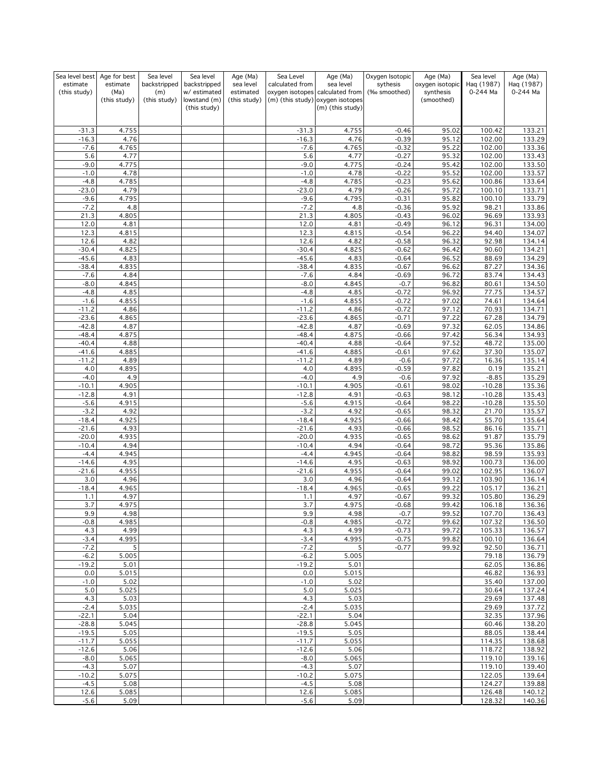| Sea level best           | Age for best     | Sea level           | Sea level                    | Age (Ma)               | Sea Level          | Age (Ma)                                     | Oxygen Isotopic          | Age (Ma)                     | Sea level              | Age (Ma)               |
|--------------------------|------------------|---------------------|------------------------------|------------------------|--------------------|----------------------------------------------|--------------------------|------------------------------|------------------------|------------------------|
| estimate<br>(this study) | estimate<br>(Ma) | backstripped<br>(m) | backstripped<br>w/ estimated | sea level<br>estimated | calculated from    | sea level<br>oxygen isotopes calculated from | sythesis<br>(‰ smoothed) | oxygen isotopic<br>synthesis | Haq (1987)<br>0-244 Ma | Haq (1987)<br>0-244 Ma |
|                          | (this study)     | (this study)        | lowstand (m)                 | (this study)           |                    | (m) (this study) oxygen isotopes             |                          | (smoothed)                   |                        |                        |
|                          |                  |                     | (this study)                 |                        |                    | (m) (this study)                             |                          |                              |                        |                        |
|                          |                  |                     |                              |                        |                    |                                              |                          |                              |                        |                        |
| $-31.3$                  | 4.755            |                     |                              |                        | $-31.3$            | 4.755                                        | $-0.46$                  | 95.02                        | 100.42                 | 133.21                 |
| $-16.3$                  | 4.76             |                     |                              |                        | $-16.3$            | 4.76                                         | $-0.39$                  | 95.12                        | 102.00                 | 133.29                 |
| $-7.6$<br>5.6            | 4.765<br>4.77    |                     |                              |                        | $-7.6$<br>5.6      | 4.765<br>4.77                                | $-0.32$<br>$-0.27$       | 95.22<br>95.32               | 102.00<br>102.00       | 133.36<br>133.43       |
| $-9.0$                   | 4.775            |                     |                              |                        | $-9.0$             | 4.775                                        | $-0.24$                  | 95.42                        | 102.00                 | 133.50                 |
| $-1.0$                   | 4.78             |                     |                              |                        | $-1.0$             | 4.78                                         | $-0.22$                  | 95.52                        | 102.00                 | 133.57                 |
| $-4.8$                   | 4.785            |                     |                              |                        | $-4.8$             | 4.785                                        | $-0.23$                  | 95.62                        | 100.86                 | 133.64                 |
| $-23.0$                  | 4.79             |                     |                              |                        | $-23.0$            | 4.79                                         | $-0.26$                  | 95.72                        | 100.10                 | 133.71                 |
| $-9.6$<br>$-7.2$         | 4.795            |                     |                              |                        | $-9.6$<br>$-7.2$   | 4.795                                        | $-0.31$                  | 95.82                        | 100.10                 | 133.79<br>133.86       |
| 21.3                     | 4.8<br>4.805     |                     |                              |                        | 21.3               | 4.8<br>4.805                                 | $-0.36$<br>$-0.43$       | 95.92<br>96.02               | 98.21<br>96.69         | 133.93                 |
| 12.0                     | 4.81             |                     |                              |                        | 12.0               | 4.81                                         | $-0.49$                  | 96.12                        | 96.31                  | 134.00                 |
| 12.3                     | 4.815            |                     |                              |                        | 12.3               | 4.815                                        | $-0.54$                  | 96.22                        | 94.40                  | 134.07                 |
| 12.6                     | 4.82             |                     |                              |                        | 12.6               | 4.82                                         | $-0.58$                  | 96.32                        | 92.98                  | 134.14                 |
| $-30.4$                  | 4.825            |                     |                              |                        | $-30.4$            | 4.825                                        | $-0.62$                  | 96.42                        | 90.60                  | 134.21                 |
| $-45.6$<br>$-38.4$       | 4.83<br>4.835    |                     |                              |                        | $-45.6$<br>$-38.4$ | 4.83<br>4.835                                | $-0.64$<br>$-0.67$       | 96.52<br>96.62               | 88.69<br>87.27         | 134.29<br>134.36       |
| $-7.6$                   | 4.84             |                     |                              |                        | $-7.6$             | 4.84                                         | $-0.69$                  | 96.72                        | 83.74                  | 134.43                 |
| $-8.0$                   | 4.845            |                     |                              |                        | $-8.0$             | 4.845                                        | $-0.7$                   | 96.82                        | 80.61                  | 134.50                 |
| $-4.8$                   | 4.85             |                     |                              |                        | $-4.8$             | 4.85                                         | $-0.72$                  | 96.92                        | 77.75                  | 134.57                 |
| $-1.6$                   | 4.855            |                     |                              |                        | $-1.6$             | 4.855                                        | $-0.72$                  | 97.02                        | 74.61                  | 134.64                 |
| $-11.2$<br>$-23.6$       | 4.86<br>4.865    |                     |                              |                        | $-11.2$<br>$-23.6$ | 4.86<br>4.865                                | $-0.72$<br>$-0.71$       | 97.12<br>97.22               | 70.93<br>67.28         | 134.71<br>134.79       |
| $-42.8$                  | 4.87             |                     |                              |                        | $-42.8$            | 4.87                                         | $-0.69$                  | 97.32                        | 62.05                  | 134.86                 |
| $-48.4$                  | 4.875            |                     |                              |                        | $-48.4$            | 4.875                                        | $-0.66$                  | 97.42                        | 56.34                  | 134.93                 |
| $-40.4$                  | 4.88             |                     |                              |                        | $-40.4$            | 4.88                                         | $-0.64$                  | 97.52                        | 48.72                  | 135.00                 |
| $-41.6$                  | 4.885            |                     |                              |                        | $-41.6$            | 4.885                                        | $-0.61$                  | 97.62                        | 37.30                  | 135.07                 |
| $-11.2$                  | 4.89             |                     |                              |                        | $-11.2$            | 4.89                                         | $-0.6$                   | 97.72                        | 16.36                  | 135.14                 |
| 4.0<br>$-4.0$            | 4.895<br>4.9     |                     |                              |                        | 4.0<br>$-4.0$      | 4.895<br>4.9                                 | $-0.59$<br>$-0.6$        | 97.82<br>97.92               | 0.19<br>$-8.85$        | 135.21<br>135.29       |
| $-10.1$                  | 4.905            |                     |                              |                        | $-10.1$            | 4.905                                        | $-0.61$                  | 98.02                        | $-10.28$               | 135.36                 |
| $-12.8$                  | 4.91             |                     |                              |                        | $-12.8$            | 4.91                                         | $-0.63$                  | 98.12                        | $-10.28$               | 135.43                 |
| $-5.6$                   | 4.915            |                     |                              |                        | $-5.6$             | 4.915                                        | $-0.64$                  | 98.22                        | $-10.28$               | 135.50                 |
| $-3.2$                   | 4.92             |                     |                              |                        | $-3.2$             | 4.92                                         | $-0.65$                  | 98.32                        | 21.70                  | 135.57                 |
| $-18.4$                  | 4.925            |                     |                              |                        | $-18.4$            | 4.925                                        | $-0.66$                  | 98.42                        | 55.70                  | 135.64<br>135.71       |
| $-21.6$<br>$-20.0$       | 4.93<br>4.935    |                     |                              |                        | $-21.6$<br>$-20.0$ | 4.93<br>4.935                                | $-0.66$<br>$-0.65$       | 98.52<br>98.62               | 86.16<br>91.87         | 135.79                 |
| $-10.4$                  | 4.94             |                     |                              |                        | $-10.4$            | 4.94                                         | $-0.64$                  | 98.72                        | 95.36                  | 135.86                 |
| $-4.4$                   | 4.945            |                     |                              |                        | $-4.4$             | 4.945                                        | $-0.64$                  | 98.82                        | 98.59                  | 135.93                 |
| $-14.6$                  | 4.95             |                     |                              |                        | $-14.6$            | 4.95                                         | $-0.63$                  | 98.92                        | 100.73                 | 136.00                 |
| $-21.6$                  | 4.955            |                     |                              |                        | $-21.6$            | 4.955                                        | $-0.64$                  | 99.02                        | 102.95                 | 136.07                 |
| 3.0<br>$-18.4$           | 4.96<br>4.965    |                     |                              |                        | 3.0<br>$-18.4$     | 4.96<br>4.965                                | $-0.64$<br>$-0.65$       | 99.12<br>99.22               | 103.90<br>105.17       | 136.14<br>136.21       |
| 1.1                      | 4.97             |                     |                              |                        | 1.1                | 4.97                                         | $-0.67$                  | 99.32                        | 105.80                 | 136.29                 |
| 3.7                      | 4.975            |                     |                              |                        | 3.7                | 4.975                                        | $-0.68$                  | 99.42                        | 106.18                 | 136.36                 |
| 9.9                      | 4.98             |                     |                              |                        | 9.9                | 4.98                                         | $-0.7$                   | 99.52                        | 107.70                 | <u>136.43</u>          |
| $-0.8$                   | 4.985            |                     |                              |                        | $-0.8$             | 4.985                                        | $-0.72$                  | 99.62                        | 107.32                 | 136.50                 |
| 4.3<br>$-3.4$            | 4.99<br>4.995    |                     |                              |                        | 4.3<br>$-3.4$      | 4.99<br>4.995                                | $-0.73$<br>$-0.75$       | 99.72<br>99.82               | 105.33<br>100.10       | 136.57<br>136.64       |
| $-7.2$                   | 5                |                     |                              |                        | $-7.2$             | 5                                            | $-0.77$                  | 99.92                        | 92.50                  | 136.71                 |
| $-6.2$                   | 5.005            |                     |                              |                        | $-6.2$             | 5.005                                        |                          |                              | 79.18                  | 136.79                 |
| $-19.2$                  | 5.01             |                     |                              |                        | $-19.2$            | 5.01                                         |                          |                              | 62.05                  | 136.86                 |
| 0.0                      | 5.015            |                     |                              |                        | 0.0                | 5.015                                        |                          |                              | 46.82                  | 136.93<br>137.00       |
| $-1.0$<br>5.0            | 5.02<br>5.025    |                     |                              |                        | $-1.0$<br>5.0      | 5.02<br>5.025                                |                          |                              | 35.40<br>30.64         | 137.24                 |
| 4.3                      | 5.03             |                     |                              |                        | 4.3                | 5.03                                         |                          |                              | 29.69                  | 137.48                 |
| $-2.4$                   | 5.035            |                     |                              |                        | $-2.4$             | 5.035                                        |                          |                              | 29.69                  | 137.72                 |
| $-22.1$                  | 5.04             |                     |                              |                        | $-22.1$            | 5.04                                         |                          |                              | 32.35                  | 137.96                 |
| $-28.8$                  | 5.045            |                     |                              |                        | $-28.8$            | 5.045                                        |                          |                              | 60.46                  | 138.20                 |
| $-19.5$<br>$-11.7$       | 5.05<br>5.055    |                     |                              |                        | $-19.5$<br>$-11.7$ | 5.05<br>5.055                                |                          |                              | 88.05<br>114.35        | 138.44<br>138.68       |
| $-12.6$                  | 5.06             |                     |                              |                        | $-12.6$            | 5.06                                         |                          |                              | 118.72                 | 138.92                 |
| $-8.0$                   | 5.065            |                     |                              |                        | $-8.0$             | 5.065                                        |                          |                              | 119.10                 | 139.16                 |
| $-4.3$                   | 5.07             |                     |                              |                        | $-4.3$             | 5.07                                         |                          |                              | 119.10                 | 139.40                 |
| $-10.2$                  | 5.075            |                     |                              |                        | $-10.2$            | 5.075                                        |                          |                              | 122.05                 | 139.64                 |
| $-4.5$<br>12.6           | 5.08<br>5.085    |                     |                              |                        | $-4.5$<br>12.6     | 5.08<br>5.085                                |                          |                              | 124.27<br>126.48       | 139.88<br>140.12       |
| $-5.6$                   | 5.09             |                     |                              |                        | $-5.6$             | 5.09                                         |                          |                              | 128.32                 | 140.36                 |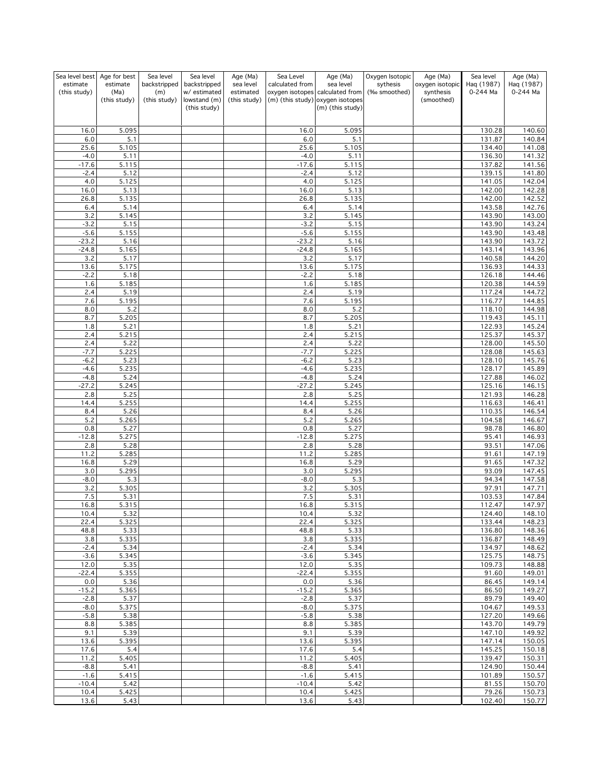| Sea level best           | Age for best     | Sea level           | Sea level                    | Age (Ma)               | Sea Level        | Age (Ma)                                     | Oxygen Isotopic          | Age (Ma)                     | Sea level              | Age (Ma)               |
|--------------------------|------------------|---------------------|------------------------------|------------------------|------------------|----------------------------------------------|--------------------------|------------------------------|------------------------|------------------------|
| estimate<br>(this study) | estimate<br>(Ma) | backstripped<br>(m) | backstripped<br>w/ estimated | sea level<br>estimated | calculated from  | sea level<br>oxygen isotopes calculated from | sythesis<br>(‰ smoothed) | oxygen isotopic<br>synthesis | Haq (1987)<br>0-244 Ma | Haq (1987)<br>0-244 Ma |
|                          | (this study)     | (this study)        | lowstand (m)                 | (this study)           |                  | (m) (this study) oxygen isotopes             |                          | (smoothed)                   |                        |                        |
|                          |                  |                     | (this study)                 |                        |                  | (m) (this study)                             |                          |                              |                        |                        |
|                          |                  |                     |                              |                        |                  |                                              |                          |                              |                        |                        |
| 16.0<br>6.0              | 5.095<br>5.1     |                     |                              |                        | 16.0<br>6.0      | 5.095<br>5.1                                 |                          |                              | 130.28<br>131.87       | 140.60<br>140.84       |
| 25.6                     | 5.105            |                     |                              |                        | 25.6             | 5.105                                        |                          |                              | 134.40                 | 141.08                 |
| $-4.0$                   | 5.11             |                     |                              |                        | $-4.0$           | 5.11                                         |                          |                              | 136.30                 | 141.32                 |
| $-17.6$                  | 5.115            |                     |                              |                        | $-17.6$          | 5.115                                        |                          |                              | 137.82                 | 141.56                 |
| $-2.4$<br>4.0            | 5.12<br>5.125    |                     |                              |                        | $-2.4$<br>4.0    | 5.12<br>5.125                                |                          |                              | 139.15<br>141.05       | 141.80<br>142.04       |
| 16.0                     | 5.13             |                     |                              |                        | 16.0             | 5.13                                         |                          |                              | 142.00                 | 142.28                 |
| 26.8                     | 5.135            |                     |                              |                        | 26.8             | 5.135                                        |                          |                              | 142.00                 | 142.52                 |
| 6.4                      | 5.14<br>5.145    |                     |                              |                        | 6.4              | 5.14                                         |                          |                              | 143.58                 | 142.76                 |
| 3.2<br>$-3.2$            | 5.15             |                     |                              |                        | 3.2<br>$-3.2$    | 5.145<br>5.15                                |                          |                              | 143.90<br>143.90       | 143.00<br>143.24       |
| $-5.6$                   | 5.155            |                     |                              |                        | $-5.6$           | 5.155                                        |                          |                              | 143.90                 | 143.48                 |
| $-23.2$                  | 5.16             |                     |                              |                        | $-23.2$          | 5.16                                         |                          |                              | 143.90                 | 143.72                 |
| $-24.8$<br>3.2           | 5.165<br>5.17    |                     |                              |                        | $-24.8$<br>3.2   | 5.165<br>5.17                                |                          |                              | 143.14<br>140.58       | 143.96<br>144.20       |
| 13.6                     | 5.175            |                     |                              |                        | 13.6             | 5.175                                        |                          |                              | 136.93                 | 144.33                 |
| $-2.2$                   | 5.18             |                     |                              |                        | $-2.2$           | 5.18                                         |                          |                              | 126.18                 | 144.46                 |
| 1.6                      | 5.185            |                     |                              |                        | 1.6              | 5.185                                        |                          |                              | 120.38                 | 144.59                 |
| 2.4<br>7.6               | 5.19<br>5.195    |                     |                              |                        | 2.4<br>7.6       | 5.19<br>5.195                                |                          |                              | 117.24<br>116.77       | 144.72<br>144.85       |
| 8.0                      | 5.2              |                     |                              |                        | 8.0              | 5.2                                          |                          |                              | 118.10                 | 144.98                 |
| 8.7                      | 5.205            |                     |                              |                        | 8.7              | 5.205                                        |                          |                              | 119.43                 | 145.11                 |
| 1.8                      | 5.21             |                     |                              |                        | 1.8              | 5.21                                         |                          |                              | 122.93                 | 145.24                 |
| 2.4<br>2.4               | 5.215<br>5.22    |                     |                              |                        | 2.4<br>2.4       | 5.215<br>5.22                                |                          |                              | 125.37<br>128.00       | 145.37<br>145.50       |
| $-7.7$                   | 5.225            |                     |                              |                        | $-7.7$           | 5.225                                        |                          |                              | 128.08                 | 145.63                 |
| $-6.2$                   | 5.23             |                     |                              |                        | $-6.2$           | 5.23                                         |                          |                              | 128.10                 | 145.76                 |
| $-4.6$<br>$-4.8$         | 5.235<br>5.24    |                     |                              |                        | $-4.6$<br>$-4.8$ | 5.235<br>5.24                                |                          |                              | 128.17<br>127.88       | 145.89<br>146.02       |
| $-27.2$                  | 5.245            |                     |                              |                        | $-27.2$          | 5.245                                        |                          |                              | 125.16                 | 146.15                 |
| 2.8                      | 5.25             |                     |                              |                        | 2.8              | 5.25                                         |                          |                              | 121.93                 | 146.28                 |
| 14.4                     | 5.255            |                     |                              |                        | 14.4             | 5.255                                        |                          |                              | 116.63                 | 146.41                 |
| 8.4<br>5.2               | 5.26<br>5.265    |                     |                              |                        | 8.4<br>5.2       | 5.26<br>5.265                                |                          |                              | 110.35<br>104.58       | 146.54<br>146.67       |
| 0.8                      | 5.27             |                     |                              |                        | 0.8              | 5.27                                         |                          |                              | 98.78                  | 146.80                 |
| $-12.8$                  | 5.275            |                     |                              |                        | $-12.8$          | 5.275                                        |                          |                              | 95.41                  | 146.93                 |
| 2.8                      | 5.28             |                     |                              |                        | 2.8              | 5.28                                         |                          |                              | 93.51                  | 147.06                 |
| 11.2<br>16.8             | 5.285<br>5.29    |                     |                              |                        | 11.2<br>16.8     | 5.285<br>5.29                                |                          |                              | 91.61<br>91.65         | 147.19<br>147.32       |
| $3.0$                    | 5.295            |                     |                              |                        | 3.0              | 5.295                                        |                          |                              | 93.09                  | 147.45                 |
| $-8.0$                   | 5.3              |                     |                              |                        | $-8.0$           | 5.3                                          |                          |                              | 94.34                  | 147.58                 |
| 3.2<br>$7.5\,$           | 5.305<br>5.31    |                     |                              |                        | 3.2<br>7.5       | 5.305<br>5.31                                |                          |                              | 97.91                  | 147.71<br>147.84       |
| 16.8                     | 5.315            |                     |                              |                        | 16.8             | 5.315                                        |                          |                              | 103.53<br>112.47       | 147.97                 |
| 10.4                     | 5.32             |                     |                              |                        | 10.4             | 5.32                                         |                          |                              | 124.40                 | 148.10                 |
| 22.4                     | 5.325            |                     |                              |                        | 22.4             | 5.325                                        |                          |                              | 133.44                 | 148.23                 |
| 48.8<br>3.8              | 5.33<br>5.335    |                     |                              |                        | 48.8<br>3.8      | 5.33<br>5.335                                |                          |                              | 136.80<br>136.87       | 148.36<br>148.49       |
| $-2.4$                   | 5.34             |                     |                              |                        | $-2.4$           | 5.34                                         |                          |                              | 134.97                 | 148.62                 |
| $-3.6$                   | 5.345            |                     |                              |                        | $-3.6$           | 5.345                                        |                          |                              | 125.75                 | 148.75                 |
| 12.0<br>$-22.4$          | 5.35<br>5.355    |                     |                              |                        | 12.0             | 5.35<br>5.355                                |                          |                              | 109.73                 | 148.88<br>149.01       |
| $0.0\,$                  | 5.36             |                     |                              |                        | $-22.4$<br>0.0   | 5.36                                         |                          |                              | 91.60<br>86.45         | 149.14                 |
| $-15.2$                  | 5.365            |                     |                              |                        | $-15.2$          | 5.365                                        |                          |                              | 86.50                  | 149.27                 |
| $-2.8$                   | 5.37             |                     |                              |                        | $-2.8$           | 5.37                                         |                          |                              | 89.79                  | 149.40                 |
| $-8.0$<br>$-5.8$         | 5.375<br>5.38    |                     |                              |                        | $-8.0$<br>$-5.8$ | 5.375<br>5.38                                |                          |                              | 104.67<br>127.20       | 149.53<br>149.66       |
| 8.8                      | 5.385            |                     |                              |                        | 8.8              | 5.385                                        |                          |                              | 143.70                 | 149.79                 |
| 9.1                      | 5.39             |                     |                              |                        | 9.1              | 5.39                                         |                          |                              | 147.10                 | 149.92                 |
| 13.6                     | 5.395            |                     |                              |                        | 13.6             | 5.395                                        |                          |                              | 147.14                 | 150.05                 |
| 17.6<br>11.2             | 5.4<br>5.405     |                     |                              |                        | 17.6<br>11.2     | 5.4<br>5.405                                 |                          |                              | 145.25<br>139.47       | 150.18<br>150.31       |
| $-8.8$                   | 5.41             |                     |                              |                        | $-8.8$           | 5.41                                         |                          |                              | 124.90                 | 150.44                 |
| $-1.6$                   | 5.415            |                     |                              |                        | $-1.6$           | 5.415                                        |                          |                              | 101.89                 | 150.57                 |
| $-10.4$                  | 5.42             |                     |                              |                        | $-10.4$          | 5.42                                         |                          |                              | 81.55                  | 150.70                 |
| 10.4<br>13.6             | 5.425<br>5.43    |                     |                              |                        | 10.4<br>13.6     | 5.425<br>5.43                                |                          |                              | 79.26<br>102.40        | 150.73<br>150.77       |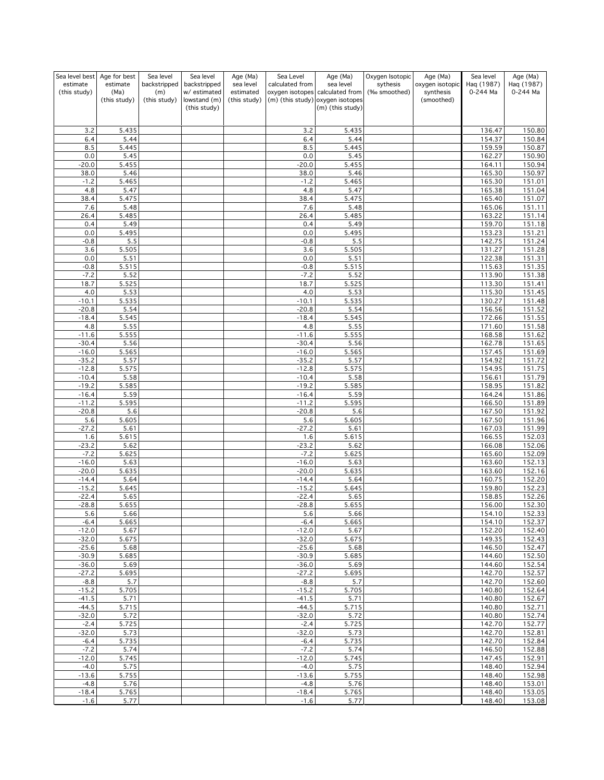| Sea level best     | Age for best  | Sea level    | Sea level                    | Age (Ma)     | Sea Level          | Age (Ma)                                             | Oxygen Isotopic | Age (Ma)        | Sea level        | Age (Ma)            |
|--------------------|---------------|--------------|------------------------------|--------------|--------------------|------------------------------------------------------|-----------------|-----------------|------------------|---------------------|
| estimate           | estimate      | backstripped | backstripped                 | sea level    | calculated from    | sea level                                            | sythesis        | oxygen isotopic | Haq (1987)       | Haq (1987)          |
| (this study)       | (Ma)          | (m)          | w/ estimated                 | estimated    |                    | oxygen isotopes calculated from                      | (‰ smoothed)    | synthesis       | 0-244 Ma         | 0-244 Ma            |
|                    | (this study)  | (this study) | lowstand (m)<br>(this study) | (this study) |                    | (m) (this study) oxygen isotopes<br>(m) (this study) |                 | (smoothed)      |                  |                     |
|                    |               |              |                              |              |                    |                                                      |                 |                 |                  |                     |
|                    |               |              |                              |              |                    |                                                      |                 |                 |                  |                     |
| 3.2                | 5.435         |              |                              |              | 3.2                | 5.435                                                |                 |                 | 136.47           | 150.80              |
| 6.4                | 5.44          |              |                              |              | 6.4                | 5.44                                                 |                 |                 | 154.37           | 150.84              |
| 8.5                | 5.445         |              |                              |              | 8.5                | 5.445                                                |                 |                 | 159.59           | 150.87              |
| 0.0<br>$-20.0$     | 5.45<br>5.455 |              |                              |              | 0.0<br>$-20.0$     | 5.45<br>5.455                                        |                 |                 | 162.27<br>164.11 | 150.90<br>150.94    |
| 38.0               | 5.46          |              |                              |              | 38.0               | 5.46                                                 |                 |                 | 165.30           | 150.97              |
| $-1.2$             | 5.465         |              |                              |              | $-1.2$             | 5.465                                                |                 |                 | 165.30           | 151.01              |
| 4.8                | 5.47          |              |                              |              | 4.8                | 5.47                                                 |                 |                 | 165.38           | 151.04              |
| 38.4               | 5.475         |              |                              |              | 38.4               | 5.475                                                |                 |                 | 165.40           | 151.07              |
| 7.6                | 5.48          |              |                              |              | 7.6                | 5.48                                                 |                 |                 | 165.06           | 151.11              |
| 26.4               | 5.485         |              |                              |              | 26.4               | 5.485                                                |                 |                 | 163.22           | 151.14              |
| 0.4                | 5.49          |              |                              |              | 0.4                | 5.49                                                 |                 |                 | 159.70           | 151.18              |
| 0.0                | 5.495         |              |                              |              | 0.0                | 5.495                                                |                 |                 | 153.23           | 151.21              |
| $-0.8$             | 5.5           |              |                              |              | $-0.8$             | 5.5                                                  |                 |                 | 142.75           | $\frac{1}{151.24}$  |
| 3.6                | 5.505         |              |                              |              | 3.6                | 5.505                                                |                 |                 | 131.27           | 151.28              |
| 0.0                | 5.51          |              |                              |              | 0.0                | 5.51                                                 |                 |                 | 122.38           | 151.31              |
| $-0.8$             | 5.515         |              |                              |              | $-0.8$             | 5.515                                                |                 |                 | 115.63           | 151.35              |
| $-7.2$             | 5.52          |              |                              |              | $-7.2$             | 5.52                                                 |                 |                 | 113.90           | 151.38              |
| 18.7               | 5.525         |              |                              |              | 18.7               | 5.525                                                |                 |                 | 113.30           | 151.41              |
| 4.0                | 5.53          |              |                              |              | 4.0                | 5.53                                                 |                 |                 | 115.30           | 151.45              |
| $-10.1$            | 5.535         |              |                              |              | $-10.1$            | 5.535                                                |                 |                 | 130.27           | 151.48              |
| $-20.8$            | 5.54          |              |                              |              | $-20.8$            | 5.54                                                 |                 |                 | 156.56           | 151.52              |
| $-18.4$            | 5.545         |              |                              |              | $-18.4$            | 5.545                                                |                 |                 | 172.66           | 151.55              |
| 4.8<br>$-11.6$     | 5.55<br>5.555 |              |                              |              | 4.8<br>$-11.6$     | 5.55<br>5.555                                        |                 |                 | 171.60<br>168.58 | 151.58<br>151.62    |
| $-30.4$            | 5.56          |              |                              |              | $-30.4$            | 5.56                                                 |                 |                 | 162.78           | 151.65              |
| $-16.0$            | 5.565         |              |                              |              | $-16.0$            | 5.565                                                |                 |                 | 157.45           | 151.69              |
| $-35.2$            | 5.57          |              |                              |              | $-35.2$            | 5.57                                                 |                 |                 | 154.92           | 151.72              |
| $-12.8$            | 5.575         |              |                              |              | $-12.8$            | 5.575                                                |                 |                 | 154.95           | 151.75              |
| $-10.4$            | 5.58          |              |                              |              | $-10.4$            | 5.58                                                 |                 |                 | 156.61           | 151.79              |
| $-19.2$            | 5.585         |              |                              |              | $-19.2$            | 5.585                                                |                 |                 | 158.95           | 151.82              |
| $-16.4$            | 5.59          |              |                              |              | $-16.4$            | 5.59                                                 |                 |                 | 164.24           | 151.86              |
| $-11.2$            | 5.595         |              |                              |              | $-11.2$            | 5.595                                                |                 |                 | 166.50           | 151.89              |
| $-20.8$            | 5.6           |              |                              |              | $-20.8$            | 5.6                                                  |                 |                 | 167.50           | 151.92              |
| 5.6                | 5.605         |              |                              |              | 5.6                | 5.605                                                |                 |                 | 167.50           | 151.96              |
| $-27.2$            | 5.61          |              |                              |              | $-27.2$            | 5.61                                                 |                 |                 | 167.03           | 151.99              |
| 1.6                | 5.615         |              |                              |              | 1.6                | 5.615                                                |                 |                 | 166.55           | 152.03              |
| $-23.2$            | 5.62          |              |                              |              | $-23.2$            | 5.62                                                 |                 |                 | 166.08           | 152.06              |
| $-7.2$             | 5.625         |              |                              |              | $-7.2$             | 5.625                                                |                 |                 | 165.60           | $\frac{1}{1}$ 52.09 |
| $-16.0$            | 5.63          |              |                              |              | $-16.0$            | 5.63                                                 |                 |                 | 163.60           | 152.13              |
| $-20.0$<br>$-14.4$ | 5.635<br>5.64 |              |                              |              | $-20.0$<br>$-14.4$ | 5.635<br>5.64                                        |                 |                 | 163.60<br>160.75 | 152.16<br>152.20    |
| $-15.2$            | 5.645         |              |                              |              | $-15.2$            | 5.645                                                |                 |                 | 159.80           | 152.23              |
| $-22.4$            | 5.65          |              |                              |              | $-22.4$            | 5.65                                                 |                 |                 | 158.85           | 152.26              |
| $-28.8$            | 5.655         |              |                              |              | $-28.8$            | 5.655                                                |                 |                 | 156.00           | 152.30              |
| 5.6                | 5.66          |              |                              |              | 5.6                | 5.66                                                 |                 |                 | 154.10           | 152.33              |
| $-6.4$             | 5.665         |              |                              |              | $-6.4$             | 5.665                                                |                 |                 | 154.10           | 152.37              |
| $-12.0$            | 5.67          |              |                              |              | $-12.0$            | 5.67                                                 |                 |                 | 152.20           | 152.40              |
| $-32.0$            | 5.675         |              |                              |              | $-32.0$            | 5.675                                                |                 |                 | 149.35           | 152.43              |
| $-25.6$            | 5.68          |              |                              |              | $-25.6$            | 5.68                                                 |                 |                 | 146.50           | 152.47              |
| $-30.9$            | 5.685         |              |                              |              | $-30.9$            | 5.685                                                |                 |                 | 144.60           | 152.50              |
| $-36.0$            | 5.69          |              |                              |              | $-36.0$            | 5.69                                                 |                 |                 | 144.60           | 152.54              |
| $-27.2$            | 5.695         |              |                              |              | $-27.2$            | 5.695                                                |                 |                 | 142.70           | 152.57              |
| $-8.8$             | 5.7           |              |                              |              | $-8.8$             | 5.7                                                  |                 |                 | 142.70           | 152.60              |
| $-15.2$            | 5.705         |              |                              |              | $-15.2$            | 5.705                                                |                 |                 | 140.80           | 152.64              |
| $-41.5$<br>$-44.5$ | 5.71<br>5.715 |              |                              |              | $-41.5$<br>$-44.5$ | 5.71<br>5.715                                        |                 |                 | 140.80<br>140.80 | 152.67              |
| $-32.0$            | 5.72          |              |                              |              | $-32.0$            | 5.72                                                 |                 |                 | 140.80           | 152.71<br>152.74    |
| $-2.4$             | 5.725         |              |                              |              | $-2.4$             | 5.725                                                |                 |                 | 142.70           | 152.77              |
| $-32.0$            | 5.73          |              |                              |              | $-32.0$            | 5.73                                                 |                 |                 | 142.70           | 152.81              |
| $-6.4$             | 5.735         |              |                              |              | $-6.4$             | 5.735                                                |                 |                 | 142.70           | 152.84              |
| $-7.2$             | 5.74          |              |                              |              | $-7.2$             | 5.74                                                 |                 |                 | 146.50           | 152.88              |
| $-12.0$            | 5.745         |              |                              |              | $-12.0$            | 5.745                                                |                 |                 | 147.45           | 152.91              |
| $-4.0$             | 5.75          |              |                              |              | $-4.0$             | 5.75                                                 |                 |                 | 148.40           | 152.94              |
| $-13.6$            | 5.755         |              |                              |              | $-13.6$            | 5.755                                                |                 |                 | 148.40           | 152.98              |
| $-4.8$             | 5.76          |              |                              |              | $-4.8$             | 5.76                                                 |                 |                 | 148.40           | 153.01              |
| $-18.4$            | 5.765         |              |                              |              | $-18.4$            | 5.765                                                |                 |                 | 148.40           | 153.05              |
| $-1.6$             | 5.77          |              |                              |              | $-1.6$             | 5.77                                                 |                 |                 | 148.40           | 153.08              |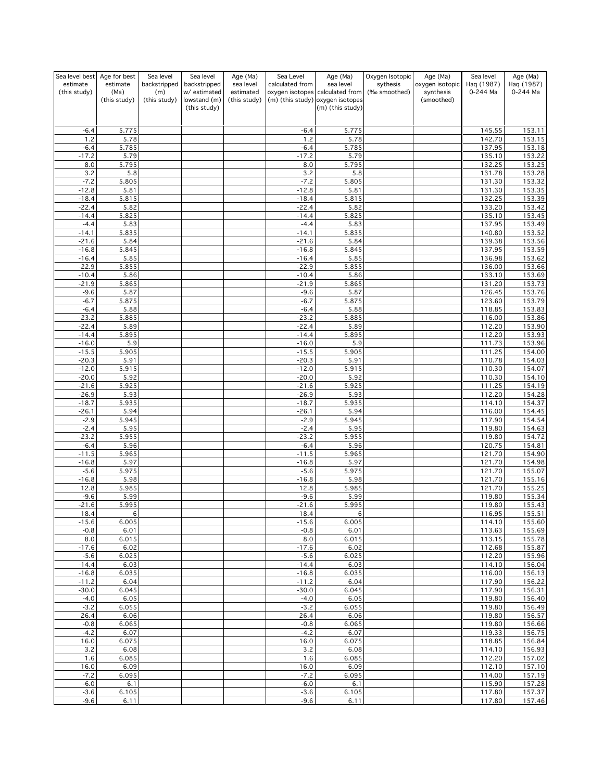| Sea level best     | Age for best  | Sea level    | Sea level                    | Age (Ma)     | Sea Level          | Age (Ma)                                             | Oxygen Isotopic | Age (Ma)        | Sea level        | Age (Ma)         |
|--------------------|---------------|--------------|------------------------------|--------------|--------------------|------------------------------------------------------|-----------------|-----------------|------------------|------------------|
| estimate           | estimate      | backstripped | backstripped                 | sea level    | calculated from    | sea level                                            | sythesis        | oxygen isotopic | Haq (1987)       | Haq (1987)       |
| (this study)       | (Ma)          | (m)          | w/ estimated                 | estimated    |                    | oxygen isotopes calculated from                      | (‰ smoothed)    | synthesis       | 0-244 Ma         | 0-244 Ma         |
|                    | (this study)  | (this study) | lowstand (m)<br>(this study) | (this study) |                    | (m) (this study) oxygen isotopes<br>(m) (this study) |                 | (smoothed)      |                  |                  |
|                    |               |              |                              |              |                    |                                                      |                 |                 |                  |                  |
|                    |               |              |                              |              |                    |                                                      |                 |                 |                  |                  |
| $-6.4$             | 5.775         |              |                              |              | $-6.4$             | 5.775                                                |                 |                 | 145.55           | 153.11           |
| 1.2                | 5.78          |              |                              |              | 1.2                | 5.78                                                 |                 |                 | 142.70           | 153.15           |
| $-6.4$             | 5.785         |              |                              |              | $-6.4$             | 5.785                                                |                 |                 | 137.95           | 153.18           |
| $-17.2$            | 5.79          |              |                              |              | $-17.2$            | 5.79                                                 |                 |                 | 135.10           | 153.22           |
| 8.0                | 5.795         |              |                              |              | 8.0                | 5.795                                                |                 |                 | 132.25           | 153.25           |
| 3.2                | 5.8           |              |                              |              | 3.2                | 5.8                                                  |                 |                 | 131.78           | 153.28           |
| $-7.2$             | 5.805         |              |                              |              | $-7.2$             | 5.805                                                |                 |                 | 131.30           | 153.32           |
| $-12.8$            | 5.81          |              |                              |              | $-12.8$            | 5.81                                                 |                 |                 | 131.30           | 153.35           |
| $-18.4$            | 5.815         |              |                              |              | $-18.4$            | 5.815                                                |                 |                 | 132.25           | 153.39<br>153.42 |
| $-22.4$<br>$-14.4$ | 5.82<br>5.825 |              |                              |              | $-22.4$<br>$-14.4$ | 5.82<br>5.825                                        |                 |                 | 133.20<br>135.10 | 153.45           |
| $-4.4$             | 5.83          |              |                              |              | $-4.4$             | 5.83                                                 |                 |                 | 137.95           | 153.49           |
| $-14.1$            | 5.835         |              |                              |              | $-14.1$            | 5.835                                                |                 |                 | 140.80           | 153.52           |
| $-21.6$            | 5.84          |              |                              |              | $-21.6$            | 5.84                                                 |                 |                 | 139.38           | 153.56           |
| $-16.8$            | 5.845         |              |                              |              | $-16.8$            | 5.845                                                |                 |                 | 137.95           | 153.59           |
| $-16.4$            | 5.85          |              |                              |              | $-16.4$            | 5.85                                                 |                 |                 | 136.98           | 153.62           |
| $-22.9$            | 5.855         |              |                              |              | $-22.9$            | 5.855                                                |                 |                 | 136.00           | 153.66           |
| $-10.4$            | 5.86          |              |                              |              | $-10.4$            | 5.86                                                 |                 |                 | 133.10           | 153.69           |
| $-21.9$            | 5.865         |              |                              |              | $-21.9$            | 5.865                                                |                 |                 | 131.20           | 153.73           |
| $-9.6$             | 5.87          |              |                              |              | $-9.6$             | 5.87                                                 |                 |                 | 126.45           | 153.76           |
| $-6.7$             | 5.875         |              |                              |              | $-6.7$             | 5.875                                                |                 |                 | 123.60           | 153.79           |
| $-6.4$             | 5.88          |              |                              |              | $-6.4$             | 5.88                                                 |                 |                 | 118.85           | 153.83           |
| $-23.2$            | 5.885         |              |                              |              | $-23.2$            | 5.885                                                |                 |                 | 116.00           | 153.86           |
| $-22.4$            | 5.89          |              |                              |              | $-22.4$            | 5.89                                                 |                 |                 | 112.20           | 153.90           |
| $-14.4$            | 5.895         |              |                              |              | $-14.4$            | 5.895                                                |                 |                 | 112.20           | 153.93           |
| $-16.0$            | 5.9           |              |                              |              | $-16.0$            | 5.9                                                  |                 |                 | 111.73           | 153.96           |
| $-15.5$            | 5.905         |              |                              |              | $-15.5$            | 5.905                                                |                 |                 | 111.25           | 154.00           |
| $-20.3$            | 5.91          |              |                              |              | $-20.3$            | 5.91                                                 |                 |                 | 110.78           | 154.03           |
| $-12.0$            | 5.915         |              |                              |              | $-12.0$            | 5.915                                                |                 |                 | 110.30           | 154.07           |
| $-20.0$            | 5.92          |              |                              |              | $-20.0$            | 5.92                                                 |                 |                 | 110.30           | 154.10           |
| $-21.6$            | 5.925         |              |                              |              | $-21.6$            | 5.925                                                |                 |                 | 111.25           | 154.19           |
| $-26.9$            | 5.93          |              |                              |              | $-26.9$            | 5.93                                                 |                 |                 | 112.20           | 154.28           |
| $-18.7$            | 5.935         |              |                              |              | $-18.7$            | 5.935                                                |                 |                 | 114.10           | 154.37           |
| $-26.1$            | 5.94          |              |                              |              | $-26.1$            | 5.94                                                 |                 |                 | 116.00           | 154.45           |
| $-2.9$<br>$-2.4$   | 5.945         |              |                              |              | $-2.9$<br>$-2.4$   | 5.945                                                |                 |                 | 117.90           | 154.54<br>154.63 |
| $-23.2$            | 5.95<br>5.955 |              |                              |              | $-23.2$            | 5.95<br>5.955                                        |                 |                 | 119.80<br>119.80 | 154.72           |
| $-6.4$             | 5.96          |              |                              |              | $-6.4$             | 5.96                                                 |                 |                 | 120.75           | 154.81           |
| $-11.5$            | 5.965         |              |                              |              | $-11.5$            | 5.965                                                |                 |                 | 121.70           | 154.90           |
| $-16.8$            | 5.97          |              |                              |              | $-16.8$            | 5.97                                                 |                 |                 | 121.70           | 154.98           |
| $-5.6$             | 5.975         |              |                              |              | $-5.6$             | 5.975                                                |                 |                 | 121.70           | 155.07           |
| $-16.8$            | 5.98          |              |                              |              | $-16.8$            | 5.98                                                 |                 |                 | 121.70           | 155.16           |
| 12.8               | 5.985         |              |                              |              | 12.8               | 5.985                                                |                 |                 | 121.70           | 155.25           |
| $-9.6$             | 5.99          |              |                              |              | $-9.6$             | 5.99                                                 |                 |                 | 119.80           | 155.34           |
| $-21.6$            | 5.995         |              |                              |              | $-21.6$            | 5.995                                                |                 |                 | 119.80           | 155.43           |
| 18.4               | 6             |              |                              |              | 18.4               | 6                                                    |                 |                 | 116.95           | 155.51           |
| $-15.6$            | 6.005         |              |                              |              | $-15.6$            | 6.005                                                |                 |                 | 114.10           | 155.60           |
| $-0.8$             | 6.01          |              |                              |              | $-0.8$             | 6.01                                                 |                 |                 | 113.63           | 155.69           |
| 8.0                | 6.015         |              |                              |              | 8.0                | 6.015                                                |                 |                 | 113.15           | 155.78           |
| $-17.6$            | 6.02          |              |                              |              | $-17.6$            | 6.02                                                 |                 |                 | 112.68           | 155.87           |
| $-5.6$             | 6.025         |              |                              |              | $-5.6$             | 6.025                                                |                 |                 | 112.20           | 155.96           |
| $-14.4$            | 6.03          |              |                              |              | $-14.4$            | 6.03                                                 |                 |                 | 114.10           | 156.04           |
| $-16.8$            | 6.035         |              |                              |              | $-16.8$            | 6.035                                                |                 |                 | 116.00           | 156.13           |
| $-11.2$            | 6.04          |              |                              |              | $-11.2$            | 6.04                                                 |                 |                 | 117.90           | 156.22           |
| $-30.0$            | 6.045         |              |                              |              | $-30.0$            | 6.045                                                |                 |                 | 117.90           | 156.31           |
| $-4.0$             | 6.05          |              |                              |              | $-4.0$             | 6.05                                                 |                 |                 | 119.80           | 156.40           |
| $-3.2$             | 6.055         |              |                              |              | $-3.2$             | 6.055                                                |                 |                 | 119.80           | 156.49           |
| 26.4<br>$-0.8$     | 6.06<br>6.065 |              |                              |              | 26.4<br>$-0.8$     | 6.06<br>6.065                                        |                 |                 | 119.80<br>119.80 | 156.57<br>156.66 |
| $-4.2$             | 6.07          |              |                              |              | $-4.2$             | 6.07                                                 |                 |                 | 119.33           | 156.75           |
| 16.0               | 6.075         |              |                              |              | 16.0               | 6.075                                                |                 |                 | 118.85           | 156.84           |
| 3.2                | 6.08          |              |                              |              | 3.2                | 6.08                                                 |                 |                 | 114.10           | 156.93           |
| 1.6                | 6.085         |              |                              |              | 1.6                | 6.085                                                |                 |                 | 112.20           | 157.02           |
| 16.0               | 6.09          |              |                              |              | 16.0               | 6.09                                                 |                 |                 | 112.10           | 157.10           |
| $-7.2$             | 6.095         |              |                              |              | $-7.2$             | 6.095                                                |                 |                 | 114.00           | 157.19           |
| $-6.0$             | 6.1           |              |                              |              | $-6.0$             | 6.1                                                  |                 |                 | 115.90           | 157.28           |
| $-3.6$             | 6.105         |              |                              |              | $-3.6$             | 6.105                                                |                 |                 | 117.80           | 157.37           |
| $-9.6$             | 6.11          |              |                              |              | $-9.6$             | 6.11                                                 |                 |                 | 117.80           | 157.46           |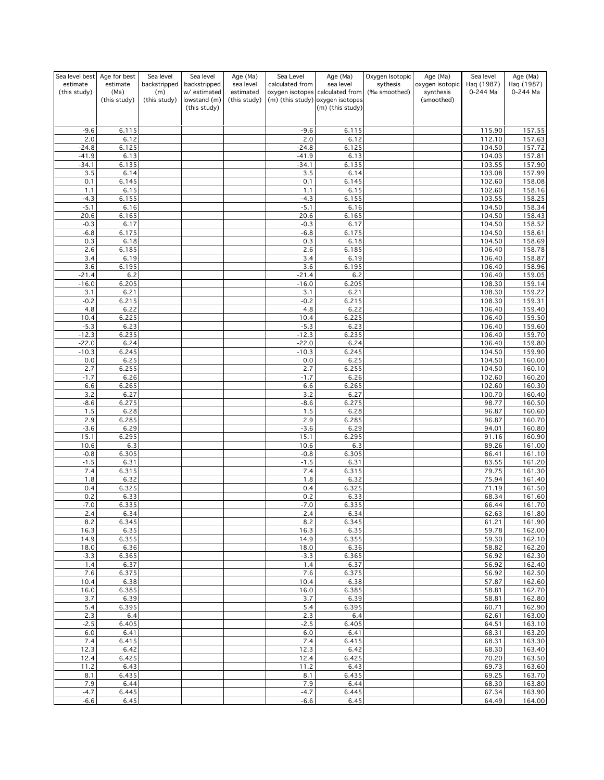| Sea level best           | Age for best     | Sea level           | Sea level                    | Age (Ma)               | Sea Level          | Age (Ma)                                     | Oxygen Isotopic          | Age (Ma)                     | Sea level              | Age (Ma)               |
|--------------------------|------------------|---------------------|------------------------------|------------------------|--------------------|----------------------------------------------|--------------------------|------------------------------|------------------------|------------------------|
| estimate<br>(this study) | estimate<br>(Ma) | backstripped<br>(m) | backstripped<br>w/ estimated | sea level<br>estimated | calculated from    | sea level<br>oxygen isotopes calculated from | sythesis<br>(‰ smoothed) | oxygen isotopic<br>synthesis | Haq (1987)<br>0-244 Ma | Haq (1987)<br>0-244 Ma |
|                          | (this study)     | (this study)        | lowstand (m)                 | (this study)           |                    | (m) (this study) oxygen isotopes             |                          | (smoothed)                   |                        |                        |
|                          |                  |                     | (this study)                 |                        |                    | (m) (this study)                             |                          |                              |                        |                        |
|                          |                  |                     |                              |                        |                    |                                              |                          |                              |                        |                        |
| $-9.6$                   | 6.115            |                     |                              |                        | $-9.6$             | 6.115                                        |                          |                              | 115.90                 | 157.55                 |
| 2.0                      | 6.12             |                     |                              |                        | 2.0                | 6.12                                         |                          |                              | 112.10                 | 157.63                 |
| $-24.8$<br>$-41.9$       | 6.125<br>6.13    |                     |                              |                        | $-24.8$<br>$-41.9$ | 6.125<br>6.13                                |                          |                              | 104.50<br>104.03       | 157.72<br>157.81       |
| $-34.1$                  | 6.135            |                     |                              |                        | $-34.1$            | 6.135                                        |                          |                              | 103.55                 | 157.90                 |
| 3.5                      | 6.14             |                     |                              |                        | 3.5                | 6.14                                         |                          |                              | 103.08                 | 157.99                 |
| 0.1                      | 6.145            |                     |                              |                        | 0.1                | 6.145                                        |                          |                              | 102.60                 | 158.08                 |
| 1.1<br>$-4.3$            | 6.15<br>6.155    |                     |                              |                        | 1.1<br>$-4.3$      | 6.15<br>6.155                                |                          |                              | 102.60<br>103.55       | 158.16<br>158.25       |
| $-5.1$                   | 6.16             |                     |                              |                        | $-5.1$             | 6.16                                         |                          |                              | 104.50                 | 158.34                 |
| 20.6                     | 6.165            |                     |                              |                        | 20.6               | 6.165                                        |                          |                              | 104.50                 | 158.43                 |
| $-0.3$                   | 6.17             |                     |                              |                        | $-0.3$             | 6.17                                         |                          |                              | 104.50                 | 158.52                 |
| $-6.8$<br>0.3            | 6.175<br>6.18    |                     |                              |                        | $-6.8$<br>0.3      | 6.175<br>6.18                                |                          |                              | 104.50<br>104.50       | 158.61<br>158.69       |
| 2.6                      | 6.185            |                     |                              |                        | 2.6                | 6.185                                        |                          |                              | 106.40                 | 158.78                 |
| 3.4                      | 6.19             |                     |                              |                        | 3.4                | 6.19                                         |                          |                              | 106.40                 | 158.87                 |
| 3.6                      | 6.195            |                     |                              |                        | 3.6                | 6.195                                        |                          |                              | 106.40                 | 158.96                 |
| $-21.4$<br>$-16.0$       | 6.2<br>6.205     |                     |                              |                        | $-21.4$<br>$-16.0$ | 6.2<br>6.205                                 |                          |                              | 106.40<br>108.30       | 159.05<br>159.14       |
| 3.1                      | 6.21             |                     |                              |                        | 3.1                | 6.21                                         |                          |                              | 108.30                 | 159.22                 |
| $-0.2$                   | 6.215            |                     |                              |                        | $-0.2$             | 6.215                                        |                          |                              | 108.30                 | 159.31                 |
| 4.8                      | 6.22             |                     |                              |                        | 4.8                | 6.22                                         |                          |                              | 106.40                 | 159.40                 |
| 10.4<br>$-5.3$           | 6.225<br>6.23    |                     |                              |                        | 10.4<br>$-5.3$     | 6.225<br>6.23                                |                          |                              | 106.40<br>106.40       | 159.50<br>159.60       |
| $-12.3$                  | 6.235            |                     |                              |                        | $-12.3$            | 6.235                                        |                          |                              | 106.40                 | 159.70                 |
| $-22.0$                  | 6.24             |                     |                              |                        | $-22.0$            | 6.24                                         |                          |                              | 106.40                 | 159.80                 |
| $-10.3$                  | 6.245            |                     |                              |                        | $-10.3$            | 6.245                                        |                          |                              | 104.50                 | 159.90                 |
| $0.0\,$<br>2.7           | 6.25<br>6.255    |                     |                              |                        | 0.0<br>2.7         | 6.25<br>6.255                                |                          |                              | 104.50<br>104.50       | 160.00<br>160.10       |
| $-1.7$                   | 6.26             |                     |                              |                        | $-1.7$             | 6.26                                         |                          |                              | 102.60                 | 160.20                 |
| 6.6                      | 6.265            |                     |                              |                        | 6.6                | 6.265                                        |                          |                              | 102.60                 | 160.30                 |
| 3.2                      | 6.27             |                     |                              |                        | 3.2                | 6.27                                         |                          |                              | 100.70                 | 160.40                 |
| $-8.6$<br>1.5            | 6.275<br>6.28    |                     |                              |                        | $-8.6$<br>1.5      | 6.275<br>6.28                                |                          |                              | 98.77<br>96.87         | 160.50<br>160.60       |
| 2.9                      | 6.285            |                     |                              |                        | 2.9                | 6.285                                        |                          |                              | 96.87                  | 160.70                 |
| $-3.6$                   | 6.29             |                     |                              |                        | $-3.6$             | 6.29                                         |                          |                              | 94.01                  | 160.80                 |
| 15.1                     | 6.295            |                     |                              |                        | 15.1               | 6.295                                        |                          |                              | 91.16                  | 160.90                 |
| 10.6                     | 6.3              |                     |                              |                        | 10.6               | 6.3                                          |                          |                              | 89.26                  | 161.00                 |
| $-0.8$<br>$-1.5$         | 6.305<br>6.31    |                     |                              |                        | $-0.8$<br>$-1.5$   | 6.305<br>6.31                                |                          |                              | 86.41<br>83.55         | 161.10<br>161.20       |
| 7.4                      | 6.315            |                     |                              |                        | 7.4                | 6.315                                        |                          |                              | 79.75                  | 161.30                 |
| 1.8                      | 6.32             |                     |                              |                        | 1.8                | 6.32                                         |                          |                              | 75.94                  | 161.40                 |
| 0.4                      | 6.325            |                     |                              |                        | 0.4                | 6.325                                        |                          |                              | 71.19                  | 161.50                 |
| 0.2<br>$-7.0$            | 6.33<br>6.335    |                     |                              |                        | 0.2<br>$-7.0$      | 6.33<br>6.335                                |                          |                              | 68.34<br>66.44         | 161.60<br>161.70       |
| -2.4                     | 6.34             |                     |                              |                        | -2.4               | 6.34                                         |                          |                              | 62.63                  | 161.80                 |
| 8.2                      | 6.345            |                     |                              |                        | 8.2                | 6.345                                        |                          |                              | 61.21                  | 161.90                 |
| 16.3                     | 6.35             |                     |                              |                        | 16.3               | 6.35                                         |                          |                              | 59.78                  | 162.00                 |
| 14.9<br>18.0             | 6.355<br>6.36    |                     |                              |                        | 14.9<br>18.0       | 6.355<br>6.36                                |                          |                              | 59.30<br>58.82         | 162.10<br>162.20       |
| $-3.3$                   | 6.365            |                     |                              |                        | $-3.3$             | 6.365                                        |                          |                              | 56.92                  | 162.30                 |
| $-1.4$                   | 6.37             |                     |                              |                        | $-1.4$             | 6.37                                         |                          |                              | 56.92                  | 162.40                 |
| 7.6                      | 6.375            |                     |                              |                        | 7.6                | 6.375                                        |                          |                              | 56.92                  | 162.50                 |
| 10.4<br>16.0             | 6.38<br>6.385    |                     |                              |                        | 10.4<br>16.0       | 6.38<br>6.385                                |                          |                              | 57.87<br>58.81         | 162.60<br>162.70       |
| 3.7                      | 6.39             |                     |                              |                        | 3.7                | 6.39                                         |                          |                              | 58.81                  | 162.80                 |
| 5.4                      | 6.395            |                     |                              |                        | 5.4                | 6.395                                        |                          |                              | 60.71                  | 162.90                 |
| 2.3                      | 6.4              |                     |                              |                        | 2.3                | 6.4                                          |                          |                              | 62.61                  | 163.00                 |
| $-2.5$                   | 6.405            |                     |                              |                        | $-2.5$             | 6.405                                        |                          |                              | 64.51                  | 163.10                 |
| 6.0<br>7.4               | 6.41<br>6.415    |                     |                              |                        | 6.0<br>7.4         | 6.41<br>6.415                                |                          |                              | 68.31<br>68.31         | 163.20<br>163.30       |
| 12.3                     | 6.42             |                     |                              |                        | 12.3               | 6.42                                         |                          |                              | 68.30                  | 163.40                 |
| 12.4                     | 6.425            |                     |                              |                        | 12.4               | 6.425                                        |                          |                              | 70.20                  | 163.50                 |
| 11.2                     | 6.43             |                     |                              |                        | 11.2               | 6.43                                         |                          |                              | 69.73                  | 163.60                 |
| 8.1<br>7.9               | 6.435<br>6.44    |                     |                              |                        | 8.1<br>7.9         | 6.435<br>6.44                                |                          |                              | 69.25<br>68.30         | 163.70<br>163.80       |
| $-4.7$                   | 6.445            |                     |                              |                        | $-4.7$             | 6.445                                        |                          |                              | 67.34                  | 163.90                 |
| $-6.6$                   | 6.45             |                     |                              |                        | $-6.6$             | 6.45                                         |                          |                              | 64.49                  | 164.00                 |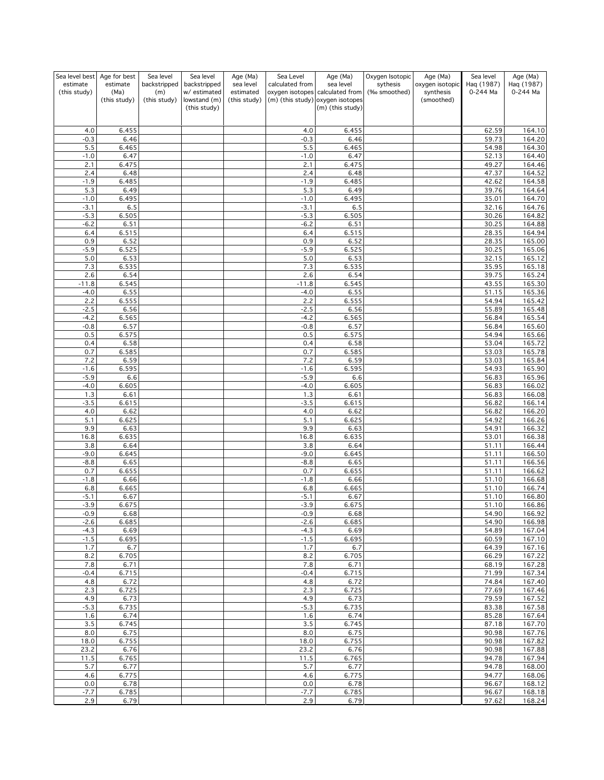| Sea level best           | Age for best     | Sea level           | Sea level                    | Age (Ma)               | Sea Level        | Age (Ma)                                     | Oxygen Isotopic          | Age (Ma)                     | Sea level              | Age (Ma)               |
|--------------------------|------------------|---------------------|------------------------------|------------------------|------------------|----------------------------------------------|--------------------------|------------------------------|------------------------|------------------------|
| estimate<br>(this study) | estimate<br>(Ma) | backstripped<br>(m) | backstripped<br>w/ estimated | sea level<br>estimated | calculated from  | sea level<br>oxygen isotopes calculated from | sythesis<br>(‰ smoothed) | oxygen isotopic<br>synthesis | Haq (1987)<br>0-244 Ma | Haq (1987)<br>0-244 Ma |
|                          | (this study)     | (this study)        | lowstand (m)                 | (this study)           |                  | (m) (this study) oxygen isotopes             |                          | (smoothed)                   |                        |                        |
|                          |                  |                     | (this study)                 |                        |                  | (m) (this study)                             |                          |                              |                        |                        |
|                          |                  |                     |                              |                        |                  |                                              |                          |                              |                        |                        |
| 4.0                      | 6.455            |                     |                              |                        | 4.0              | 6.455                                        |                          |                              | 62.59                  | 164.10                 |
| $-0.3$                   | 6.46             |                     |                              |                        | $-0.3$           | 6.46                                         |                          |                              | 59.73                  | 164.20                 |
| 5.5                      | 6.465            |                     |                              |                        | 5.5              | 6.465                                        |                          |                              | 54.98                  | 164.30                 |
| $-1.0$                   | 6.47             |                     |                              |                        | $-1.0$           | 6.47                                         |                          |                              | 52.13                  | 164.40                 |
| 2.1<br>2.4               | 6.475<br>6.48    |                     |                              |                        | 2.1<br>2.4       | 6.475<br>6.48                                |                          |                              | 49.27<br>47.37         | 164.46<br>164.52       |
| $-1.9$                   | 6.485            |                     |                              |                        | $-1.9$           | 6.485                                        |                          |                              | 42.62                  | 164.58                 |
| 5.3                      | 6.49             |                     |                              |                        | 5.3              | 6.49                                         |                          |                              | 39.76                  | 164.64                 |
| $-1.0$                   | 6.495            |                     |                              |                        | $-1.0$           | 6.495                                        |                          |                              | 35.01                  | 164.70                 |
| $-3.1$                   | 6.5              |                     |                              |                        | $-3.1$           | 6.5                                          |                          |                              | 32.16                  | 164.76                 |
| $-5.3$<br>$-6.2$         | 6.505<br>6.51    |                     |                              |                        | $-5.3$<br>$-6.2$ | 6.505<br>6.51                                |                          |                              | 30.26<br>30.25         | 164.82<br>164.88       |
| 6.4                      | 6.515            |                     |                              |                        | 6.4              | 6.515                                        |                          |                              | 28.35                  | 164.94                 |
| 0.9                      | 6.52             |                     |                              |                        | 0.9              | 6.52                                         |                          |                              | 28.35                  | 165.00                 |
| $-5.9$                   | 6.525            |                     |                              |                        | $-5.9$           | 6.525                                        |                          |                              | 30.25                  | 165.06                 |
| $5.0\,$                  | 6.53             |                     |                              |                        | 5.0              | 6.53                                         |                          |                              | 32.15                  | 165.12                 |
| 7.3                      | 6.535            |                     |                              |                        | 7.3              | 6.535                                        |                          |                              | 35.95                  | 165.18                 |
| 2.6<br>$-11.8$           | 6.54<br>6.545    |                     |                              |                        | 2.6<br>$-11.8$   | 6.54<br>6.545                                |                          |                              | 39.75<br>43.55         | 165.24<br>165.30       |
| $-4.0$                   | 6.55             |                     |                              |                        | $-4.0$           | 6.55                                         |                          |                              | 51.15                  | 165.36                 |
| 2.2                      | 6.555            |                     |                              |                        | 2.2              | 6.555                                        |                          |                              | 54.94                  | 165.42                 |
| $-2.5$                   | 6.56             |                     |                              |                        | $-2.5$           | 6.56                                         |                          |                              | 55.89                  | 165.48                 |
| $-4.2$                   | 6.565            |                     |                              |                        | $-4.2$           | 6.565                                        |                          |                              | 56.84                  | 165.54                 |
| $-0.8$                   | 6.57             |                     |                              |                        | $-0.8$           | 6.57                                         |                          |                              | 56.84                  | 165.60                 |
| 0.5<br>0.4               | 6.575<br>6.58    |                     |                              |                        | 0.5<br>0.4       | 6.575<br>6.58                                |                          |                              | 54.94<br>53.04         | 165.66<br>165.72       |
| 0.7                      | 6.585            |                     |                              |                        | 0.7              | 6.585                                        |                          |                              | 53.03                  | 165.78                 |
| 7.2                      | 6.59             |                     |                              |                        | 7.2              | 6.59                                         |                          |                              | 53.03                  | 165.84                 |
| $-1.6$                   | 6.595            |                     |                              |                        | $-1.6$           | 6.595                                        |                          |                              | 54.93                  | 165.90                 |
| $-5.9$                   | 6.6              |                     |                              |                        | $-5.9$           | 6.6                                          |                          |                              | 56.83                  | 165.96                 |
| $-4.0$<br>1.3            | 6.605<br>6.61    |                     |                              |                        | $-4.0$<br>1.3    | 6.605<br>6.61                                |                          |                              | 56.83<br>56.83         | 166.02<br>166.08       |
| $-3.5$                   | 6.615            |                     |                              |                        | $-3.5$           | 6.615                                        |                          |                              | 56.82                  | 166.14                 |
| 4.0                      | 6.62             |                     |                              |                        | 4.0              | 6.62                                         |                          |                              | 56.82                  | 166.20                 |
| 5.1                      | 6.625            |                     |                              |                        | 5.1              | 6.625                                        |                          |                              | 54.92                  | 166.26                 |
| 9.9                      | 6.63             |                     |                              |                        | 9.9              | 6.63                                         |                          |                              | 54.91                  | 166.32                 |
| 16.8                     | 6.635            |                     |                              |                        | 16.8             | 6.635                                        |                          |                              | 53.01                  | 166.38                 |
| 3.8<br>$-9.0$            | 6.64<br>6.645    |                     |                              |                        | 3.8<br>$-9.0$    | 6.64<br>6.645                                |                          |                              | 51.11<br>51.11         | 166.44<br>166.50       |
| $-8.8$                   | 6.65             |                     |                              |                        | $-8.8$           | 6.65                                         |                          |                              | 51.11                  | 166.56                 |
| 0.7                      | 6.655            |                     |                              |                        | 0.7              | 6.655                                        |                          |                              | 51.11                  | 166.62                 |
| $-1.8$                   | 6.66             |                     |                              |                        | $-1.8$           | 6.66                                         |                          |                              | 51.10                  | 166.68                 |
| 6.8                      | 6.665            |                     |                              |                        | 6.8              | 6.665                                        |                          |                              | 51.10                  | 166.74                 |
| $-5.1$                   | 6.67             |                     |                              |                        | $-5.1$           | 6.67                                         |                          |                              | 51.10                  | 166.80                 |
| $-3.9$                   | 6.675            |                     |                              |                        | $-3.9$           | 6.675                                        |                          |                              | 51.10<br>54.90         | 166.86<br>166.92       |
| -0.9<br>$-2.6$           | 6.68<br>6.685    |                     |                              |                        | -0.9 <br>$-2.6$  | 6.68<br>6.685                                |                          |                              | 54.90                  | 166.98                 |
| $-4.3$                   | 6.69             |                     |                              |                        | $-4.3$           | 6.69                                         |                          |                              | 54.89                  | 167.04                 |
| $-1.5$                   | 6.695            |                     |                              |                        | $-1.5$           | 6.695                                        |                          |                              | 60.59                  | 167.10                 |
| 1.7                      | 6.7              |                     |                              |                        | 1.7              | 6.7                                          |                          |                              | 64.39                  | 167.16                 |
| 8.2<br>7.8               | 6.705<br>6.71    |                     |                              |                        | 8.2<br>7.8       | 6.705<br>6.71                                |                          |                              | 66.29<br>68.19         | 167.22<br>167.28       |
| $-0.4$                   | 6.715            |                     |                              |                        | $-0.4$           | 6.715                                        |                          |                              | 71.99                  | 167.34                 |
| 4.8                      | 6.72             |                     |                              |                        | 4.8              | 6.72                                         |                          |                              | 74.84                  | 167.40                 |
| 2.3                      | 6.725            |                     |                              |                        | 2.3              | 6.725                                        |                          |                              | 77.69                  | 167.46                 |
| 4.9                      | 6.73             |                     |                              |                        | 4.9              | 6.73                                         |                          |                              | 79.59                  | 167.52                 |
| $-5.3$                   | 6.735            |                     |                              |                        | $-5.3$           | 6.735                                        |                          |                              | 83.38                  | 167.58                 |
| 1.6<br>3.5               | 6.74<br>6.745    |                     |                              |                        | 1.6<br>3.5       | 6.74<br>6.745                                |                          |                              | 85.28<br>87.18         | 167.64<br>167.70       |
| 8.0                      | 6.75             |                     |                              |                        | 8.0              | 6.75                                         |                          |                              | 90.98                  | 167.76                 |
| 18.0                     | 6.755            |                     |                              |                        | 18.0             | 6.755                                        |                          |                              | 90.98                  | 167.82                 |
| 23.2                     | 6.76             |                     |                              |                        | 23.2             | 6.76                                         |                          |                              | 90.98                  | 167.88                 |
| 11.5                     | 6.765            |                     |                              |                        | 11.5             | 6.765                                        |                          |                              | 94.78                  | 167.94                 |
| 5.7                      | 6.77             |                     |                              |                        | 5.7              | 6.77                                         |                          |                              | 94.78                  | 168.00                 |
| 4.6                      | 6.775<br>6.78    |                     |                              |                        | 4.6<br>0.0       | 6.775<br>6.78                                |                          |                              | 94.77<br>96.67         | 168.06<br>168.12       |
| 0.0<br>$-7.7$            | 6.785            |                     |                              |                        | $-7.7$           | 6.785                                        |                          |                              | 96.67                  | 168.18                 |
| 2.9                      | 6.79             |                     |                              |                        | 2.9              | 6.79                                         |                          |                              | 97.62                  | 168.24                 |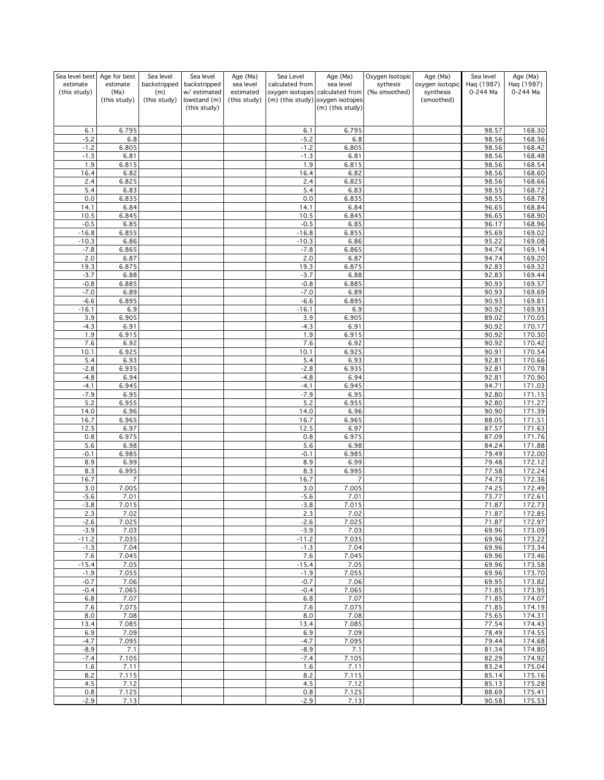| Sea level best   | Age for best         | Sea level           | Sea level                    | Age (Ma)                  | Sea Level        | Age (Ma)                                                            | Oxygen Isotopic | Age (Ma)                | Sea level      | Age (Ma)                     |
|------------------|----------------------|---------------------|------------------------------|---------------------------|------------------|---------------------------------------------------------------------|-----------------|-------------------------|----------------|------------------------------|
| estimate         | estimate             | backstripped        | backstripped                 | sea level                 | calculated from  | sea level                                                           | sythesis        | oxygen isotopic         | Haq (1987)     | Haq (1987)                   |
| (this study)     | (Ma)<br>(this study) | (m)<br>(this study) | w/ estimated<br>lowstand (m) | estimated<br>(this study) |                  | oxygen isotopes calculated from<br>(m) (this study) oxygen isotopes | (‰ smoothed)    | synthesis<br>(smoothed) | 0-244 Ma       | 0-244 Ma                     |
|                  |                      |                     | (this study)                 |                           |                  | (m) (this study)                                                    |                 |                         |                |                              |
|                  |                      |                     |                              |                           |                  |                                                                     |                 |                         |                |                              |
|                  |                      |                     |                              |                           |                  |                                                                     |                 |                         |                |                              |
| 6.1<br>$-5.2$    | 6.795<br>6.8         |                     |                              |                           | 6.1<br>$-5.2$    | 6.795<br>6.8                                                        |                 |                         | 98.57<br>98.56 | 168.30<br>168.36             |
| $-1.2$           | 6.805                |                     |                              |                           | $-1.2$           | 6.805                                                               |                 |                         | 98.56          | 168.42                       |
| $-1.3$           | 6.81                 |                     |                              |                           | $-1.3$           | 6.81                                                                |                 |                         | 98.56          | 168.48                       |
| 1.9              | 6.815                |                     |                              |                           | 1.9              | 6.815                                                               |                 |                         | 98.56          | 168.54                       |
| 16.4             | 6.82                 |                     |                              |                           | 16.4             | 6.82                                                                |                 |                         | 98.56          | 168.60                       |
| 2.4              | 6.825                |                     |                              |                           | 2.4              | 6.825                                                               |                 |                         | 98.56          | 168.66                       |
| 5.4              | 6.83                 |                     |                              |                           | 5.4              | 6.83                                                                |                 |                         | 98.55          | 168.72                       |
| 0.0              | 6.835                |                     |                              |                           | 0.0              | 6.835<br>6.84                                                       |                 |                         | 98.55<br>96.65 | 168.78<br>168.84             |
| 14.1<br>10.5     | 6.84<br>6.845        |                     |                              |                           | 14.1<br>10.5     | 6.845                                                               |                 |                         | 96.65          | 168.90                       |
| $-0.5$           | 6.85                 |                     |                              |                           | $-0.5$           | 6.85                                                                |                 |                         | 96.17          | 168.96                       |
| $-16.8$          | 6.855                |                     |                              |                           | $-16.8$          | 6.855                                                               |                 |                         | 95.69          | 169.02                       |
| $-10.3$          | 6.86                 |                     |                              |                           | $-10.3$          | 6.86                                                                |                 |                         | 95.22          | 169.08                       |
| $-7.8$           | 6.865                |                     |                              |                           | $-7.8$           | 6.865                                                               |                 |                         | 94.74          | 169.14                       |
| 2.0              | 6.87                 |                     |                              |                           | 2.0              | 6.87                                                                |                 |                         | 94.74          | 169.20                       |
| 19.3             | 6.875                |                     |                              |                           | 19.3             | 6.875                                                               |                 |                         | 92.83          | 169.32<br>169.44             |
| $-3.7$<br>$-0.8$ | 6.88<br>6.885        |                     |                              |                           | $-3.7$<br>$-0.8$ | 6.88<br>6.885                                                       |                 |                         | 92.83<br>90.93 | 169.57                       |
| $-7.0$           | 6.89                 |                     |                              |                           | $-7.0$           | 6.89                                                                |                 |                         | 90.93          | 169.69                       |
| $-6.6$           | 6.895                |                     |                              |                           | $-6.6$           | 6.895                                                               |                 |                         | 90.93          | 169.81                       |
| $-16.1$          | 6.9                  |                     |                              |                           | $-16.1$          | 6.9                                                                 |                 |                         | 90.92          | 169.93                       |
| 3.9              | 6.905                |                     |                              |                           | 3.9              | 6.905                                                               |                 |                         | 89.02          | 170.05                       |
| $-4.3$           | 6.91                 |                     |                              |                           | $-4.3$           | 6.91                                                                |                 |                         | 90.92          | 170.17                       |
| 1.9              | 6.915                |                     |                              |                           | 1.9              | 6.915                                                               |                 |                         | 90.92          | 170.30                       |
| 7.6              | 6.92<br>6.925        |                     |                              |                           | 7.6<br>10.1      | 6.92<br>6.925                                                       |                 |                         | 90.92<br>90.91 | 170.42<br>170.54             |
| 10.1<br>5.4      | 6.93                 |                     |                              |                           | 5.4              | 6.93                                                                |                 |                         | 92.81          | 170.66                       |
| $-2.8$           | 6.935                |                     |                              |                           | $-2.8$           | 6.935                                                               |                 |                         | 92.81          | 170.78                       |
| $-4.8$           | 6.94                 |                     |                              |                           | $-4.8$           | 6.94                                                                |                 |                         | 92.81          | 170.90                       |
| $-4.1$           | 6.945                |                     |                              |                           | $-4.1$           | 6.945                                                               |                 |                         | 94.71          | 171.03                       |
| $-7.9$           | 6.95                 |                     |                              |                           | $-7.9$           | 6.95                                                                |                 |                         | 92.80          | 171.15                       |
| 5.2              | 6.955                |                     |                              |                           | 5.2              | 6.955                                                               |                 |                         | 92.80          | 171.27                       |
| 14.0             | 6.96                 |                     |                              |                           | 14.0             | 6.96                                                                |                 |                         | 90.90          | 171.39                       |
| 16.7<br>12.5     | 6.965<br>6.97        |                     |                              |                           | 16.7<br>12.5     | 6.965<br>6.97                                                       |                 |                         | 88.05<br>87.57 | 171.51<br>171.63             |
| 0.8              | 6.975                |                     |                              |                           | 0.8              | 6.975                                                               |                 |                         | 87.09          | 171.76                       |
| 5.6              | 6.98                 |                     |                              |                           | 5.6              | 6.98                                                                |                 |                         | 84.24          | 171.88                       |
| $-0.1$           | 6.985                |                     |                              |                           | $-0.1$           | 6.985                                                               |                 |                         | 79.49          | 172.00                       |
| 8.9              | 6.99                 |                     |                              |                           | 8.9              | 6.99                                                                |                 |                         | 79.48          | 172.12                       |
| 8.3              | 6.995                |                     |                              |                           | 8.3              | 6.995                                                               |                 |                         | 77.58          | 172.24                       |
| 16.7             | $\overline{7}$       |                     |                              |                           | 16.7             | $\overline{7}$                                                      |                 |                         | 74.73          | 172.36                       |
| 3.0<br>$-5.6$    | 7.005<br>7.01        |                     |                              |                           | 3.0<br>$-5.6$    | 7.005<br>7.01                                                       |                 |                         | 74.25<br>73.77 | 172.49<br>172.61             |
| $-3.8$           | 7.015                |                     |                              |                           | $-3.8$           | 7.015                                                               |                 |                         | 71.87          | 172.73                       |
| 2.3              | 7.02                 |                     |                              |                           | 2.3              | 7.02                                                                |                 |                         | 71.87          | 172.85                       |
| $-2.6$           | 7.025                |                     |                              |                           | $-2.6$           | 7.025                                                               |                 |                         | 71.87          | 172.97                       |
| $-3.9$           | 7.03                 |                     |                              |                           | $-3.9$           | 7.03                                                                |                 |                         | 69.96          | 173.09                       |
| $-11.2$          | 7.035                |                     |                              |                           | $-11.2$          | 7.035                                                               |                 |                         | 69.96          | 173.22                       |
| $-1.3$           | 7.04                 |                     |                              |                           | $-1.3$           | 7.04                                                                |                 |                         | 69.96          | 173.34                       |
| 7.6<br>$-15.4$   | 7.045<br>7.05        |                     |                              |                           | 7.6<br>$-15.4$   | 7.045<br>7.05                                                       |                 |                         | 69.96<br>69.96 | 173.46<br>173.58             |
| $-1.9$           | 7.055                |                     |                              |                           | $-1.9$           | 7.055                                                               |                 |                         | 69.96          | 173.70                       |
| $-0.7$           | 7.06                 |                     |                              |                           | $-0.7$           | 7.06                                                                |                 |                         | 69.95          | 173.82                       |
| $-0.4$           | 7.065                |                     |                              |                           | $-0.4$           | 7.065                                                               |                 |                         | 71.85          | 173.95                       |
| 6.8              | 7.07                 |                     |                              |                           | 6.8              | 7.07                                                                |                 |                         | 71.85          | 174.07                       |
| 7.6              | 7.075                |                     |                              |                           | 7.6              | 7.075                                                               |                 |                         | 71.85          | 174.19                       |
| 8.0              | 7.08                 |                     |                              |                           | 8.0              | 7.08                                                                |                 |                         | 75.65          | 174.31                       |
| 13.4             | 7.085                |                     |                              |                           | 13.4             | 7.085                                                               |                 |                         | 77.54          | 174.43<br>$\frac{174.55}{x}$ |
| 6.9<br>$-4.7$    | 7.09<br>7.095        |                     |                              |                           | 6.9<br>$-4.7$    | 7.09<br>7.095                                                       |                 |                         | 78.49<br>79.44 | 174.68                       |
| $-8.9$           | 7.1                  |                     |                              |                           | $-8.9$           | 7.1                                                                 |                 |                         | 81.34          | 174.80                       |
| $-7.4$           | 7.105                |                     |                              |                           | $-7.4$           | 7.105                                                               |                 |                         | 82.29          | 174.92                       |
| 1.6              | 7.11                 |                     |                              |                           | 1.6              | 7.11                                                                |                 |                         | 83.24          | 175.04                       |
| 8.2              | 7.115                |                     |                              |                           | 8.2              | 7.115                                                               |                 |                         | 85.14          | 175.16                       |
| 4.5              | 7.12                 |                     |                              |                           | 4.5              | 7.12                                                                |                 |                         | 85.13          | 175.28                       |
| 0.8<br>$-2.9$    | 7.125<br>7.13        |                     |                              |                           | 0.8<br>$-2.9$    | 7.125<br>7.13                                                       |                 |                         | 88.69<br>90.58 | 175.41<br>175.53             |
|                  |                      |                     |                              |                           |                  |                                                                     |                 |                         |                |                              |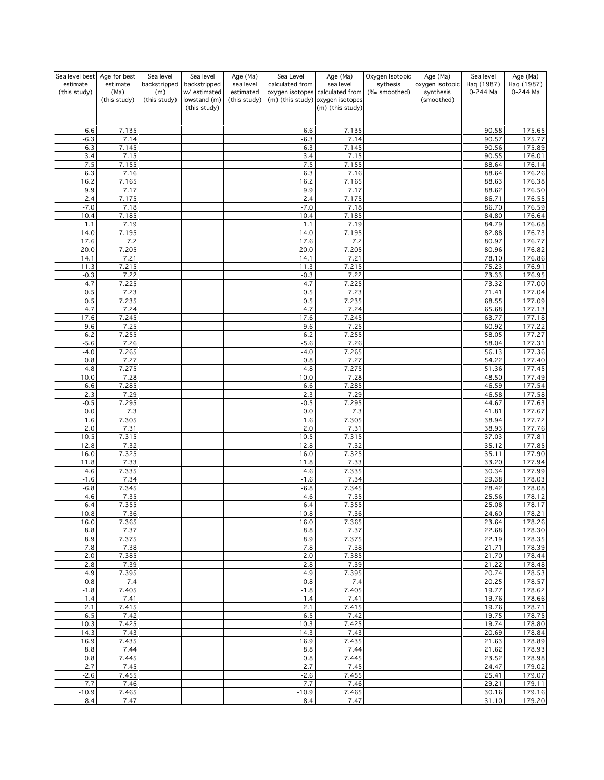| Sea level best   | Age for best     | Sea level           | Sea level                    | Age (Ma)               | Sea Level        | Age (Ma)                                                            | Oxygen Isotopic          | Age (Ma)                     | Sea level              | Age (Ma)                |
|------------------|------------------|---------------------|------------------------------|------------------------|------------------|---------------------------------------------------------------------|--------------------------|------------------------------|------------------------|-------------------------|
| estimate         | estimate<br>(Ma) | backstripped        | backstripped<br>w/ estimated | sea level<br>estimated | calculated from  | sea level                                                           | sythesis<br>(‰ smoothed) | oxygen isotopic<br>synthesis | Haq (1987)<br>0-244 Ma | Haq (1987)<br>0-244 Ma  |
| (this study)     | (this study)     | (m)<br>(this study) | lowstand (m)                 | (this study)           |                  | oxygen isotopes calculated from<br>(m) (this study) oxygen isotopes |                          | (smoothed)                   |                        |                         |
|                  |                  |                     | (this study)                 |                        |                  | (m) (this study)                                                    |                          |                              |                        |                         |
|                  |                  |                     |                              |                        |                  |                                                                     |                          |                              |                        |                         |
| $-6.6$           | 7.135            |                     |                              |                        | $-6.6$           | 7.135                                                               |                          |                              | 90.58                  | 175.65                  |
| $-6.3$           | 7.14             |                     |                              |                        | $-6.3$           | 7.14                                                                |                          |                              | 90.57                  | 175.77                  |
| $-6.3$           | 7.145            |                     |                              |                        | $-6.3$           | 7.145                                                               |                          |                              | 90.56                  | 175.89                  |
| 3.4              | 7.15             |                     |                              |                        | 3.4              | 7.15                                                                |                          |                              | 90.55                  | 176.01                  |
| 7.5<br>6.3       | 7.155<br>7.16    |                     |                              |                        | 7.5<br>6.3       | 7.155<br>7.16                                                       |                          |                              | 88.64<br>88.64         | 176.14<br>176.26        |
| 16.2             | 7.165            |                     |                              |                        | 16.2             | 7.165                                                               |                          |                              | 88.63                  | 176.38                  |
| 9.9              | 7.17             |                     |                              |                        | 9.9              | 7.17                                                                |                          |                              | 88.62                  | 176.50                  |
| $-2.4$           | 7.175            |                     |                              |                        | $-2.4$           | 7.175                                                               |                          |                              | 86.71                  | 176.55                  |
| $-7.0$           | 7.18             |                     |                              |                        | $-7.0$           | 7.18                                                                |                          |                              | 86.70                  | 176.59                  |
| $-10.4$<br>1.1   | 7.185<br>7.19    |                     |                              |                        | $-10.4$<br>1.1   | 7.185<br>7.19                                                       |                          |                              | 84.80<br>84.79         | 176.64<br>176.68        |
| 14.0             | 7.195            |                     |                              |                        | 14.0             | 7.195                                                               |                          |                              | 82.88                  | 176.73                  |
| 17.6             | 7.2              |                     |                              |                        | 17.6             | 7.2                                                                 |                          |                              | 80.97                  | 176.77                  |
| 20.0             | 7.205            |                     |                              |                        | 20.0             | 7.205                                                               |                          |                              | 80.96                  | 176.82                  |
| 14.1             | 7.21             |                     |                              |                        | 14.1             | 7.21                                                                |                          |                              | 78.10                  | 176.86                  |
| 11.3             | 7.215            |                     |                              |                        | 11.3             | 7.215                                                               |                          |                              | 75.23                  | 176.91                  |
| $-0.3$<br>$-4.7$ | 7.22<br>7.225    |                     |                              |                        | $-0.3$<br>$-4.7$ | 7.22<br>7.225                                                       |                          |                              | 73.33<br>73.32         | 176.95<br>177.00        |
| 0.5              | 7.23             |                     |                              |                        | 0.5              | 7.23                                                                |                          |                              | 71.41                  | 177.04                  |
| $0.5\,$          | 7.235            |                     |                              |                        | 0.5              | 7.235                                                               |                          |                              | 68.55                  | 177.09                  |
| 4.7              | 7.24             |                     |                              |                        | 4.7              | 7.24                                                                |                          |                              | 65.68                  | 177.13                  |
| 17.6             | 7.245            |                     |                              |                        | 17.6             | 7.245                                                               |                          |                              | 63.77                  | 177.18                  |
| 9.6              | 7.25             |                     |                              |                        | 9.6              | 7.25                                                                |                          |                              | 60.92<br>58.05         | 177.22                  |
| 6.2<br>$-5.6$    | 7.255<br>7.26    |                     |                              |                        | 6.2<br>$-5.6$    | 7.255<br>7.26                                                       |                          |                              | 58.04                  | 177.27<br>177.31        |
| $-4.0$           | 7.265            |                     |                              |                        | $-4.0$           | 7.265                                                               |                          |                              | 56.13                  | 177.36                  |
| 0.8              | 7.27             |                     |                              |                        | 0.8              | 7.27                                                                |                          |                              | 54.22                  | 177.40                  |
| 4.8              | 7.275            |                     |                              |                        | 4.8              | 7.275                                                               |                          |                              | 51.36                  | 177.45                  |
| 10.0             | 7.28             |                     |                              |                        | 10.0             | 7.28                                                                |                          |                              | 48.50                  | 177.49                  |
| 6.6<br>2.3       | 7.285<br>7.29    |                     |                              |                        | 6.6<br>2.3       | 7.285<br>7.29                                                       |                          |                              | 46.59                  | 177.54<br>177.58        |
| $-0.5$           | 7.295            |                     |                              |                        | $-0.5$           | 7.295                                                               |                          |                              | 46.58<br>44.67         | 177.63                  |
| 0.0              | 7.3              |                     |                              |                        | 0.0              | 7.3                                                                 |                          |                              | 41.81                  | 177.67                  |
| 1.6              | 7.305            |                     |                              |                        | 1.6              | 7.305                                                               |                          |                              | 38.94                  | 177.72                  |
| 2.0              | 7.31             |                     |                              |                        | 2.0              | 7.31                                                                |                          |                              | 38.93                  | 177.76                  |
| 10.5             | 7.315            |                     |                              |                        | 10.5             | 7.315                                                               |                          |                              | 37.03                  | 177.81                  |
| 12.8<br>16.0     | 7.32<br>7.325    |                     |                              |                        | 12.8<br>16.0     | 7.32<br>7.325                                                       |                          |                              | 35.12<br>35.11         | 177.85<br>177.90        |
| 11.8             | 7.33             |                     |                              |                        | 11.8             | 7.33                                                                |                          |                              | 33.20                  | 177.94                  |
| 4.6              | 7.335            |                     |                              |                        | 4.6              | 7.335                                                               |                          |                              | 30.34                  | 177.99                  |
| $-1.6$           | 7.34             |                     |                              |                        | $-1.6$           | 7.34                                                                |                          |                              | 29.38                  | 178.03                  |
| $-6.8$           | 7.345            |                     |                              |                        | $-6.8$           | 7.345                                                               |                          |                              | 28.42                  | 178.08                  |
| 4.6              | 7.35             |                     |                              |                        | 4.6              | 7.35                                                                |                          |                              | 25.56                  | 178.12                  |
| 6.4<br>10.8      | 7.355<br>7.36    |                     |                              |                        | 6.4<br>10.8      | 7.355<br>7.36                                                       |                          |                              | 25.08<br>24.60         | 178.17<br><u>178.21</u> |
| 16.0             | 7.365            |                     |                              |                        | 16.0             | 7.365                                                               |                          |                              | 23.64                  | 178.26                  |
| 8.8              | 7.37             |                     |                              |                        | 8.8              | 7.37                                                                |                          |                              | 22.68                  | 178.30                  |
| 8.9              | 7.375            |                     |                              |                        | 8.9              | 7.375                                                               |                          |                              | 22.19                  | 178.35                  |
| 7.8              | 7.38             |                     |                              |                        | 7.8              | 7.38                                                                |                          |                              | 21.71                  | 178.39                  |
| 2.0<br>2.8       | 7.385<br>7.39    |                     |                              |                        | 2.0<br>2.8       | 7.385<br>7.39                                                       |                          |                              | 21.70<br>21.22         | 178.44<br>178.48        |
| 4.9              | 7.395            |                     |                              |                        | 4.9              | 7.395                                                               |                          |                              | 20.74                  | 178.53                  |
| $-0.8$           | 7.4              |                     |                              |                        | $-0.8$           | 7.4                                                                 |                          |                              | 20.25                  | 178.57                  |
| $-1.8$           | 7.405            |                     |                              |                        | $-1.8$           | 7.405                                                               |                          |                              | 19.77                  | 178.62                  |
| $-1.4$           | 7.41             |                     |                              |                        | $-1.4$           | 7.41                                                                |                          |                              | 19.76                  | 178.66                  |
| 2.1<br>6.5       | 7.415<br>7.42    |                     |                              |                        | 2.1<br>6.5       | 7.415<br>7.42                                                       |                          |                              | 19.76<br>19.75         | 178.71<br>178.75        |
| 10.3             | 7.425            |                     |                              |                        | 10.3             | 7.425                                                               |                          |                              | 19.74                  | 178.80                  |
| 14.3             | 7.43             |                     |                              |                        | 14.3             | 7.43                                                                |                          |                              | 20.69                  | 178.84                  |
| 16.9             | 7.435            |                     |                              |                        | 16.9             | 7.435                                                               |                          |                              | 21.63                  | 178.89                  |
| 8.8              | 7.44             |                     |                              |                        | 8.8              | 7.44                                                                |                          |                              | 21.62                  | 178.93                  |
| 0.8              | 7.445            |                     |                              |                        | 0.8              | 7.445                                                               |                          |                              | 23.52                  | 178.98                  |
| $-2.7$<br>$-2.6$ | 7.45<br>7.455    |                     |                              |                        | $-2.7$<br>$-2.6$ | 7.45<br>7.455                                                       |                          |                              | 24.47<br>25.41         | 179.02<br>179.07        |
| $-7.7$           | 7.46             |                     |                              |                        | $-7.7$           | 7.46                                                                |                          |                              | 29.21                  | 179.11                  |
| $-10.9$          | 7.465            |                     |                              |                        | $-10.9$          | 7.465                                                               |                          |                              | 30.16                  | 179.16                  |
| $-8.4$           | 7.47             |                     |                              |                        | $-8.4$           | 7.47                                                                |                          |                              | 31.10                  | 179.20                  |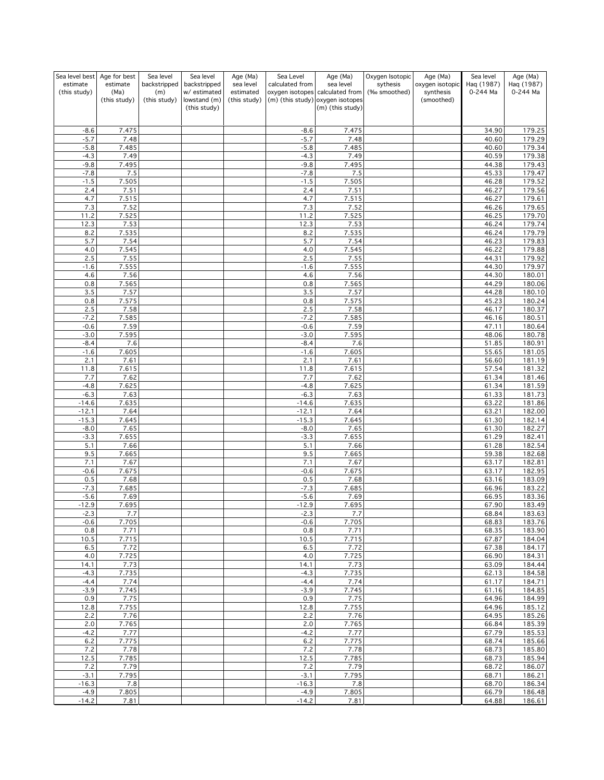| Sea level best    | Age for best           | Sea level           | Sea level                    | Age (Ma)               | Sea Level         | Age (Ma)                                                            | Oxygen Isotopic          | Age (Ma)                     | Sea level              | Age (Ma)                     |
|-------------------|------------------------|---------------------|------------------------------|------------------------|-------------------|---------------------------------------------------------------------|--------------------------|------------------------------|------------------------|------------------------------|
| estimate          | estimate<br>(Ma)       | backstripped        | backstripped<br>w/ estimated | sea level<br>estimated | calculated from   | sea level                                                           | sythesis<br>(‰ smoothed) | oxygen isotopic<br>synthesis | Haq (1987)<br>0-244 Ma | Haq (1987)<br>0-244 Ma       |
| (this study)      | (this study)           | (m)<br>(this study) | lowstand (m)                 | (this study)           |                   | oxygen isotopes calculated from<br>(m) (this study) oxygen isotopes |                          | (smoothed)                   |                        |                              |
|                   |                        |                     | (this study)                 |                        |                   | (m) (this study)                                                    |                          |                              |                        |                              |
|                   |                        |                     |                              |                        |                   |                                                                     |                          |                              |                        |                              |
| $-8.6$            | 7.475                  |                     |                              |                        | $-8.6$            | 7.475                                                               |                          |                              | 34.90                  | 179.25                       |
| $-5.7$            | 7.48                   |                     |                              |                        | $-5.7$            | 7.48                                                                |                          |                              | 40.60                  | 179.29                       |
| $-5.8$            | 7.485                  |                     |                              |                        | $-5.8$            | 7.485                                                               |                          |                              | 40.60                  | 179.34                       |
| $-4.3$            | 7.49                   |                     |                              |                        | $-4.3$            | 7.49                                                                |                          |                              | 40.59                  | 179.38                       |
| $-9.8$<br>$-7.8$  | 7.495<br>7.5           |                     |                              |                        | $-9.8$<br>$-7.8$  | 7.495<br>7.5                                                        |                          |                              | 44.38<br>45.33         | 179.43<br>179.47             |
| $-1.5$            | 7.505                  |                     |                              |                        | $-1.5$            | 7.505                                                               |                          |                              | 46.28                  | 179.52                       |
| 2.4               | 7.51                   |                     |                              |                        | 2.4               | 7.51                                                                |                          |                              | 46.27                  | 179.56                       |
| 4.7               | 7.515                  |                     |                              |                        | 4.7               | 7.515                                                               |                          |                              | 46.27                  | 179.61                       |
| 7.3               | 7.52                   |                     |                              |                        | 7.3               | 7.52                                                                |                          |                              | 46.26                  | 179.65                       |
| 11.2              | 7.525                  |                     |                              |                        | 11.2              | 7.525                                                               |                          |                              | 46.25                  | 179.70                       |
| 12.3              | 7.53                   |                     |                              |                        | 12.3              | 7.53                                                                |                          |                              | 46.24                  | 179.74                       |
| 8.2<br>5.7        | 7.535<br>7.54          |                     |                              |                        | 8.2<br>5.7        | 7.535<br>7.54                                                       |                          |                              | 46.24<br>46.23         | 179.79<br>$\frac{1}{179.83}$ |
| 4.0               | 7.545                  |                     |                              |                        | 4.0               | 7.545                                                               |                          |                              | 46.22                  | 179.88                       |
| 2.5               | 7.55                   |                     |                              |                        | 2.5               | 7.55                                                                |                          |                              | 44.31                  | 179.92                       |
| $-1.6$            | 7.555                  |                     |                              |                        | $-1.6$            | 7.555                                                               |                          |                              | 44.30                  | 179.97                       |
| 4.6               | 7.56                   |                     |                              |                        | 4.6               | 7.56                                                                |                          |                              | 44.30                  | 180.01                       |
| 0.8               | 7.565                  |                     |                              |                        | 0.8               | 7.565                                                               |                          |                              | 44.29                  | 180.06                       |
| 3.5               | 7.57                   |                     |                              |                        | 3.5               | 7.57                                                                |                          |                              | 44.28                  | 180.10                       |
| $0.8\,$<br>2.5    | 7.575<br>7.58          |                     |                              |                        | 0.8<br>2.5        | 7.575<br>7.58                                                       |                          |                              | 45.23<br>46.17         | 180.24<br>180.37             |
| $-7.2$            | 7.585                  |                     |                              |                        | $-7.2$            | 7.585                                                               |                          |                              | 46.16                  | 180.51                       |
| $-0.6$            | 7.59                   |                     |                              |                        | $-0.6$            | 7.59                                                                |                          |                              | 47.11                  | 180.64                       |
| $-3.0$            | 7.595                  |                     |                              |                        | $-3.0$            | 7.595                                                               |                          |                              | 48.06                  | 180.78                       |
| $-8.4$            | 7.6                    |                     |                              |                        | $-8.4$            | 7.6                                                                 |                          |                              | 51.85                  | 180.91                       |
| $-1.6$            | 7.605                  |                     |                              |                        | $-1.6$            | 7.605                                                               |                          |                              | 55.65                  | 181.05                       |
| 2.1               | 7.61                   |                     |                              |                        | 2.1               | 7.61                                                                |                          |                              | 56.60                  | 181.19                       |
| 11.8<br>7.7       | 7.615<br>7.62          |                     |                              |                        | 11.8<br>7.7       | 7.615<br>7.62                                                       |                          |                              | 57.54<br>61.34         | 181.32<br>181.46             |
| $-4.8$            | 7.625                  |                     |                              |                        | $-4.8$            | 7.625                                                               |                          |                              | 61.34                  | 181.59                       |
| $-6.3$            | 7.63                   |                     |                              |                        | $-6.3$            | 7.63                                                                |                          |                              | 61.33                  | 181.73                       |
| $-14.6$           | 7.635                  |                     |                              |                        | $-14.6$           | 7.635                                                               |                          |                              | 63.22                  | 181.86                       |
| $-12.1$           | 7.64                   |                     |                              |                        | $-12.1$           | 7.64                                                                |                          |                              | 63.21                  | 182.00                       |
| $-15.3$           | 7.645                  |                     |                              |                        | $-15.3$           | 7.645                                                               |                          |                              | 61.30                  | 182.14                       |
| $-8.0$            | 7.65                   |                     |                              |                        | $-8.0$            | 7.65                                                                |                          |                              | 61.30                  | 182.27                       |
| $-3.3$<br>5.1     | 7.655<br>7.66          |                     |                              |                        | $-3.3$<br>5.1     | 7.655<br>7.66                                                       |                          |                              | 61.29<br>61.28         | 182.41<br>182.54             |
| 9.5               | 7.665                  |                     |                              |                        | 9.5               | 7.665                                                               |                          |                              | 59.38                  | 182.68                       |
| 7.1               | 7.67                   |                     |                              |                        | 7.1               | 7.67                                                                |                          |                              | 63.17                  | 182.81                       |
| $-0.6$            | 7.675                  |                     |                              |                        | $-0.6$            | 7.675                                                               |                          |                              | 63.17                  | 182.95                       |
| 0.5               | 7.68                   |                     |                              |                        | 0.5               | 7.68                                                                |                          |                              | 63.16                  | 183.09                       |
| $-7.3$            | 7.685                  |                     |                              |                        | $-7.3$            | 7.685                                                               |                          |                              | 66.96                  | 183.22                       |
| $-5.6$            | 7.69                   |                     |                              |                        | $-5.6$            | 7.69                                                                |                          |                              | 66.95                  | 183.36                       |
| $-12.9$<br>-2.3   | 7.695<br>$\iota \iota$ |                     |                              |                        | $-12.9$<br>-2.3   | 7.695<br>$\frac{\ell}{\ell}$                                        |                          |                              | 67.90<br>68.84         | 183.49<br><u> 183.63</u>     |
| $-0.6$            | 7.705                  |                     |                              |                        | $-0.6$            | 7.705                                                               |                          |                              | 68.83                  | 183.76                       |
| 0.8               | 7.71                   |                     |                              |                        | 0.8               | 7.71                                                                |                          |                              | 68.35                  | 183.90                       |
| 10.5              | 7.715                  |                     |                              |                        | 10.5              | 7.715                                                               |                          |                              | 67.87                  | 184.04                       |
| 6.5               | 7.72                   |                     |                              |                        | 6.5               | 7.72                                                                |                          |                              | 67.38                  | 184.17                       |
| 4.0<br>14.1       | 7.725<br>7.73          |                     |                              |                        | 4.0               | 7.725<br>7.73                                                       |                          |                              | 66.90                  | 184.31<br>184.44             |
| $-4.3$            | 7.735                  |                     |                              |                        | 14.1<br>$-4.3$    | 7.735                                                               |                          |                              | 63.09<br>62.13         | 184.58                       |
| $-4.4$            | 7.74                   |                     |                              |                        | $-4.4$            | 7.74                                                                |                          |                              | 61.17                  | 184.71                       |
| $-3.9$            | 7.745                  |                     |                              |                        | $-3.9$            | 7.745                                                               |                          |                              | 61.16                  | 184.85                       |
| 0.9               | 7.75                   |                     |                              |                        | 0.9               | 7.75                                                                |                          |                              | 64.96                  | 184.99                       |
| 12.8              | 7.755                  |                     |                              |                        | 12.8              | 7.755                                                               |                          |                              | 64.96                  | 185.12                       |
| 2.2               | 7.76                   |                     |                              |                        | 2.2               | 7.76                                                                |                          |                              | 64.95                  | 185.26                       |
| 2.0<br>$-4.2$     | 7.765<br>7.77          |                     |                              |                        | 2.0<br>$-4.2$     | 7.765<br>7.77                                                       |                          |                              | 66.84<br>67.79         | 185.39<br>185.53             |
| 6.2               | 7.775                  |                     |                              |                        | $6.2$             | 7.775                                                               |                          |                              | 68.74                  | 185.66                       |
| 7.2               | 7.78                   |                     |                              |                        | 7.2               | 7.78                                                                |                          |                              | 68.73                  | 185.80                       |
| 12.5              | 7.785                  |                     |                              |                        | 12.5              | 7.785                                                               |                          |                              | 68.73                  | 185.94                       |
| 7.2               | 7.79                   |                     |                              |                        | 7.2               | 7.79                                                                |                          |                              | 68.72                  | 186.07                       |
| $-3.1$            | 7.795                  |                     |                              |                        | $-3.1$            | 7.795                                                               |                          |                              | 68.71                  | 186.21                       |
| $-16.3$<br>$-4.9$ | 7.8<br>7.805           |                     |                              |                        | $-16.3$<br>$-4.9$ | 7.8<br>7.805                                                        |                          |                              | 68.70<br>66.79         | 186.34<br>186.48             |
| $-14.2$           | 7.81                   |                     |                              |                        | $-14.2$           | 7.81                                                                |                          |                              | 64.88                  | 186.61                       |
|                   |                        |                     |                              |                        |                   |                                                                     |                          |                              |                        |                              |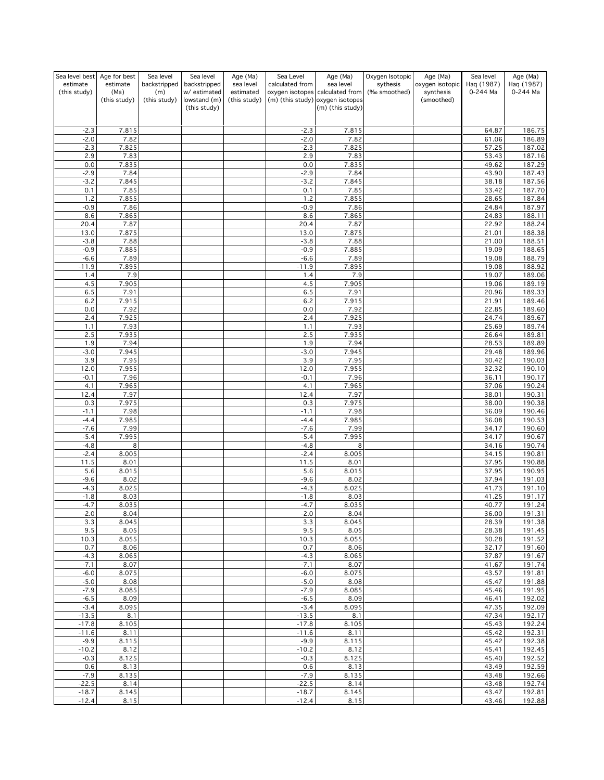| Sea level best    | Age for best         | Sea level           | Sea level                    | Age (Ma)                  | Sea Level         | Age (Ma)                                                            | Oxygen Isotopic | Age (Ma)                | Sea level      | Age (Ma)         |
|-------------------|----------------------|---------------------|------------------------------|---------------------------|-------------------|---------------------------------------------------------------------|-----------------|-------------------------|----------------|------------------|
| estimate          | estimate             | backstripped        | backstripped                 | sea level                 | calculated from   | sea level                                                           | sythesis        | oxygen isotopic         | Haq (1987)     | Haq (1987)       |
| (this study)      | (Ma)<br>(this study) | (m)<br>(this study) | w/ estimated<br>lowstand (m) | estimated<br>(this study) |                   | oxygen isotopes calculated from<br>(m) (this study) oxygen isotopes | (‰ smoothed)    | synthesis<br>(smoothed) | 0-244 Ma       | 0-244 Ma         |
|                   |                      |                     | (this study)                 |                           |                   | (m) (this study)                                                    |                 |                         |                |                  |
|                   |                      |                     |                              |                           |                   |                                                                     |                 |                         |                |                  |
|                   |                      |                     |                              |                           |                   |                                                                     |                 |                         |                |                  |
| $-2.3$<br>$-2.0$  | 7.815<br>7.82        |                     |                              |                           | $-2.3$<br>$-2.0$  | 7.815<br>7.82                                                       |                 |                         | 64.87<br>61.06 | 186.75<br>186.89 |
| $-2.3$            | 7.825                |                     |                              |                           | $-2.3$            | 7.825                                                               |                 |                         | 57.25          | 187.02           |
| 2.9               | 7.83                 |                     |                              |                           | 2.9               | 7.83                                                                |                 |                         | 53.43          | 187.16           |
| 0.0               | 7.835                |                     |                              |                           | 0.0               | 7.835                                                               |                 |                         | 49.62          | 187.29           |
| $-2.9$            | 7.84                 |                     |                              |                           | $-2.9$            | 7.84                                                                |                 |                         | 43.90          | 187.43           |
| $-3.2$            | 7.845                |                     |                              |                           | $-3.2$            | 7.845                                                               |                 |                         | 38.18          | 187.56           |
| 0.1<br>1.2        | 7.85<br>7.855        |                     |                              |                           | 0.1<br>1.2        | 7.85<br>7.855                                                       |                 |                         | 33.42<br>28.65 | 187.70<br>187.84 |
| $-0.9$            | 7.86                 |                     |                              |                           | $-0.9$            | 7.86                                                                |                 |                         | 24.84          | 187.97           |
| 8.6               | 7.865                |                     |                              |                           | 8.6               | 7.865                                                               |                 |                         | 24.83          | 188.11           |
| 20.4              | 7.87                 |                     |                              |                           | 20.4              | 7.87                                                                |                 |                         | 22.92          | 188.24           |
| 13.0              | 7.875                |                     |                              |                           | 13.0              | 7.875                                                               |                 |                         | 21.01          | 188.38           |
| $-3.8$            | 7.88                 |                     |                              |                           | $-3.8$            | 7.88                                                                |                 |                         | 21.00          | 188.51           |
| $-0.9$            | 7.885                |                     |                              |                           | $-0.9$            | 7.885                                                               |                 |                         | 19.09          | 188.65           |
| $-6.6$<br>$-11.9$ | 7.89<br>7.895        |                     |                              |                           | $-6.6$<br>$-11.9$ | 7.89<br>7.895                                                       |                 |                         | 19.08<br>19.08 | 188.79<br>188.92 |
| 1.4               | 7.9                  |                     |                              |                           | 1.4               | 7.9                                                                 |                 |                         | 19.07          | 189.06           |
| 4.5               | 7.905                |                     |                              |                           | 4.5               | 7.905                                                               |                 |                         | 19.06          | 189.19           |
| 6.5               | 7.91                 |                     |                              |                           | 6.5               | 7.91                                                                |                 |                         | 20.96          | 189.33           |
| 6.2               | 7.915                |                     |                              |                           | 6.2               | 7.915                                                               |                 |                         | 21.91          | 189.46           |
| 0.0               | 7.92                 |                     |                              |                           | 0.0               | 7.92                                                                |                 |                         | 22.85          | 189.60           |
| $-2.4$            | 7.925                |                     |                              |                           | $-2.4$            | 7.925                                                               |                 |                         | 24.74          | 189.67           |
| 1.1               | 7.93                 |                     |                              |                           | 1.1               | 7.93                                                                |                 |                         | 25.69<br>26.64 | 189.74<br>189.81 |
| 2.5<br>1.9        | 7.935<br>7.94        |                     |                              |                           | 2.5<br>1.9        | 7.935<br>7.94                                                       |                 |                         | 28.53          | 189.89           |
| $-3.0$            | 7.945                |                     |                              |                           | $-3.0$            | 7.945                                                               |                 |                         | 29.48          | 189.96           |
| 3.9               | 7.95                 |                     |                              |                           | 3.9               | 7.95                                                                |                 |                         | 30.42          | 190.03           |
| 12.0              | 7.955                |                     |                              |                           | 12.0              | 7.955                                                               |                 |                         | 32.32          | 190.10           |
| $-0.1$            | 7.96                 |                     |                              |                           | $-0.1$            | 7.96                                                                |                 |                         | 36.11          | 190.17           |
| 4.1               | 7.965                |                     |                              |                           | 4.1               | 7.965                                                               |                 |                         | 37.06          | 190.24           |
| 12.4              | 7.97                 |                     |                              |                           | 12.4<br>0.3       | 7.97                                                                |                 |                         | 38.01          | 190.31           |
| 0.3<br>$-1.1$     | 7.975<br>7.98        |                     |                              |                           | $-1.1$            | 7.975<br>7.98                                                       |                 |                         | 38.00<br>36.09 | 190.38<br>190.46 |
| $-4.4$            | 7.985                |                     |                              |                           | $-4.4$            | 7.985                                                               |                 |                         | 36.08          | 190.53           |
| $-7.6$            | 7.99                 |                     |                              |                           | $-7.6$            | 7.99                                                                |                 |                         | 34.17          | 190.60           |
| $-5.4$            | 7.995                |                     |                              |                           | $-5.4$            | 7.995                                                               |                 |                         | 34.17          | 190.67           |
| $-4.8$            | 8                    |                     |                              |                           | $-4.8$            | 8                                                                   |                 |                         | 34.16          | 190.74           |
| $-2.4$            | 8.005                |                     |                              |                           | $-2.4$            | 8.005                                                               |                 |                         | 34.15          | 190.81           |
| 11.5<br>5.6       | 8.01<br>8.015        |                     |                              |                           | 11.5<br>5.6       | 8.01<br>8.015                                                       |                 |                         | 37.95<br>37.95 | 190.88<br>190.95 |
| $-9.6$            | 8.02                 |                     |                              |                           | $-9.6$            | 8.02                                                                |                 |                         | 37.94          | 191.03           |
| $-4.3$            | 8.025                |                     |                              |                           | $-4.3$            | 8.025                                                               |                 |                         | 41.73          | 191.10           |
| $-1.8$            | 8.03                 |                     |                              |                           | $-1.8$            | 8.03                                                                |                 |                         | 41.25          | 191.17           |
| $-4.7$            | 8.035                |                     |                              |                           | $-4.7$            | 8.035                                                               |                 |                         | 40.77          | 191.24           |
| $-2.0$            | 8.04                 |                     |                              |                           | -2.0              | 8.04                                                                |                 |                         | 36.00          | <u> 191.31 </u>  |
| 3.3               | 8.045<br>8.05        |                     |                              |                           | 3.3<br>9.5        | 8.045<br>8.05                                                       |                 |                         | 28.39          | 191.38<br>191.45 |
| 9.5<br>10.3       | 8.055                |                     |                              |                           | 10.3              | 8.055                                                               |                 |                         | 28.38<br>30.28 | 191.52           |
| 0.7               | 8.06                 |                     |                              |                           | 0.7               | 8.06                                                                |                 |                         | 32.17          | 191.60           |
| $-4.3$            | 8.065                |                     |                              |                           | $-4.3$            | 8.065                                                               |                 |                         | 37.87          | 191.67           |
| $-7.1$            | 8.07                 |                     |                              |                           | $-7.1$            | 8.07                                                                |                 |                         | 41.67          | 191.74           |
| $-6.0$            | 8.075                |                     |                              |                           | $-6.0$            | 8.075                                                               |                 |                         | 43.57          | 191.81           |
| $-5.0$            | 8.08                 |                     |                              |                           | $-5.0$            | 8.08                                                                |                 |                         | 45.47          | 191.88<br>191.95 |
| $-7.9$<br>$-6.5$  | 8.085<br>8.09        |                     |                              |                           | $-7.9$<br>$-6.5$  | 8.085<br>8.09                                                       |                 |                         | 45.46<br>46.41 | 192.02           |
| $-3.4$            | 8.095                |                     |                              |                           | $-3.4$            | 8.095                                                               |                 |                         | 47.35          | 192.09           |
| $-13.5$           | 8.1                  |                     |                              |                           | $-13.5$           | 8.1                                                                 |                 |                         | 47.34          | 192.17           |
| $-17.8$           | 8.105                |                     |                              |                           | $-17.8$           | 8.105                                                               |                 |                         | 45.43          | 192.24           |
| $-11.6$           | 8.11                 |                     |                              |                           | $-11.6$           | 8.11                                                                |                 |                         | 45.42          | 192.31           |
| $-9.9$            | 8.115                |                     |                              |                           | $-9.9$            | 8.115                                                               |                 |                         | 45.42          | 192.38           |
| $-10.2$<br>$-0.3$ | 8.12<br>8.125        |                     |                              |                           | $-10.2$<br>$-0.3$ | 8.12<br>8.125                                                       |                 |                         | 45.41<br>45.40 | 192.45<br>192.52 |
| 0.6               | 8.13                 |                     |                              |                           | 0.6               | 8.13                                                                |                 |                         | 43.49          | 192.59           |
| $-7.9$            | 8.135                |                     |                              |                           | $-7.9$            | 8.135                                                               |                 |                         | 43.48          | 192.66           |
| $-22.5$           | 8.14                 |                     |                              |                           | $-22.5$           | 8.14                                                                |                 |                         | 43.48          | 192.74           |
| $-18.7$           | 8.145                |                     |                              |                           | $-18.7$           | 8.145                                                               |                 |                         | 43.47          | 192.81           |
| $-12.4$           | 8.15                 |                     |                              |                           | $-12.4$           | 8.15                                                                |                 |                         | 43.46          | 192.88           |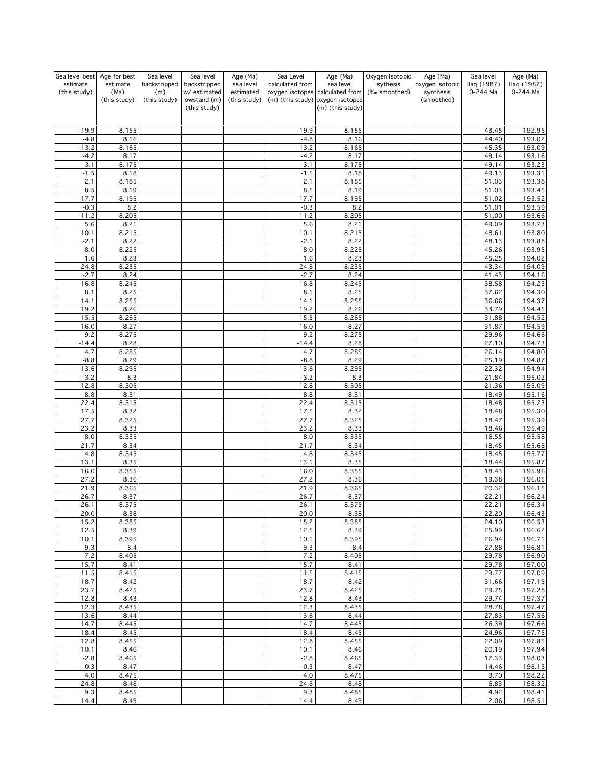| Sea level best           | Age for best     | Sea level           | Sea level                    | Age (Ma)               | Sea Level        | Age (Ma)                                     | Oxygen Isotopic          | Age (Ma)                     | Sea level              | Age (Ma)                |
|--------------------------|------------------|---------------------|------------------------------|------------------------|------------------|----------------------------------------------|--------------------------|------------------------------|------------------------|-------------------------|
| estimate<br>(this study) | estimate<br>(Ma) | backstripped<br>(m) | backstripped<br>w/ estimated | sea level<br>estimated | calculated from  | sea level<br>oxygen isotopes calculated from | sythesis<br>(‰ smoothed) | oxygen isotopic<br>synthesis | Haq (1987)<br>0-244 Ma | Haq (1987)<br>0-244 Ma  |
|                          | (this study)     | (this study)        | lowstand (m)                 | (this study)           |                  | (m) (this study) oxygen isotopes             |                          | (smoothed)                   |                        |                         |
|                          |                  |                     | (this study)                 |                        |                  | (m) (this study)                             |                          |                              |                        |                         |
|                          |                  |                     |                              |                        |                  |                                              |                          |                              |                        |                         |
| $-19.9$                  | 8.155            |                     |                              |                        | $-19.9$          | 8.155                                        |                          |                              | 43.45                  | 192.95                  |
| $-4.8$                   | 8.16             |                     |                              |                        | $-4.8$           | 8.16                                         |                          |                              | 44.40                  | 193.02                  |
| $-13.2$                  | 8.165            |                     |                              |                        | $-13.2$          | 8.165                                        |                          |                              | 45.35                  | 193.09                  |
| $-4.2$                   | 8.17             |                     |                              |                        | $-4.2$           | 8.17                                         |                          |                              | 49.14                  | 193.16                  |
| $-3.1$<br>$-1.5$         | 8.175<br>8.18    |                     |                              |                        | $-3.1$<br>$-1.5$ | 8.175<br>8.18                                |                          |                              | 49.14<br>49.13         | 193.23<br>193.31        |
| 2.1                      | 8.185            |                     |                              |                        | 2.1              | 8.185                                        |                          |                              | 51.03                  | 193.38                  |
| 8.5                      | 8.19             |                     |                              |                        | 8.5              | 8.19                                         |                          |                              | 51.03                  | 193.45                  |
| 17.7                     | 8.195            |                     |                              |                        | 17.7             | 8.195                                        |                          |                              | 51.02                  | 193.52                  |
| $-0.3$                   | 8.2              |                     |                              |                        | $-0.3$           | 8.2                                          |                          |                              | 51.01                  | 193.59                  |
| 11.2<br>5.6              | 8.205<br>8.21    |                     |                              |                        | 11.2<br>5.6      | 8.205                                        |                          |                              | 51.00<br>49.09         | 193.66<br>193.73        |
| 10.1                     | 8.215            |                     |                              |                        | 10.1             | 8.21<br>8.215                                |                          |                              | 48.61                  | 193.80                  |
| $-2.1$                   | 8.22             |                     |                              |                        | $-2.1$           | 8.22                                         |                          |                              | 48.13                  | 193.88                  |
| 8.0                      | 8.225            |                     |                              |                        | 8.0              | 8.225                                        |                          |                              | 45.26                  | 193.95                  |
| 1.6                      | 8.23             |                     |                              |                        | 1.6              | 8.23                                         |                          |                              | 45.25                  | 194.02                  |
| 24.8                     | 8.235            |                     |                              |                        | 24.8             | 8.235                                        |                          |                              | 43.34                  | 194.09                  |
| $-2.7$<br>16.8           | 8.24<br>8.245    |                     |                              |                        | $-2.7$<br>16.8   | 8.24<br>8.245                                |                          |                              | 41.43<br>38.58         | 194.16<br>194.23        |
| 8.1                      | 8.25             |                     |                              |                        | 8.1              | 8.25                                         |                          |                              | 37.62                  | 194.30                  |
| 14.1                     | 8.255            |                     |                              |                        | 14.1             | 8.255                                        |                          |                              | 36.66                  | 194.37                  |
| 19.2                     | 8.26             |                     |                              |                        | 19.2             | 8.26                                         |                          |                              | 33.79                  | 194.45                  |
| 15.5                     | 8.265            |                     |                              |                        | 15.5             | 8.265                                        |                          |                              | 31.88                  | 194.52                  |
| 16.0                     | 8.27             |                     |                              |                        | 16.0             | 8.27                                         |                          |                              | 31.87                  | 194.59                  |
| 9.2<br>$-14.4$           | 8.275<br>8.28    |                     |                              |                        | 9.2<br>$-14.4$   | 8.275<br>8.28                                |                          |                              | 29.96<br>27.10         | 194.66<br>194.73        |
| 4.7                      | 8.285            |                     |                              |                        | 4.7              | 8.285                                        |                          |                              | 26.14                  | 194.80                  |
| $-8.8$                   | 8.29             |                     |                              |                        | $-8.8$           | 8.29                                         |                          |                              | 25.19                  | 194.87                  |
| 13.6                     | 8.295            |                     |                              |                        | 13.6             | 8.295                                        |                          |                              | 22.32                  | 194.94                  |
| $-3.2$                   | 8.3              |                     |                              |                        | $-3.2$           | 8.3                                          |                          |                              | 21.84                  | 195.02                  |
| 12.8<br>8.8              | 8.305<br>8.31    |                     |                              |                        | 12.8<br>8.8      | 8.305<br>8.31                                |                          |                              | 21.36<br>18.49         | 195.09<br>195.16        |
| 22.4                     | 8.315            |                     |                              |                        | 22.4             | 8.315                                        |                          |                              | 18.48                  | 195.23                  |
| 17.5                     | 8.32             |                     |                              |                        | 17.5             | 8.32                                         |                          |                              | 18.48                  | 195.30                  |
| 27.7                     | 8.325            |                     |                              |                        | 27.7             | 8.325                                        |                          |                              | 18.47                  | 195.39                  |
| 23.2                     | 8.33             |                     |                              |                        | 23.2             | 8.33                                         |                          |                              | 18.46                  | 195.49                  |
| $8.0\,$                  | 8.335            |                     |                              |                        | 8.0              | 8.335                                        |                          |                              | 16.55                  | 195.58                  |
| 21.7<br>4.8              | 8.34<br>8.345    |                     |                              |                        | 21.7<br>4.8      | 8.34<br>8.345                                |                          |                              | 18.45<br>18.45         | 195.68<br>195.77        |
| 13.1                     | 8.35             |                     |                              |                        | 13.1             | 8.35                                         |                          |                              | 18.44                  | 195.87                  |
| 16.0                     | 8.355            |                     |                              |                        | 16.0             | 8.355                                        |                          |                              | 18.43                  | 195.96                  |
| 27.2                     | 8.36             |                     |                              |                        | 27.2             | 8.36                                         |                          |                              | 19.38                  | 196.05                  |
| 21.9                     | 8.365            |                     |                              |                        | 21.9             | 8.365                                        |                          |                              | 20.32                  | 196.15                  |
| 26.7                     | 8.37             |                     |                              |                        | 26.7             | 8.37                                         |                          |                              | 22.21                  | 196.24                  |
| 26.1<br>20.0             | 8.375<br>8.38    |                     |                              |                        | 26.1<br>20.0     | 8.375<br>8.38                                |                          |                              | 22.21<br>22.20         | 196.34<br><u>196.43</u> |
| 15.2                     | 8.385            |                     |                              |                        | 15.2             | 8.385                                        |                          |                              | 24.10                  | 196.53                  |
| 12.5                     | 8.39             |                     |                              |                        | 12.5             | 8.39                                         |                          |                              | 25.99                  | 196.62                  |
| 10.1                     | 8.395            |                     |                              |                        | 10.1             | 8.395                                        |                          |                              | 26.94                  | 196.71                  |
| 9.3                      | 8.4              |                     |                              |                        | 9.3              | 8.4                                          |                          |                              | 27.88                  | 196.81                  |
| 7.2<br>15.7              | 8.405<br>8.41    |                     |                              |                        | 7.2<br>15.7      | 8.405<br>8.41                                |                          |                              | 29.78<br>29.78         | 196.90<br>197.00        |
| 11.5                     | 8.415            |                     |                              |                        | 11.5             | 8.415                                        |                          |                              | 29.77                  | 197.09                  |
| 18.7                     | 8.42             |                     |                              |                        | 18.7             | 8.42                                         |                          |                              | 31.66                  | 197.19                  |
| 23.7                     | 8.425            |                     |                              |                        | 23.7             | 8.425                                        |                          |                              | 29.75                  | 197.28                  |
| 12.8                     | 8.43             |                     |                              |                        | 12.8             | 8.43                                         |                          |                              | 29.74                  | 197.37                  |
| 12.3                     | 8.435            |                     |                              |                        | 12.3<br>13.6     | 8.435<br>8.44                                |                          |                              | 28.78<br>27.83         | 197.47<br>197.56        |
| 13.6<br>14.7             | 8.44<br>8.445    |                     |                              |                        | 14.7             | 8.445                                        |                          |                              | 26.39                  | 197.66                  |
| 18.4                     | 8.45             |                     |                              |                        | 18.4             | 8.45                                         |                          |                              | 24.96                  | $\frac{197.75}{ }$      |
| 12.8                     | 8.455            |                     |                              |                        | 12.8             | 8.455                                        |                          |                              | 22.09                  | 197.85                  |
| 10.1                     | 8.46             |                     |                              |                        | 10.1             | 8.46                                         |                          |                              | 20.19                  | 197.94                  |
| $-2.8$                   | 8.465            |                     |                              |                        | $-2.8$           | 8.465                                        |                          |                              | 17.33                  | 198.03                  |
| $-0.3$<br>4.0            | 8.47<br>8.475    |                     |                              |                        | $-0.3$<br>4.0    | 8.47<br>8.475                                |                          |                              | 14.46<br>9.70          | 198.13<br>198.22        |
| 24.8                     | 8.48             |                     |                              |                        | 24.8             | 8.48                                         |                          |                              | 6.83                   | 198.32                  |
| 9.3                      | 8.485            |                     |                              |                        | 9.3              | 8.485                                        |                          |                              | 4.92                   | 198.41                  |
| 14.4                     | 8.49             |                     |                              |                        | 14.4             | 8.49                                         |                          |                              | 2.06                   | 198.51                  |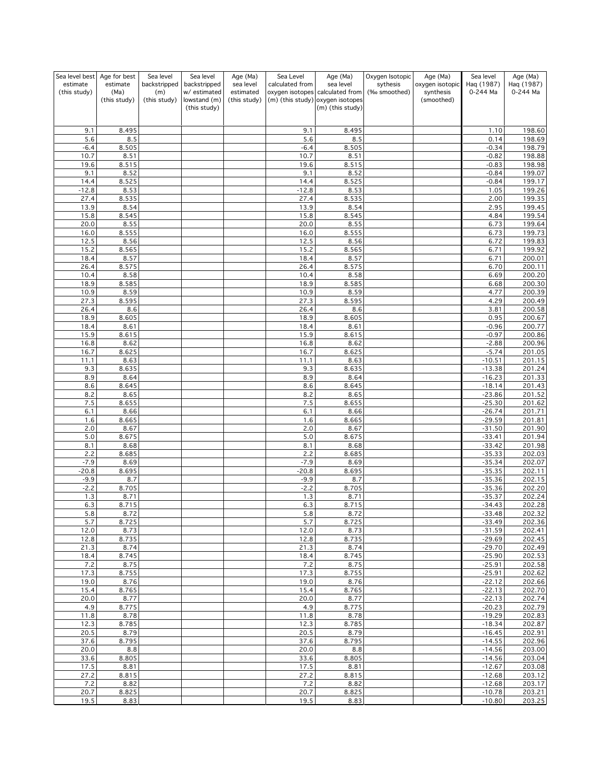| Sea level best | Age for best         | Sea level           | Sea level                    | Age (Ma)               | Sea Level       | Age (Ma)                                                            | Oxygen Isotopic          | Age (Ma)                     | Sea level              | Age (Ma)               |
|----------------|----------------------|---------------------|------------------------------|------------------------|-----------------|---------------------------------------------------------------------|--------------------------|------------------------------|------------------------|------------------------|
| estimate       | estimate             | backstripped        | backstripped<br>w/ estimated | sea level<br>estimated | calculated from | sea level                                                           | sythesis<br>(‰ smoothed) | oxygen isotopic<br>synthesis | Haq (1987)<br>0-244 Ma | Haq (1987)<br>0-244 Ma |
| (this study)   | (Ma)<br>(this study) | (m)<br>(this study) | lowstand (m)                 | (this study)           |                 | oxygen isotopes calculated from<br>(m) (this study) oxygen isotopes |                          | (smoothed)                   |                        |                        |
|                |                      |                     | (this study)                 |                        |                 | (m) (this study)                                                    |                          |                              |                        |                        |
|                |                      |                     |                              |                        |                 |                                                                     |                          |                              |                        |                        |
| 9.1            | 8.495                |                     |                              |                        | 9.1             | 8.495                                                               |                          |                              | 1.10                   | 198.60                 |
| 5.6            | 8.5                  |                     |                              |                        | 5.6             | 8.5                                                                 |                          |                              | 0.14                   | 198.69                 |
| $-6.4$         | 8.505                |                     |                              |                        | $-6.4$          | 8.505                                                               |                          |                              | $-0.34$                | 198.79                 |
| 10.7           | 8.51                 |                     |                              |                        | 10.7            | 8.51                                                                |                          |                              | $-0.82$                | 198.88                 |
| 19.6<br>9.1    | 8.515<br>8.52        |                     |                              |                        | 19.6<br>9.1     | 8.515<br>8.52                                                       |                          |                              | $-0.83$<br>$-0.84$     | 198.98<br>199.07       |
| 14.4           | 8.525                |                     |                              |                        | 14.4            | 8.525                                                               |                          |                              | $-0.84$                | 199.17                 |
| $-12.8$        | 8.53                 |                     |                              |                        | $-12.8$         | 8.53                                                                |                          |                              | 1.05                   | 199.26                 |
| 27.4           | 8.535                |                     |                              |                        | 27.4            | 8.535                                                               |                          |                              | 2.00                   | 199.35                 |
| 13.9           | 8.54                 |                     |                              |                        | 13.9            | 8.54                                                                |                          |                              | 2.95                   | 199.45                 |
| 15.8<br>20.0   | 8.545<br>8.55        |                     |                              |                        | 15.8<br>20.0    | 8.545<br>8.55                                                       |                          |                              | 4.84<br>6.73           | 199.54<br>199.64       |
| 16.0           | 8.555                |                     |                              |                        | 16.0            | 8.555                                                               |                          |                              | 6.73                   | 199.73                 |
| 12.5           | 8.56                 |                     |                              |                        | 12.5            | 8.56                                                                |                          |                              | 6.72                   | 199.83                 |
| 15.2           | 8.565                |                     |                              |                        | 15.2            | 8.565                                                               |                          |                              | 6.71                   | 199.92                 |
| 18.4           | 8.57                 |                     |                              |                        | 18.4            | 8.57                                                                |                          |                              | 6.71                   | 200.01                 |
| 26.4           | 8.575                |                     |                              |                        | 26.4            | 8.575                                                               |                          |                              | 6.70                   | 200.11                 |
| 10.4<br>18.9   | 8.58<br>8.585        |                     |                              |                        | 10.4<br>18.9    | 8.58<br>8.585                                                       |                          |                              | 6.69<br>6.68           | 200.20<br>200.30       |
| 10.9           | 8.59                 |                     |                              |                        | 10.9            | 8.59                                                                |                          |                              | 4.77                   | 200.39                 |
| 27.3           | 8.595                |                     |                              |                        | 27.3            | 8.595                                                               |                          |                              | 4.29                   | 200.49                 |
| 26.4           | 8.6                  |                     |                              |                        | 26.4            | 8.6                                                                 |                          |                              | 3.81                   | 200.58                 |
| 18.9           | 8.605                |                     |                              |                        | 18.9            | 8.605                                                               |                          |                              | 0.95                   | 200.67                 |
| 18.4           | 8.61                 |                     |                              |                        | 18.4            | 8.61                                                                |                          |                              | $-0.96$                | 200.77<br>200.86       |
| 15.9<br>16.8   | 8.615<br>8.62        |                     |                              |                        | 15.9<br>16.8    | 8.615<br>8.62                                                       |                          |                              | $-0.97$<br>$-2.88$     | 200.96                 |
| 16.7           | 8.625                |                     |                              |                        | 16.7            | 8.625                                                               |                          |                              | $-5.74$                | 201.05                 |
| 11.1           | 8.63                 |                     |                              |                        | 11.1            | 8.63                                                                |                          |                              | $-10.51$               | 201.15                 |
| 9.3            | 8.635                |                     |                              |                        | 9.3             | 8.635                                                               |                          |                              | $-13.38$               | 201.24                 |
| 8.9            | 8.64                 |                     |                              |                        | 8.9             | 8.64                                                                |                          |                              | $-16.23$               | 201.33                 |
| 8.6<br>8.2     | 8.645<br>8.65        |                     |                              |                        | 8.6<br>8.2      | 8.645<br>8.65                                                       |                          |                              | $-18.14$<br>$-23.86$   | 201.43<br>201.52       |
| 7.5            | 8.655                |                     |                              |                        | 7.5             | 8.655                                                               |                          |                              | $-25.30$               | 201.62                 |
| 6.1            | 8.66                 |                     |                              |                        | 6.1             | 8.66                                                                |                          |                              | $-26.74$               | 201.71                 |
| 1.6            | 8.665                |                     |                              |                        | 1.6             | 8.665                                                               |                          |                              | $-29.59$               | 201.81                 |
| 2.0            | 8.67                 |                     |                              |                        | 2.0             | 8.67                                                                |                          |                              | $-31.50$               | 201.90                 |
| 5.0            | 8.675                |                     |                              |                        | 5.0             | 8.675                                                               |                          |                              | $-33.41$               | 201.94                 |
| 8.1<br>2.2     | 8.68<br>8.685        |                     |                              |                        | 8.1<br>2.2      | 8.68<br>8.685                                                       |                          |                              | $-33.42$<br>$-35.33$   | 201.98<br>202.03       |
| $-7.9$         | 8.69                 |                     |                              |                        | $-7.9$          | 8.69                                                                |                          |                              | $-35.34$               | 202.07                 |
| $-20.8$        | 8.695                |                     |                              |                        | $-20.8$         | 8.695                                                               |                          |                              | $-35.35$               | 202.11                 |
| $-9.9$         | 8.7                  |                     |                              |                        | $-9.9$          | 8.7                                                                 |                          |                              | $-35.36$               | 202.15                 |
| $-2.2$         | 8.705                |                     |                              |                        | $-2.2$          | 8.705                                                               |                          |                              | $-35.36$               | 202.20                 |
| 1.3            | 8.71                 |                     |                              |                        | 1.3             | 8.71                                                                |                          |                              | $-35.37$               | 202.24                 |
| 6.3<br>5.8     | 8.715<br>8.72        |                     |                              |                        | 6.3             | 8.715<br>8.72                                                       |                          |                              | $-34.43$<br>$-33.48$   | 202.28<br>202.32       |
| 5.7            | 8.725                |                     |                              |                        | 5.8<br>5.7      | 8.725                                                               |                          |                              | $-33.49$               | 202.36                 |
| 12.0           | 8.73                 |                     |                              |                        | 12.0            | 8.73                                                                |                          |                              | $-31.59$               | 202.41                 |
| 12.8           | 8.735                |                     |                              |                        | 12.8            | 8.735                                                               |                          |                              | $-29.69$               | 202.45                 |
| 21.3           | 8.74                 |                     |                              |                        | 21.3            | 8.74                                                                |                          |                              | $-29.70$               | 202.49                 |
| 18.4<br>7.2    | 8.745<br>8.75        |                     |                              |                        | 18.4<br>7.2     | 8.745<br>8.75                                                       |                          |                              | $-25.90$<br>$-25.91$   | 202.53<br>202.58       |
| 17.3           | 8.755                |                     |                              |                        | 17.3            | 8.755                                                               |                          |                              | $-25.91$               | 202.62                 |
| 19.0           | 8.76                 |                     |                              |                        | 19.0            | 8.76                                                                |                          |                              | $-22.12$               | 202.66                 |
| 15.4           | 8.765                |                     |                              |                        | 15.4            | 8.765                                                               |                          |                              | $-22.13$               | 202.70                 |
| 20.0           | 8.77                 |                     |                              |                        | 20.0            | 8.77                                                                |                          |                              | $-22.13$               | 202.74                 |
| 4.9            | 8.775                |                     |                              |                        | 4.9             | 8.775                                                               |                          |                              | $-20.23$               | 202.79                 |
| 11.8<br>12.3   | 8.78<br>8.785        |                     |                              |                        | 11.8<br>12.3    | 8.78<br>8.785                                                       |                          |                              | $-19.29$<br>$-18.34$   | 202.83<br>202.87       |
| 20.5           | 8.79                 |                     |                              |                        | 20.5            | 8.79                                                                |                          |                              | $-16.45$               | 202.91                 |
| 37.6           | 8.795                |                     |                              |                        | 37.6            | 8.795                                                               |                          |                              | $-14.55$               | 202.96                 |
| 20.0           | 8.8                  |                     |                              |                        | 20.0            | 8.8                                                                 |                          |                              | $-14.56$               | 203.00                 |
| 33.6           | 8.805                |                     |                              |                        | 33.6            | 8.805                                                               |                          |                              | $-14.56$               | 203.04                 |
| 17.5           | 8.81                 |                     |                              |                        | 17.5            | 8.81                                                                |                          |                              | $-12.67$               | 203.08                 |
| 27.2<br>7.2    | 8.815<br>8.82        |                     |                              |                        | 27.2<br>7.2     | 8.815<br>8.82                                                       |                          |                              | $-12.68$<br>$-12.68$   | 203.12<br>203.17       |
| 20.7           | 8.825                |                     |                              |                        | 20.7            | 8.825                                                               |                          |                              | $-10.78$               | 203.21                 |
| 19.5           | 8.83                 |                     |                              |                        | 19.5            | 8.83                                                                |                          |                              | $-10.80$               | 203.25                 |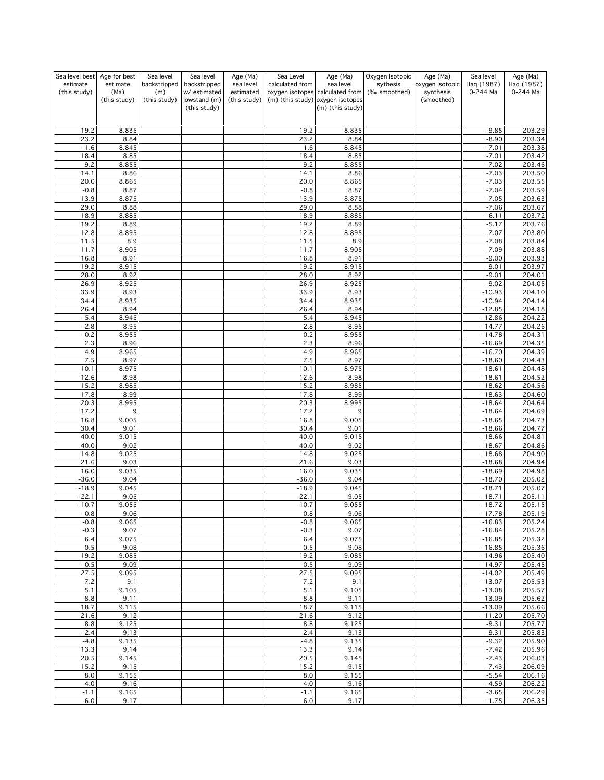| Sea level best | Age for best     | Sea level           | Sea level                    | Age (Ma)               | Sea Level       | Age (Ma)                                                            | Oxygen Isotopic          | Age (Ma)                     | Sea level              | Age (Ma)               |
|----------------|------------------|---------------------|------------------------------|------------------------|-----------------|---------------------------------------------------------------------|--------------------------|------------------------------|------------------------|------------------------|
| estimate       | estimate<br>(Ma) | backstripped        | backstripped<br>w/ estimated | sea level<br>estimated | calculated from | sea level                                                           | sythesis<br>(‰ smoothed) | oxygen isotopic<br>synthesis | Haq (1987)<br>0-244 Ma | Haq (1987)<br>0-244 Ma |
| (this study)   | (this study)     | (m)<br>(this study) | lowstand (m)                 | (this study)           |                 | oxygen isotopes calculated from<br>(m) (this study) oxygen isotopes |                          | (smoothed)                   |                        |                        |
|                |                  |                     | (this study)                 |                        |                 | (m) (this study)                                                    |                          |                              |                        |                        |
|                |                  |                     |                              |                        |                 |                                                                     |                          |                              |                        |                        |
| 19.2           | 8.835            |                     |                              |                        | 19.2            | 8.835                                                               |                          |                              | $-9.85$                | 203.29                 |
| 23.2           | 8.84             |                     |                              |                        | 23.2            | 8.84                                                                |                          |                              | $-8.90$                | 203.34                 |
| $-1.6$         | 8.845            |                     |                              |                        | $-1.6$          | 8.845                                                               |                          |                              | $-7.01$                | 203.38                 |
| 18.4           | 8.85             |                     |                              |                        | 18.4            | 8.85                                                                |                          |                              | $-7.01$                | 203.42                 |
| 9.2<br>14.1    | 8.855<br>8.86    |                     |                              |                        | 9.2<br>14.1     | 8.855<br>8.86                                                       |                          |                              | $-7.02$<br>$-7.03$     | 203.46<br>203.50       |
| 20.0           | 8.865            |                     |                              |                        | 20.0            | 8.865                                                               |                          |                              | $-7.03$                | 203.55                 |
| $-0.8$         | 8.87             |                     |                              |                        | $-0.8$          | 8.87                                                                |                          |                              | $-7.04$                | 203.59                 |
| 13.9           | 8.875            |                     |                              |                        | 13.9            | 8.875                                                               |                          |                              | $-7.05$                | 203.63                 |
| 29.0           | 8.88             |                     |                              |                        | 29.0            | 8.88                                                                |                          |                              | $-7.06$                | 203.67                 |
| 18.9<br>19.2   | 8.885<br>8.89    |                     |                              |                        | 18.9<br>19.2    | 8.885<br>8.89                                                       |                          |                              | $-6.11$<br>$-5.17$     | 203.72<br>203.76       |
| 12.8           | 8.895            |                     |                              |                        | 12.8            | 8.895                                                               |                          |                              | $-7.07$                | 203.80                 |
| 11.5           | 8.9              |                     |                              |                        | 11.5            | 8.9                                                                 |                          |                              | $-7.08$                | 203.84                 |
| 11.7           | 8.905            |                     |                              |                        | 11.7            | 8.905                                                               |                          |                              | $-7.09$                | 203.88                 |
| 16.8           | 8.91             |                     |                              |                        | 16.8            | 8.91                                                                |                          |                              | $-9.00$                | 203.93                 |
| 19.2           | 8.915            |                     |                              |                        | 19.2            | 8.915                                                               |                          |                              | $-9.01$                | 203.97                 |
| 28.0<br>26.9   | 8.92<br>8.925    |                     |                              |                        | 28.0<br>26.9    | 8.92<br>8.925                                                       |                          |                              | $-9.01$<br>$-9.02$     | 204.01<br>204.05       |
| 33.9           | 8.93             |                     |                              |                        | 33.9            | 8.93                                                                |                          |                              | $-10.93$               | 204.10                 |
| 34.4           | 8.935            |                     |                              |                        | 34.4            | 8.935                                                               |                          |                              | $-10.94$               | 204.14                 |
| 26.4           | 8.94             |                     |                              |                        | 26.4            | 8.94                                                                |                          |                              | $-12.85$               | 204.18                 |
| $-5.4$         | 8.945            |                     |                              |                        | $-5.4$          | 8.945                                                               |                          |                              | $-12.86$               | 204.22                 |
| $-2.8$         | 8.95             |                     |                              |                        | $-2.8$          | 8.95                                                                |                          |                              | $-14.77$               | 204.26                 |
| $-0.2$<br>2.3  | 8.955<br>8.96    |                     |                              |                        | $-0.2$<br>2.3   | 8.955<br>8.96                                                       |                          |                              | $-14.78$<br>$-16.69$   | 204.31<br>204.35       |
| 4.9            | 8.965            |                     |                              |                        | 4.9             | 8.965                                                               |                          |                              | $-16.70$               | 204.39                 |
| $7.5$          | 8.97             |                     |                              |                        | 7.5             | 8.97                                                                |                          |                              | $-18.60$               | 204.43                 |
| 10.1           | 8.975            |                     |                              |                        | 10.1            | 8.975                                                               |                          |                              | $-18.61$               | 204.48                 |
| 12.6           | 8.98             |                     |                              |                        | 12.6            | 8.98                                                                |                          |                              | $-18.61$               | 204.52                 |
| 15.2           | 8.985            |                     |                              |                        | 15.2            | 8.985                                                               |                          |                              | $-18.62$               | 204.56                 |
| 17.8<br>20.3   | 8.99<br>8.995    |                     |                              |                        | 17.8<br>20.3    | 8.99<br>8.995                                                       |                          |                              | $-18.63$<br>$-18.64$   | 204.60<br>204.64       |
| 17.2           | 9                |                     |                              |                        | 17.2            | 9                                                                   |                          |                              | $-18.64$               | 204.69                 |
| 16.8           | 9.005            |                     |                              |                        | 16.8            | 9.005                                                               |                          |                              | $-18.65$               | 204.73                 |
| 30.4           | 9.01             |                     |                              |                        | 30.4            | 9.01                                                                |                          |                              | $-18.66$               | 204.77                 |
| 40.0           | 9.015            |                     |                              |                        | 40.0            | 9.015                                                               |                          |                              | $-18.66$               | 204.81                 |
| 40.0<br>14.8   | 9.02             |                     |                              |                        | 40.0<br>14.8    | 9.02<br>9.025                                                       |                          |                              | $-18.67$<br>$-18.68$   | 204.86<br>204.90       |
| 21.6           | 9.025<br>9.03    |                     |                              |                        | 21.6            | 9.03                                                                |                          |                              | $-18.68$               | 204.94                 |
| 16.0           | 9.035            |                     |                              |                        | 16.0            | 9.035                                                               |                          |                              | $-18.69$               | 204.98                 |
| $-36.0$        | 9.04             |                     |                              |                        | $-36.0$         | 9.04                                                                |                          |                              | $-18.70$               | 205.02                 |
| $-18.9$        | 9.045            |                     |                              |                        | $-18.9$         | 9.045                                                               |                          |                              | $-18.71$               | 205.07                 |
| $-22.1$        | 9.05             |                     |                              |                        | $-22.1$         | 9.05                                                                |                          |                              | $-18.71$               | 205.11                 |
| $-10.7$        | 9.055            |                     |                              |                        | $-10.7$         | 9.055                                                               |                          |                              | $-18.72$               | 205.15                 |
| -0.8<br>$-0.8$ | 9.06<br>9.065    |                     |                              |                        | -0.8<br>$-0.8$  | 9.06<br>9.065                                                       |                          |                              | $-1/78$<br>$-16.83$    | 205.19<br>205.24       |
| $-0.3$         | 9.07             |                     |                              |                        | $-0.3$          | 9.07                                                                |                          |                              | $-16.84$               | 205.28                 |
| 6.4            | 9.075            |                     |                              |                        | 6.4             | 9.075                                                               |                          |                              | $-16.85$               | 205.32                 |
| 0.5            | 9.08             |                     |                              |                        | 0.5             | 9.08                                                                |                          |                              | $-16.85$               | 205.36                 |
| 19.2           | 9.085            |                     |                              |                        | 19.2            | 9.085                                                               |                          |                              | $-14.96$               | 205.40                 |
| $-0.5$<br>27.5 | 9.09<br>9.095    |                     |                              |                        | $-0.5$<br>27.5  | 9.09<br>9.095                                                       |                          |                              | $-14.97$<br>$-14.02$   | 205.45<br>205.49       |
| 7.2            | 9.1              |                     |                              |                        | 7.2             | 9.1                                                                 |                          |                              | $-13.07$               | 205.53                 |
| 5.1            | 9.105            |                     |                              |                        | 5.1             | 9.105                                                               |                          |                              | $-13.08$               | 205.57                 |
| 8.8            | 9.11             |                     |                              |                        | 8.8             | 9.11                                                                |                          |                              | $-13.09$               | 205.62                 |
| 18.7           | 9.115            |                     |                              |                        | 18.7            | 9.115                                                               |                          |                              | $-13.09$               | 205.66                 |
| 21.6           | 9.12             |                     |                              |                        | 21.6            | 9.12                                                                |                          |                              | $-11.20$               | 205.70                 |
| 8.8<br>$-2.4$  | 9.125<br>9.13    |                     |                              |                        | 8.8<br>$-2.4$   | 9.125<br>9.13                                                       |                          |                              | $-9.31$<br>$-9.31$     | 205.77<br>205.83       |
| $-4.8$         | 9.135            |                     |                              |                        | $-4.8$          | 9.135                                                               |                          |                              | $-9.32$                | 205.90                 |
| 13.3           | 9.14             |                     |                              |                        | 13.3            | 9.14                                                                |                          |                              | $-7.42$                | 205.96                 |
| 20.5           | 9.145            |                     |                              |                        | 20.5            | 9.145                                                               |                          |                              | $-7.43$                | 206.03                 |
| 15.2           | 9.15             |                     |                              |                        | 15.2            | 9.15                                                                |                          |                              | $-7.43$                | 206.09                 |
| 8.0            | 9.155            |                     |                              |                        | 8.0             | 9.155                                                               |                          |                              | $-5.54$                | 206.16                 |
| 4.0<br>$-1.1$  | 9.16<br>9.165    |                     |                              |                        | 4.0<br>$-1.1$   | 9.16<br>9.165                                                       |                          |                              | $-4.59$<br>$-3.65$     | 206.22<br>206.29       |
| 6.0            | 9.17             |                     |                              |                        | 6.0             | 9.17                                                                |                          |                              | $-1.75$                | 206.35                 |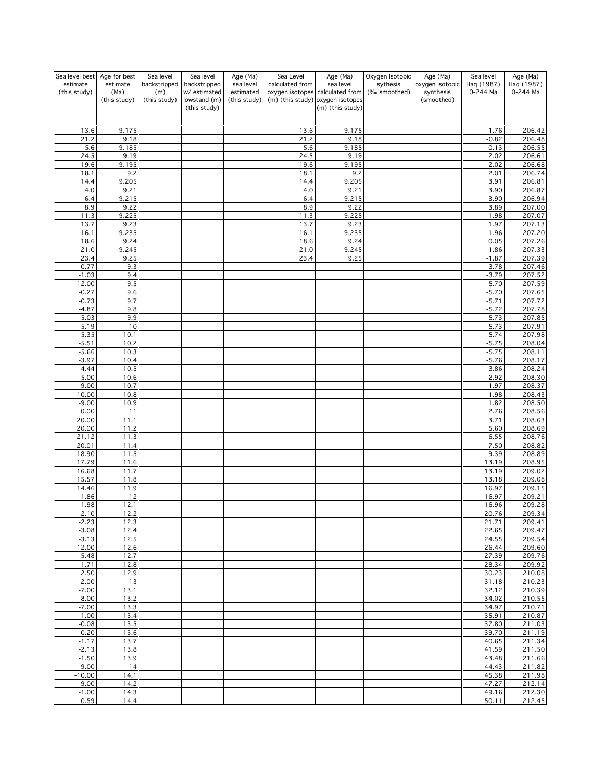| Sea level best Age for best |                  | Sea level           | Sea level                    | Age (Ma)               | Sea Level       | Age (Ma)                                     | Oxygen Isotopic          | Age (Ma)                     | Sea level              | Age (Ma)               |
|-----------------------------|------------------|---------------------|------------------------------|------------------------|-----------------|----------------------------------------------|--------------------------|------------------------------|------------------------|------------------------|
| estimate<br>(this study)    | estimate<br>(Ma) | backstripped<br>(m) | backstripped<br>w/ estimated | sea level<br>estimated | calculated from | sea level<br>oxygen isotopes calculated from | sythesis<br>(‰ smoothed) | oxygen isotopic<br>synthesis | Haq (1987)<br>0-244 Ma | Haq (1987)<br>0-244 Ma |
|                             | (this study)     | (this study)        | lowstand (m)                 | (this study)           |                 | (m) (this study) oxygen isotopes             |                          | (smoothed)                   |                        |                        |
|                             |                  |                     | (this study)                 |                        |                 | (m) (this study)                             |                          |                              |                        |                        |
| 13.6                        | 9.175            |                     |                              |                        | 13.6            | 9.175                                        |                          |                              | $-1.76$                | 206.42                 |
| 21.2                        | 9.18             |                     |                              |                        | 21.2            | 9.18                                         |                          |                              | $-0.82$                | 206.48                 |
| $-5.6$                      | 9.185            |                     |                              |                        | $-5.6$          | 9.185                                        |                          |                              | 0.13                   | 206.55                 |
| 24.5<br>19.6                | 9.19<br>9.195    |                     |                              |                        | 24.5<br>19.6    | 9.19<br>9.195                                |                          |                              | 2.02<br>2.02           | 206.61<br>206.68       |
| 18.1                        | 9.2              |                     |                              |                        | 18.1            | 9.2                                          |                          |                              | 2.01                   | 206.74                 |
| 14.4                        | 9.205            |                     |                              |                        | 14.4            | 9.205                                        |                          |                              | 3.91                   | 206.81                 |
| 4.0<br>6.4                  | 9.21<br>9.215    |                     |                              |                        | 4.0<br>6.4      | 9.21<br>9.215                                |                          |                              | 3.90<br>3.90           | 206.87<br>206.94       |
| 8.9                         | 9.22             |                     |                              |                        | 8.9             | 9.22                                         |                          |                              | 3.89                   | 207.00                 |
| 11.3                        | 9.225            |                     |                              |                        | 11.3            | 9.225                                        |                          |                              | 1.98                   | 207.07                 |
| 13.7<br>16.1                | 9.23<br>9.235    |                     |                              |                        | 13.7<br>16.1    | 9.23<br>9.235                                |                          |                              | 1.97<br>1.96           | 207.13<br>207.20       |
| 18.6                        | 9.24             |                     |                              |                        | 18.6            | 9.24                                         |                          |                              | 0.05                   | 207.26                 |
| 21.0                        | 9.245            |                     |                              |                        | 21.0            | 9.245                                        |                          |                              | $-1.86$                | 207.33                 |
| 23.4<br>$-0.77$             | 9.25<br>9.3      |                     |                              |                        | 23.4            | 9.25                                         |                          |                              | $-1.87$<br>$-3.78$     | 207.39<br>207.46       |
| $-1.03$                     | 9.4              |                     |                              |                        |                 |                                              |                          |                              | $-3.79$                | 207.52                 |
| $-12.00$                    | 9.5              |                     |                              |                        |                 |                                              |                          |                              | $-5.70$                | 207.59                 |
| $-0.27$<br>$-0.73$          | 9.6<br>9.7       |                     |                              |                        |                 |                                              |                          |                              | $-5.70$<br>$-5.71$     | 207.65<br>207.72       |
| $-4.87$                     | 9.8              |                     |                              |                        |                 |                                              |                          |                              | $-5.72$                | 207.78                 |
| $-5.03$                     | 9.9              |                     |                              |                        |                 |                                              |                          |                              | $-5.73$                | 207.85                 |
| $-5.19$<br>$-5.35$          | 10<br>10.1       |                     |                              |                        |                 |                                              |                          |                              | $-5.73$<br>$-5.74$     | 207.91<br>207.98       |
| $-5.51$                     | 10.2             |                     |                              |                        |                 |                                              |                          |                              | $-5.75$                | 208.04                 |
| $-5.66$                     | 10.3             |                     |                              |                        |                 |                                              |                          |                              | $-5.75$                | 208.11                 |
| $-3.97$<br>$-4.44$          | 10.4             |                     |                              |                        |                 |                                              |                          |                              | $-5.76$                | 208.17<br>208.24       |
| $-5.00$                     | 10.5<br>10.6     |                     |                              |                        |                 |                                              |                          |                              | $-3.86$<br>$-2.92$     | 208.30                 |
| $-9.00$                     | 10.7             |                     |                              |                        |                 |                                              |                          |                              | $-1.97$                | 208.37                 |
| $-10.00$                    | 10.8             |                     |                              |                        |                 |                                              |                          |                              | $-1.98$                | 208.43                 |
| $-9.00$<br>0.00             | 10.9<br>11       |                     |                              |                        |                 |                                              |                          |                              | 1.82<br>2.76           | 208.50<br>208.56       |
| 20.00                       | 11.1             |                     |                              |                        |                 |                                              |                          |                              | 3.71                   | 208.63                 |
| 20.00                       | 11.2             |                     |                              |                        |                 |                                              |                          |                              | 5.60                   | 208.69                 |
| 21.12<br>20.01              | 11.3<br>11.4     |                     |                              |                        |                 |                                              |                          |                              | 6.55<br>7.50           | 208.76<br>208.82       |
| 18.90                       | 11.5             |                     |                              |                        |                 |                                              |                          |                              | 9.39                   | 208.89                 |
| 17.79                       | 11.6             |                     |                              |                        |                 |                                              |                          |                              | 13.19                  | 208.95                 |
| 16.68<br>15.57              | 11.7<br>11.8     |                     |                              |                        |                 |                                              |                          |                              | 13.19<br>13.18         | 209.02<br>209.08       |
| 14.46                       | 11.9             |                     |                              |                        |                 |                                              |                          |                              | 16.97                  | 209.15                 |
| $-1.86$                     | 12               |                     |                              |                        |                 |                                              |                          |                              | 16.97                  | 209.21                 |
| $-1.98$<br>$-2.10$          | 12.1<br>12.2     |                     |                              |                        |                 |                                              |                          |                              | 16.96<br>20.76         | 209.28<br>209.34       |
| $-2.23$                     | 12.3             |                     |                              |                        |                 |                                              |                          |                              | 21.71                  | 209.41                 |
| $-3.08$                     | 12.4             |                     |                              |                        |                 |                                              |                          |                              | 22.65                  | 209.47                 |
| $-3.13$<br>$-12.00$         | 12.5<br>12.6     |                     |                              |                        |                 |                                              |                          |                              | 24.55<br>26.44         | 209.54<br>209.60       |
| 5.48                        | 12.7             |                     |                              |                        |                 |                                              |                          |                              | 27.39                  | 209.76                 |
| $-1.71$                     | 12.8             |                     |                              |                        |                 |                                              |                          |                              | 28.34                  | 209.92                 |
| 2.50<br>2.00                | 12.9<br>13       |                     |                              |                        |                 |                                              |                          |                              | 30.23<br>31.18         | 210.08<br>210.23       |
| $-7.00$                     | 13.1             |                     |                              |                        |                 |                                              |                          |                              | 32.12                  | 210.39                 |
| $-8.00$                     | 13.2             |                     |                              |                        |                 |                                              |                          |                              | 34.02                  | 210.55                 |
| $-7.00$<br>$-1.00$          | 13.3<br>13.4     |                     |                              |                        |                 |                                              |                          |                              | 34.97<br>35.91         | 210.71<br>210.87       |
| $-0.08$                     | 13.5             |                     |                              |                        |                 |                                              |                          |                              | 37.80                  | 211.03                 |
| $-0.20$                     | 13.6             |                     |                              |                        |                 |                                              |                          |                              | 39.70                  | 211.19                 |
| $-1.17$<br>$-2.13$          | 13.7<br>13.8     |                     |                              |                        |                 |                                              |                          |                              | 40.65<br>41.59         | 211.34<br>211.50       |
| $-1.50$                     | 13.9             |                     |                              |                        |                 |                                              |                          |                              | 43.48                  | 211.66                 |
| $-9.00$                     | 14               |                     |                              |                        |                 |                                              |                          |                              | 44.43                  | 211.82                 |
| $-10.00$<br>$-9.00$         | 14.1<br>14.2     |                     |                              |                        |                 |                                              |                          |                              | 45.38<br>47.27         | 211.98<br>212.14       |
| $-1.00$                     | 14.3             |                     |                              |                        |                 |                                              |                          |                              | 49.16                  | 212.30                 |
| $-0.59$                     | 14.4             |                     |                              |                        |                 |                                              |                          |                              | 50.11                  | 212.45                 |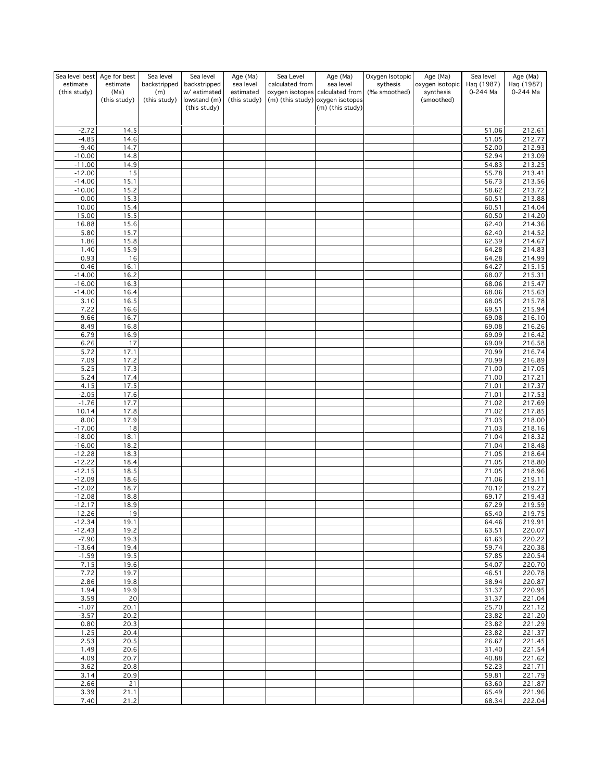| Sea level best<br>estimate<br>(this study) | Age for best<br>estimate<br>(Ma)<br>(this study) | Sea level<br>backstripped<br>(m)<br>(this study) | Sea level<br>backstripped<br>w/ estimated<br>lowstand (m)<br>(this study) | Age (Ma)<br>sea level<br>estimated<br>(this study) | Sea Level<br>calculated from | Age (Ma)<br>sea level<br>oxygen isotopes calculated from<br>(m) (this study) oxygen isotopes<br>(m) (this study) | Oxygen Isotopic<br>sythesis<br>(‰ smoothed) | Age (Ma)<br>oxygen isotopic<br>synthesis<br>(smoothed) | Sea level<br>Haq (1987)<br>0-244 Ma | Age (Ma)<br>Haq (1987)<br>0-244 Ma |
|--------------------------------------------|--------------------------------------------------|--------------------------------------------------|---------------------------------------------------------------------------|----------------------------------------------------|------------------------------|------------------------------------------------------------------------------------------------------------------|---------------------------------------------|--------------------------------------------------------|-------------------------------------|------------------------------------|
|                                            |                                                  |                                                  |                                                                           |                                                    |                              |                                                                                                                  |                                             |                                                        |                                     |                                    |
| $-2.72$                                    | 14.5                                             |                                                  |                                                                           |                                                    |                              |                                                                                                                  |                                             |                                                        | 51.06                               | 212.61                             |
| $-4.85$                                    | 14.6                                             |                                                  |                                                                           |                                                    |                              |                                                                                                                  |                                             |                                                        | 51.05                               | 212.77                             |
| $-9.40$<br>$-10.00$                        | 14.7<br>14.8                                     |                                                  |                                                                           |                                                    |                              |                                                                                                                  |                                             |                                                        | 52.00<br>52.94                      | 212.93<br>213.09                   |
| $-11.00$                                   | 14.9                                             |                                                  |                                                                           |                                                    |                              |                                                                                                                  |                                             |                                                        | 54.83                               | 213.25                             |
| $-12.00$                                   | 15                                               |                                                  |                                                                           |                                                    |                              |                                                                                                                  |                                             |                                                        | 55.78                               | 213.41                             |
| $-14.00$                                   | 15.1                                             |                                                  |                                                                           |                                                    |                              |                                                                                                                  |                                             |                                                        | 56.73                               | 213.56                             |
| $-10.00$<br>0.00                           | 15.2<br>15.3                                     |                                                  |                                                                           |                                                    |                              |                                                                                                                  |                                             |                                                        | 58.62<br>60.51                      | 213.72<br>213.88                   |
| 10.00                                      | 15.4                                             |                                                  |                                                                           |                                                    |                              |                                                                                                                  |                                             |                                                        | 60.51                               | 214.04                             |
| 15.00                                      | 15.5                                             |                                                  |                                                                           |                                                    |                              |                                                                                                                  |                                             |                                                        | 60.50                               | 214.20                             |
| 16.88                                      | 15.6                                             |                                                  |                                                                           |                                                    |                              |                                                                                                                  |                                             |                                                        | 62.40                               | 214.36                             |
| 5.80                                       | 15.7                                             |                                                  |                                                                           |                                                    |                              |                                                                                                                  |                                             |                                                        | 62.40                               | 214.52                             |
| 1.86<br>1.40                               | 15.8<br>15.9                                     |                                                  |                                                                           |                                                    |                              |                                                                                                                  |                                             |                                                        | 62.39<br>64.28                      | 214.67<br>214.83                   |
| 0.93                                       | 16                                               |                                                  |                                                                           |                                                    |                              |                                                                                                                  |                                             |                                                        | 64.28                               | 214.99                             |
| 0.46                                       | 16.1                                             |                                                  |                                                                           |                                                    |                              |                                                                                                                  |                                             |                                                        | 64.27                               | 215.15                             |
| $-14.00$                                   | 16.2                                             |                                                  |                                                                           |                                                    |                              |                                                                                                                  |                                             |                                                        | 68.07                               | 215.31                             |
| $-16.00$<br>$-14.00$                       | 16.3<br>16.4                                     |                                                  |                                                                           |                                                    |                              |                                                                                                                  |                                             |                                                        | 68.06<br>68.06                      | 215.47<br>215.63                   |
| 3.10                                       | 16.5                                             |                                                  |                                                                           |                                                    |                              |                                                                                                                  |                                             |                                                        | 68.05                               | 215.78                             |
| 7.22                                       | 16.6                                             |                                                  |                                                                           |                                                    |                              |                                                                                                                  |                                             |                                                        | 69.51                               | 215.94                             |
| 9.66                                       | 16.7                                             |                                                  |                                                                           |                                                    |                              |                                                                                                                  |                                             |                                                        | 69.08                               | 216.10                             |
| 8.49<br>6.79                               | 16.8<br>16.9                                     |                                                  |                                                                           |                                                    |                              |                                                                                                                  |                                             |                                                        | 69.08<br>69.09                      | 216.26<br>216.42                   |
| 6.26                                       | 17                                               |                                                  |                                                                           |                                                    |                              |                                                                                                                  |                                             |                                                        | 69.09                               | 216.58                             |
| 5.72                                       | 17.1                                             |                                                  |                                                                           |                                                    |                              |                                                                                                                  |                                             |                                                        | 70.99                               | 216.74                             |
| 7.09                                       | 17.2                                             |                                                  |                                                                           |                                                    |                              |                                                                                                                  |                                             |                                                        | 70.99                               | 216.89                             |
| 5.25                                       | 17.3                                             |                                                  |                                                                           |                                                    |                              |                                                                                                                  |                                             |                                                        | 71.00                               | 217.05                             |
| 5.24<br>4.15                               | 17.4<br>17.5                                     |                                                  |                                                                           |                                                    |                              |                                                                                                                  |                                             |                                                        | 71.00<br>71.01                      | 217.21<br>217.37                   |
| $-2.05$                                    | 17.6                                             |                                                  |                                                                           |                                                    |                              |                                                                                                                  |                                             |                                                        | 71.01                               | 217.53                             |
| $-1.76$                                    | 17.7                                             |                                                  |                                                                           |                                                    |                              |                                                                                                                  |                                             |                                                        | 71.02                               | 217.69                             |
| 10.14<br>8.00                              | 17.8<br>17.9                                     |                                                  |                                                                           |                                                    |                              |                                                                                                                  |                                             |                                                        | 71.02<br>71.03                      | 217.85<br>218.00                   |
| $-17.00$                                   | 18                                               |                                                  |                                                                           |                                                    |                              |                                                                                                                  |                                             |                                                        | 71.03                               | 218.16                             |
| $-18.00$                                   | 18.1                                             |                                                  |                                                                           |                                                    |                              |                                                                                                                  |                                             |                                                        | 71.04                               | 218.32                             |
| $-16.00$                                   | 18.2                                             |                                                  |                                                                           |                                                    |                              |                                                                                                                  |                                             |                                                        | 71.04                               | 218.48                             |
| $-12.28$<br>$-12.22$                       | 18.3<br>18.4                                     |                                                  |                                                                           |                                                    |                              |                                                                                                                  |                                             |                                                        | 71.05<br>71.05                      | 218.64<br>218.80                   |
| $-12.15$                                   | 18.5                                             |                                                  |                                                                           |                                                    |                              |                                                                                                                  |                                             |                                                        | 71.05                               | 218.96                             |
| $-12.09$                                   | 18.6                                             |                                                  |                                                                           |                                                    |                              |                                                                                                                  |                                             |                                                        | 71.06                               | 219.11                             |
| $-12.02$                                   | 18.7                                             |                                                  |                                                                           |                                                    |                              |                                                                                                                  |                                             |                                                        | 70.12                               | 219.27                             |
| $-12.08$<br>$-12.17$                       | 18.8<br>18.9                                     |                                                  |                                                                           |                                                    |                              |                                                                                                                  |                                             |                                                        | 69.17<br>67.29                      | 219.43<br>219.59                   |
| -12.26                                     | 19                                               |                                                  |                                                                           |                                                    |                              |                                                                                                                  |                                             |                                                        | 65.40                               | <u>219.75</u>                      |
| $-12.34$                                   | 19.1                                             |                                                  |                                                                           |                                                    |                              |                                                                                                                  |                                             |                                                        | 64.46                               | 219.91                             |
| $-12.43$                                   | 19.2                                             |                                                  |                                                                           |                                                    |                              |                                                                                                                  |                                             |                                                        | 63.51                               | 220.07                             |
| $-7.90$<br>$-13.64$                        | 19.3<br>19.4                                     |                                                  |                                                                           |                                                    |                              |                                                                                                                  |                                             |                                                        | 61.63<br>59.74                      | 220.22<br>220.38                   |
| $-1.59$                                    | 19.5                                             |                                                  |                                                                           |                                                    |                              |                                                                                                                  |                                             |                                                        | 57.85                               | 220.54                             |
| 7.15                                       | 19.6                                             |                                                  |                                                                           |                                                    |                              |                                                                                                                  |                                             |                                                        | 54.07                               | 220.70                             |
| 7.72                                       | 19.7                                             |                                                  |                                                                           |                                                    |                              |                                                                                                                  |                                             |                                                        | 46.51                               | 220.78                             |
| 2.86<br>1.94                               | 19.8<br>19.9                                     |                                                  |                                                                           |                                                    |                              |                                                                                                                  |                                             |                                                        | 38.94<br>31.37                      | 220.87<br>220.95                   |
| 3.59                                       | 20                                               |                                                  |                                                                           |                                                    |                              |                                                                                                                  |                                             |                                                        | 31.37                               | 221.04                             |
| $-1.07$                                    | 20.1                                             |                                                  |                                                                           |                                                    |                              |                                                                                                                  |                                             |                                                        | 25.70                               | 221.12                             |
| $-3.57$                                    | 20.2                                             |                                                  |                                                                           |                                                    |                              |                                                                                                                  |                                             |                                                        | 23.82                               | 221.20                             |
| 0.80                                       | 20.3                                             |                                                  |                                                                           |                                                    |                              |                                                                                                                  |                                             |                                                        | 23.82                               | 221.29                             |
| 1.25<br>2.53                               | 20.4<br>20.5                                     |                                                  |                                                                           |                                                    |                              |                                                                                                                  |                                             |                                                        | 23.82<br>26.67                      | 221.37<br>221.45                   |
| 1.49                                       | 20.6                                             |                                                  |                                                                           |                                                    |                              |                                                                                                                  |                                             |                                                        | 31.40                               | 221.54                             |
| 4.09                                       | 20.7                                             |                                                  |                                                                           |                                                    |                              |                                                                                                                  |                                             |                                                        | 40.88                               | 221.62                             |
| 3.62                                       | 20.8                                             |                                                  |                                                                           |                                                    |                              |                                                                                                                  |                                             |                                                        | 52.23                               | 221.71                             |
| 3.14<br>2.66                               | 20.9<br>21                                       |                                                  |                                                                           |                                                    |                              |                                                                                                                  |                                             |                                                        | 59.81<br>63.60                      | 221.79<br>221.87                   |
| 3.39                                       | 21.1                                             |                                                  |                                                                           |                                                    |                              |                                                                                                                  |                                             |                                                        | 65.49                               | 221.96                             |
| 7.40                                       | 21.2                                             |                                                  |                                                                           |                                                    |                              |                                                                                                                  |                                             |                                                        | 68.34                               | 222.04                             |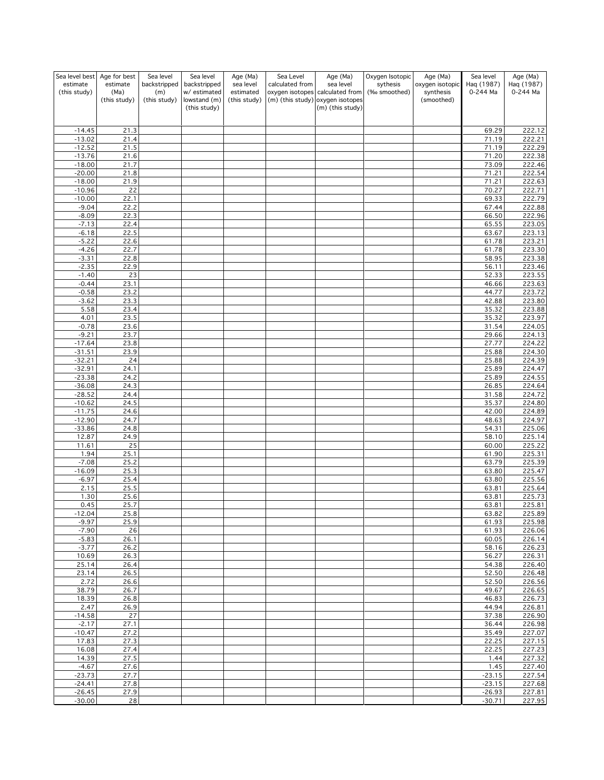| Sea level best       | Age for best         | Sea level           | Sea level                   | Age (Ma)                  | Sea Level       | Age (Ma)                                                            | Oxygen Isotopic | Age (Ma)                | Sea level            | Age (Ma)         |
|----------------------|----------------------|---------------------|-----------------------------|---------------------------|-----------------|---------------------------------------------------------------------|-----------------|-------------------------|----------------------|------------------|
| estimate             | estimate             | backstripped        | backstripped                | sea level                 | calculated from | sea level                                                           | sythesis        | oxygen isotopic         | Haq (1987)           | Haq (1987)       |
| (this study)         | (Ma)<br>(this study) | (m)<br>(this study) | w/estimated<br>lowstand (m) | estimated<br>(this study) |                 | oxygen isotopes calculated from<br>(m) (this study) oxygen isotopes | (‰ smoothed)    | synthesis<br>(smoothed) | 0-244 Ma             | 0-244 Ma         |
|                      |                      |                     | (this study)                |                           |                 | (m) (this study)                                                    |                 |                         |                      |                  |
|                      |                      |                     |                             |                           |                 |                                                                     |                 |                         |                      |                  |
| $-14.45$             | 21.3                 |                     |                             |                           |                 |                                                                     |                 |                         | 69.29                | 222.12           |
| $-13.02$             | 21.4                 |                     |                             |                           |                 |                                                                     |                 |                         | 71.19                | 222.21           |
| $-12.52$             | 21.5                 |                     |                             |                           |                 |                                                                     |                 |                         | 71.19                | 222.29           |
| $-13.76$             | 21.6<br>21.7         |                     |                             |                           |                 |                                                                     |                 |                         | 71.20                | 222.38           |
| $-18.00$<br>$-20.00$ | 21.8                 |                     |                             |                           |                 |                                                                     |                 |                         | 73.09<br>71.21       | 222.46<br>222.54 |
| $-18.00$             | 21.9                 |                     |                             |                           |                 |                                                                     |                 |                         | 71.21                | 222.63           |
| $-10.96$             | 22                   |                     |                             |                           |                 |                                                                     |                 |                         | 70.27                | 222.71           |
| $-10.00$             | 22.1                 |                     |                             |                           |                 |                                                                     |                 |                         | 69.33                | 222.79           |
| $-9.04$              | 22.2                 |                     |                             |                           |                 |                                                                     |                 |                         | 67.44                | 222.88           |
| $-8.09$              | 22.3                 |                     |                             |                           |                 |                                                                     |                 |                         | 66.50                | 222.96           |
| $-7.13$<br>$-6.18$   | 22.4<br>22.5         |                     |                             |                           |                 |                                                                     |                 |                         | 65.55<br>63.67       | 223.05<br>223.13 |
| $-5.22$              | 22.6                 |                     |                             |                           |                 |                                                                     |                 |                         | 61.78                | 223.21           |
| $-4.26$              | 22.7                 |                     |                             |                           |                 |                                                                     |                 |                         | 61.78                | 223.30           |
| $-3.31$              | 22.8                 |                     |                             |                           |                 |                                                                     |                 |                         | 58.95                | 223.38           |
| $-2.35$              | 22.9                 |                     |                             |                           |                 |                                                                     |                 |                         | 56.11                | 223.46           |
| $-1.40$              | 23                   |                     |                             |                           |                 |                                                                     |                 |                         | 52.33                | 223.55           |
| $-0.44$              | 23.1                 |                     |                             |                           |                 |                                                                     |                 |                         | 46.66                | 223.63           |
| $-0.58$<br>$-3.62$   | 23.2<br>23.3         |                     |                             |                           |                 |                                                                     |                 |                         | 44.77<br>42.88       | 223.72<br>223.80 |
| 5.58                 | 23.4                 |                     |                             |                           |                 |                                                                     |                 |                         | 35.32                | 223.88           |
| 4.01                 | 23.5                 |                     |                             |                           |                 |                                                                     |                 |                         | 35.32                | 223.97           |
| $-0.78$              | 23.6                 |                     |                             |                           |                 |                                                                     |                 |                         | 31.54                | 224.05           |
| $-9.21$              | 23.7                 |                     |                             |                           |                 |                                                                     |                 |                         | 29.66                | 224.13           |
| $-17.64$             | 23.8                 |                     |                             |                           |                 |                                                                     |                 |                         | 27.77                | 224.22           |
| $-31.51$             | 23.9                 |                     |                             |                           |                 |                                                                     |                 |                         | 25.88                | 224.30           |
| $-32.21$<br>$-32.91$ | 24<br>24.1           |                     |                             |                           |                 |                                                                     |                 |                         | 25.88<br>25.89       | 224.39<br>224.47 |
| $-23.38$             | 24.2                 |                     |                             |                           |                 |                                                                     |                 |                         | 25.89                | 224.55           |
| $-36.08$             | 24.3                 |                     |                             |                           |                 |                                                                     |                 |                         | 26.85                | 224.64           |
| $-28.52$             | 24.4                 |                     |                             |                           |                 |                                                                     |                 |                         | 31.58                | 224.72           |
| $-10.62$             | 24.5                 |                     |                             |                           |                 |                                                                     |                 |                         | 35.37                | 224.80           |
| $-11.75$             | 24.6                 |                     |                             |                           |                 |                                                                     |                 |                         | 42.00                | 224.89           |
| $-12.90$             | 24.7                 |                     |                             |                           |                 |                                                                     |                 |                         | 48.63                | 224.97<br>225.06 |
| $-33.86$<br>12.87    | 24.8<br>24.9         |                     |                             |                           |                 |                                                                     |                 |                         | 54.31<br>58.10       | 225.14           |
| 11.61                | 25                   |                     |                             |                           |                 |                                                                     |                 |                         | 60.00                | 225.22           |
| 1.94                 | 25.1                 |                     |                             |                           |                 |                                                                     |                 |                         | 61.90                | 225.31           |
| $-7.08$              | 25.2                 |                     |                             |                           |                 |                                                                     |                 |                         | 63.79                | 225.39           |
| $-16.09$             | 25.3                 |                     |                             |                           |                 |                                                                     |                 |                         | 63.80                | 225.47           |
| $-6.97$              | 25.4                 |                     |                             |                           |                 |                                                                     |                 |                         | 63.80                | 225.56           |
| 2.15<br>1.30         | 25.5<br>25.6         |                     |                             |                           |                 |                                                                     |                 |                         | 63.81<br>63.81       | 225.64<br>225.73 |
| 0.45                 | 25.7                 |                     |                             |                           |                 |                                                                     |                 |                         | 63.81                | 225.81           |
| $-12.04$             | 25.8                 |                     |                             |                           |                 |                                                                     |                 |                         | 63.82                | 225.89           |
| $-9.97$              | 25.9                 |                     |                             |                           |                 |                                                                     |                 |                         | 61.93                | 225.98           |
| $-7.90$              | 26                   |                     |                             |                           |                 |                                                                     |                 |                         | 61.93                | 226.06           |
| $-5.83$              | 26.1                 |                     |                             |                           |                 |                                                                     |                 |                         | 60.05                | 226.14           |
| $-3.77$<br>10.69     | 26.2<br>26.3         |                     |                             |                           |                 |                                                                     |                 |                         | 58.16<br>56.27       | 226.23<br>226.31 |
| 25.14                | 26.4                 |                     |                             |                           |                 |                                                                     |                 |                         | 54.38                | 226.40           |
| 23.14                | 26.5                 |                     |                             |                           |                 |                                                                     |                 |                         | 52.50                | 226.48           |
| 2.72                 | 26.6                 |                     |                             |                           |                 |                                                                     |                 |                         | 52.50                | 226.56           |
| 38.79                | 26.7                 |                     |                             |                           |                 |                                                                     |                 |                         | 49.67                | 226.65           |
| 18.39                | 26.8                 |                     |                             |                           |                 |                                                                     |                 |                         | 46.83                | 226.73           |
| 2.47<br>$-14.58$     | 26.9<br>27           |                     |                             |                           |                 |                                                                     |                 |                         | 44.94<br>37.38       | 226.81           |
| $-2.17$              | 27.1                 |                     |                             |                           |                 |                                                                     |                 |                         | 36.44                | 226.90<br>226.98 |
| $-10.47$             | 27.2                 |                     |                             |                           |                 |                                                                     |                 |                         | 35.49                | 227.07           |
| 17.83                | 27.3                 |                     |                             |                           |                 |                                                                     |                 |                         | 22.25                | 227.15           |
| 16.08                | 27.4                 |                     |                             |                           |                 |                                                                     |                 |                         | 22.25                | 227.23           |
| 14.39                | 27.5                 |                     |                             |                           |                 |                                                                     |                 |                         | 1.44                 | 227.32           |
| $-4.67$              | 27.6                 |                     |                             |                           |                 |                                                                     |                 |                         | 1.45                 | 227.40           |
| $-23.73$<br>$-24.41$ | 27.7<br>27.8         |                     |                             |                           |                 |                                                                     |                 |                         | $-23.15$<br>$-23.15$ | 227.54<br>227.68 |
| $-26.45$             | 27.9                 |                     |                             |                           |                 |                                                                     |                 |                         | $-26.93$             | 227.81           |
| $-30.00$             | 28                   |                     |                             |                           |                 |                                                                     |                 |                         | $-30.71$             | 227.95           |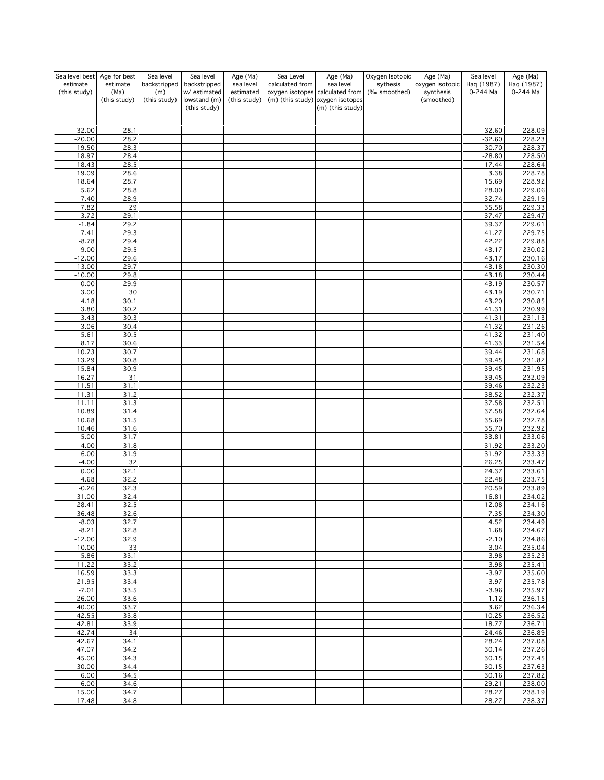| Sea level best           | Age for best     | Sea level           | Sea level                    | Age (Ma)               | Sea Level       | Age (Ma)                                             | Oxygen Isotopic          | Age (Ma)                     | Sea level              | Age (Ma)               |
|--------------------------|------------------|---------------------|------------------------------|------------------------|-----------------|------------------------------------------------------|--------------------------|------------------------------|------------------------|------------------------|
| estimate<br>(this study) | estimate<br>(Ma) | backstripped<br>(m) | backstripped<br>w/ estimated | sea level<br>estimated | calculated from | sea level<br>oxygen isotopes calculated from         | sythesis<br>(‰ smoothed) | oxygen isotopic<br>synthesis | Haq (1987)<br>0-244 Ma | Haq (1987)<br>0-244 Ma |
|                          | (this study)     | (this study)        | lowstand (m)<br>(this study) | (this study)           |                 | (m) (this study) oxygen isotopes<br>(m) (this study) |                          | (smoothed)                   |                        |                        |
|                          |                  |                     |                              |                        |                 |                                                      |                          |                              |                        |                        |
| $-32.00$                 | 28.1             |                     |                              |                        |                 |                                                      |                          |                              | $-32.60$               | 228.09                 |
| $-20.00$                 | 28.2             |                     |                              |                        |                 |                                                      |                          |                              | $-32.60$               | 228.23                 |
| 19.50                    | 28.3             |                     |                              |                        |                 |                                                      |                          |                              | $-30.70$               | 228.37                 |
| 18.97<br>18.43           | 28.4<br>28.5     |                     |                              |                        |                 |                                                      |                          |                              | $-28.80$<br>$-17.44$   | 228.50<br>228.64       |
| 19.09                    | 28.6             |                     |                              |                        |                 |                                                      |                          |                              | 3.38                   | 228.78                 |
| 18.64                    | 28.7             |                     |                              |                        |                 |                                                      |                          |                              | 15.69                  | 228.92                 |
| 5.62                     | 28.8             |                     |                              |                        |                 |                                                      |                          |                              | 28.00                  | 229.06                 |
| $-7.40$<br>7.82          | 28.9<br>29       |                     |                              |                        |                 |                                                      |                          |                              | 32.74<br>35.58         | 229.19<br>229.33       |
| 3.72                     | 29.1             |                     |                              |                        |                 |                                                      |                          |                              | 37.47                  | 229.47                 |
| $-1.84$                  | 29.2             |                     |                              |                        |                 |                                                      |                          |                              | 39.37                  | 229.61                 |
| $-7.41$                  | 29.3             |                     |                              |                        |                 |                                                      |                          |                              | 41.27                  | 229.75                 |
| $-8.78$<br>$-9.00$       | 29.4<br>29.5     |                     |                              |                        |                 |                                                      |                          |                              | 42.22<br>43.17         | 229.88<br>230.02       |
| $-12.00$                 | 29.6             |                     |                              |                        |                 |                                                      |                          |                              | 43.17                  | 230.16                 |
| $-13.00$                 | 29.7             |                     |                              |                        |                 |                                                      |                          |                              | 43.18                  | 230.30                 |
| $-10.00$                 | 29.8             |                     |                              |                        |                 |                                                      |                          |                              | 43.18                  | 230.44                 |
| 0.00<br>3.00             | 29.9<br>30       |                     |                              |                        |                 |                                                      |                          |                              | 43.19<br>43.19         | 230.57<br>230.71       |
| 4.18                     | 30.1             |                     |                              |                        |                 |                                                      |                          |                              | 43.20                  | 230.85                 |
| 3.80                     | 30.2             |                     |                              |                        |                 |                                                      |                          |                              | 41.31                  | 230.99                 |
| 3.43                     | 30.3             |                     |                              |                        |                 |                                                      |                          |                              | 41.31                  | 231.13                 |
| 3.06<br>5.61             | 30.4             |                     |                              |                        |                 |                                                      |                          |                              | 41.32                  | 231.26<br>231.40       |
| 8.17                     | 30.5<br>30.6     |                     |                              |                        |                 |                                                      |                          |                              | 41.32<br>41.33         | 231.54                 |
| 10.73                    | 30.7             |                     |                              |                        |                 |                                                      |                          |                              | 39.44                  | 231.68                 |
| 13.29                    | 30.8             |                     |                              |                        |                 |                                                      |                          |                              | 39.45                  | 231.82                 |
| 15.84                    | 30.9             |                     |                              |                        |                 |                                                      |                          |                              | 39.45<br>39.45         | 231.95                 |
| 16.27<br>11.51           | 31<br>31.1       |                     |                              |                        |                 |                                                      |                          |                              | 39.46                  | 232.09<br>232.23       |
| 11.31                    | 31.2             |                     |                              |                        |                 |                                                      |                          |                              | 38.52                  | 232.37                 |
| 11.11                    | 31.3             |                     |                              |                        |                 |                                                      |                          |                              | 37.58                  | 232.51                 |
| 10.89                    | 31.4             |                     |                              |                        |                 |                                                      |                          |                              | 37.58                  | 232.64                 |
| 10.68<br>10.46           | 31.5<br>31.6     |                     |                              |                        |                 |                                                      |                          |                              | 35.69<br>35.70         | 232.78<br>232.92       |
| 5.00                     | 31.7             |                     |                              |                        |                 |                                                      |                          |                              | 33.81                  | 233.06                 |
| $-4.00$                  | 31.8             |                     |                              |                        |                 |                                                      |                          |                              | 31.92                  | 233.20                 |
| $-6.00$                  | 31.9             |                     |                              |                        |                 |                                                      |                          |                              | 31.92                  | 233.33                 |
| $-4.00$<br>0.00          | 32<br>32.1       |                     |                              |                        |                 |                                                      |                          |                              | 26.25<br>24.37         | 233.47<br>233.61       |
| 4.68                     | 32.2             |                     |                              |                        |                 |                                                      |                          |                              | 22.48                  | 233.75                 |
| $-0.26$                  | 32.3             |                     |                              |                        |                 |                                                      |                          |                              | 20.59                  | 233.89                 |
| 31.00                    | 32.4             |                     |                              |                        |                 |                                                      |                          |                              | 16.81                  | 234.02                 |
| 28.41<br>36.48           | 32.5<br>32.6     |                     |                              |                        |                 |                                                      |                          |                              | 12.08                  | 234.16                 |
| $-8.03$                  | 32.7             |                     |                              |                        |                 |                                                      |                          |                              | 7.35<br>4.52           | 234.30<br>234.49       |
| $-8.21$                  | 32.8             |                     |                              |                        |                 |                                                      |                          |                              | 1.68                   | 234.67                 |
| $-12.00$                 | 32.9             |                     |                              |                        |                 |                                                      |                          |                              | $-2.10$                | 234.86                 |
| $-10.00$<br>5.86         | 33<br>33.1       |                     |                              |                        |                 |                                                      |                          |                              | $-3.04$<br>$-3.98$     | 235.04<br>235.23       |
| 11.22                    | 33.2             |                     |                              |                        |                 |                                                      |                          |                              | $-3.98$                | 235.41                 |
| 16.59                    | 33.3             |                     |                              |                        |                 |                                                      |                          |                              | $-3.97$                | 235.60                 |
| 21.95                    | 33.4             |                     |                              |                        |                 |                                                      |                          |                              | $-3.97$                | 235.78                 |
| $-7.01$<br>26.00         | 33.5<br>33.6     |                     |                              |                        |                 |                                                      |                          |                              | $-3.96$<br>$-1.12$     | 235.97<br>236.15       |
| 40.00                    | 33.7             |                     |                              |                        |                 |                                                      |                          |                              | 3.62                   | 236.34                 |
| 42.55                    | 33.8             |                     |                              |                        |                 |                                                      |                          |                              | 10.25                  | 236.52                 |
| 42.81                    | 33.9             |                     |                              |                        |                 |                                                      |                          |                              | 18.77                  | 236.71                 |
| 42.74<br>42.67           | 34<br>34.1       |                     |                              |                        |                 |                                                      |                          |                              | 24.46<br>28.24         | 236.89<br>237.08       |
| 47.07                    | 34.2             |                     |                              |                        |                 |                                                      |                          |                              | 30.14                  | 237.26                 |
| 45.00                    | 34.3             |                     |                              |                        |                 |                                                      |                          |                              | 30.15                  | 237.45                 |
| 30.00                    | 34.4             |                     |                              |                        |                 |                                                      |                          |                              | 30.15                  | 237.63                 |
| 6.00                     | 34.5             |                     |                              |                        |                 |                                                      |                          |                              | 30.16                  | 237.82                 |
| 6.00<br>15.00            | 34.6<br>34.7     |                     |                              |                        |                 |                                                      |                          |                              | 29.21<br>28.27         | 238.00<br>238.19       |
| 17.48                    | 34.8             |                     |                              |                        |                 |                                                      |                          |                              | 28.27                  | 238.37                 |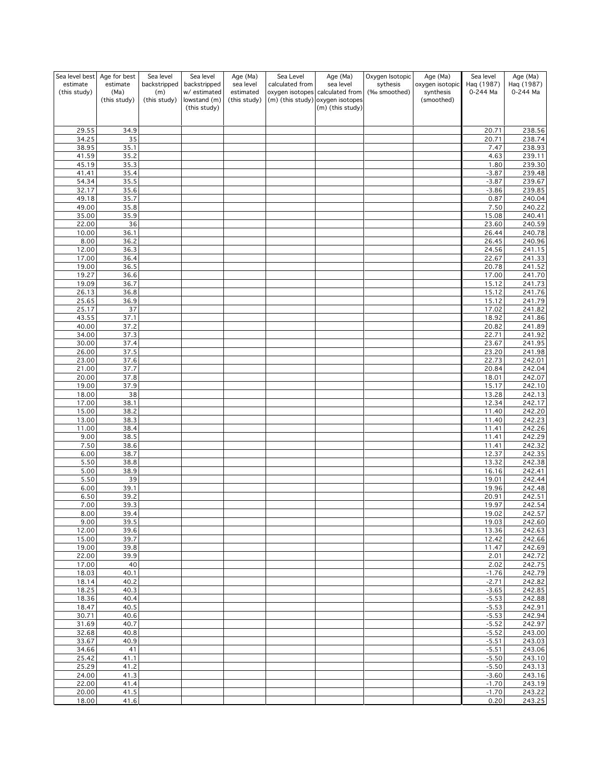| Sea level best Age for best |                  | Sea level           | Sea level                    | Age (Ma)               | Sea Level       | Age (Ma)                                                            | Oxygen Isotopic          | Age (Ma)                     | Sea level              | Age (Ma)               |
|-----------------------------|------------------|---------------------|------------------------------|------------------------|-----------------|---------------------------------------------------------------------|--------------------------|------------------------------|------------------------|------------------------|
| estimate                    | estimate<br>(Ma) | backstripped        | backstripped<br>w/ estimated | sea level<br>estimated | calculated from | sea level                                                           | sythesis<br>(‰ smoothed) | oxygen isotopic<br>synthesis | Haq (1987)<br>0-244 Ma | Haq (1987)<br>0-244 Ma |
| (this study)                | (this study)     | (m)<br>(this study) | lowstand (m)                 | (this study)           |                 | oxygen isotopes calculated from<br>(m) (this study) oxygen isotopes |                          | (smoothed)                   |                        |                        |
|                             |                  |                     | (this study)                 |                        |                 | (m) (this study)                                                    |                          |                              |                        |                        |
|                             |                  |                     |                              |                        |                 |                                                                     |                          |                              |                        |                        |
| 29.55                       | 34.9             |                     |                              |                        |                 |                                                                     |                          |                              | 20.71                  | 238.56                 |
| 34.25                       | 35               |                     |                              |                        |                 |                                                                     |                          |                              | 20.71                  | 238.74                 |
| 38.95                       | 35.1             |                     |                              |                        |                 |                                                                     |                          |                              | 7.47                   | 238.93                 |
| 41.59                       | 35.2             |                     |                              |                        |                 |                                                                     |                          |                              | 4.63                   | 239.11                 |
| 45.19<br>41.41              | 35.3<br>35.4     |                     |                              |                        |                 |                                                                     |                          |                              | 1.80<br>$-3.87$        | 239.30<br>239.48       |
| 54.34                       | 35.5             |                     |                              |                        |                 |                                                                     |                          |                              | $-3.87$                | 239.67                 |
| 32.17                       | 35.6             |                     |                              |                        |                 |                                                                     |                          |                              | $-3.86$                | 239.85                 |
| 49.18                       | 35.7             |                     |                              |                        |                 |                                                                     |                          |                              | 0.87                   | 240.04                 |
| 49.00                       | 35.8             |                     |                              |                        |                 |                                                                     |                          |                              | 7.50                   | 240.22                 |
| 35.00                       | 35.9             |                     |                              |                        |                 |                                                                     |                          |                              | 15.08                  | 240.41                 |
| 22.00<br>10.00              | 36<br>36.1       |                     |                              |                        |                 |                                                                     |                          |                              | 23.60<br>26.44         | 240.59<br>240.78       |
| 8.00                        | 36.2             |                     |                              |                        |                 |                                                                     |                          |                              | 26.45                  | 240.96                 |
| 12.00                       | 36.3             |                     |                              |                        |                 |                                                                     |                          |                              | 24.56                  | 241.15                 |
| 17.00                       | 36.4             |                     |                              |                        |                 |                                                                     |                          |                              | 22.67                  | 241.33                 |
| 19.00                       | 36.5             |                     |                              |                        |                 |                                                                     |                          |                              | 20.78                  | 241.52                 |
| 19.27                       | 36.6             |                     |                              |                        |                 |                                                                     |                          |                              | 17.00                  | 241.70                 |
| 19.09                       | 36.7             |                     |                              |                        |                 |                                                                     |                          |                              | 15.12                  | 241.73                 |
| 26.13<br>25.65              | 36.8<br>36.9     |                     |                              |                        |                 |                                                                     |                          |                              | 15.12<br>15.12         | 241.76<br>241.79       |
| 25.17                       | 37               |                     |                              |                        |                 |                                                                     |                          |                              | 17.02                  | 241.82                 |
| 43.55                       | 37.1             |                     |                              |                        |                 |                                                                     |                          |                              | 18.92                  | 241.86                 |
| 40.00                       | 37.2             |                     |                              |                        |                 |                                                                     |                          |                              | 20.82                  | 241.89                 |
| 34.00                       | 37.3             |                     |                              |                        |                 |                                                                     |                          |                              | 22.71                  | 241.92                 |
| 30.00                       | 37.4             |                     |                              |                        |                 |                                                                     |                          |                              | 23.67                  | 241.95                 |
| 26.00                       | 37.5             |                     |                              |                        |                 |                                                                     |                          |                              | 23.20                  | 241.98                 |
| 23.00<br>21.00              | 37.6<br>37.7     |                     |                              |                        |                 |                                                                     |                          |                              | 22.73<br>20.84         | 242.01<br>242.04       |
| 20.00                       | 37.8             |                     |                              |                        |                 |                                                                     |                          |                              | 18.01                  | 242.07                 |
| 19.00                       | 37.9             |                     |                              |                        |                 |                                                                     |                          |                              | 15.17                  | 242.10                 |
| 18.00                       | 38               |                     |                              |                        |                 |                                                                     |                          |                              | 13.28                  | 242.13                 |
| 17.00                       | 38.1             |                     |                              |                        |                 |                                                                     |                          |                              | 12.34                  | 242.17                 |
| 15.00                       | 38.2             |                     |                              |                        |                 |                                                                     |                          |                              | 11.40                  | 242.20                 |
| 13.00                       | 38.3             |                     |                              |                        |                 |                                                                     |                          |                              | 11.40                  | $\frac{242.23}{ }$     |
| 11.00<br>9.00               | 38.4<br>38.5     |                     |                              |                        |                 |                                                                     |                          |                              | 11.41<br>11.41         | 242.26<br>242.29       |
| 7.50                        | 38.6             |                     |                              |                        |                 |                                                                     |                          |                              | 11.41                  | 242.32                 |
| 6.00                        | 38.7             |                     |                              |                        |                 |                                                                     |                          |                              | 12.37                  | 242.35                 |
| 5.50                        | 38.8             |                     |                              |                        |                 |                                                                     |                          |                              | 13.32                  | 242.38                 |
| 5.00                        | 38.9             |                     |                              |                        |                 |                                                                     |                          |                              | 16.16                  | 242.41                 |
| 5.50                        | 39               |                     |                              |                        |                 |                                                                     |                          |                              | 19.01                  | 242.44                 |
| 6.00<br>6.50                | 39.1<br>39.2     |                     |                              |                        |                 |                                                                     |                          |                              | 19.96<br>20.91         | 242.48<br>242.51       |
| 7.00                        | 39.3             |                     |                              |                        |                 |                                                                     |                          |                              | 19.97                  | 242.54                 |
| 8.00                        | 39.4             |                     |                              |                        |                 |                                                                     |                          |                              | 19.02                  | 242.57                 |
| 9.00                        | 39.5             |                     |                              |                        |                 |                                                                     |                          |                              | 19.03                  | 242.60                 |
| 12.00                       | 39.6             |                     |                              |                        |                 |                                                                     |                          |                              | 13.36                  | 242.63                 |
| 15.00                       | 39.7             |                     |                              |                        |                 |                                                                     |                          |                              | 12.42                  | 242.66                 |
| 19.00                       | 39.8             |                     |                              |                        |                 |                                                                     |                          |                              | 11.47                  | 242.69                 |
| 22.00<br>17.00              | 39.9<br>40       |                     |                              |                        |                 |                                                                     |                          |                              | 2.01<br>2.02           | 242.72<br>242.75       |
| 18.03                       | 40.1             |                     |                              |                        |                 |                                                                     |                          |                              | $-1.76$                | 242.79                 |
| 18.14                       | 40.2             |                     |                              |                        |                 |                                                                     |                          |                              | $-2.71$                | 242.82                 |
| 18.25                       | 40.3             |                     |                              |                        |                 |                                                                     |                          |                              | $-3.65$                | 242.85                 |
| 18.36                       | 40.4             |                     |                              |                        |                 |                                                                     |                          |                              | $-5.53$                | 242.88                 |
| 18.47                       | 40.5             |                     |                              |                        |                 |                                                                     |                          |                              | $-5.53$                | 242.91                 |
| 30.71<br>31.69              | 40.6<br>40.7     |                     |                              |                        |                 |                                                                     |                          |                              | $-5.53$<br>$-5.52$     | 242.94<br>242.97       |
| 32.68                       | 40.8             |                     |                              |                        |                 |                                                                     |                          |                              | $-5.52$                | 243.00                 |
| 33.67                       | 40.9             |                     |                              |                        |                 |                                                                     |                          |                              | $-5.51$                | 243.03                 |
| 34.66                       | 41               |                     |                              |                        |                 |                                                                     |                          |                              | $-5.51$                | 243.06                 |
| 25.42                       | 41.1             |                     |                              |                        |                 |                                                                     |                          |                              | $-5.50$                | 243.10                 |
| 25.29                       | 41.2             |                     |                              |                        |                 |                                                                     |                          |                              | $-5.50$                | 243.13                 |
| 24.00                       | 41.3             |                     |                              |                        |                 |                                                                     |                          |                              | $-3.60$                | 243.16                 |
| 22.00<br>20.00              | 41.4<br>41.5     |                     |                              |                        |                 |                                                                     |                          |                              | $-1.70$<br>$-1.70$     | 243.19<br>243.22       |
| 18.00                       | 41.6             |                     |                              |                        |                 |                                                                     |                          |                              | 0.20                   | 243.25                 |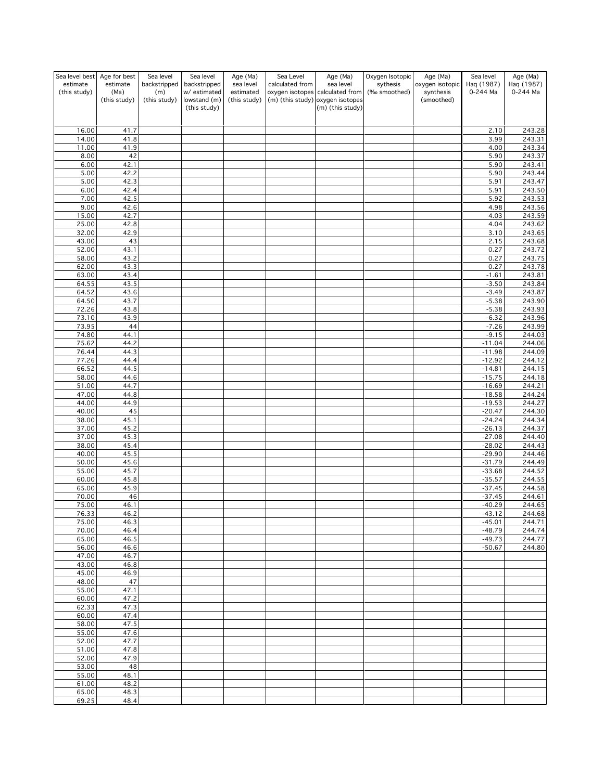| Sea level best<br>estimate<br>(this study) | Age for best<br>estimate<br>(Ma)<br>(this study) | Sea level<br>backstripped<br>(m)<br>(this study) | Sea level<br>backstripped<br>w/ estimated<br>lowstand (m)<br>(this study) | Age (Ma)<br>sea level<br>estimated<br>(this study) | Sea Level<br>calculated from | Age (Ma)<br>sea level<br>oxygen isotopes calculated from<br>(m) (this study) oxygen isotopes<br>(m) (this study) | Oxygen Isotopic<br>sythesis<br>(‰ smoothed) | Age (Ma)<br>oxygen isotopic<br>synthesis<br>(smoothed) | Sea level<br>Haq (1987)<br>0-244 Ma | Age (Ma)<br>Haq (1987)<br>0-244 Ma |
|--------------------------------------------|--------------------------------------------------|--------------------------------------------------|---------------------------------------------------------------------------|----------------------------------------------------|------------------------------|------------------------------------------------------------------------------------------------------------------|---------------------------------------------|--------------------------------------------------------|-------------------------------------|------------------------------------|
|                                            |                                                  |                                                  |                                                                           |                                                    |                              |                                                                                                                  |                                             |                                                        |                                     |                                    |
| 16.00                                      | 41.7                                             |                                                  |                                                                           |                                                    |                              |                                                                                                                  |                                             |                                                        | 2.10                                | 243.28                             |
| 14.00<br>11.00                             | 41.8<br>41.9                                     |                                                  |                                                                           |                                                    |                              |                                                                                                                  |                                             |                                                        | 3.99<br>4.00                        | 243.31<br>243.34                   |
| 8.00                                       | 42                                               |                                                  |                                                                           |                                                    |                              |                                                                                                                  |                                             |                                                        | 5.90                                | 243.37                             |
| 6.00                                       | 42.1                                             |                                                  |                                                                           |                                                    |                              |                                                                                                                  |                                             |                                                        | 5.90                                | 243.41                             |
| 5.00<br>5.00                               | 42.2<br>42.3                                     |                                                  |                                                                           |                                                    |                              |                                                                                                                  |                                             |                                                        | 5.90<br>5.91                        | 243.44<br>243.47                   |
| 6.00                                       | 42.4                                             |                                                  |                                                                           |                                                    |                              |                                                                                                                  |                                             |                                                        | 5.91                                | 243.50                             |
| 7.00                                       | 42.5                                             |                                                  |                                                                           |                                                    |                              |                                                                                                                  |                                             |                                                        | 5.92                                | 243.53                             |
| 9.00<br>15.00                              | 42.6<br>42.7                                     |                                                  |                                                                           |                                                    |                              |                                                                                                                  |                                             |                                                        | 4.98<br>4.03                        | 243.56<br>$\overline{243.59}$      |
| 25.00                                      | 42.8                                             |                                                  |                                                                           |                                                    |                              |                                                                                                                  |                                             |                                                        | 4.04                                | 243.62                             |
| 32.00                                      | 42.9                                             |                                                  |                                                                           |                                                    |                              |                                                                                                                  |                                             |                                                        | 3.10                                | 243.65                             |
| 43.00<br>52.00                             | 43<br>43.1                                       |                                                  |                                                                           |                                                    |                              |                                                                                                                  |                                             |                                                        | 2.15<br>0.27                        | 243.68<br>243.72                   |
| 58.00                                      | 43.2                                             |                                                  |                                                                           |                                                    |                              |                                                                                                                  |                                             |                                                        | 0.27                                | 243.75                             |
| 62.00                                      | 43.3                                             |                                                  |                                                                           |                                                    |                              |                                                                                                                  |                                             |                                                        | 0.27                                | 243.78                             |
| 63.00<br>64.55                             | 43.4<br>43.5                                     |                                                  |                                                                           |                                                    |                              |                                                                                                                  |                                             |                                                        | $-1.61$<br>$-3.50$                  | 243.81<br>243.84                   |
| 64.52                                      | 43.6                                             |                                                  |                                                                           |                                                    |                              |                                                                                                                  |                                             |                                                        | $-3.49$                             | 243.87                             |
| 64.50                                      | 43.7                                             |                                                  |                                                                           |                                                    |                              |                                                                                                                  |                                             |                                                        | $-5.38$                             | 243.90                             |
| 72.26                                      | 43.8                                             |                                                  |                                                                           |                                                    |                              |                                                                                                                  |                                             |                                                        | $-5.38$                             | 243.93                             |
| 73.10<br>73.95                             | 43.9<br>44                                       |                                                  |                                                                           |                                                    |                              |                                                                                                                  |                                             |                                                        | $-6.32$<br>$-7.26$                  | 243.96<br>243.99                   |
| 74.80                                      | 44.1                                             |                                                  |                                                                           |                                                    |                              |                                                                                                                  |                                             |                                                        | $-9.15$                             | 244.03                             |
| 75.62                                      | 44.2                                             |                                                  |                                                                           |                                                    |                              |                                                                                                                  |                                             |                                                        | $-11.04$                            | 244.06                             |
| 76.44<br>77.26                             | 44.3<br>44.4                                     |                                                  |                                                                           |                                                    |                              |                                                                                                                  |                                             |                                                        | $-11.98$<br>$-12.92$                | 244.09<br>244.12                   |
| 66.52                                      | 44.5                                             |                                                  |                                                                           |                                                    |                              |                                                                                                                  |                                             |                                                        | $-14.81$                            | 244.15                             |
| 58.00                                      | 44.6                                             |                                                  |                                                                           |                                                    |                              |                                                                                                                  |                                             |                                                        | $-15.75$                            | 244.18                             |
| 51.00<br>47.00                             | 44.7<br>44.8                                     |                                                  |                                                                           |                                                    |                              |                                                                                                                  |                                             |                                                        | $-16.69$<br>$-18.58$                | 244.21<br>244.24                   |
| 44.00                                      | 44.9                                             |                                                  |                                                                           |                                                    |                              |                                                                                                                  |                                             |                                                        | $-19.53$                            | 244.27                             |
| 40.00                                      | 45                                               |                                                  |                                                                           |                                                    |                              |                                                                                                                  |                                             |                                                        | $-20.47$                            | 244.30                             |
| 38.00<br>37.00                             | 45.1<br>45.2                                     |                                                  |                                                                           |                                                    |                              |                                                                                                                  |                                             |                                                        | $-24.24$<br>$-26.13$                | 244.34<br>244.37                   |
| 37.00                                      | 45.3                                             |                                                  |                                                                           |                                                    |                              |                                                                                                                  |                                             |                                                        | $-27.08$                            | 244.40                             |
| 38.00                                      | 45.4                                             |                                                  |                                                                           |                                                    |                              |                                                                                                                  |                                             |                                                        | $-28.02$                            | 244.43                             |
| 40.00<br>50.00                             | 45.5<br>45.6                                     |                                                  |                                                                           |                                                    |                              |                                                                                                                  |                                             |                                                        | $-29.90$<br>$-31.79$                | 244.46<br>244.49                   |
| 55.00                                      | 45.7                                             |                                                  |                                                                           |                                                    |                              |                                                                                                                  |                                             |                                                        | $-33.68$                            | 244.52                             |
| 60.00                                      | 45.8                                             |                                                  |                                                                           |                                                    |                              |                                                                                                                  |                                             |                                                        | $-35.57$                            | 244.55                             |
| 65.00<br>70.00                             | 45.9                                             |                                                  |                                                                           |                                                    |                              |                                                                                                                  |                                             |                                                        | $-37.45$<br>$-37.45$                | 244.58                             |
| 75.00                                      | 46<br>46.1                                       |                                                  |                                                                           |                                                    |                              |                                                                                                                  |                                             |                                                        | $-40.29$                            | 244.61<br>244.65                   |
| 76.33                                      | 46.2                                             |                                                  |                                                                           |                                                    |                              |                                                                                                                  |                                             |                                                        | $-43.12$                            | 244.68                             |
| 75.00<br>70.00                             | 46.3<br>46.4                                     |                                                  |                                                                           |                                                    |                              |                                                                                                                  |                                             |                                                        | $-45.01$<br>$-48.79$                | 244.71<br>244.74                   |
| 65.00                                      | 46.5                                             |                                                  |                                                                           |                                                    |                              |                                                                                                                  |                                             |                                                        | $-49.73$                            | 244.77                             |
| 56.00                                      | 46.6                                             |                                                  |                                                                           |                                                    |                              |                                                                                                                  |                                             |                                                        | $-50.67$                            | 244.80                             |
| 47.00<br>43.00                             | 46.7<br>46.8                                     |                                                  |                                                                           |                                                    |                              |                                                                                                                  |                                             |                                                        |                                     |                                    |
| 45.00                                      | 46.9                                             |                                                  |                                                                           |                                                    |                              |                                                                                                                  |                                             |                                                        |                                     |                                    |
| 48.00                                      | 47                                               |                                                  |                                                                           |                                                    |                              |                                                                                                                  |                                             |                                                        |                                     |                                    |
| 55.00                                      | 47.1                                             |                                                  |                                                                           |                                                    |                              |                                                                                                                  |                                             |                                                        |                                     |                                    |
| 60.00<br>62.33                             | 47.2<br>47.3                                     |                                                  |                                                                           |                                                    |                              |                                                                                                                  |                                             |                                                        |                                     |                                    |
| 60.00                                      | 47.4                                             |                                                  |                                                                           |                                                    |                              |                                                                                                                  |                                             |                                                        |                                     |                                    |
| 58.00                                      | 47.5                                             |                                                  |                                                                           |                                                    |                              |                                                                                                                  |                                             |                                                        |                                     |                                    |
| 55.00<br>52.00                             | 47.6<br>47.7                                     |                                                  |                                                                           |                                                    |                              |                                                                                                                  |                                             |                                                        |                                     |                                    |
| 51.00                                      | 47.8                                             |                                                  |                                                                           |                                                    |                              |                                                                                                                  |                                             |                                                        |                                     |                                    |
| 52.00                                      | 47.9                                             |                                                  |                                                                           |                                                    |                              |                                                                                                                  |                                             |                                                        |                                     |                                    |
| 53.00<br>55.00                             | 48<br>48.1                                       |                                                  |                                                                           |                                                    |                              |                                                                                                                  |                                             |                                                        |                                     |                                    |
| 61.00                                      | 48.2                                             |                                                  |                                                                           |                                                    |                              |                                                                                                                  |                                             |                                                        |                                     |                                    |
| 65.00                                      | 48.3                                             |                                                  |                                                                           |                                                    |                              |                                                                                                                  |                                             |                                                        |                                     |                                    |
| 69.25                                      | 48.4                                             |                                                  |                                                                           |                                                    |                              |                                                                                                                  |                                             |                                                        |                                     |                                    |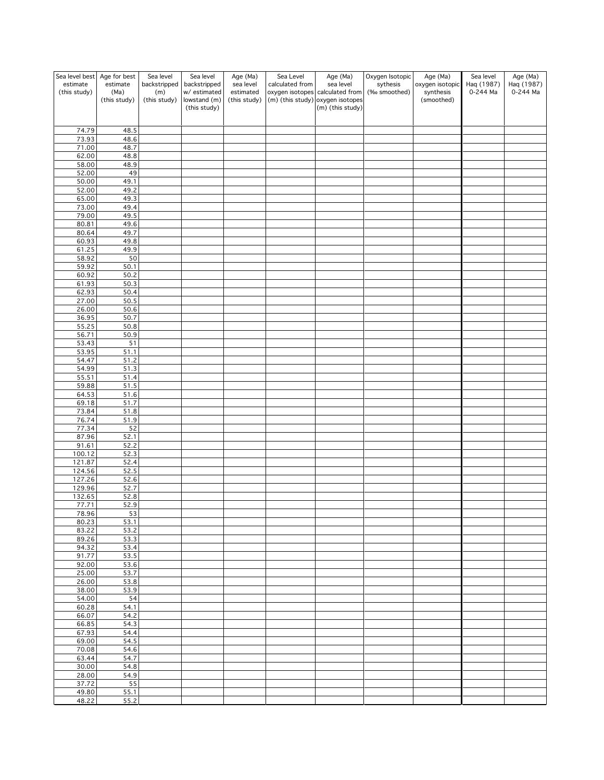| Sea level best Age for best<br>estimate | estimate     | Sea level<br>backstripped | Sea level                    | Age (Ma)<br>sea level | Sea Level<br>calculated from | Age (Ma)<br>sea level                                  | Oxygen Isotopic          | Age (Ma)                     | Sea level              | Age (Ma)<br>Haq (1987) |
|-----------------------------------------|--------------|---------------------------|------------------------------|-----------------------|------------------------------|--------------------------------------------------------|--------------------------|------------------------------|------------------------|------------------------|
| (this study)                            | (Ma)         | (m)                       | backstripped<br>w/ estimated | estimated             |                              | oxygen isotopes calculated from                        | sythesis<br>(‰ smoothed) | oxygen isotopic<br>synthesis | Haq (1987)<br>0-244 Ma | 0-244 Ma               |
|                                         | (this study) | (this study)              | lowstand (m)<br>(this study) | (this study)          |                              | $(m)$ (this study) oxygen isotopes<br>(m) (this study) |                          | (smoothed)                   |                        |                        |
|                                         |              |                           |                              |                       |                              |                                                        |                          |                              |                        |                        |
| 74.79                                   | 48.5         |                           |                              |                       |                              |                                                        |                          |                              |                        |                        |
| 73.93                                   | 48.6         |                           |                              |                       |                              |                                                        |                          |                              |                        |                        |
| 71.00<br>62.00                          | 48.7<br>48.8 |                           |                              |                       |                              |                                                        |                          |                              |                        |                        |
| 58.00                                   | 48.9         |                           |                              |                       |                              |                                                        |                          |                              |                        |                        |
| 52.00                                   | 49           |                           |                              |                       |                              |                                                        |                          |                              |                        |                        |
| 50.00                                   | 49.1<br>49.2 |                           |                              |                       |                              |                                                        |                          |                              |                        |                        |
| 52.00<br>65.00                          | 49.3         |                           |                              |                       |                              |                                                        |                          |                              |                        |                        |
| 73.00                                   | 49.4         |                           |                              |                       |                              |                                                        |                          |                              |                        |                        |
| 79.00                                   | 49.5         |                           |                              |                       |                              |                                                        |                          |                              |                        |                        |
| 80.81<br>80.64                          | 49.6<br>49.7 |                           |                              |                       |                              |                                                        |                          |                              |                        |                        |
| 60.93                                   | 49.8         |                           |                              |                       |                              |                                                        |                          |                              |                        |                        |
| 61.25                                   | 49.9         |                           |                              |                       |                              |                                                        |                          |                              |                        |                        |
| 58.92<br>59.92                          | 50<br>50.1   |                           |                              |                       |                              |                                                        |                          |                              |                        |                        |
| 60.92                                   | 50.2         |                           |                              |                       |                              |                                                        |                          |                              |                        |                        |
| 61.93                                   | 50.3         |                           |                              |                       |                              |                                                        |                          |                              |                        |                        |
| 62.93                                   | 50.4         |                           |                              |                       |                              |                                                        |                          |                              |                        |                        |
| 27.00<br>26.00                          | 50.5<br>50.6 |                           |                              |                       |                              |                                                        |                          |                              |                        |                        |
| 36.95                                   | 50.7         |                           |                              |                       |                              |                                                        |                          |                              |                        |                        |
| 55.25                                   | 50.8         |                           |                              |                       |                              |                                                        |                          |                              |                        |                        |
| 56.71<br>53.43                          | 50.9<br>51   |                           |                              |                       |                              |                                                        |                          |                              |                        |                        |
| 53.95                                   | 51.1         |                           |                              |                       |                              |                                                        |                          |                              |                        |                        |
| 54.47                                   | 51.2         |                           |                              |                       |                              |                                                        |                          |                              |                        |                        |
| 54.99                                   | 51.3         |                           |                              |                       |                              |                                                        |                          |                              |                        |                        |
| 55.51<br>59.88                          | 51.4<br>51.5 |                           |                              |                       |                              |                                                        |                          |                              |                        |                        |
| 64.53                                   | 51.6         |                           |                              |                       |                              |                                                        |                          |                              |                        |                        |
| 69.18                                   | 51.7         |                           |                              |                       |                              |                                                        |                          |                              |                        |                        |
| 73.84<br>76.74                          | 51.8<br>51.9 |                           |                              |                       |                              |                                                        |                          |                              |                        |                        |
| 77.34                                   | 52           |                           |                              |                       |                              |                                                        |                          |                              |                        |                        |
| 87.96                                   | 52.1         |                           |                              |                       |                              |                                                        |                          |                              |                        |                        |
| 91.61                                   | 52.2         |                           |                              |                       |                              |                                                        |                          |                              |                        |                        |
| 100.12<br>121.87                        | 52.3<br>52.4 |                           |                              |                       |                              |                                                        |                          |                              |                        |                        |
| 124.56                                  | 52.5         |                           |                              |                       |                              |                                                        |                          |                              |                        |                        |
| 127.26                                  | 52.6         |                           |                              |                       |                              |                                                        |                          |                              |                        |                        |
| 129.96<br>132.65                        | 52.7<br>52.8 |                           |                              |                       |                              |                                                        |                          |                              |                        |                        |
| 77.71                                   | 52.9         |                           |                              |                       |                              |                                                        |                          |                              |                        |                        |
| 78.96                                   | <u>53</u>    |                           |                              |                       |                              |                                                        |                          |                              |                        |                        |
| 80.23<br>83.22                          | 53.1<br>53.2 |                           |                              |                       |                              |                                                        |                          |                              |                        |                        |
| 89.26                                   | 53.3         |                           |                              |                       |                              |                                                        |                          |                              |                        |                        |
| 94.32                                   | 53.4         |                           |                              |                       |                              |                                                        |                          |                              |                        |                        |
| 91.77                                   | 53.5         |                           |                              |                       |                              |                                                        |                          |                              |                        |                        |
| 92.00<br>25.00                          | 53.6<br>53.7 |                           |                              |                       |                              |                                                        |                          |                              |                        |                        |
| 26.00                                   | 53.8         |                           |                              |                       |                              |                                                        |                          |                              |                        |                        |
| 38.00                                   | 53.9         |                           |                              |                       |                              |                                                        |                          |                              |                        |                        |
| 54.00<br>60.28                          | 54<br>54.1   |                           |                              |                       |                              |                                                        |                          |                              |                        |                        |
| 66.07                                   | 54.2         |                           |                              |                       |                              |                                                        |                          |                              |                        |                        |
| 66.85                                   | 54.3         |                           |                              |                       |                              |                                                        |                          |                              |                        |                        |
| 67.93                                   | 54.4         |                           |                              |                       |                              |                                                        |                          |                              |                        |                        |
| 69.00<br>70.08                          | 54.5<br>54.6 |                           |                              |                       |                              |                                                        |                          |                              |                        |                        |
| 63.44                                   | 54.7         |                           |                              |                       |                              |                                                        |                          |                              |                        |                        |
| 30.00                                   | 54.8         |                           |                              |                       |                              |                                                        |                          |                              |                        |                        |
| 28.00<br>37.72                          | 54.9<br>55   |                           |                              |                       |                              |                                                        |                          |                              |                        |                        |
| 49.80                                   | 55.1         |                           |                              |                       |                              |                                                        |                          |                              |                        |                        |
| 48.22                                   | 55.2         |                           |                              |                       |                              |                                                        |                          |                              |                        |                        |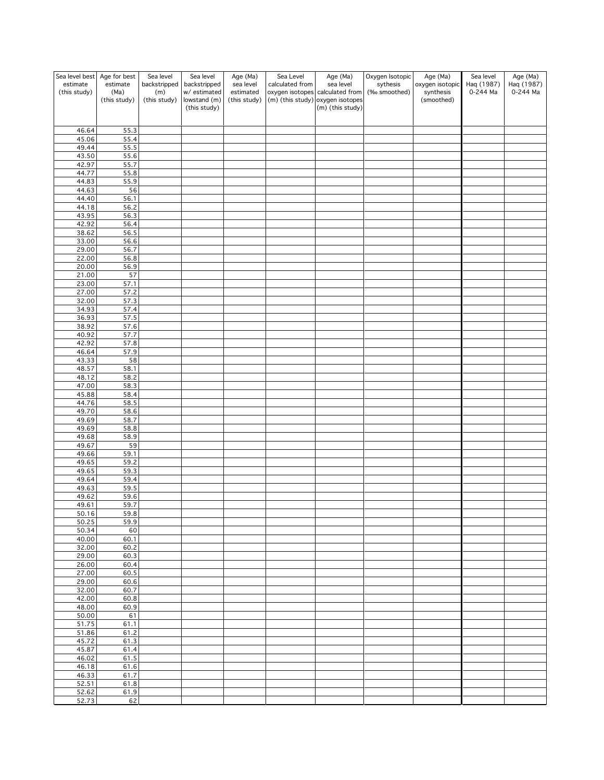| Sea level best Age for best |              | Sea level    | Sea level                    | Age (Ma)     | Sea Level       | Age (Ma)                                               | Oxygen Isotopic | Age (Ma)                | Sea level  | Age (Ma)   |
|-----------------------------|--------------|--------------|------------------------------|--------------|-----------------|--------------------------------------------------------|-----------------|-------------------------|------------|------------|
| estimate                    | estimate     | backstripped | backstripped                 | sea level    | calculated from | sea level                                              | sythesis        | oxygen isotopic         | Haq (1987) | Haq (1987) |
| (this study)                | (Ma)         | (m)          | w/ estimated                 | estimated    |                 | oxygen isotopes calculated from                        | (‰ smoothed)    | synthesis<br>(smoothed) | 0-244 Ma   | 0-244 Ma   |
|                             | (this study) | (this study) | lowstand (m)<br>(this study) | (this study) |                 | $(m)$ (this study) oxygen isotopes<br>(m) (this study) |                 |                         |            |            |
|                             |              |              |                              |              |                 |                                                        |                 |                         |            |            |
|                             |              |              |                              |              |                 |                                                        |                 |                         |            |            |
| 46.64                       | 55.3         |              |                              |              |                 |                                                        |                 |                         |            |            |
| 45.06<br>49.44              | 55.4<br>55.5 |              |                              |              |                 |                                                        |                 |                         |            |            |
| 43.50                       | 55.6         |              |                              |              |                 |                                                        |                 |                         |            |            |
| 42.97                       | 55.7         |              |                              |              |                 |                                                        |                 |                         |            |            |
| 44.77                       | 55.8         |              |                              |              |                 |                                                        |                 |                         |            |            |
| 44.83                       | 55.9         |              |                              |              |                 |                                                        |                 |                         |            |            |
| 44.63                       | 56           |              |                              |              |                 |                                                        |                 |                         |            |            |
| 44.40                       | 56.1         |              |                              |              |                 |                                                        |                 |                         |            |            |
| 44.18                       | 56.2<br>56.3 |              |                              |              |                 |                                                        |                 |                         |            |            |
| 43.95<br>42.92              | 56.4         |              |                              |              |                 |                                                        |                 |                         |            |            |
| 38.62                       | 56.5         |              |                              |              |                 |                                                        |                 |                         |            |            |
| 33.00                       | 56.6         |              |                              |              |                 |                                                        |                 |                         |            |            |
| 29.00                       | 56.7         |              |                              |              |                 |                                                        |                 |                         |            |            |
| 22.00                       | 56.8         |              |                              |              |                 |                                                        |                 |                         |            |            |
| 20.00                       | 56.9         |              |                              |              |                 |                                                        |                 |                         |            |            |
| 21.00                       | 57           |              |                              |              |                 |                                                        |                 |                         |            |            |
| 23.00<br>27.00              | 57.1<br>57.2 |              |                              |              |                 |                                                        |                 |                         |            |            |
| 32.00                       | 57.3         |              |                              |              |                 |                                                        |                 |                         |            |            |
| 34.93                       | 57.4         |              |                              |              |                 |                                                        |                 |                         |            |            |
| 36.93                       | 57.5         |              |                              |              |                 |                                                        |                 |                         |            |            |
| 38.92                       | 57.6         |              |                              |              |                 |                                                        |                 |                         |            |            |
| 40.92                       | 57.7         |              |                              |              |                 |                                                        |                 |                         |            |            |
| 42.92                       | 57.8         |              |                              |              |                 |                                                        |                 |                         |            |            |
| 46.64<br>43.33              | 57.9<br>58   |              |                              |              |                 |                                                        |                 |                         |            |            |
| 48.57                       | 58.1         |              |                              |              |                 |                                                        |                 |                         |            |            |
| 48.12                       | 58.2         |              |                              |              |                 |                                                        |                 |                         |            |            |
| 47.00                       | 58.3         |              |                              |              |                 |                                                        |                 |                         |            |            |
| 45.88                       | 58.4         |              |                              |              |                 |                                                        |                 |                         |            |            |
| 44.76                       | 58.5         |              |                              |              |                 |                                                        |                 |                         |            |            |
| 49.70                       | 58.6         |              |                              |              |                 |                                                        |                 |                         |            |            |
| 49.69<br>49.69              | 58.7<br>58.8 |              |                              |              |                 |                                                        |                 |                         |            |            |
| 49.68                       | 58.9         |              |                              |              |                 |                                                        |                 |                         |            |            |
| 49.67                       | 59           |              |                              |              |                 |                                                        |                 |                         |            |            |
| 49.66                       | 59.1         |              |                              |              |                 |                                                        |                 |                         |            |            |
| 49.65                       | 59.2         |              |                              |              |                 |                                                        |                 |                         |            |            |
| 49.65                       | 59.3         |              |                              |              |                 |                                                        |                 |                         |            |            |
| 49.64                       | 59.4         |              |                              |              |                 |                                                        |                 |                         |            |            |
| 49.63<br>49.62              | 59.5<br>59.6 |              |                              |              |                 |                                                        |                 |                         |            |            |
| 49.61                       | 59.7         |              |                              |              |                 |                                                        |                 |                         |            |            |
| 50.16                       | 59.8         |              |                              |              |                 |                                                        |                 |                         |            |            |
| 50.25                       | 59.9         |              |                              |              |                 |                                                        |                 |                         |            |            |
| 50.34                       | 60           |              |                              |              |                 |                                                        |                 |                         |            |            |
| 40.00                       | 60.1         |              |                              |              |                 |                                                        |                 |                         |            |            |
| 32.00<br>29.00              | 60.2<br>60.3 |              |                              |              |                 |                                                        |                 |                         |            |            |
| 26.00                       | 60.4         |              |                              |              |                 |                                                        |                 |                         |            |            |
| 27.00                       | 60.5         |              |                              |              |                 |                                                        |                 |                         |            |            |
| 29.00                       | 60.6         |              |                              |              |                 |                                                        |                 |                         |            |            |
| 32.00                       | 60.7         |              |                              |              |                 |                                                        |                 |                         |            |            |
| 42.00                       | 60.8         |              |                              |              |                 |                                                        |                 |                         |            |            |
| 48.00                       | 60.9         |              |                              |              |                 |                                                        |                 |                         |            |            |
| 50.00                       | 61           |              |                              |              |                 |                                                        |                 |                         |            |            |
| 51.75<br>51.86              | 61.1<br>61.2 |              |                              |              |                 |                                                        |                 |                         |            |            |
| 45.72                       | 61.3         |              |                              |              |                 |                                                        |                 |                         |            |            |
| 45.87                       | 61.4         |              |                              |              |                 |                                                        |                 |                         |            |            |
| 46.02                       | 61.5         |              |                              |              |                 |                                                        |                 |                         |            |            |
| 46.18                       | 61.6         |              |                              |              |                 |                                                        |                 |                         |            |            |
| 46.33                       | 61.7         |              |                              |              |                 |                                                        |                 |                         |            |            |
| 52.51                       | 61.8         |              |                              |              |                 |                                                        |                 |                         |            |            |
| 52.62<br>52.73              | 61.9<br>62   |              |                              |              |                 |                                                        |                 |                         |            |            |
|                             |              |              |                              |              |                 |                                                        |                 |                         |            |            |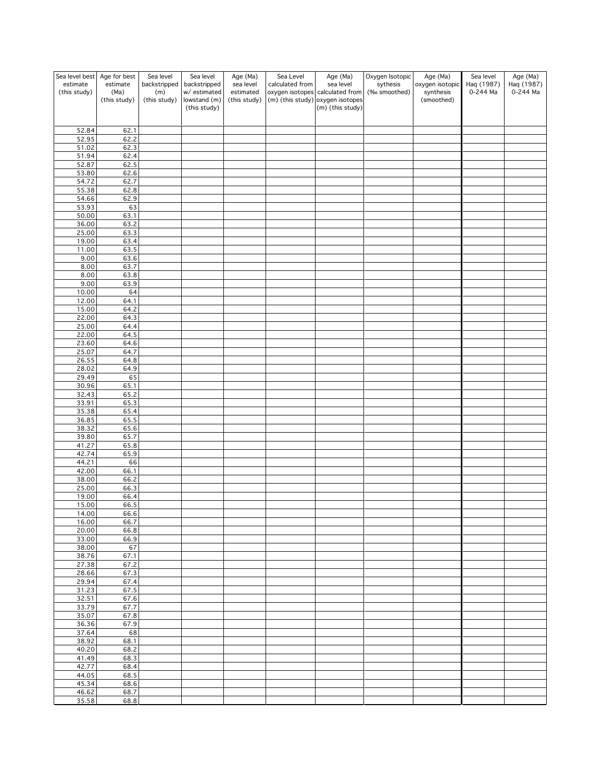| Sea level best | Age for best         | Sea level           | Sea level                    | Age (Ma)                  | Sea Level       | Age (Ma)                                                              | Oxygen Isotopic | Age (Ma)                | Sea level  | Age (Ma)   |
|----------------|----------------------|---------------------|------------------------------|---------------------------|-----------------|-----------------------------------------------------------------------|-----------------|-------------------------|------------|------------|
| estimate       | estimate             | backstripped        | backstripped                 | sea level                 | calculated from | sea level                                                             | sythesis        | oxygen isotopic         | Haq (1987) | Haq (1987) |
| (this study)   | (Ma)<br>(this study) | (m)<br>(this study) | w/ estimated<br>lowstand (m) | estimated<br>(this study) |                 | oxygen isotopes calculated from<br>$(m)$ (this study) oxygen isotopes | (‰ smoothed)    | synthesis<br>(smoothed) | 0-244 Ma   | 0-244 Ma   |
|                |                      |                     | (this study)                 |                           |                 | (m) (this study)                                                      |                 |                         |            |            |
|                |                      |                     |                              |                           |                 |                                                                       |                 |                         |            |            |
|                |                      |                     |                              |                           |                 |                                                                       |                 |                         |            |            |
| 52.84<br>52.95 | 62.1<br>62.2         |                     |                              |                           |                 |                                                                       |                 |                         |            |            |
| 51.02          | 62.3                 |                     |                              |                           |                 |                                                                       |                 |                         |            |            |
| 51.94          | 62.4                 |                     |                              |                           |                 |                                                                       |                 |                         |            |            |
| 52.87          | 62.5                 |                     |                              |                           |                 |                                                                       |                 |                         |            |            |
| 53.80          | 62.6                 |                     |                              |                           |                 |                                                                       |                 |                         |            |            |
| 54.72          | 62.7                 |                     |                              |                           |                 |                                                                       |                 |                         |            |            |
| 55.38          | 62.8                 |                     |                              |                           |                 |                                                                       |                 |                         |            |            |
| 54.66<br>53.93 | 62.9<br>63           |                     |                              |                           |                 |                                                                       |                 |                         |            |            |
| 50.00          | 63.1                 |                     |                              |                           |                 |                                                                       |                 |                         |            |            |
| 36.00          | 63.2                 |                     |                              |                           |                 |                                                                       |                 |                         |            |            |
| 25.00          | $63.\overline{3}$    |                     |                              |                           |                 |                                                                       |                 |                         |            |            |
| 19.00          | 63.4                 |                     |                              |                           |                 |                                                                       |                 |                         |            |            |
| 11.00          | 63.5                 |                     |                              |                           |                 |                                                                       |                 |                         |            |            |
| 9.00           | 63.6                 |                     |                              |                           |                 |                                                                       |                 |                         |            |            |
| 8.00<br>8.00   | 63.7<br>63.8         |                     |                              |                           |                 |                                                                       |                 |                         |            |            |
| 9.00           | 63.9                 |                     |                              |                           |                 |                                                                       |                 |                         |            |            |
| 10.00          | 64                   |                     |                              |                           |                 |                                                                       |                 |                         |            |            |
| 12.00          | 64.1                 |                     |                              |                           |                 |                                                                       |                 |                         |            |            |
| 15.00          | 64.2                 |                     |                              |                           |                 |                                                                       |                 |                         |            |            |
| 22.00          | 64.3                 |                     |                              |                           |                 |                                                                       |                 |                         |            |            |
| 25.00          | 64.4                 |                     |                              |                           |                 |                                                                       |                 |                         |            |            |
| 22.00<br>23.60 | 64.5<br>64.6         |                     |                              |                           |                 |                                                                       |                 |                         |            |            |
| 25.07          | 64.7                 |                     |                              |                           |                 |                                                                       |                 |                         |            |            |
| 26.55          | 64.8                 |                     |                              |                           |                 |                                                                       |                 |                         |            |            |
| 28.02          | 64.9                 |                     |                              |                           |                 |                                                                       |                 |                         |            |            |
| 29.49          | 65                   |                     |                              |                           |                 |                                                                       |                 |                         |            |            |
| 30.96          | 65.1                 |                     |                              |                           |                 |                                                                       |                 |                         |            |            |
| 32.43          | 65.2                 |                     |                              |                           |                 |                                                                       |                 |                         |            |            |
| 33.91<br>35.38 | 65.3<br>65.4         |                     |                              |                           |                 |                                                                       |                 |                         |            |            |
| 36.85          | 65.5                 |                     |                              |                           |                 |                                                                       |                 |                         |            |            |
| 38.32          | 65.6                 |                     |                              |                           |                 |                                                                       |                 |                         |            |            |
| 39.80          | 65.7                 |                     |                              |                           |                 |                                                                       |                 |                         |            |            |
| 41.27          | 65.8                 |                     |                              |                           |                 |                                                                       |                 |                         |            |            |
| 42.74          | 65.9                 |                     |                              |                           |                 |                                                                       |                 |                         |            |            |
| 44.21          | 66                   |                     |                              |                           |                 |                                                                       |                 |                         |            |            |
| 42.00<br>38.00 | 66.1<br>66.2         |                     |                              |                           |                 |                                                                       |                 |                         |            |            |
| 25.00          | 66.3                 |                     |                              |                           |                 |                                                                       |                 |                         |            |            |
| 19.00          | 66.4                 |                     |                              |                           |                 |                                                                       |                 |                         |            |            |
| 15.00          | 66.5                 |                     |                              |                           |                 |                                                                       |                 |                         |            |            |
| 14.00          | 66.6                 |                     |                              |                           |                 |                                                                       |                 |                         |            |            |
| 16.00          | 66.7                 |                     |                              |                           |                 |                                                                       |                 |                         |            |            |
| 20.00<br>33.00 | 66.8<br>66.9         |                     |                              |                           |                 |                                                                       |                 |                         |            |            |
| 38.00          | 67                   |                     |                              |                           |                 |                                                                       |                 |                         |            |            |
| 38.76          | 67.1                 |                     |                              |                           |                 |                                                                       |                 |                         |            |            |
| 27.38          | 67.2                 |                     |                              |                           |                 |                                                                       |                 |                         |            |            |
| 28.66          | 67.3                 |                     |                              |                           |                 |                                                                       |                 |                         |            |            |
| 29.94          | 67.4                 |                     |                              |                           |                 |                                                                       |                 |                         |            |            |
| 31.23          | 67.5                 |                     |                              |                           |                 |                                                                       |                 |                         |            |            |
| 32.51<br>33.79 | 67.6<br>67.7         |                     |                              |                           |                 |                                                                       |                 |                         |            |            |
| 35.07          | 67.8                 |                     |                              |                           |                 |                                                                       |                 |                         |            |            |
| 36.36          | 67.9                 |                     |                              |                           |                 |                                                                       |                 |                         |            |            |
| 37.64          | 68                   |                     |                              |                           |                 |                                                                       |                 |                         |            |            |
| 38.92          | 68.1                 |                     |                              |                           |                 |                                                                       |                 |                         |            |            |
| 40.20          | 68.2                 |                     |                              |                           |                 |                                                                       |                 |                         |            |            |
| 41.49          | 68.3                 |                     |                              |                           |                 |                                                                       |                 |                         |            |            |
| 42.77<br>44.05 | 68.4<br>68.5         |                     |                              |                           |                 |                                                                       |                 |                         |            |            |
| 45.34          | 68.6                 |                     |                              |                           |                 |                                                                       |                 |                         |            |            |
| 46.62          | 68.7                 |                     |                              |                           |                 |                                                                       |                 |                         |            |            |
| 35.58          | 68.8                 |                     |                              |                           |                 |                                                                       |                 |                         |            |            |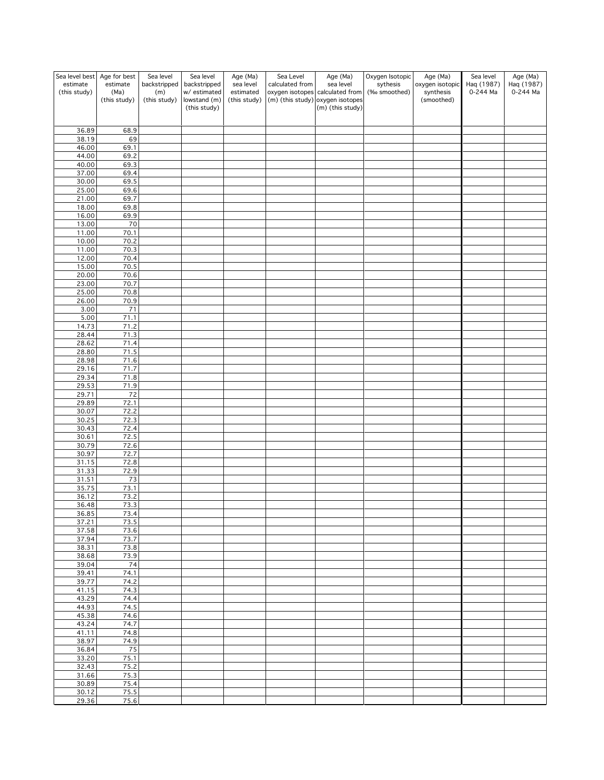| Sea level best | Age for best | Sea level    | Sea level                    | Age (Ma)     | Sea Level       | Age (Ma)                                               | Oxygen Isotopic | Age (Ma)                | Sea level  | Age (Ma)   |
|----------------|--------------|--------------|------------------------------|--------------|-----------------|--------------------------------------------------------|-----------------|-------------------------|------------|------------|
| estimate       | estimate     | backstripped | backstripped                 | sea level    | calculated from | sea level                                              | sythesis        | oxygen isotopic         | Haq (1987) | Haq (1987) |
| (this study)   | (Ma)         | (m)          | w/ estimated<br>lowstand (m) | estimated    |                 | oxygen isotopes calculated from                        | (‰ smoothed)    | synthesis<br>(smoothed) | 0-244 Ma   | 0-244 Ma   |
|                | (this study) | (this study) | (this study)                 | (this study) |                 | $(m)$ (this study) oxygen isotopes<br>(m) (this study) |                 |                         |            |            |
|                |              |              |                              |              |                 |                                                        |                 |                         |            |            |
|                |              |              |                              |              |                 |                                                        |                 |                         |            |            |
| 36.89          | 68.9         |              |                              |              |                 |                                                        |                 |                         |            |            |
| 38.19<br>46.00 | 69<br>69.1   |              |                              |              |                 |                                                        |                 |                         |            |            |
| 44.00          | 69.2         |              |                              |              |                 |                                                        |                 |                         |            |            |
| 40.00          | 69.3         |              |                              |              |                 |                                                        |                 |                         |            |            |
| 37.00          | 69.4         |              |                              |              |                 |                                                        |                 |                         |            |            |
| 30.00          | 69.5         |              |                              |              |                 |                                                        |                 |                         |            |            |
| 25.00          | 69.6         |              |                              |              |                 |                                                        |                 |                         |            |            |
| 21.00          | 69.7         |              |                              |              |                 |                                                        |                 |                         |            |            |
| 18.00          | 69.8         |              |                              |              |                 |                                                        |                 |                         |            |            |
| 16.00<br>13.00 | 69.9<br>70   |              |                              |              |                 |                                                        |                 |                         |            |            |
| 11.00          | 70.1         |              |                              |              |                 |                                                        |                 |                         |            |            |
| 10.00          | 70.2         |              |                              |              |                 |                                                        |                 |                         |            |            |
| 11.00          | 70.3         |              |                              |              |                 |                                                        |                 |                         |            |            |
| 12.00          | 70.4         |              |                              |              |                 |                                                        |                 |                         |            |            |
| 15.00          | 70.5         |              |                              |              |                 |                                                        |                 |                         |            |            |
| 20.00          | 70.6         |              |                              |              |                 |                                                        |                 |                         |            |            |
| 23.00<br>25.00 | 70.7<br>70.8 |              |                              |              |                 |                                                        |                 |                         |            |            |
| 26.00          | 70.9         |              |                              |              |                 |                                                        |                 |                         |            |            |
| 3.00           | 71           |              |                              |              |                 |                                                        |                 |                         |            |            |
| 5.00           | 71.1         |              |                              |              |                 |                                                        |                 |                         |            |            |
| 14.73          | 71.2         |              |                              |              |                 |                                                        |                 |                         |            |            |
| 28.44          | 71.3         |              |                              |              |                 |                                                        |                 |                         |            |            |
| 28.62          | 71.4         |              |                              |              |                 |                                                        |                 |                         |            |            |
| 28.80<br>28.98 | 71.5<br>71.6 |              |                              |              |                 |                                                        |                 |                         |            |            |
| 29.16          | 71.7         |              |                              |              |                 |                                                        |                 |                         |            |            |
| 29.34          | 71.8         |              |                              |              |                 |                                                        |                 |                         |            |            |
| 29.53          | 71.9         |              |                              |              |                 |                                                        |                 |                         |            |            |
| 29.71          | 72           |              |                              |              |                 |                                                        |                 |                         |            |            |
| 29.89          | 72.1         |              |                              |              |                 |                                                        |                 |                         |            |            |
| 30.07          | 72.2         |              |                              |              |                 |                                                        |                 |                         |            |            |
| 30.25<br>30.43 | 72.3<br>72.4 |              |                              |              |                 |                                                        |                 |                         |            |            |
| 30.61          | 72.5         |              |                              |              |                 |                                                        |                 |                         |            |            |
| 30.79          | 72.6         |              |                              |              |                 |                                                        |                 |                         |            |            |
| 30.97          | 72.7         |              |                              |              |                 |                                                        |                 |                         |            |            |
| 31.15          | 72.8         |              |                              |              |                 |                                                        |                 |                         |            |            |
| 31.33          | 72.9         |              |                              |              |                 |                                                        |                 |                         |            |            |
| 31.51          | 73           |              |                              |              |                 |                                                        |                 |                         |            |            |
| 35.75<br>36.12 | 73.1<br>73.2 |              |                              |              |                 |                                                        |                 |                         |            |            |
| 36.48          | 73.3         |              |                              |              |                 |                                                        |                 |                         |            |            |
| 36.85          | 73.4         |              |                              |              |                 |                                                        |                 |                         |            |            |
| 37.21          | 73.5         |              |                              |              |                 |                                                        |                 |                         |            |            |
| 37.58          | 73.6         |              |                              |              |                 |                                                        |                 |                         |            |            |
| 37.94          | 73.7         |              |                              |              |                 |                                                        |                 |                         |            |            |
| 38.31          | 73.8<br>73.9 |              |                              |              |                 |                                                        |                 |                         |            |            |
| 38.68<br>39.04 | 74           |              |                              |              |                 |                                                        |                 |                         |            |            |
| 39.41          | 74.1         |              |                              |              |                 |                                                        |                 |                         |            |            |
| 39.77          | 74.2         |              |                              |              |                 |                                                        |                 |                         |            |            |
| 41.15          | 74.3         |              |                              |              |                 |                                                        |                 |                         |            |            |
| 43.29          | 74.4         |              |                              |              |                 |                                                        |                 |                         |            |            |
| 44.93          | 74.5         |              |                              |              |                 |                                                        |                 |                         |            |            |
| 45.38<br>43.24 | 74.6<br>74.7 |              |                              |              |                 |                                                        |                 |                         |            |            |
| 41.11          | 74.8         |              |                              |              |                 |                                                        |                 |                         |            |            |
| 38.97          | 74.9         |              |                              |              |                 |                                                        |                 |                         |            |            |
| 36.84          | 75           |              |                              |              |                 |                                                        |                 |                         |            |            |
| 33.20          | 75.1         |              |                              |              |                 |                                                        |                 |                         |            |            |
| 32.43          | 75.2         |              |                              |              |                 |                                                        |                 |                         |            |            |
| 31.66          | 75.3         |              |                              |              |                 |                                                        |                 |                         |            |            |
| 30.89<br>30.12 | 75.4<br>75.5 |              |                              |              |                 |                                                        |                 |                         |            |            |
| 29.36          | 75.6         |              |                              |              |                 |                                                        |                 |                         |            |            |
|                |              |              |                              |              |                 |                                                        |                 |                         |            |            |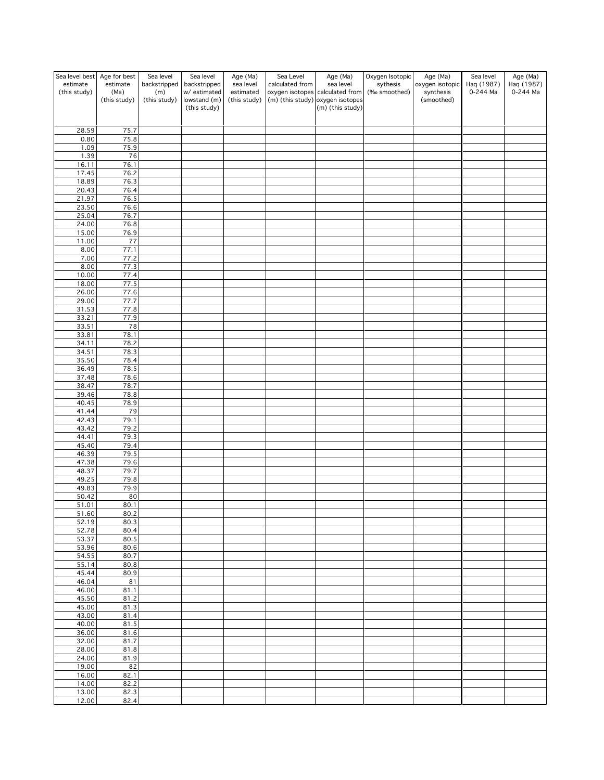| Sea level best           | Age for best     | Sea level           | Sea level                    | Age (Ma)               | Sea Level       | Age (Ma)                                               | Oxygen Isotopic          | Age (Ma)                     | Sea level              | Age (Ma)               |
|--------------------------|------------------|---------------------|------------------------------|------------------------|-----------------|--------------------------------------------------------|--------------------------|------------------------------|------------------------|------------------------|
| estimate<br>(this study) | estimate<br>(Ma) | backstripped<br>(m) | backstripped<br>w/ estimated | sea level<br>estimated | calculated from | sea level<br>oxygen isotopes calculated from           | sythesis<br>(‰ smoothed) | oxygen isotopic<br>synthesis | Haq (1987)<br>0-244 Ma | Haq (1987)<br>0-244 Ma |
|                          | (this study)     | (this study)        | lowstand (m)<br>(this study) | (this study)           |                 | $(m)$ (this study) oxygen isotopes<br>(m) (this study) |                          | (smoothed)                   |                        |                        |
|                          |                  |                     |                              |                        |                 |                                                        |                          |                              |                        |                        |
| 28.59                    | 75.7             |                     |                              |                        |                 |                                                        |                          |                              |                        |                        |
| 0.80                     | 75.8             |                     |                              |                        |                 |                                                        |                          |                              |                        |                        |
| 1.09                     | 75.9             |                     |                              |                        |                 |                                                        |                          |                              |                        |                        |
| 1.39<br>16.11            | 76<br>76.1       |                     |                              |                        |                 |                                                        |                          |                              |                        |                        |
| 17.45                    | 76.2             |                     |                              |                        |                 |                                                        |                          |                              |                        |                        |
| 18.89                    | 76.3             |                     |                              |                        |                 |                                                        |                          |                              |                        |                        |
| 20.43<br>21.97           | 76.4<br>76.5     |                     |                              |                        |                 |                                                        |                          |                              |                        |                        |
| 23.50                    | 76.6             |                     |                              |                        |                 |                                                        |                          |                              |                        |                        |
| 25.04                    | 76.7             |                     |                              |                        |                 |                                                        |                          |                              |                        |                        |
| 24.00<br>15.00           | 76.8<br>76.9     |                     |                              |                        |                 |                                                        |                          |                              |                        |                        |
| 11.00                    | 77               |                     |                              |                        |                 |                                                        |                          |                              |                        |                        |
| 8.00                     | 77.1             |                     |                              |                        |                 |                                                        |                          |                              |                        |                        |
| 7.00                     | 77.2             |                     |                              |                        |                 |                                                        |                          |                              |                        |                        |
| 8.00<br>10.00            | 77.3<br>77.4     |                     |                              |                        |                 |                                                        |                          |                              |                        |                        |
| 18.00                    | 77.5             |                     |                              |                        |                 |                                                        |                          |                              |                        |                        |
| 26.00                    | 77.6             |                     |                              |                        |                 |                                                        |                          |                              |                        |                        |
| 29.00<br>31.53           | 77.7<br>77.8     |                     |                              |                        |                 |                                                        |                          |                              |                        |                        |
| 33.21                    | 77.9             |                     |                              |                        |                 |                                                        |                          |                              |                        |                        |
| 33.51                    | 78               |                     |                              |                        |                 |                                                        |                          |                              |                        |                        |
| 33.81                    | 78.1             |                     |                              |                        |                 |                                                        |                          |                              |                        |                        |
| 34.11<br>34.51           | 78.2<br>78.3     |                     |                              |                        |                 |                                                        |                          |                              |                        |                        |
| 35.50                    | 78.4             |                     |                              |                        |                 |                                                        |                          |                              |                        |                        |
| 36.49                    | 78.5             |                     |                              |                        |                 |                                                        |                          |                              |                        |                        |
| 37.48<br>38.47           | 78.6<br>78.7     |                     |                              |                        |                 |                                                        |                          |                              |                        |                        |
| 39.46                    | 78.8             |                     |                              |                        |                 |                                                        |                          |                              |                        |                        |
| 40.45                    | 78.9             |                     |                              |                        |                 |                                                        |                          |                              |                        |                        |
| 41.44<br>42.43           | 79<br>79.1       |                     |                              |                        |                 |                                                        |                          |                              |                        |                        |
| 43.42                    | 79.2             |                     |                              |                        |                 |                                                        |                          |                              |                        |                        |
| 44.41                    | 79.3             |                     |                              |                        |                 |                                                        |                          |                              |                        |                        |
| 45.40<br>46.39           | 79.4<br>79.5     |                     |                              |                        |                 |                                                        |                          |                              |                        |                        |
| 47.38                    | 79.6             |                     |                              |                        |                 |                                                        |                          |                              |                        |                        |
| 48.37                    | 79.7             |                     |                              |                        |                 |                                                        |                          |                              |                        |                        |
| 49.25                    | 79.8             |                     |                              |                        |                 |                                                        |                          |                              |                        |                        |
| 49.83<br>50.42           | 79.9<br>80       |                     |                              |                        |                 |                                                        |                          |                              |                        |                        |
| 51.01                    | 80.1             |                     |                              |                        |                 |                                                        |                          |                              |                        |                        |
| 51.60                    | 80.2             |                     |                              |                        |                 |                                                        |                          |                              |                        |                        |
| 52.19<br>52.78           | 80.3<br>80.4     |                     |                              |                        |                 |                                                        |                          |                              |                        |                        |
| 53.37                    | 80.5             |                     |                              |                        |                 |                                                        |                          |                              |                        |                        |
| 53.96                    | 80.6             |                     |                              |                        |                 |                                                        |                          |                              |                        |                        |
| 54.55<br>55.14           | 80.7<br>80.8     |                     |                              |                        |                 |                                                        |                          |                              |                        |                        |
| 45.44                    | 80.9             |                     |                              |                        |                 |                                                        |                          |                              |                        |                        |
| 46.04                    | 81               |                     |                              |                        |                 |                                                        |                          |                              |                        |                        |
| 46.00<br>45.50           | 81.1<br>81.2     |                     |                              |                        |                 |                                                        |                          |                              |                        |                        |
| 45.00                    | 81.3             |                     |                              |                        |                 |                                                        |                          |                              |                        |                        |
| 43.00                    | 81.4             |                     |                              |                        |                 |                                                        |                          |                              |                        |                        |
| 40.00                    | 81.5             |                     |                              |                        |                 |                                                        |                          |                              |                        |                        |
| 36.00<br>32.00           | 81.6<br>81.7     |                     |                              |                        |                 |                                                        |                          |                              |                        |                        |
| 28.00                    | 81.8             |                     |                              |                        |                 |                                                        |                          |                              |                        |                        |
| 24.00                    | 81.9             |                     |                              |                        |                 |                                                        |                          |                              |                        |                        |
| 19.00<br>16.00           | 82<br>82.1       |                     |                              |                        |                 |                                                        |                          |                              |                        |                        |
| 14.00                    | 82.2             |                     |                              |                        |                 |                                                        |                          |                              |                        |                        |
| 13.00                    | 82.3             |                     |                              |                        |                 |                                                        |                          |                              |                        |                        |
| 12.00                    | 82.4             |                     |                              |                        |                 |                                                        |                          |                              |                        |                        |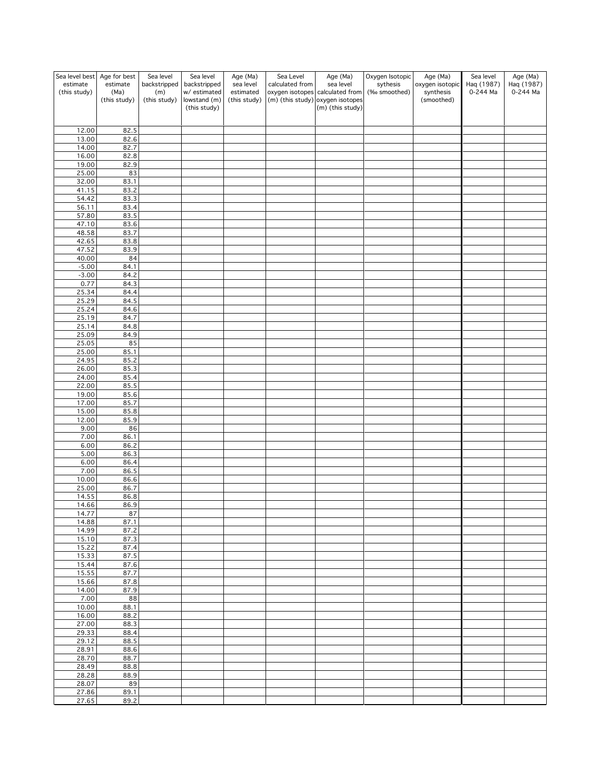| Sea level best   | Age for best         | Sea level           | Sea level                    | Age (Ma)                  | Sea Level       | Age (Ma)                                                              | Oxygen Isotopic | Age (Ma)                | Sea level  | Age (Ma)   |
|------------------|----------------------|---------------------|------------------------------|---------------------------|-----------------|-----------------------------------------------------------------------|-----------------|-------------------------|------------|------------|
| estimate         | estimate             | backstripped        | backstripped                 | sea level                 | calculated from | sea level                                                             | sythesis        | oxygen isotopic         | Haq (1987) | Haq (1987) |
| (this study)     | (Ma)<br>(this study) | (m)<br>(this study) | w/ estimated<br>lowstand (m) | estimated<br>(this study) |                 | oxygen isotopes calculated from<br>$(m)$ (this study) oxygen isotopes | (‰ smoothed)    | synthesis<br>(smoothed) | 0-244 Ma   | 0-244 Ma   |
|                  |                      |                     | (this study)                 |                           |                 | (m) (this study)                                                      |                 |                         |            |            |
|                  |                      |                     |                              |                           |                 |                                                                       |                 |                         |            |            |
|                  |                      |                     |                              |                           |                 |                                                                       |                 |                         |            |            |
| 12.00<br>13.00   | 82.5<br>82.6         |                     |                              |                           |                 |                                                                       |                 |                         |            |            |
| 14.00            | 82.7                 |                     |                              |                           |                 |                                                                       |                 |                         |            |            |
| 16.00            | 82.8                 |                     |                              |                           |                 |                                                                       |                 |                         |            |            |
| 19.00            | 82.9                 |                     |                              |                           |                 |                                                                       |                 |                         |            |            |
| 25.00            | 83                   |                     |                              |                           |                 |                                                                       |                 |                         |            |            |
| 32.00            | 83.1                 |                     |                              |                           |                 |                                                                       |                 |                         |            |            |
| 41.15<br>54.42   | 83.2                 |                     |                              |                           |                 |                                                                       |                 |                         |            |            |
| 56.11            | 83.3<br>83.4         |                     |                              |                           |                 |                                                                       |                 |                         |            |            |
| 57.80            | 83.5                 |                     |                              |                           |                 |                                                                       |                 |                         |            |            |
| 47.10            | 83.6                 |                     |                              |                           |                 |                                                                       |                 |                         |            |            |
| 48.58            | 83.7                 |                     |                              |                           |                 |                                                                       |                 |                         |            |            |
| 42.65            | 83.8                 |                     |                              |                           |                 |                                                                       |                 |                         |            |            |
| 47.52            | 83.9                 |                     |                              |                           |                 |                                                                       |                 |                         |            |            |
| 40.00<br>$-5.00$ | 84<br>84.1           |                     |                              |                           |                 |                                                                       |                 |                         |            |            |
| $-3.00$          | 84.2                 |                     |                              |                           |                 |                                                                       |                 |                         |            |            |
| 0.77             | 84.3                 |                     |                              |                           |                 |                                                                       |                 |                         |            |            |
| 25.34            | 84.4                 |                     |                              |                           |                 |                                                                       |                 |                         |            |            |
| 25.29            | 84.5                 |                     |                              |                           |                 |                                                                       |                 |                         |            |            |
| 25.24            | 84.6                 |                     |                              |                           |                 |                                                                       |                 |                         |            |            |
| 25.19            | 84.7                 |                     |                              |                           |                 |                                                                       |                 |                         |            |            |
| 25.14<br>25.09   | 84.8<br>84.9         |                     |                              |                           |                 |                                                                       |                 |                         |            |            |
| 25.05            | 85                   |                     |                              |                           |                 |                                                                       |                 |                         |            |            |
| 25.00            | 85.1                 |                     |                              |                           |                 |                                                                       |                 |                         |            |            |
| 24.95            | 85.2                 |                     |                              |                           |                 |                                                                       |                 |                         |            |            |
| 26.00            | 85.3                 |                     |                              |                           |                 |                                                                       |                 |                         |            |            |
| 24.00            | 85.4                 |                     |                              |                           |                 |                                                                       |                 |                         |            |            |
| 22.00<br>19.00   | 85.5<br>85.6         |                     |                              |                           |                 |                                                                       |                 |                         |            |            |
| 17.00            | 85.7                 |                     |                              |                           |                 |                                                                       |                 |                         |            |            |
| 15.00            | 85.8                 |                     |                              |                           |                 |                                                                       |                 |                         |            |            |
| 12.00            | 85.9                 |                     |                              |                           |                 |                                                                       |                 |                         |            |            |
| 9.00             | 86                   |                     |                              |                           |                 |                                                                       |                 |                         |            |            |
| 7.00             | 86.1                 |                     |                              |                           |                 |                                                                       |                 |                         |            |            |
| 6.00             | 86.2                 |                     |                              |                           |                 |                                                                       |                 |                         |            |            |
| 5.00<br>6.00     | 86.3<br>86.4         |                     |                              |                           |                 |                                                                       |                 |                         |            |            |
| 7.00             | 86.5                 |                     |                              |                           |                 |                                                                       |                 |                         |            |            |
| 10.00            | 86.6                 |                     |                              |                           |                 |                                                                       |                 |                         |            |            |
| 25.00            | 86.7                 |                     |                              |                           |                 |                                                                       |                 |                         |            |            |
| 14.55            | 86.8                 |                     |                              |                           |                 |                                                                       |                 |                         |            |            |
| 14.66            | 86.9                 |                     |                              |                           |                 |                                                                       |                 |                         |            |            |
| 14.77<br>14.88   | 87<br>87.1           |                     |                              |                           |                 |                                                                       |                 |                         |            |            |
| 14.99            | 87.2                 |                     |                              |                           |                 |                                                                       |                 |                         |            |            |
| 15.10            | 87.3                 |                     |                              |                           |                 |                                                                       |                 |                         |            |            |
| 15.22            | 87.4                 |                     |                              |                           |                 |                                                                       |                 |                         |            |            |
| 15.33            | 87.5                 |                     |                              |                           |                 |                                                                       |                 |                         |            |            |
| 15.44<br>15.55   | 87.6<br>87.7         |                     |                              |                           |                 |                                                                       |                 |                         |            |            |
| 15.66            | 87.8                 |                     |                              |                           |                 |                                                                       |                 |                         |            |            |
| 14.00            | 87.9                 |                     |                              |                           |                 |                                                                       |                 |                         |            |            |
| 7.00             | 88                   |                     |                              |                           |                 |                                                                       |                 |                         |            |            |
| 10.00            | 88.1                 |                     |                              |                           |                 |                                                                       |                 |                         |            |            |
| 16.00            | 88.2                 |                     |                              |                           |                 |                                                                       |                 |                         |            |            |
| 27.00            | 88.3<br>88.4         |                     |                              |                           |                 |                                                                       |                 |                         |            |            |
| 29.33<br>29.12   | 88.5                 |                     |                              |                           |                 |                                                                       |                 |                         |            |            |
| 28.91            | 88.6                 |                     |                              |                           |                 |                                                                       |                 |                         |            |            |
| 28.70            | 88.7                 |                     |                              |                           |                 |                                                                       |                 |                         |            |            |
| 28.49            | 88.8                 |                     |                              |                           |                 |                                                                       |                 |                         |            |            |
| 28.28            | 88.9                 |                     |                              |                           |                 |                                                                       |                 |                         |            |            |
| 28.07            | 89                   |                     |                              |                           |                 |                                                                       |                 |                         |            |            |
| 27.86<br>27.65   | 89.1<br>89.2         |                     |                              |                           |                 |                                                                       |                 |                         |            |            |
|                  |                      |                     |                              |                           |                 |                                                                       |                 |                         |            |            |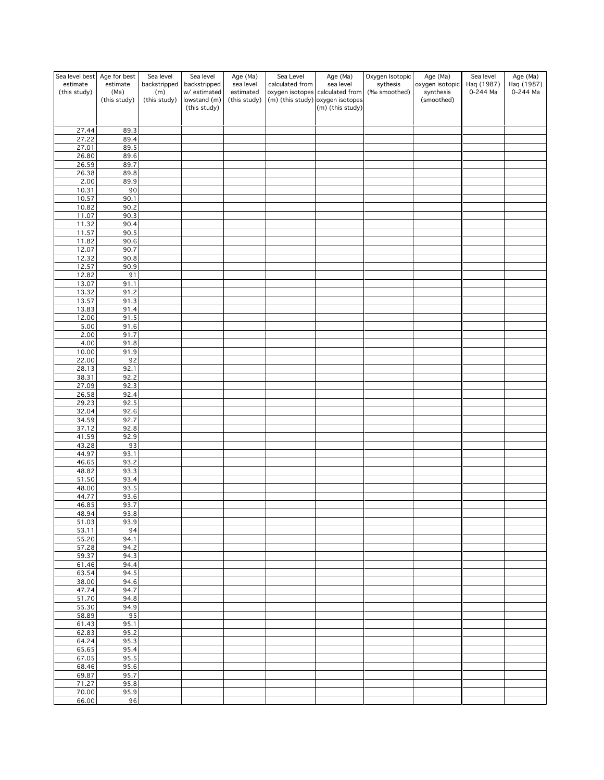| Sea level best<br>estimate<br>(this study) | Age for best<br>estimate<br>(Ma)<br>(this study) | Sea level<br>backstripped<br>(m)<br>(this study) | Sea level<br>backstripped<br>w/ estimated<br>lowstand (m)<br>(this study) | Age (Ma)<br>sea level<br>estimated<br>(this study) | Sea Level<br>calculated from | Age (Ma)<br>sea level<br>oxygen isotopes calculated from<br>$(m)$ (this study) oxygen isotopes<br>(m) (this study) | Oxygen Isotopic<br>sythesis<br>(‰ smoothed) | Age (Ma)<br>oxygen isotopic<br>synthesis<br>(smoothed) | Sea level<br>Haq (1987)<br>0-244 Ma | Age (Ma)<br>Haq (1987)<br>0-244 Ma |
|--------------------------------------------|--------------------------------------------------|--------------------------------------------------|---------------------------------------------------------------------------|----------------------------------------------------|------------------------------|--------------------------------------------------------------------------------------------------------------------|---------------------------------------------|--------------------------------------------------------|-------------------------------------|------------------------------------|
|                                            |                                                  |                                                  |                                                                           |                                                    |                              |                                                                                                                    |                                             |                                                        |                                     |                                    |
| 27.44                                      | 89.3                                             |                                                  |                                                                           |                                                    |                              |                                                                                                                    |                                             |                                                        |                                     |                                    |
| 27.22                                      | 89.4                                             |                                                  |                                                                           |                                                    |                              |                                                                                                                    |                                             |                                                        |                                     |                                    |
| 27.01<br>26.80                             | 89.5<br>89.6                                     |                                                  |                                                                           |                                                    |                              |                                                                                                                    |                                             |                                                        |                                     |                                    |
| 26.59                                      | 89.7                                             |                                                  |                                                                           |                                                    |                              |                                                                                                                    |                                             |                                                        |                                     |                                    |
| 26.38<br>2.00                              | 89.8<br>89.9                                     |                                                  |                                                                           |                                                    |                              |                                                                                                                    |                                             |                                                        |                                     |                                    |
| 10.31                                      | 90                                               |                                                  |                                                                           |                                                    |                              |                                                                                                                    |                                             |                                                        |                                     |                                    |
| 10.57                                      | 90.1                                             |                                                  |                                                                           |                                                    |                              |                                                                                                                    |                                             |                                                        |                                     |                                    |
| 10.82<br>11.07                             | 90.2<br>90.3                                     |                                                  |                                                                           |                                                    |                              |                                                                                                                    |                                             |                                                        |                                     |                                    |
| 11.32                                      | 90.4                                             |                                                  |                                                                           |                                                    |                              |                                                                                                                    |                                             |                                                        |                                     |                                    |
| 11.57<br>11.82                             | 90.5<br>90.6                                     |                                                  |                                                                           |                                                    |                              |                                                                                                                    |                                             |                                                        |                                     |                                    |
| 12.07                                      | 90.7                                             |                                                  |                                                                           |                                                    |                              |                                                                                                                    |                                             |                                                        |                                     |                                    |
| 12.32                                      | 90.8                                             |                                                  |                                                                           |                                                    |                              |                                                                                                                    |                                             |                                                        |                                     |                                    |
| 12.57<br>12.82                             | 90.9<br>91                                       |                                                  |                                                                           |                                                    |                              |                                                                                                                    |                                             |                                                        |                                     |                                    |
| 13.07                                      | 91.1                                             |                                                  |                                                                           |                                                    |                              |                                                                                                                    |                                             |                                                        |                                     |                                    |
| 13.32                                      | 91.2                                             |                                                  |                                                                           |                                                    |                              |                                                                                                                    |                                             |                                                        |                                     |                                    |
| 13.57<br>13.83                             | 91.3<br>91.4                                     |                                                  |                                                                           |                                                    |                              |                                                                                                                    |                                             |                                                        |                                     |                                    |
| 12.00                                      | 91.5                                             |                                                  |                                                                           |                                                    |                              |                                                                                                                    |                                             |                                                        |                                     |                                    |
| 5.00<br>2.00                               | 91.6<br>91.7                                     |                                                  |                                                                           |                                                    |                              |                                                                                                                    |                                             |                                                        |                                     |                                    |
| 4.00                                       | 91.8                                             |                                                  |                                                                           |                                                    |                              |                                                                                                                    |                                             |                                                        |                                     |                                    |
| 10.00                                      | 91.9                                             |                                                  |                                                                           |                                                    |                              |                                                                                                                    |                                             |                                                        |                                     |                                    |
| 22.00<br>28.13                             | 92<br>92.1                                       |                                                  |                                                                           |                                                    |                              |                                                                                                                    |                                             |                                                        |                                     |                                    |
| 38.31                                      | 92.2                                             |                                                  |                                                                           |                                                    |                              |                                                                                                                    |                                             |                                                        |                                     |                                    |
| 27.09                                      | 92.3                                             |                                                  |                                                                           |                                                    |                              |                                                                                                                    |                                             |                                                        |                                     |                                    |
| 26.58<br>29.23                             | 92.4<br>92.5                                     |                                                  |                                                                           |                                                    |                              |                                                                                                                    |                                             |                                                        |                                     |                                    |
| 32.04                                      | 92.6                                             |                                                  |                                                                           |                                                    |                              |                                                                                                                    |                                             |                                                        |                                     |                                    |
| 34.59                                      | 92.7                                             |                                                  |                                                                           |                                                    |                              |                                                                                                                    |                                             |                                                        |                                     |                                    |
| 37.12<br>41.59                             | 92.8<br>92.9                                     |                                                  |                                                                           |                                                    |                              |                                                                                                                    |                                             |                                                        |                                     |                                    |
| 43.28                                      | 93                                               |                                                  |                                                                           |                                                    |                              |                                                                                                                    |                                             |                                                        |                                     |                                    |
| 44.97<br>46.65                             | 93.1<br>93.2                                     |                                                  |                                                                           |                                                    |                              |                                                                                                                    |                                             |                                                        |                                     |                                    |
| 48.82                                      | 93.3                                             |                                                  |                                                                           |                                                    |                              |                                                                                                                    |                                             |                                                        |                                     |                                    |
| 51.50                                      | 93.4                                             |                                                  |                                                                           |                                                    |                              |                                                                                                                    |                                             |                                                        |                                     |                                    |
| 48.00<br>44.77                             | 93.5<br>93.6                                     |                                                  |                                                                           |                                                    |                              |                                                                                                                    |                                             |                                                        |                                     |                                    |
| 46.85                                      | 93.7                                             |                                                  |                                                                           |                                                    |                              |                                                                                                                    |                                             |                                                        |                                     |                                    |
| <u>48.94</u>                               | 93.8                                             |                                                  |                                                                           |                                                    |                              |                                                                                                                    |                                             |                                                        |                                     |                                    |
| 51.03<br>53.11                             | 93.9<br>94                                       |                                                  |                                                                           |                                                    |                              |                                                                                                                    |                                             |                                                        |                                     |                                    |
| 55.20                                      | 94.1                                             |                                                  |                                                                           |                                                    |                              |                                                                                                                    |                                             |                                                        |                                     |                                    |
| 57.28<br>59.37                             | 94.2                                             |                                                  |                                                                           |                                                    |                              |                                                                                                                    |                                             |                                                        |                                     |                                    |
| 61.46                                      | 94.3<br>94.4                                     |                                                  |                                                                           |                                                    |                              |                                                                                                                    |                                             |                                                        |                                     |                                    |
| 63.54                                      | 94.5                                             |                                                  |                                                                           |                                                    |                              |                                                                                                                    |                                             |                                                        |                                     |                                    |
| 38.00<br>47.74                             | 94.6<br>94.7                                     |                                                  |                                                                           |                                                    |                              |                                                                                                                    |                                             |                                                        |                                     |                                    |
| 51.70                                      | 94.8                                             |                                                  |                                                                           |                                                    |                              |                                                                                                                    |                                             |                                                        |                                     |                                    |
| 55.30                                      | 94.9                                             |                                                  |                                                                           |                                                    |                              |                                                                                                                    |                                             |                                                        |                                     |                                    |
| 58.89<br>61.43                             | 95<br>95.1                                       |                                                  |                                                                           |                                                    |                              |                                                                                                                    |                                             |                                                        |                                     |                                    |
| 62.83                                      | 95.2                                             |                                                  |                                                                           |                                                    |                              |                                                                                                                    |                                             |                                                        |                                     |                                    |
| 64.24                                      | 95.3                                             |                                                  |                                                                           |                                                    |                              |                                                                                                                    |                                             |                                                        |                                     |                                    |
| 65.65<br>67.05                             | 95.4<br>95.5                                     |                                                  |                                                                           |                                                    |                              |                                                                                                                    |                                             |                                                        |                                     |                                    |
| 68.46                                      | 95.6                                             |                                                  |                                                                           |                                                    |                              |                                                                                                                    |                                             |                                                        |                                     |                                    |
| 69.87<br>71.27                             | 95.7                                             |                                                  |                                                                           |                                                    |                              |                                                                                                                    |                                             |                                                        |                                     |                                    |
| 70.00                                      | 95.8<br>95.9                                     |                                                  |                                                                           |                                                    |                              |                                                                                                                    |                                             |                                                        |                                     |                                    |
| 66.00                                      | 96                                               |                                                  |                                                                           |                                                    |                              |                                                                                                                    |                                             |                                                        |                                     |                                    |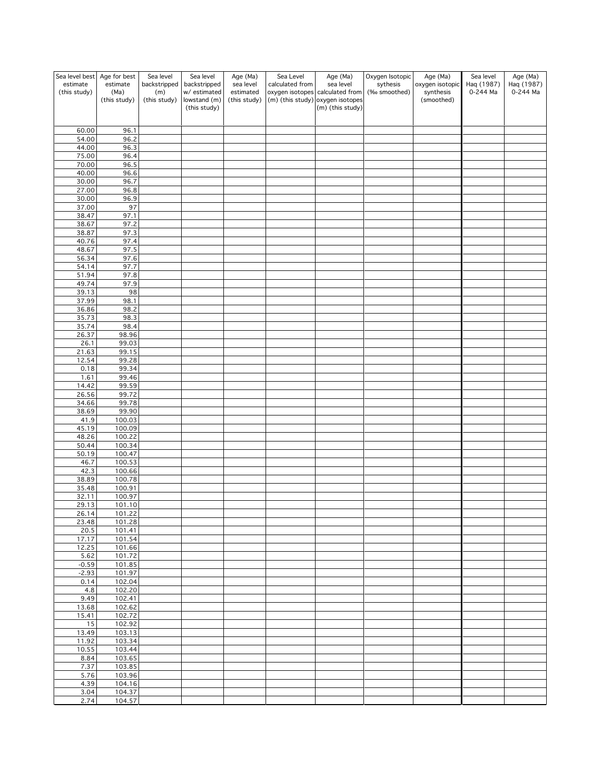| Sea level best           | Age for best     | Sea level           | Sea level                   | Age (Ma)               | Sea Level       | Age (Ma)                                     | Oxygen Isotopic          | Age (Ma)                     | Sea level              | Age (Ma)               |
|--------------------------|------------------|---------------------|-----------------------------|------------------------|-----------------|----------------------------------------------|--------------------------|------------------------------|------------------------|------------------------|
| estimate<br>(this study) | estimate<br>(Ma) | backstripped<br>(m) | backstripped<br>w/estimated | sea level<br>estimated | calculated from | sea level<br>oxygen isotopes calculated from | sythesis<br>(‰ smoothed) | oxygen isotopic<br>synthesis | Haq (1987)<br>0-244 Ma | Haq (1987)<br>0-244 Ma |
|                          | (this study)     | (this study)        | lowstand (m)                | (this study)           |                 | (m) (this study) oxygen isotopes             |                          | (smoothed)                   |                        |                        |
|                          |                  |                     | (this study)                |                        |                 | (m) (this study)                             |                          |                              |                        |                        |
|                          |                  |                     |                             |                        |                 |                                              |                          |                              |                        |                        |
| 60.00<br>54.00           | 96.1<br>96.2     |                     |                             |                        |                 |                                              |                          |                              |                        |                        |
| 44.00                    | 96.3             |                     |                             |                        |                 |                                              |                          |                              |                        |                        |
| 75.00                    | 96.4             |                     |                             |                        |                 |                                              |                          |                              |                        |                        |
| 70.00                    | 96.5             |                     |                             |                        |                 |                                              |                          |                              |                        |                        |
| 40.00<br>30.00           | 96.6<br>96.7     |                     |                             |                        |                 |                                              |                          |                              |                        |                        |
| 27.00                    | 96.8             |                     |                             |                        |                 |                                              |                          |                              |                        |                        |
| 30.00                    | 96.9             |                     |                             |                        |                 |                                              |                          |                              |                        |                        |
| 37.00                    | 97               |                     |                             |                        |                 |                                              |                          |                              |                        |                        |
| 38.47<br>38.67           | 97.1<br>97.2     |                     |                             |                        |                 |                                              |                          |                              |                        |                        |
| 38.87                    | 97.3             |                     |                             |                        |                 |                                              |                          |                              |                        |                        |
| 40.76                    | 97.4             |                     |                             |                        |                 |                                              |                          |                              |                        |                        |
| 48.67                    | 97.5             |                     |                             |                        |                 |                                              |                          |                              |                        |                        |
| 56.34<br>54.14           | 97.6<br>97.7     |                     |                             |                        |                 |                                              |                          |                              |                        |                        |
| 51.94                    | 97.8             |                     |                             |                        |                 |                                              |                          |                              |                        |                        |
| 49.74                    | 97.9             |                     |                             |                        |                 |                                              |                          |                              |                        |                        |
| 39.13                    | 98               |                     |                             |                        |                 |                                              |                          |                              |                        |                        |
| 37.99<br>36.86           | 98.1<br>98.2     |                     |                             |                        |                 |                                              |                          |                              |                        |                        |
| 35.73                    | 98.3             |                     |                             |                        |                 |                                              |                          |                              |                        |                        |
| 35.74                    | 98.4             |                     |                             |                        |                 |                                              |                          |                              |                        |                        |
| 26.37                    | 98.96            |                     |                             |                        |                 |                                              |                          |                              |                        |                        |
| 26.1<br>21.63            | 99.03<br>99.15   |                     |                             |                        |                 |                                              |                          |                              |                        |                        |
| 12.54                    | 99.28            |                     |                             |                        |                 |                                              |                          |                              |                        |                        |
| 0.18                     | 99.34            |                     |                             |                        |                 |                                              |                          |                              |                        |                        |
| 1.61                     | 99.46            |                     |                             |                        |                 |                                              |                          |                              |                        |                        |
| 14.42<br>26.56           | 99.59<br>99.72   |                     |                             |                        |                 |                                              |                          |                              |                        |                        |
| 34.66                    | 99.78            |                     |                             |                        |                 |                                              |                          |                              |                        |                        |
| 38.69                    | 99.90            |                     |                             |                        |                 |                                              |                          |                              |                        |                        |
| 41.9                     | 100.03           |                     |                             |                        |                 |                                              |                          |                              |                        |                        |
| 45.19<br>48.26           | 100.09<br>100.22 |                     |                             |                        |                 |                                              |                          |                              |                        |                        |
| 50.44                    | 100.34           |                     |                             |                        |                 |                                              |                          |                              |                        |                        |
| 50.19                    | 100.47           |                     |                             |                        |                 |                                              |                          |                              |                        |                        |
| 46.7                     | 100.53           |                     |                             |                        |                 |                                              |                          |                              |                        |                        |
| 42.3<br>38.89            | 100.66<br>100.78 |                     |                             |                        |                 |                                              |                          |                              |                        |                        |
| 35.48                    | 100.91           |                     |                             |                        |                 |                                              |                          |                              |                        |                        |
| 32.11                    | 100.97           |                     |                             |                        |                 |                                              |                          |                              |                        |                        |
| 29.13                    | 101.10<br>101.22 |                     |                             |                        |                 |                                              |                          |                              |                        |                        |
| 26.14<br>23.48           | 101.28           |                     |                             |                        |                 |                                              |                          |                              |                        |                        |
| 20.5                     | 101.41           |                     |                             |                        |                 |                                              |                          |                              |                        |                        |
| 17.17                    | 101.54           |                     |                             |                        |                 |                                              |                          |                              |                        |                        |
| 12.25<br>5.62            | 101.66<br>101.72 |                     |                             |                        |                 |                                              |                          |                              |                        |                        |
| $-0.59$                  | 101.85           |                     |                             |                        |                 |                                              |                          |                              |                        |                        |
| $-2.93$                  | 101.97           |                     |                             |                        |                 |                                              |                          |                              |                        |                        |
| 0.14                     | 102.04           |                     |                             |                        |                 |                                              |                          |                              |                        |                        |
| 4.8<br>9.49              | 102.20<br>102.41 |                     |                             |                        |                 |                                              |                          |                              |                        |                        |
| 13.68                    | 102.62           |                     |                             |                        |                 |                                              |                          |                              |                        |                        |
| 15.41                    | 102.72           |                     |                             |                        |                 |                                              |                          |                              |                        |                        |
| $\overline{15}$          | 102.92           |                     |                             |                        |                 |                                              |                          |                              |                        |                        |
| 13.49<br>11.92           | 103.13<br>103.34 |                     |                             |                        |                 |                                              |                          |                              |                        |                        |
| 10.55                    | 103.44           |                     |                             |                        |                 |                                              |                          |                              |                        |                        |
| $8.\overline{84}$        | 103.65           |                     |                             |                        |                 |                                              |                          |                              |                        |                        |
| 7.37                     | 103.85           |                     |                             |                        |                 |                                              |                          |                              |                        |                        |
| 5.76<br>4.39             | 103.96<br>104.16 |                     |                             |                        |                 |                                              |                          |                              |                        |                        |
| 3.04                     | 104.37           |                     |                             |                        |                 |                                              |                          |                              |                        |                        |
| 2.74                     | 104.57           |                     |                             |                        |                 |                                              |                          |                              |                        |                        |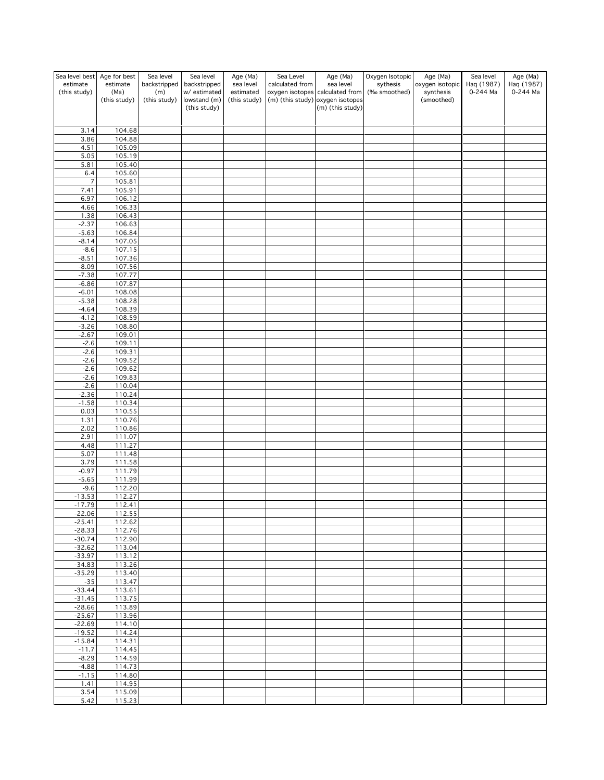| Sea level best            | Age for best     | Sea level           | Sea level                   | Age (Ma)               | Sea Level       | Age (Ma)                                     | Oxygen Isotopic          | Age (Ma)                     | Sea level              | Age (Ma)   |
|---------------------------|------------------|---------------------|-----------------------------|------------------------|-----------------|----------------------------------------------|--------------------------|------------------------------|------------------------|------------|
| estimate<br>(this study)  | estimate<br>(Ma) | backstripped        | backstripped<br>w/estimated | sea level<br>estimated | calculated from | sea level<br>oxygen isotopes calculated from | sythesis<br>(‰ smoothed) | oxygen isotopic<br>synthesis | Haq (1987)<br>0-244 Ma | Haq (1987) |
|                           | (this study)     | (m)<br>(this study) | lowstand (m)                | (this study)           |                 | (m) (this study) oxygen isotopes             |                          | (smoothed)                   |                        | 0-244 Ma   |
|                           |                  |                     | (this study)                |                        |                 | (m) (this study)                             |                          |                              |                        |            |
|                           |                  |                     |                             |                        |                 |                                              |                          |                              |                        |            |
| 3.14                      | 104.68           |                     |                             |                        |                 |                                              |                          |                              |                        |            |
| 3.86                      | 104.88           |                     |                             |                        |                 |                                              |                          |                              |                        |            |
| 4.51                      | 105.09           |                     |                             |                        |                 |                                              |                          |                              |                        |            |
| 5.05                      | 105.19           |                     |                             |                        |                 |                                              |                          |                              |                        |            |
| 5.81<br>6.4               | 105.40<br>105.60 |                     |                             |                        |                 |                                              |                          |                              |                        |            |
| $\overline{\mathfrak{c}}$ | 105.81           |                     |                             |                        |                 |                                              |                          |                              |                        |            |
| 7.41                      | 105.91           |                     |                             |                        |                 |                                              |                          |                              |                        |            |
| 6.97                      | 106.12           |                     |                             |                        |                 |                                              |                          |                              |                        |            |
| 4.66                      | 106.33           |                     |                             |                        |                 |                                              |                          |                              |                        |            |
| 1.38<br>$-2.37$           | 106.43<br>106.63 |                     |                             |                        |                 |                                              |                          |                              |                        |            |
| $-5.63$                   | 106.84           |                     |                             |                        |                 |                                              |                          |                              |                        |            |
| $-8.14$                   | 107.05           |                     |                             |                        |                 |                                              |                          |                              |                        |            |
| $-8.6$                    | 107.15           |                     |                             |                        |                 |                                              |                          |                              |                        |            |
| $-8.51$<br>$-8.09$        | 107.36<br>107.56 |                     |                             |                        |                 |                                              |                          |                              |                        |            |
| $-7.38$                   | 107.77           |                     |                             |                        |                 |                                              |                          |                              |                        |            |
| $-6.86$                   | 107.87           |                     |                             |                        |                 |                                              |                          |                              |                        |            |
| $-6.01$                   | 108.08           |                     |                             |                        |                 |                                              |                          |                              |                        |            |
| $-5.38$                   | 108.28           |                     |                             |                        |                 |                                              |                          |                              |                        |            |
| $-4.64$<br>$-4.12$        | 108.39<br>108.59 |                     |                             |                        |                 |                                              |                          |                              |                        |            |
| $-3.26$                   | 108.80           |                     |                             |                        |                 |                                              |                          |                              |                        |            |
| $-2.67$                   | 109.01           |                     |                             |                        |                 |                                              |                          |                              |                        |            |
| $-2.6$                    | 109.11           |                     |                             |                        |                 |                                              |                          |                              |                        |            |
| $-2.6$                    | 109.31           |                     |                             |                        |                 |                                              |                          |                              |                        |            |
| $-2.6$<br>$-2.6$          | 109.52<br>109.62 |                     |                             |                        |                 |                                              |                          |                              |                        |            |
| $-2.6$                    | 109.83           |                     |                             |                        |                 |                                              |                          |                              |                        |            |
| $-2.6$                    | 110.04           |                     |                             |                        |                 |                                              |                          |                              |                        |            |
| $-2.36$                   | 110.24           |                     |                             |                        |                 |                                              |                          |                              |                        |            |
| $-1.58$<br>0.03           | 110.34<br>110.55 |                     |                             |                        |                 |                                              |                          |                              |                        |            |
| 1.31                      | 110.76           |                     |                             |                        |                 |                                              |                          |                              |                        |            |
| 2.02                      | 110.86           |                     |                             |                        |                 |                                              |                          |                              |                        |            |
| 2.91                      | 111.07           |                     |                             |                        |                 |                                              |                          |                              |                        |            |
| 4.48                      | 111.27           |                     |                             |                        |                 |                                              |                          |                              |                        |            |
| 5.07<br>3.79              | 111.48<br>111.58 |                     |                             |                        |                 |                                              |                          |                              |                        |            |
| $-0.97$                   | 111.79           |                     |                             |                        |                 |                                              |                          |                              |                        |            |
| $-5.65$                   | 111.99           |                     |                             |                        |                 |                                              |                          |                              |                        |            |
| $-9.6$                    | 112.20           |                     |                             |                        |                 |                                              |                          |                              |                        |            |
| $-13.53$                  | 112.27           |                     |                             |                        |                 |                                              |                          |                              |                        |            |
| $-17.79$<br>$-22.06$      | 112.41<br>112.55 |                     |                             |                        |                 |                                              |                          |                              |                        |            |
| $-25.41$                  | 112.62           |                     |                             |                        |                 |                                              |                          |                              |                        |            |
| $-28.33$                  | 112.76           |                     |                             |                        |                 |                                              |                          |                              |                        |            |
| $-30.74$                  | 112.90           |                     |                             |                        |                 |                                              |                          |                              |                        |            |
| $-32.62$<br>$-33.97$      | 113.04<br>113.12 |                     |                             |                        |                 |                                              |                          |                              |                        |            |
| $-34.83$                  | 113.26           |                     |                             |                        |                 |                                              |                          |                              |                        |            |
| $-35.29$                  | 113.40           |                     |                             |                        |                 |                                              |                          |                              |                        |            |
| $-35$                     | 113.47           |                     |                             |                        |                 |                                              |                          |                              |                        |            |
| $-33.44$<br>$-31.45$      | 113.61<br>113.75 |                     |                             |                        |                 |                                              |                          |                              |                        |            |
| $-28.66$                  | 113.89           |                     |                             |                        |                 |                                              |                          |                              |                        |            |
| $-25.67$                  | 113.96           |                     |                             |                        |                 |                                              |                          |                              |                        |            |
| $-22.69$                  | 114.10           |                     |                             |                        |                 |                                              |                          |                              |                        |            |
| $-19.52$                  | 114.24           |                     |                             |                        |                 |                                              |                          |                              |                        |            |
| $-15.84$<br>$-11.7$       | 114.31<br>114.45 |                     |                             |                        |                 |                                              |                          |                              |                        |            |
| $-8.29$                   | 114.59           |                     |                             |                        |                 |                                              |                          |                              |                        |            |
| $-4.88$                   | 114.73           |                     |                             |                        |                 |                                              |                          |                              |                        |            |
| $-1.15$                   | 114.80           |                     |                             |                        |                 |                                              |                          |                              |                        |            |
| 1.41                      | 114.95           |                     |                             |                        |                 |                                              |                          |                              |                        |            |
| 3.54<br>5.42              | 115.09<br>115.23 |                     |                             |                        |                 |                                              |                          |                              |                        |            |
|                           |                  |                     |                             |                        |                 |                                              |                          |                              |                        |            |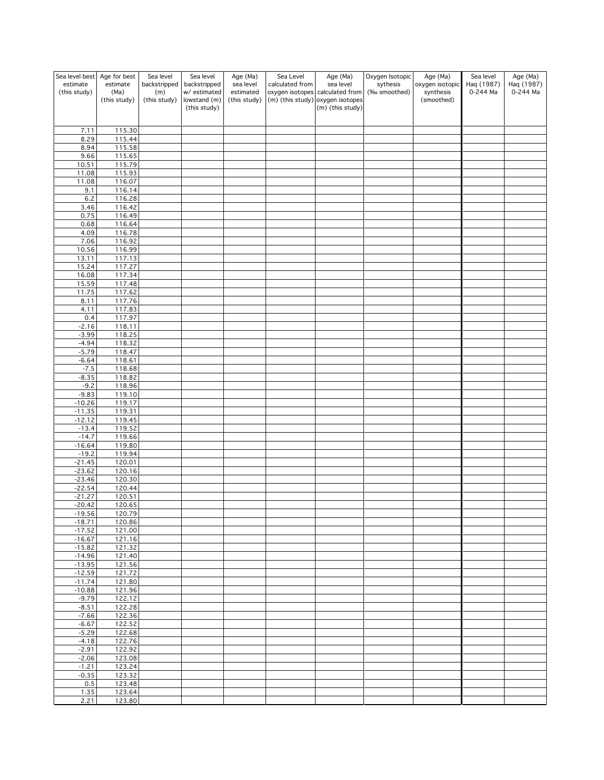| Sea level best       | Age for best         | Sea level           | Sea level                   | Age (Ma)                  | Sea Level       | Age (Ma)                                                            | Oxygen Isotopic | Age (Ma)                | Sea level  | Age (Ma)   |
|----------------------|----------------------|---------------------|-----------------------------|---------------------------|-----------------|---------------------------------------------------------------------|-----------------|-------------------------|------------|------------|
| estimate             | estimate             | backstripped        | backstripped                | sea level                 | calculated from | sea level                                                           | sythesis        | oxygen isotopic         | Haq (1987) | Haq (1987) |
| (this study)         | (Ma)<br>(this study) | (m)<br>(this study) | w/estimated<br>lowstand (m) | estimated<br>(this study) |                 | oxygen isotopes calculated from<br>(m) (this study) oxygen isotopes | (‰ smoothed)    | synthesis<br>(smoothed) | 0-244 Ma   | 0-244 Ma   |
|                      |                      |                     | (this study)                |                           |                 | (m) (this study)                                                    |                 |                         |            |            |
|                      |                      |                     |                             |                           |                 |                                                                     |                 |                         |            |            |
|                      |                      |                     |                             |                           |                 |                                                                     |                 |                         |            |            |
| 7.11<br>8.29         | 115.30<br>115.44     |                     |                             |                           |                 |                                                                     |                 |                         |            |            |
| 8.94                 | 115.58               |                     |                             |                           |                 |                                                                     |                 |                         |            |            |
| 9.66                 | 115.65               |                     |                             |                           |                 |                                                                     |                 |                         |            |            |
| 10.51                | 115.79               |                     |                             |                           |                 |                                                                     |                 |                         |            |            |
| 11.08                | 115.93               |                     |                             |                           |                 |                                                                     |                 |                         |            |            |
| 11.08                | 116.07               |                     |                             |                           |                 |                                                                     |                 |                         |            |            |
| 9.1                  | 116.14               |                     |                             |                           |                 |                                                                     |                 |                         |            |            |
| 6.2                  | 116.28               |                     |                             |                           |                 |                                                                     |                 |                         |            |            |
| 3.46                 | 116.42               |                     |                             |                           |                 |                                                                     |                 |                         |            |            |
| 0.75<br>0.68         | 116.49<br>116.64     |                     |                             |                           |                 |                                                                     |                 |                         |            |            |
| 4.09                 | 116.78               |                     |                             |                           |                 |                                                                     |                 |                         |            |            |
| 7.06                 | 116.92               |                     |                             |                           |                 |                                                                     |                 |                         |            |            |
| 10.56                | 116.99               |                     |                             |                           |                 |                                                                     |                 |                         |            |            |
| 13.11                | 117.13               |                     |                             |                           |                 |                                                                     |                 |                         |            |            |
| 15.24                | 117.27               |                     |                             |                           |                 |                                                                     |                 |                         |            |            |
| 16.08                | 117.34               |                     |                             |                           |                 |                                                                     |                 |                         |            |            |
| 15.59                | 117.48               |                     |                             |                           |                 |                                                                     |                 |                         |            |            |
| 11.75                | 117.62               |                     |                             |                           |                 |                                                                     |                 |                         |            |            |
| 8.11<br>4.11         | 117.76<br>117.83     |                     |                             |                           |                 |                                                                     |                 |                         |            |            |
| 0.4                  | 117.97               |                     |                             |                           |                 |                                                                     |                 |                         |            |            |
| $-2.16$              | 118.11               |                     |                             |                           |                 |                                                                     |                 |                         |            |            |
| $-3.99$              | 118.25               |                     |                             |                           |                 |                                                                     |                 |                         |            |            |
| $-4.94$              | 118.32               |                     |                             |                           |                 |                                                                     |                 |                         |            |            |
| $-5.79$              | 118.47               |                     |                             |                           |                 |                                                                     |                 |                         |            |            |
| $-6.64$              | 118.61               |                     |                             |                           |                 |                                                                     |                 |                         |            |            |
| $-7.5$               | 118.68               |                     |                             |                           |                 |                                                                     |                 |                         |            |            |
| $-8.35$<br>$-9.2$    | 118.82<br>118.96     |                     |                             |                           |                 |                                                                     |                 |                         |            |            |
| $-9.83$              | 119.10               |                     |                             |                           |                 |                                                                     |                 |                         |            |            |
| $-10.26$             | 119.17               |                     |                             |                           |                 |                                                                     |                 |                         |            |            |
| $-11.35$             | 119.31               |                     |                             |                           |                 |                                                                     |                 |                         |            |            |
| $-12.12$             | 119.45               |                     |                             |                           |                 |                                                                     |                 |                         |            |            |
| $-13.4$              | 119.52               |                     |                             |                           |                 |                                                                     |                 |                         |            |            |
| $-14.7$              | 119.66               |                     |                             |                           |                 |                                                                     |                 |                         |            |            |
| $-16.64$             | 119.80               |                     |                             |                           |                 |                                                                     |                 |                         |            |            |
| $-19.2$<br>$-21.45$  | 119.94<br>120.01     |                     |                             |                           |                 |                                                                     |                 |                         |            |            |
| $-23.62$             | 120.16               |                     |                             |                           |                 |                                                                     |                 |                         |            |            |
| $-23.46$             | 120.30               |                     |                             |                           |                 |                                                                     |                 |                         |            |            |
| $-22.54$             | 120.44               |                     |                             |                           |                 |                                                                     |                 |                         |            |            |
| $-21.27$             | 120.51               |                     |                             |                           |                 |                                                                     |                 |                         |            |            |
| $-20.42$             | 120.65               |                     |                             |                           |                 |                                                                     |                 |                         |            |            |
| $-19.56$             | 120.79               |                     |                             |                           |                 |                                                                     |                 |                         |            |            |
| $-18.71$             | 120.86               |                     |                             |                           |                 |                                                                     |                 |                         |            |            |
| $-17.52$<br>$-16.67$ | 121.00<br>121.16     |                     |                             |                           |                 |                                                                     |                 |                         |            |            |
| $-15.82$             | 121.32               |                     |                             |                           |                 |                                                                     |                 |                         |            |            |
| $-14.96$             | 121.40               |                     |                             |                           |                 |                                                                     |                 |                         |            |            |
| $-13.95$             | 121.56               |                     |                             |                           |                 |                                                                     |                 |                         |            |            |
| $-12.59$             | 121.72               |                     |                             |                           |                 |                                                                     |                 |                         |            |            |
| $-11.74$             | 121.80               |                     |                             |                           |                 |                                                                     |                 |                         |            |            |
| $-10.88$             | 121.96               |                     |                             |                           |                 |                                                                     |                 |                         |            |            |
| $-9.79$              | 122.12               |                     |                             |                           |                 |                                                                     |                 |                         |            |            |
| $-8.51$<br>$-7.66$   | 122.28               |                     |                             |                           |                 |                                                                     |                 |                         |            |            |
| $-6.67$              | 122.36<br>122.52     |                     |                             |                           |                 |                                                                     |                 |                         |            |            |
| $-5.29$              | 122.68               |                     |                             |                           |                 |                                                                     |                 |                         |            |            |
| $-4.18$              | 122.76               |                     |                             |                           |                 |                                                                     |                 |                         |            |            |
| $-2.91$              | 122.92               |                     |                             |                           |                 |                                                                     |                 |                         |            |            |
| $-2.06$              | 123.08               |                     |                             |                           |                 |                                                                     |                 |                         |            |            |
| $-1.21$              | 123.24               |                     |                             |                           |                 |                                                                     |                 |                         |            |            |
| $-0.35$              | 123.32               |                     |                             |                           |                 |                                                                     |                 |                         |            |            |
| 0.5                  | 123.48               |                     |                             |                           |                 |                                                                     |                 |                         |            |            |
| 1.35<br>2.21         | 123.64<br>123.80     |                     |                             |                           |                 |                                                                     |                 |                         |            |            |
|                      |                      |                     |                             |                           |                 |                                                                     |                 |                         |            |            |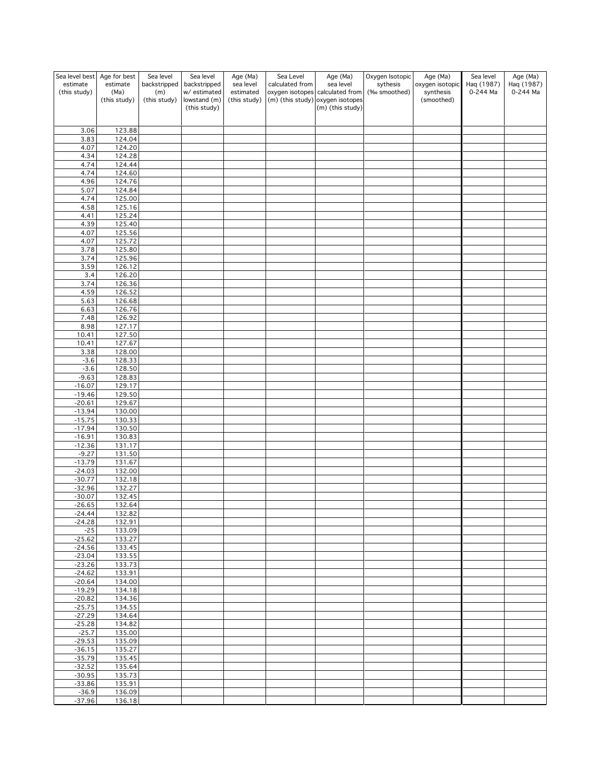| Sea level best       | Age for best         | Sea level           | Sea level                   | Age (Ma)                  | Sea Level       | Age (Ma)                                                            | Oxygen Isotopic          | Age (Ma)                | Sea level  | Age (Ma)   |
|----------------------|----------------------|---------------------|-----------------------------|---------------------------|-----------------|---------------------------------------------------------------------|--------------------------|-------------------------|------------|------------|
| estimate             | estimate             | backstripped        | backstripped                | sea level                 | calculated from | sea level                                                           | sythesis<br>(‰ smoothed) | oxygen isotopic         | Haq (1987) | Haq (1987) |
| (this study)         | (Ma)<br>(this study) | (m)<br>(this study) | w/estimated<br>lowstand (m) | estimated<br>(this study) |                 | oxygen isotopes calculated from<br>(m) (this study) oxygen isotopes |                          | synthesis<br>(smoothed) | 0-244 Ma   | 0-244 Ma   |
|                      |                      |                     | (this study)                |                           |                 | (m) (this study)                                                    |                          |                         |            |            |
|                      |                      |                     |                             |                           |                 |                                                                     |                          |                         |            |            |
| 3.06                 | 123.88               |                     |                             |                           |                 |                                                                     |                          |                         |            |            |
| 3.83                 | 124.04               |                     |                             |                           |                 |                                                                     |                          |                         |            |            |
| 4.07                 | 124.20               |                     |                             |                           |                 |                                                                     |                          |                         |            |            |
| 4.34                 | 124.28               |                     |                             |                           |                 |                                                                     |                          |                         |            |            |
| 4.74<br>4.74         | 124.44<br>124.60     |                     |                             |                           |                 |                                                                     |                          |                         |            |            |
| 4.96                 | 124.76               |                     |                             |                           |                 |                                                                     |                          |                         |            |            |
| 5.07                 | 124.84               |                     |                             |                           |                 |                                                                     |                          |                         |            |            |
| 4.74                 | 125.00               |                     |                             |                           |                 |                                                                     |                          |                         |            |            |
| 4.58                 | 125.16               |                     |                             |                           |                 |                                                                     |                          |                         |            |            |
| 4.41<br>4.39         | 125.24<br>125.40     |                     |                             |                           |                 |                                                                     |                          |                         |            |            |
| 4.07                 | 125.56               |                     |                             |                           |                 |                                                                     |                          |                         |            |            |
| 4.07                 | 125.72               |                     |                             |                           |                 |                                                                     |                          |                         |            |            |
| 3.78                 | 125.80               |                     |                             |                           |                 |                                                                     |                          |                         |            |            |
| 3.74                 | 125.96               |                     |                             |                           |                 |                                                                     |                          |                         |            |            |
| 3.59<br>3.4          | 126.12<br>126.20     |                     |                             |                           |                 |                                                                     |                          |                         |            |            |
| 3.74                 | 126.36               |                     |                             |                           |                 |                                                                     |                          |                         |            |            |
| 4.59                 | 126.52               |                     |                             |                           |                 |                                                                     |                          |                         |            |            |
| 5.63                 | 126.68               |                     |                             |                           |                 |                                                                     |                          |                         |            |            |
| 6.63                 | 126.76               |                     |                             |                           |                 |                                                                     |                          |                         |            |            |
| 7.48<br>8.98         | 126.92<br>127.17     |                     |                             |                           |                 |                                                                     |                          |                         |            |            |
| 10.41                | 127.50               |                     |                             |                           |                 |                                                                     |                          |                         |            |            |
| 10.41                | 127.67               |                     |                             |                           |                 |                                                                     |                          |                         |            |            |
| 3.38                 | 128.00               |                     |                             |                           |                 |                                                                     |                          |                         |            |            |
| $-3.6$               | 128.33               |                     |                             |                           |                 |                                                                     |                          |                         |            |            |
| $-3.6$<br>$-9.63$    | 128.50<br>128.83     |                     |                             |                           |                 |                                                                     |                          |                         |            |            |
| $-16.07$             | 129.17               |                     |                             |                           |                 |                                                                     |                          |                         |            |            |
| $-19.46$             | 129.50               |                     |                             |                           |                 |                                                                     |                          |                         |            |            |
| $-20.61$             | 129.67               |                     |                             |                           |                 |                                                                     |                          |                         |            |            |
| $-13.94$             | 130.00               |                     |                             |                           |                 |                                                                     |                          |                         |            |            |
| $-15.75$<br>$-17.94$ | 130.33<br>130.50     |                     |                             |                           |                 |                                                                     |                          |                         |            |            |
| $-16.91$             | 130.83               |                     |                             |                           |                 |                                                                     |                          |                         |            |            |
| $-12.36$             | 131.17               |                     |                             |                           |                 |                                                                     |                          |                         |            |            |
| $-9.27$              | 131.50               |                     |                             |                           |                 |                                                                     |                          |                         |            |            |
| $-13.79$<br>$-24.03$ | 131.67               |                     |                             |                           |                 |                                                                     |                          |                         |            |            |
| $-30.77$             | 132.00<br>132.18     |                     |                             |                           |                 |                                                                     |                          |                         |            |            |
| $-32.96$             | 132.27               |                     |                             |                           |                 |                                                                     |                          |                         |            |            |
| $-30.07$             | 132.45               |                     |                             |                           |                 |                                                                     |                          |                         |            |            |
| $-26.65$             | 132.64               |                     |                             |                           |                 |                                                                     |                          |                         |            |            |
| -24.44<br>$-24.28$   | 132.82<br>132.91     |                     |                             |                           |                 |                                                                     |                          |                         |            |            |
| $-25$                | 133.09               |                     |                             |                           |                 |                                                                     |                          |                         |            |            |
| $-25.62$             | 133.27               |                     |                             |                           |                 |                                                                     |                          |                         |            |            |
| $-24.56$             | 133.45               |                     |                             |                           |                 |                                                                     |                          |                         |            |            |
| $-23.04$             | 133.55               |                     |                             |                           |                 |                                                                     |                          |                         |            |            |
| $-23.26$<br>$-24.62$ | 133.73<br>133.91     |                     |                             |                           |                 |                                                                     |                          |                         |            |            |
| $-20.64$             | 134.00               |                     |                             |                           |                 |                                                                     |                          |                         |            |            |
| $-19.29$             | 134.18               |                     |                             |                           |                 |                                                                     |                          |                         |            |            |
| $-20.82$             | 134.36               |                     |                             |                           |                 |                                                                     |                          |                         |            |            |
| $-25.75$             | 134.55               |                     |                             |                           |                 |                                                                     |                          |                         |            |            |
| $-27.29$<br>$-25.28$ | 134.64<br>134.82     |                     |                             |                           |                 |                                                                     |                          |                         |            |            |
| $-25.7$              | 135.00               |                     |                             |                           |                 |                                                                     |                          |                         |            |            |
| $-29.53$             | 135.09               |                     |                             |                           |                 |                                                                     |                          |                         |            |            |
| $-36.15$             | 135.27               |                     |                             |                           |                 |                                                                     |                          |                         |            |            |
| $-35.79$             | 135.45               |                     |                             |                           |                 |                                                                     |                          |                         |            |            |
| $-32.52$<br>$-30.95$ | 135.64<br>135.73     |                     |                             |                           |                 |                                                                     |                          |                         |            |            |
| $-33.86$             | 135.91               |                     |                             |                           |                 |                                                                     |                          |                         |            |            |
| $-36.9$              | 136.09               |                     |                             |                           |                 |                                                                     |                          |                         |            |            |
| $-37.96$             | 136.18               |                     |                             |                           |                 |                                                                     |                          |                         |            |            |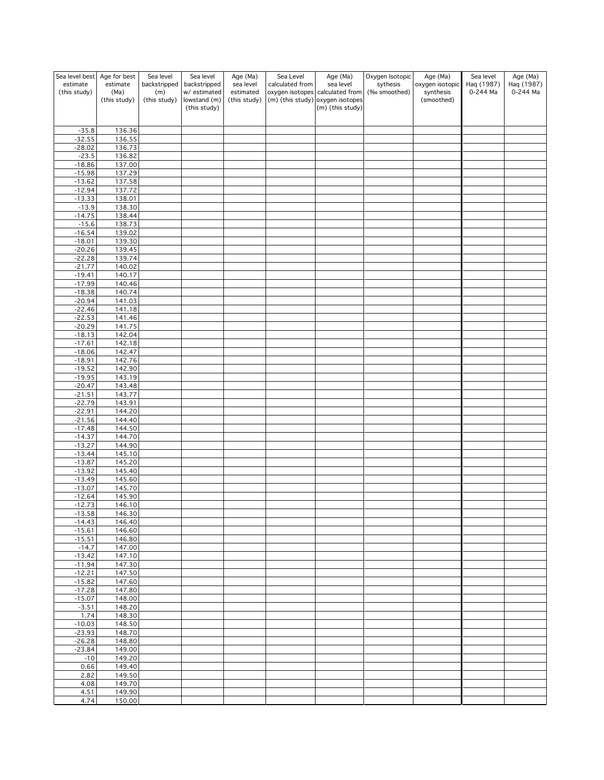| Sea level best       | Age for best         | Sea level           | Sea level                   | Age (Ma)                  | Sea Level       | Age (Ma)                                                            | Oxygen Isotopic | Age (Ma)                | Sea level  | Age (Ma)   |
|----------------------|----------------------|---------------------|-----------------------------|---------------------------|-----------------|---------------------------------------------------------------------|-----------------|-------------------------|------------|------------|
| estimate             | estimate             | backstripped        | backstripped                | sea level                 | calculated from | sea level                                                           | sythesis        | oxygen isotopic         | Haq (1987) | Haq (1987) |
| (this study)         | (Ma)<br>(this study) | (m)<br>(this study) | w/estimated<br>lowstand (m) | estimated<br>(this study) |                 | oxygen isotopes calculated from<br>(m) (this study) oxygen isotopes | (‰ smoothed)    | synthesis<br>(smoothed) | 0-244 Ma   | 0-244 Ma   |
|                      |                      |                     | (this study)                |                           |                 | (m) (this study)                                                    |                 |                         |            |            |
|                      |                      |                     |                             |                           |                 |                                                                     |                 |                         |            |            |
|                      |                      |                     |                             |                           |                 |                                                                     |                 |                         |            |            |
| $-35.8$<br>$-32.55$  | 136.36<br>136.55     |                     |                             |                           |                 |                                                                     |                 |                         |            |            |
| $-28.02$             | 136.73               |                     |                             |                           |                 |                                                                     |                 |                         |            |            |
| $-23.5$              | 136.82               |                     |                             |                           |                 |                                                                     |                 |                         |            |            |
| $-18.86$             | 137.00               |                     |                             |                           |                 |                                                                     |                 |                         |            |            |
| $-15.98$             | 137.29               |                     |                             |                           |                 |                                                                     |                 |                         |            |            |
| $-13.62$             | 137.58               |                     |                             |                           |                 |                                                                     |                 |                         |            |            |
| $-12.94$             | 137.72               |                     |                             |                           |                 |                                                                     |                 |                         |            |            |
| $-13.33$<br>$-13.9$  | 138.01<br>138.30     |                     |                             |                           |                 |                                                                     |                 |                         |            |            |
| $-14.75$             | 138.44               |                     |                             |                           |                 |                                                                     |                 |                         |            |            |
| $-15.6$              | 138.73               |                     |                             |                           |                 |                                                                     |                 |                         |            |            |
| $-16.54$             | 139.02               |                     |                             |                           |                 |                                                                     |                 |                         |            |            |
| $-18.01$             | 139.30               |                     |                             |                           |                 |                                                                     |                 |                         |            |            |
| $-20.26$             | 139.45               |                     |                             |                           |                 |                                                                     |                 |                         |            |            |
| $-22.28$<br>$-21.77$ | 139.74<br>140.02     |                     |                             |                           |                 |                                                                     |                 |                         |            |            |
| $-19.41$             | 140.17               |                     |                             |                           |                 |                                                                     |                 |                         |            |            |
| $-17.99$             | 140.46               |                     |                             |                           |                 |                                                                     |                 |                         |            |            |
| $-18.38$             | 140.74               |                     |                             |                           |                 |                                                                     |                 |                         |            |            |
| $-20.94$             | 141.03               |                     |                             |                           |                 |                                                                     |                 |                         |            |            |
| $-22.46$             | 141.18               |                     |                             |                           |                 |                                                                     |                 |                         |            |            |
| $-22.53$<br>$-20.29$ | 141.46               |                     |                             |                           |                 |                                                                     |                 |                         |            |            |
| $-18.13$             | 141.75<br>142.04     |                     |                             |                           |                 |                                                                     |                 |                         |            |            |
| $-17.61$             | 142.18               |                     |                             |                           |                 |                                                                     |                 |                         |            |            |
| $-18.06$             | 142.47               |                     |                             |                           |                 |                                                                     |                 |                         |            |            |
| $-18.91$             | 142.76               |                     |                             |                           |                 |                                                                     |                 |                         |            |            |
| $-19.52$             | 142.90               |                     |                             |                           |                 |                                                                     |                 |                         |            |            |
| $-19.95$             | 143.19               |                     |                             |                           |                 |                                                                     |                 |                         |            |            |
| $-20.47$             | 143.48               |                     |                             |                           |                 |                                                                     |                 |                         |            |            |
| $-21.51$<br>$-22.79$ | 143.77<br>143.91     |                     |                             |                           |                 |                                                                     |                 |                         |            |            |
| $-22.91$             | 144.20               |                     |                             |                           |                 |                                                                     |                 |                         |            |            |
| $-21.56$             | 144.40               |                     |                             |                           |                 |                                                                     |                 |                         |            |            |
| $-17.48$             | 144.50               |                     |                             |                           |                 |                                                                     |                 |                         |            |            |
| $-14.37$             | 144.70               |                     |                             |                           |                 |                                                                     |                 |                         |            |            |
| $-13.27$             | 144.90               |                     |                             |                           |                 |                                                                     |                 |                         |            |            |
| $-13.44$<br>$-13.87$ | 145.10<br>145.20     |                     |                             |                           |                 |                                                                     |                 |                         |            |            |
| $-13.92$             | 145.40               |                     |                             |                           |                 |                                                                     |                 |                         |            |            |
| $-13.49$             | 145.60               |                     |                             |                           |                 |                                                                     |                 |                         |            |            |
| $-13.07$             | 145.70               |                     |                             |                           |                 |                                                                     |                 |                         |            |            |
| $-12.64$             | 145.90               |                     |                             |                           |                 |                                                                     |                 |                         |            |            |
| $-12.73$             | 146.10               |                     |                             |                           |                 |                                                                     |                 |                         |            |            |
| $-13.58$<br>$-14.43$ | 146.30<br>146.40     |                     |                             |                           |                 |                                                                     |                 |                         |            |            |
| $-15.61$             | 146.60               |                     |                             |                           |                 |                                                                     |                 |                         |            |            |
| $-15.51$             | 146.80               |                     |                             |                           |                 |                                                                     |                 |                         |            |            |
| $-14.7$              | 147.00               |                     |                             |                           |                 |                                                                     |                 |                         |            |            |
| $-13.42$             | 147.10               |                     |                             |                           |                 |                                                                     |                 |                         |            |            |
| $-11.94$<br>$-12.21$ | 147.30               |                     |                             |                           |                 |                                                                     |                 |                         |            |            |
| $-15.82$             | 147.50<br>147.60     |                     |                             |                           |                 |                                                                     |                 |                         |            |            |
| $-17.28$             | 147.80               |                     |                             |                           |                 |                                                                     |                 |                         |            |            |
| $-15.07$             | 148.00               |                     |                             |                           |                 |                                                                     |                 |                         |            |            |
| $-3.51$              | 148.20               |                     |                             |                           |                 |                                                                     |                 |                         |            |            |
| 1.74                 | 148.30               |                     |                             |                           |                 |                                                                     |                 |                         |            |            |
| $-10.03$<br>$-23.93$ | 148.50<br>148.70     |                     |                             |                           |                 |                                                                     |                 |                         |            |            |
| $-26.28$             | 148.80               |                     |                             |                           |                 |                                                                     |                 |                         |            |            |
| $-23.84$             | 149.00               |                     |                             |                           |                 |                                                                     |                 |                         |            |            |
| $-10$                | 149.20               |                     |                             |                           |                 |                                                                     |                 |                         |            |            |
| 0.66                 | 149.40               |                     |                             |                           |                 |                                                                     |                 |                         |            |            |
| 2.82                 | 149.50               |                     |                             |                           |                 |                                                                     |                 |                         |            |            |
| 4.08                 | 149.70<br>149.90     |                     |                             |                           |                 |                                                                     |                 |                         |            |            |
| 4.51<br>4.74         | 150.00               |                     |                             |                           |                 |                                                                     |                 |                         |            |            |
|                      |                      |                     |                             |                           |                 |                                                                     |                 |                         |            |            |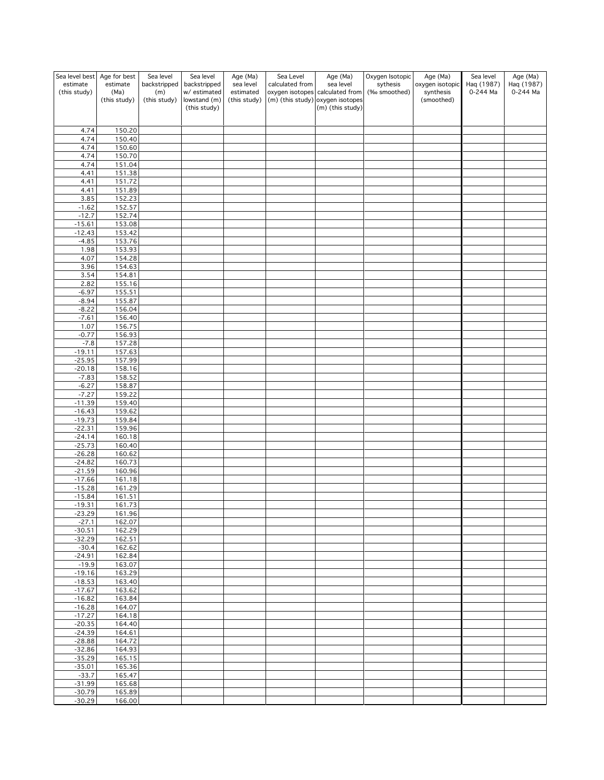| Sea level best       | Age for best         | Sea level           | Sea level                   | Age (Ma)                  | Sea Level       | Age (Ma)                                                            | Oxygen Isotopic | Age (Ma)                | Sea level  | Age (Ma)   |
|----------------------|----------------------|---------------------|-----------------------------|---------------------------|-----------------|---------------------------------------------------------------------|-----------------|-------------------------|------------|------------|
| estimate             | estimate             | backstripped        | backstripped                | sea level                 | calculated from | sea level                                                           | sythesis        | oxygen isotopic         | Haq (1987) | Haq (1987) |
| (this study)         | (Ma)<br>(this study) | (m)<br>(this study) | w/estimated<br>lowstand (m) | estimated<br>(this study) |                 | oxygen isotopes calculated from<br>(m) (this study) oxygen isotopes | (‰ smoothed)    | synthesis<br>(smoothed) | 0-244 Ma   | 0-244 Ma   |
|                      |                      |                     | (this study)                |                           |                 | (m) (this study)                                                    |                 |                         |            |            |
|                      |                      |                     |                             |                           |                 |                                                                     |                 |                         |            |            |
|                      |                      |                     |                             |                           |                 |                                                                     |                 |                         |            |            |
| 4.74<br>4.74         | 150.20<br>150.40     |                     |                             |                           |                 |                                                                     |                 |                         |            |            |
| 4.74                 | 150.60               |                     |                             |                           |                 |                                                                     |                 |                         |            |            |
| 4.74                 | 150.70               |                     |                             |                           |                 |                                                                     |                 |                         |            |            |
| 4.74                 | 151.04               |                     |                             |                           |                 |                                                                     |                 |                         |            |            |
| 4.41                 | 151.38               |                     |                             |                           |                 |                                                                     |                 |                         |            |            |
| 4.41                 | 151.72               |                     |                             |                           |                 |                                                                     |                 |                         |            |            |
| 4.41<br>3.85         | 151.89<br>152.23     |                     |                             |                           |                 |                                                                     |                 |                         |            |            |
| $-1.62$              | 152.57               |                     |                             |                           |                 |                                                                     |                 |                         |            |            |
| $-12.7$              | 152.74               |                     |                             |                           |                 |                                                                     |                 |                         |            |            |
| $-15.61$             | 153.08               |                     |                             |                           |                 |                                                                     |                 |                         |            |            |
| $-12.43$             | 153.42               |                     |                             |                           |                 |                                                                     |                 |                         |            |            |
| $-4.85$              | 153.76               |                     |                             |                           |                 |                                                                     |                 |                         |            |            |
| 1.98                 | 153.93               |                     |                             |                           |                 |                                                                     |                 |                         |            |            |
| 4.07<br>3.96         | 154.28<br>154.63     |                     |                             |                           |                 |                                                                     |                 |                         |            |            |
| 3.54                 | 154.81               |                     |                             |                           |                 |                                                                     |                 |                         |            |            |
| 2.82                 | 155.16               |                     |                             |                           |                 |                                                                     |                 |                         |            |            |
| $-6.97$              | 155.51               |                     |                             |                           |                 |                                                                     |                 |                         |            |            |
| $-8.94$              | 155.87               |                     |                             |                           |                 |                                                                     |                 |                         |            |            |
| $-8.22$<br>$-7.61$   | 156.04<br>156.40     |                     |                             |                           |                 |                                                                     |                 |                         |            |            |
| 1.07                 | 156.75               |                     |                             |                           |                 |                                                                     |                 |                         |            |            |
| $-0.77$              | 156.93               |                     |                             |                           |                 |                                                                     |                 |                         |            |            |
| $-7.8$               | 157.28               |                     |                             |                           |                 |                                                                     |                 |                         |            |            |
| $-19.11$             | 157.63               |                     |                             |                           |                 |                                                                     |                 |                         |            |            |
| $-25.95$             | 157.99               |                     |                             |                           |                 |                                                                     |                 |                         |            |            |
| $-20.18$             | 158.16               |                     |                             |                           |                 |                                                                     |                 |                         |            |            |
| $-7.83$<br>$-6.27$   | 158.52<br>158.87     |                     |                             |                           |                 |                                                                     |                 |                         |            |            |
| $-7.27$              | 159.22               |                     |                             |                           |                 |                                                                     |                 |                         |            |            |
| $-11.39$             | 159.40               |                     |                             |                           |                 |                                                                     |                 |                         |            |            |
| $-16.43$             | 159.62               |                     |                             |                           |                 |                                                                     |                 |                         |            |            |
| $-19.73$             | 159.84               |                     |                             |                           |                 |                                                                     |                 |                         |            |            |
| $-22.31$<br>$-24.14$ | 159.96<br>160.18     |                     |                             |                           |                 |                                                                     |                 |                         |            |            |
| $-25.73$             | 160.40               |                     |                             |                           |                 |                                                                     |                 |                         |            |            |
| $-26.28$             | 160.62               |                     |                             |                           |                 |                                                                     |                 |                         |            |            |
| $-24.82$             | 160.73               |                     |                             |                           |                 |                                                                     |                 |                         |            |            |
| $-21.59$             | 160.96               |                     |                             |                           |                 |                                                                     |                 |                         |            |            |
| $-17.66$             | 161.18               |                     |                             |                           |                 |                                                                     |                 |                         |            |            |
| $-15.28$<br>$-15.84$ | 161.29<br>161.51     |                     |                             |                           |                 |                                                                     |                 |                         |            |            |
| $-19.31$             | 161.73               |                     |                             |                           |                 |                                                                     |                 |                         |            |            |
| $-23.29$             | 161.96               |                     |                             |                           |                 |                                                                     |                 |                         |            |            |
| $-27.1$              | 162.07               |                     |                             |                           |                 |                                                                     |                 |                         |            |            |
| $-30.51$             | 162.29               |                     |                             |                           |                 |                                                                     |                 |                         |            |            |
| $-32.29$             | 162.51               |                     |                             |                           |                 |                                                                     |                 |                         |            |            |
| $-30.4$<br>$-24.91$  | 162.62<br>162.84     |                     |                             |                           |                 |                                                                     |                 |                         |            |            |
| $-19.9$              | 163.07               |                     |                             |                           |                 |                                                                     |                 |                         |            |            |
| $-19.16$             | 163.29               |                     |                             |                           |                 |                                                                     |                 |                         |            |            |
| $-18.53$             | 163.40               |                     |                             |                           |                 |                                                                     |                 |                         |            |            |
| $-17.67$             | 163.62               |                     |                             |                           |                 |                                                                     |                 |                         |            |            |
| $-16.82$             | 163.84               |                     |                             |                           |                 |                                                                     |                 |                         |            |            |
| $-16.28$<br>$-17.27$ | 164.07<br>164.18     |                     |                             |                           |                 |                                                                     |                 |                         |            |            |
| $-20.35$             | 164.40               |                     |                             |                           |                 |                                                                     |                 |                         |            |            |
| $-24.39$             | 164.61               |                     |                             |                           |                 |                                                                     |                 |                         |            |            |
| $-28.88$             | 164.72               |                     |                             |                           |                 |                                                                     |                 |                         |            |            |
| $-32.86$             | 164.93               |                     |                             |                           |                 |                                                                     |                 |                         |            |            |
| $-35.29$             | 165.15               |                     |                             |                           |                 |                                                                     |                 |                         |            |            |
| $-35.01$<br>$-33.7$  | 165.36<br>165.47     |                     |                             |                           |                 |                                                                     |                 |                         |            |            |
| $-31.99$             | 165.68               |                     |                             |                           |                 |                                                                     |                 |                         |            |            |
| $-30.79$             | 165.89               |                     |                             |                           |                 |                                                                     |                 |                         |            |            |
| $-30.29$             | 166.00               |                     |                             |                           |                 |                                                                     |                 |                         |            |            |